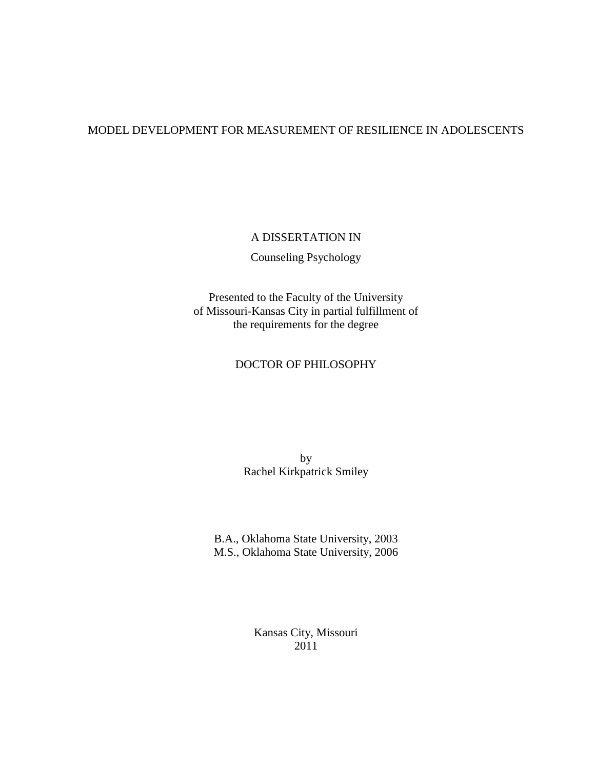## MODEL DEVELOPMENT FOR MEASUREMENT OF RESILIENCE IN ADOLESCENTS

## A DISSERTATION IN

Counseling Psychology

Presented to the Faculty of the University of Missouri-Kansas City in partial fulfillment of the requirements for the degree

## DOCTOR OF PHILOSOPHY

by Rachel Kirkpatrick Smiley

B.A., Oklahoma State University, 2003 M.S., Oklahoma State University, 2006

> Kansas City, Missouri 2011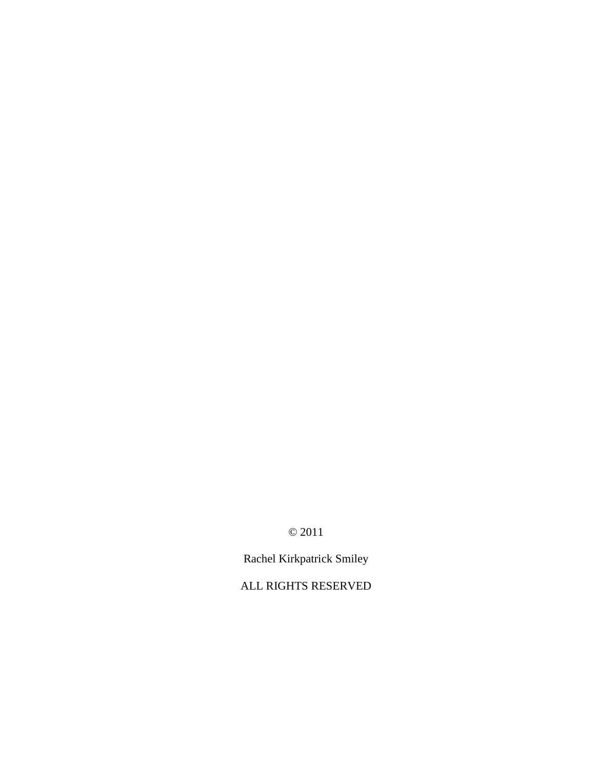© 2011

Rachel Kirkpatrick Smiley

ALL RIGHTS RESERVED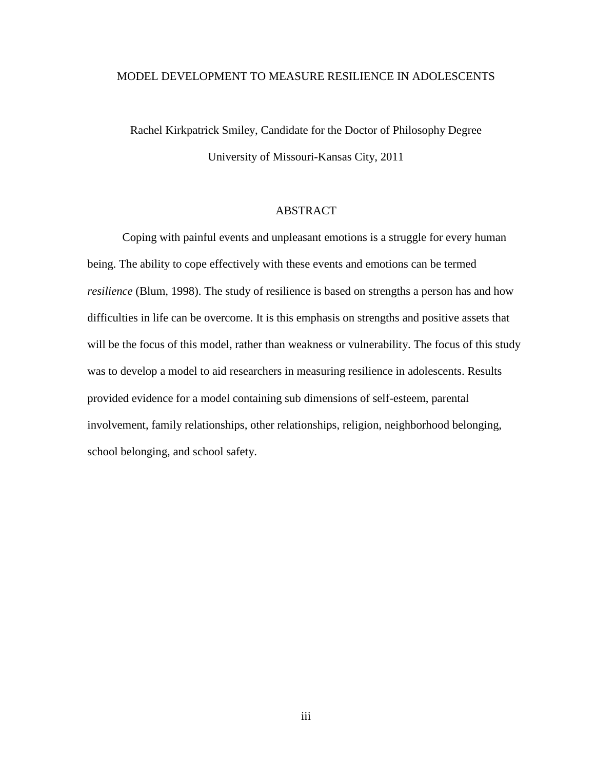## MODEL DEVELOPMENT TO MEASURE RESILIENCE IN ADOLESCENTS

Rachel Kirkpatrick Smiley, Candidate for the Doctor of Philosophy Degree University of Missouri-Kansas City, 2011

## ABSTRACT

Coping with painful events and unpleasant emotions is a struggle for every human being. The ability to cope effectively with these events and emotions can be termed *resilience* (Blum, 1998). The study of resilience is based on strengths a person has and how difficulties in life can be overcome. It is this emphasis on strengths and positive assets that will be the focus of this model, rather than weakness or vulnerability. The focus of this study was to develop a model to aid researchers in measuring resilience in adolescents. Results provided evidence for a model containing sub dimensions of self-esteem, parental involvement, family relationships, other relationships, religion, neighborhood belonging, school belonging, and school safety.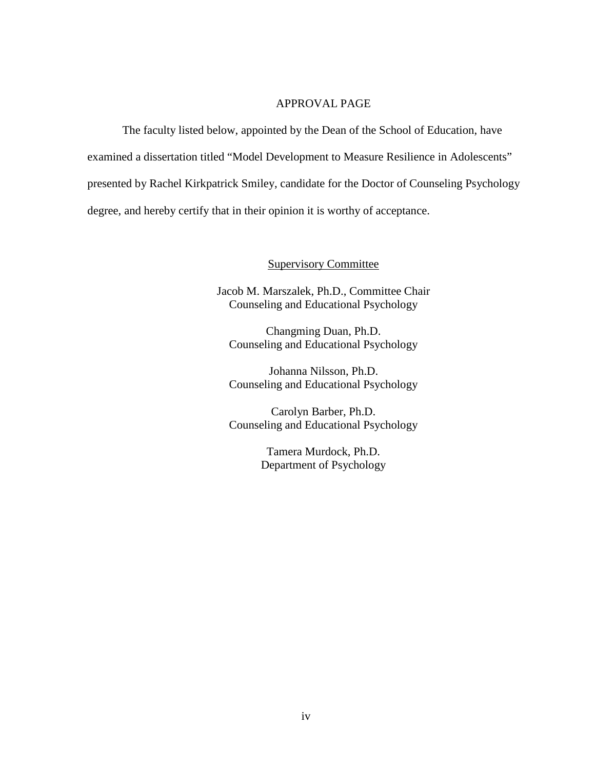## APPROVAL PAGE

The faculty listed below, appointed by the Dean of the School of Education, have examined a dissertation titled "Model Development to Measure Resilience in Adolescents" presented by Rachel Kirkpatrick Smiley, candidate for the Doctor of Counseling Psychology degree, and hereby certify that in their opinion it is worthy of acceptance.

## Supervisory Committee

Jacob M. Marszalek, Ph.D., Committee Chair Counseling and Educational Psychology

Changming Duan, Ph.D. Counseling and Educational Psychology

Johanna Nilsson, Ph.D. Counseling and Educational Psychology

Carolyn Barber, Ph.D. Counseling and Educational Psychology

> Tamera Murdock, Ph.D. Department of Psychology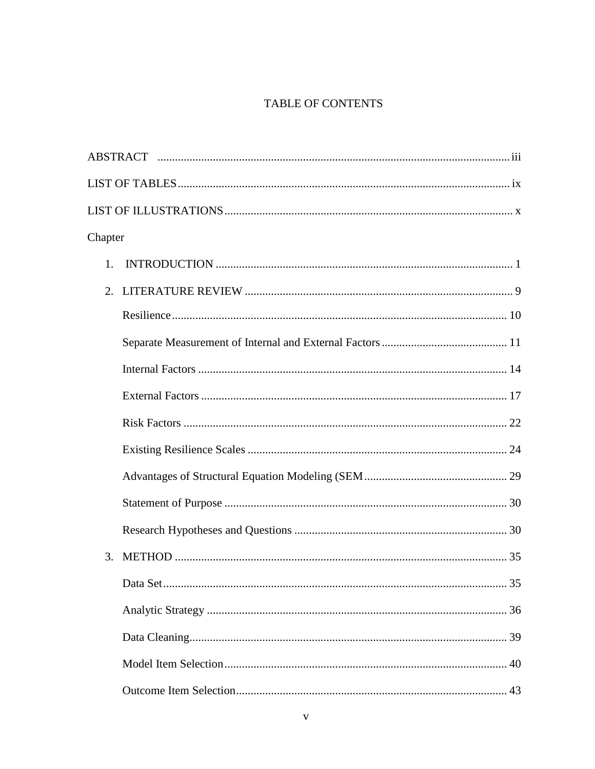# TABLE OF CONTENTS

| Chapter |
|---------|
| 1.      |
| 2.      |
|         |
|         |
|         |
|         |
|         |
|         |
|         |
|         |
|         |
| 3.      |
|         |
|         |
|         |
|         |
|         |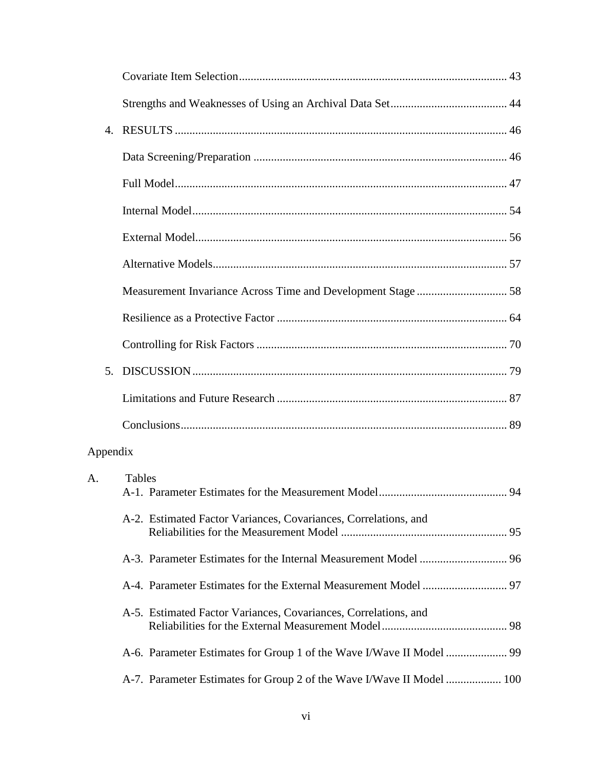| $\mathbf{4}$ . |                                                                       |  |
|----------------|-----------------------------------------------------------------------|--|
|                |                                                                       |  |
|                |                                                                       |  |
|                |                                                                       |  |
|                |                                                                       |  |
|                |                                                                       |  |
|                |                                                                       |  |
|                |                                                                       |  |
|                |                                                                       |  |
| 5.             |                                                                       |  |
|                |                                                                       |  |
|                |                                                                       |  |
| Appendix       |                                                                       |  |
| A.             | <b>Tables</b>                                                         |  |
|                | A-2. Estimated Factor Variances, Covariances, Correlations, and       |  |
|                |                                                                       |  |
|                |                                                                       |  |
|                | A-5. Estimated Factor Variances, Covariances, Correlations, and       |  |
|                |                                                                       |  |
|                | A-7. Parameter Estimates for Group 2 of the Wave I/Wave II Model  100 |  |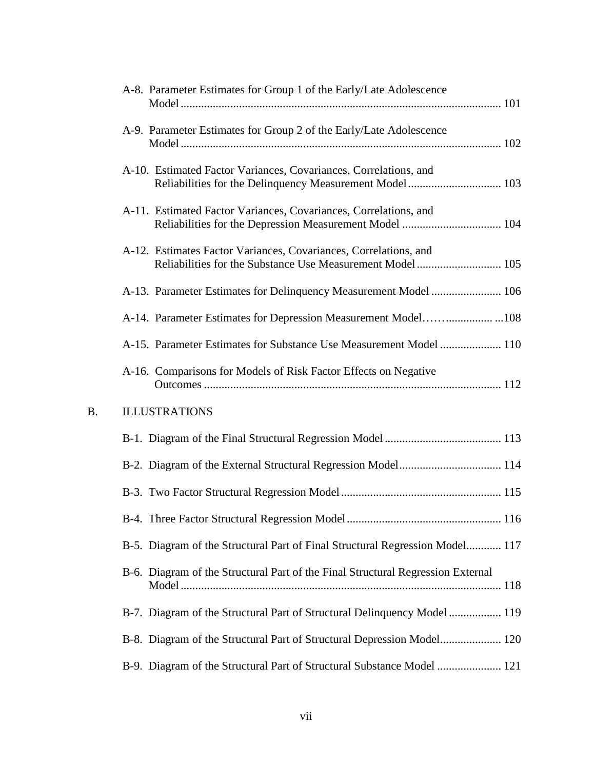|    | A-8. Parameter Estimates for Group 1 of the Early/Late Adolescence                                                            |
|----|-------------------------------------------------------------------------------------------------------------------------------|
|    | A-9. Parameter Estimates for Group 2 of the Early/Late Adolescence                                                            |
|    | A-10. Estimated Factor Variances, Covariances, Correlations, and                                                              |
|    | A-11. Estimated Factor Variances, Covariances, Correlations, and                                                              |
|    | A-12. Estimates Factor Variances, Covariances, Correlations, and<br>Reliabilities for the Substance Use Measurement Model 105 |
|    | A-13. Parameter Estimates for Delinquency Measurement Model  106                                                              |
|    |                                                                                                                               |
|    | A-15. Parameter Estimates for Substance Use Measurement Model  110                                                            |
|    | A-16. Comparisons for Models of Risk Factor Effects on Negative                                                               |
| B. | <b>ILLUSTRATIONS</b>                                                                                                          |
|    |                                                                                                                               |
|    |                                                                                                                               |
|    |                                                                                                                               |
|    |                                                                                                                               |
|    | B-5. Diagram of the Structural Part of Final Structural Regression Model 117                                                  |
|    | B-6. Diagram of the Structural Part of the Final Structural Regression External                                               |
|    | B-7. Diagram of the Structural Part of Structural Delinquency Model  119                                                      |
|    |                                                                                                                               |
|    | B-9. Diagram of the Structural Part of Structural Substance Model  121                                                        |

 $B$ .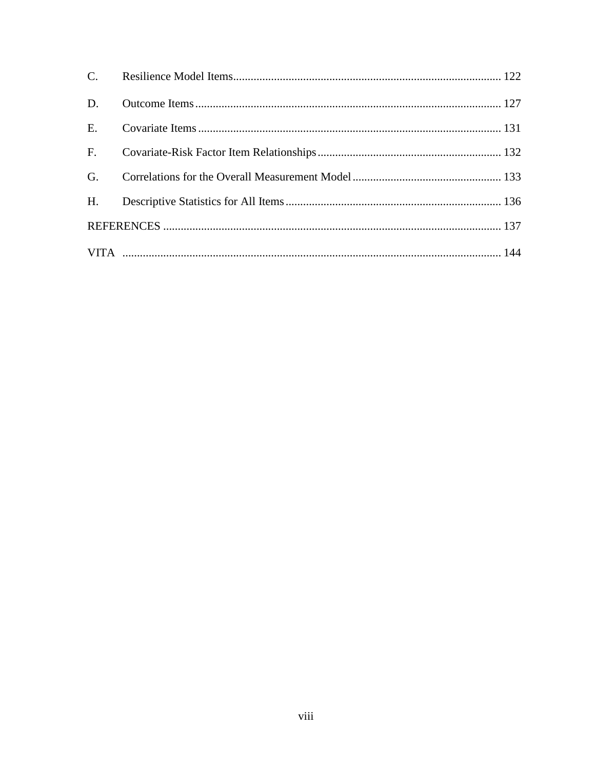| D.          |  |
|-------------|--|
|             |  |
| $F_{\rm c}$ |  |
| G.          |  |
|             |  |
|             |  |
|             |  |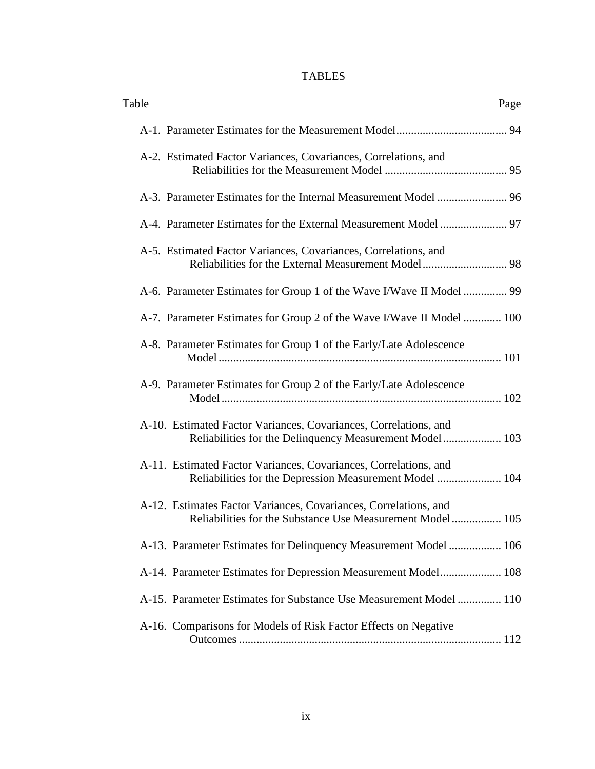# TABLES

| Table<br>Page                                                                                                                 |
|-------------------------------------------------------------------------------------------------------------------------------|
|                                                                                                                               |
| A-2. Estimated Factor Variances, Covariances, Correlations, and                                                               |
|                                                                                                                               |
|                                                                                                                               |
| A-5. Estimated Factor Variances, Covariances, Correlations, and                                                               |
| A-6. Parameter Estimates for Group 1 of the Wave I/Wave II Model  99                                                          |
| A-7. Parameter Estimates for Group 2 of the Wave I/Wave II Model  100                                                         |
| A-8. Parameter Estimates for Group 1 of the Early/Late Adolescence                                                            |
| A-9. Parameter Estimates for Group 2 of the Early/Late Adolescence                                                            |
| A-10. Estimated Factor Variances, Covariances, Correlations, and<br>Reliabilities for the Delinquency Measurement Model 103   |
| A-11. Estimated Factor Variances, Covariances, Correlations, and<br>Reliabilities for the Depression Measurement Model  104   |
| A-12. Estimates Factor Variances, Covariances, Correlations, and<br>Reliabilities for the Substance Use Measurement Model 105 |
| A-13. Parameter Estimates for Delinquency Measurement Model  106                                                              |
| A-14. Parameter Estimates for Depression Measurement Model 108                                                                |
| A-15. Parameter Estimates for Substance Use Measurement Model  110                                                            |
| A-16. Comparisons for Models of Risk Factor Effects on Negative                                                               |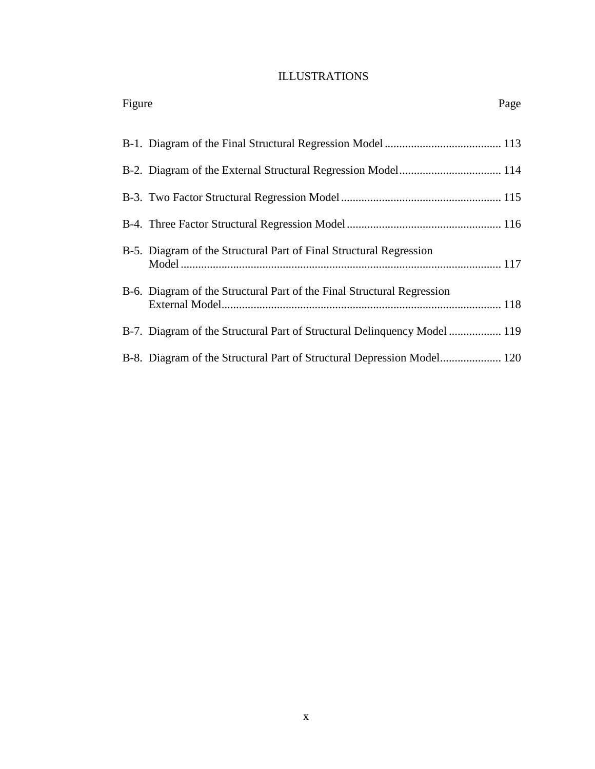# ILLUSTRATIONS

| Figure                                                                   | Page |
|--------------------------------------------------------------------------|------|
|                                                                          |      |
|                                                                          |      |
|                                                                          |      |
|                                                                          |      |
| B-5. Diagram of the Structural Part of Final Structural Regression       |      |
| B-6. Diagram of the Structural Part of the Final Structural Regression   |      |
| B-7. Diagram of the Structural Part of Structural Delinquency Model  119 |      |
|                                                                          |      |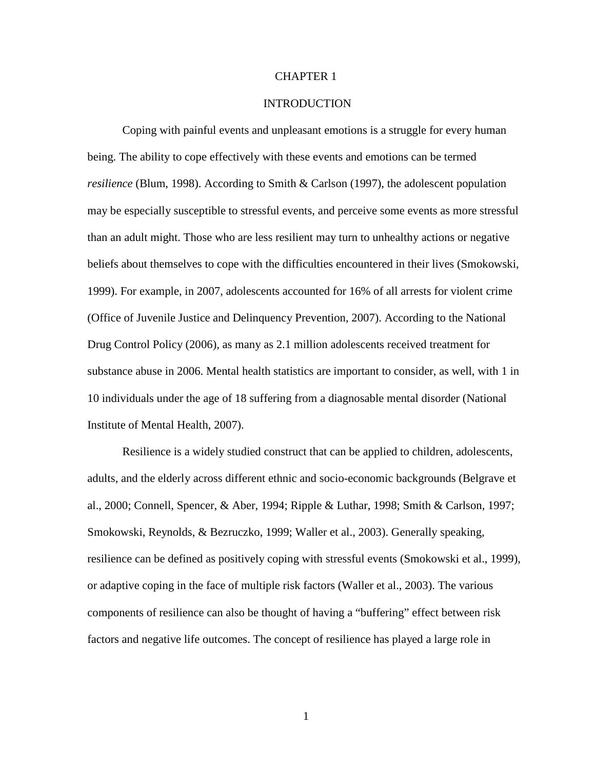#### CHAPTER 1

### **INTRODUCTION**

Coping with painful events and unpleasant emotions is a struggle for every human being. The ability to cope effectively with these events and emotions can be termed *resilience* (Blum, 1998). According to Smith & Carlson (1997), the adolescent population may be especially susceptible to stressful events, and perceive some events as more stressful than an adult might. Those who are less resilient may turn to unhealthy actions or negative beliefs about themselves to cope with the difficulties encountered in their lives (Smokowski, 1999). For example, in 2007, adolescents accounted for 16% of all arrests for violent crime (Office of Juvenile Justice and Delinquency Prevention, 2007). According to the National Drug Control Policy (2006), as many as 2.1 million adolescents received treatment for substance abuse in 2006. Mental health statistics are important to consider, as well, with 1 in 10 individuals under the age of 18 suffering from a diagnosable mental disorder (National Institute of Mental Health, 2007).

Resilience is a widely studied construct that can be applied to children, adolescents, adults, and the elderly across different ethnic and socio-economic backgrounds (Belgrave et al., 2000; Connell, Spencer, & Aber, 1994; Ripple & Luthar, 1998; Smith & Carlson, 1997; Smokowski, Reynolds, & Bezruczko, 1999; Waller et al., 2003). Generally speaking, resilience can be defined as positively coping with stressful events (Smokowski et al., 1999), or adaptive coping in the face of multiple risk factors (Waller et al., 2003). The various components of resilience can also be thought of having a "buffering" effect between risk factors and negative life outcomes. The concept of resilience has played a large role in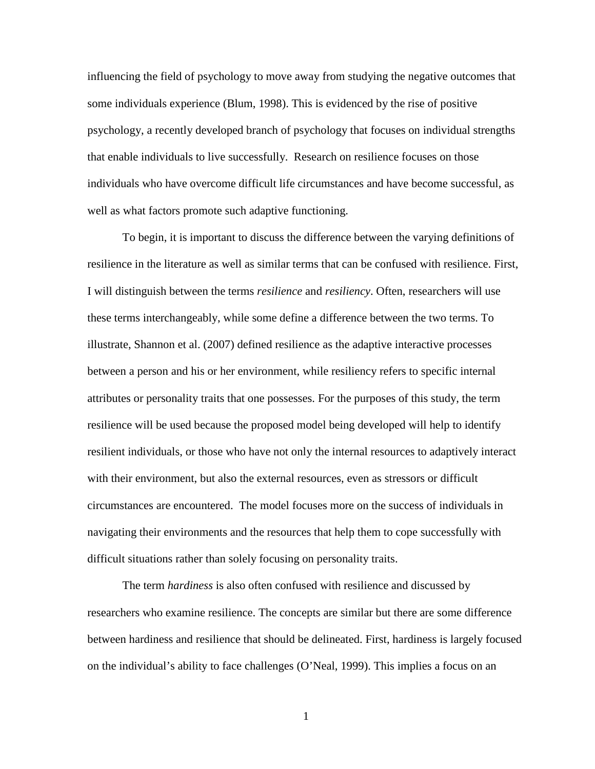influencing the field of psychology to move away from studying the negative outcomes that some individuals experience (Blum, 1998). This is evidenced by the rise of positive psychology, a recently developed branch of psychology that focuses on individual strengths that enable individuals to live successfully. Research on resilience focuses on those individuals who have overcome difficult life circumstances and have become successful, as well as what factors promote such adaptive functioning.

To begin, it is important to discuss the difference between the varying definitions of resilience in the literature as well as similar terms that can be confused with resilience. First, I will distinguish between the terms *resilience* and *resiliency*. Often, researchers will use these terms interchangeably, while some define a difference between the two terms. To illustrate, Shannon et al. (2007) defined resilience as the adaptive interactive processes between a person and his or her environment, while resiliency refers to specific internal attributes or personality traits that one possesses. For the purposes of this study, the term resilience will be used because the proposed model being developed will help to identify resilient individuals, or those who have not only the internal resources to adaptively interact with their environment, but also the external resources, even as stressors or difficult circumstances are encountered. The model focuses more on the success of individuals in navigating their environments and the resources that help them to cope successfully with difficult situations rather than solely focusing on personality traits.

The term *hardiness* is also often confused with resilience and discussed by researchers who examine resilience. The concepts are similar but there are some difference between hardiness and resilience that should be delineated. First, hardiness is largely focused on the individual's ability to face challenges (O'Neal, 1999). This implies a focus on an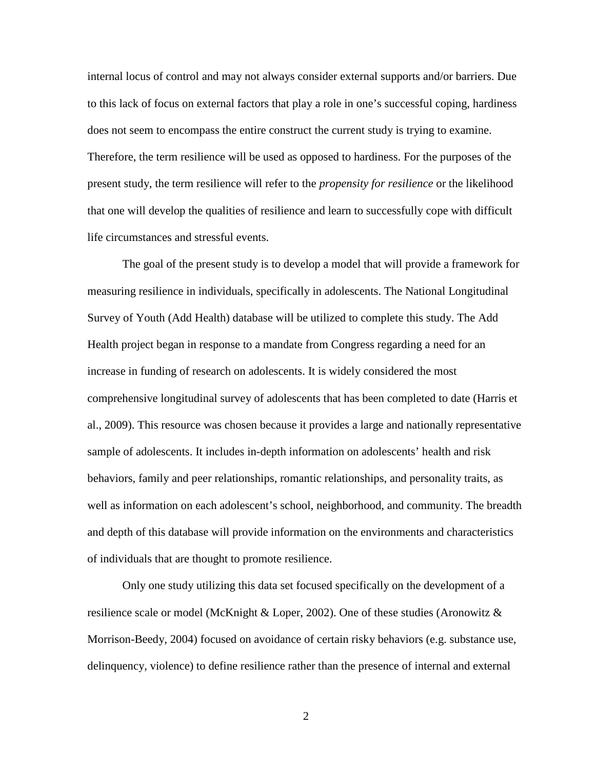internal locus of control and may not always consider external supports and/or barriers. Due to this lack of focus on external factors that play a role in one's successful coping, hardiness does not seem to encompass the entire construct the current study is trying to examine. Therefore, the term resilience will be used as opposed to hardiness. For the purposes of the present study, the term resilience will refer to the *propensity for resilience* or the likelihood that one will develop the qualities of resilience and learn to successfully cope with difficult life circumstances and stressful events.

The goal of the present study is to develop a model that will provide a framework for measuring resilience in individuals, specifically in adolescents. The National Longitudinal Survey of Youth (Add Health) database will be utilized to complete this study. The Add Health project began in response to a mandate from Congress regarding a need for an increase in funding of research on adolescents. It is widely considered the most comprehensive longitudinal survey of adolescents that has been completed to date (Harris et al., 2009). This resource was chosen because it provides a large and nationally representative sample of adolescents. It includes in-depth information on adolescents' health and risk behaviors, family and peer relationships, romantic relationships, and personality traits, as well as information on each adolescent's school, neighborhood, and community. The breadth and depth of this database will provide information on the environments and characteristics of individuals that are thought to promote resilience.

Only one study utilizing this data set focused specifically on the development of a resilience scale or model (McKnight & Loper, 2002). One of these studies (Aronowitz  $\&$ Morrison-Beedy, 2004) focused on avoidance of certain risky behaviors (e.g. substance use, delinquency, violence) to define resilience rather than the presence of internal and external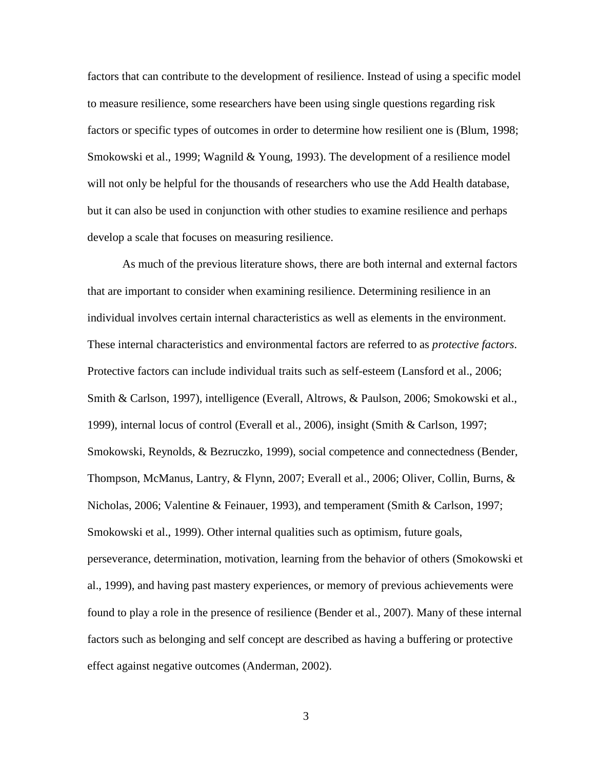factors that can contribute to the development of resilience. Instead of using a specific model to measure resilience, some researchers have been using single questions regarding risk factors or specific types of outcomes in order to determine how resilient one is (Blum, 1998; Smokowski et al., 1999; Wagnild & Young, 1993). The development of a resilience model will not only be helpful for the thousands of researchers who use the Add Health database, but it can also be used in conjunction with other studies to examine resilience and perhaps develop a scale that focuses on measuring resilience.

As much of the previous literature shows, there are both internal and external factors that are important to consider when examining resilience. Determining resilience in an individual involves certain internal characteristics as well as elements in the environment. These internal characteristics and environmental factors are referred to as *protective factors*. Protective factors can include individual traits such as self-esteem (Lansford et al., 2006; Smith & Carlson, 1997), intelligence (Everall, Altrows, & Paulson, 2006; Smokowski et al., 1999), internal locus of control (Everall et al., 2006), insight (Smith & Carlson, 1997; Smokowski, Reynolds, & Bezruczko, 1999), social competence and connectedness (Bender, Thompson, McManus, Lantry, & Flynn, 2007; Everall et al., 2006; Oliver, Collin, Burns, & Nicholas, 2006; Valentine & Feinauer, 1993), and temperament (Smith & Carlson, 1997; Smokowski et al., 1999). Other internal qualities such as optimism, future goals, perseverance, determination, motivation, learning from the behavior of others (Smokowski et al., 1999), and having past mastery experiences, or memory of previous achievements were found to play a role in the presence of resilience (Bender et al., 2007). Many of these internal factors such as belonging and self concept are described as having a buffering or protective effect against negative outcomes (Anderman, 2002).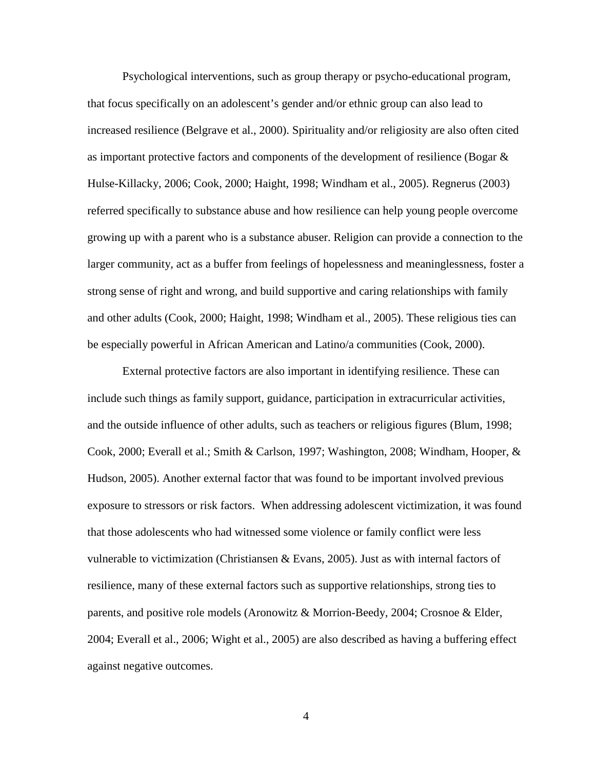Psychological interventions, such as group therapy or psycho-educational program, that focus specifically on an adolescent's gender and/or ethnic group can also lead to increased resilience (Belgrave et al., 2000). Spirituality and/or religiosity are also often cited as important protective factors and components of the development of resilience (Bogar & Hulse-Killacky, 2006; Cook, 2000; Haight, 1998; Windham et al., 2005). Regnerus (2003) referred specifically to substance abuse and how resilience can help young people overcome growing up with a parent who is a substance abuser. Religion can provide a connection to the larger community, act as a buffer from feelings of hopelessness and meaninglessness, foster a strong sense of right and wrong, and build supportive and caring relationships with family and other adults (Cook, 2000; Haight, 1998; Windham et al., 2005). These religious ties can be especially powerful in African American and Latino/a communities (Cook, 2000).

External protective factors are also important in identifying resilience. These can include such things as family support, guidance, participation in extracurricular activities, and the outside influence of other adults, such as teachers or religious figures (Blum, 1998; Cook, 2000; Everall et al.; Smith & Carlson, 1997; Washington, 2008; Windham, Hooper, & Hudson, 2005). Another external factor that was found to be important involved previous exposure to stressors or risk factors. When addressing adolescent victimization, it was found that those adolescents who had witnessed some violence or family conflict were less vulnerable to victimization (Christiansen & Evans, 2005). Just as with internal factors of resilience, many of these external factors such as supportive relationships, strong ties to parents, and positive role models (Aronowitz & Morrion-Beedy, 2004; Crosnoe & Elder, 2004; Everall et al., 2006; Wight et al., 2005) are also described as having a buffering effect against negative outcomes.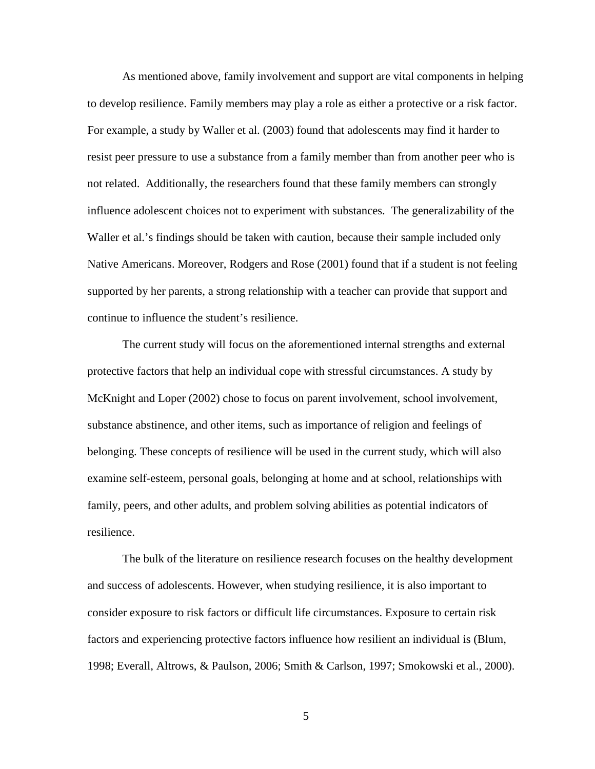As mentioned above, family involvement and support are vital components in helping to develop resilience. Family members may play a role as either a protective or a risk factor. For example, a study by Waller et al. (2003) found that adolescents may find it harder to resist peer pressure to use a substance from a family member than from another peer who is not related. Additionally, the researchers found that these family members can strongly influence adolescent choices not to experiment with substances. The generalizability of the Waller et al.'s findings should be taken with caution, because their sample included only Native Americans. Moreover, Rodgers and Rose (2001) found that if a student is not feeling supported by her parents, a strong relationship with a teacher can provide that support and continue to influence the student's resilience.

The current study will focus on the aforementioned internal strengths and external protective factors that help an individual cope with stressful circumstances. A study by McKnight and Loper (2002) chose to focus on parent involvement, school involvement, substance abstinence, and other items, such as importance of religion and feelings of belonging. These concepts of resilience will be used in the current study, which will also examine self-esteem, personal goals, belonging at home and at school, relationships with family, peers, and other adults, and problem solving abilities as potential indicators of resilience.

The bulk of the literature on resilience research focuses on the healthy development and success of adolescents. However, when studying resilience, it is also important to consider exposure to risk factors or difficult life circumstances. Exposure to certain risk factors and experiencing protective factors influence how resilient an individual is (Blum, 1998; Everall, Altrows, & Paulson, 2006; Smith & Carlson, 1997; Smokowski et al., 2000).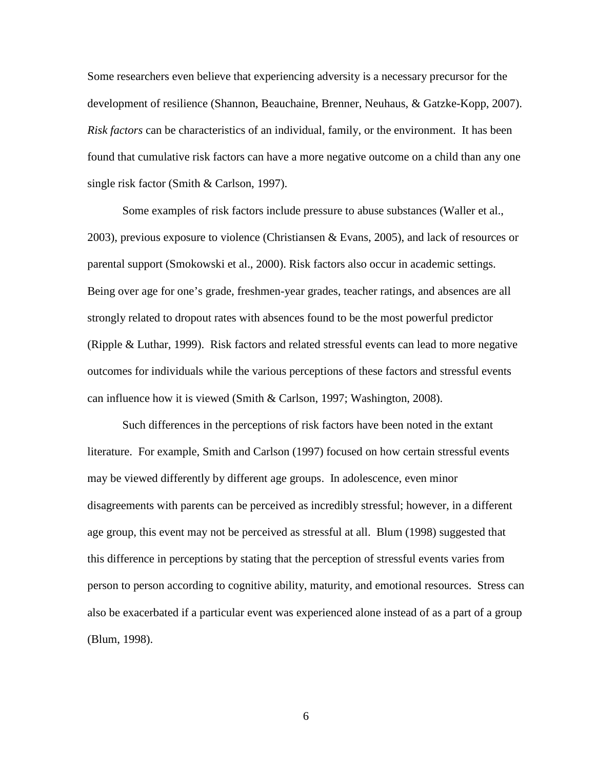Some researchers even believe that experiencing adversity is a necessary precursor for the development of resilience (Shannon, Beauchaine, Brenner, Neuhaus, & Gatzke-Kopp, 2007). *Risk factors* can be characteristics of an individual, family, or the environment. It has been found that cumulative risk factors can have a more negative outcome on a child than any one single risk factor (Smith & Carlson, 1997).

Some examples of risk factors include pressure to abuse substances (Waller et al., 2003), previous exposure to violence (Christiansen & Evans, 2005), and lack of resources or parental support (Smokowski et al., 2000). Risk factors also occur in academic settings. Being over age for one's grade, freshmen-year grades, teacher ratings, and absences are all strongly related to dropout rates with absences found to be the most powerful predictor (Ripple & Luthar, 1999). Risk factors and related stressful events can lead to more negative outcomes for individuals while the various perceptions of these factors and stressful events can influence how it is viewed (Smith & Carlson, 1997; Washington, 2008).

Such differences in the perceptions of risk factors have been noted in the extant literature. For example, Smith and Carlson (1997) focused on how certain stressful events may be viewed differently by different age groups. In adolescence, even minor disagreements with parents can be perceived as incredibly stressful; however, in a different age group, this event may not be perceived as stressful at all. Blum (1998) suggested that this difference in perceptions by stating that the perception of stressful events varies from person to person according to cognitive ability, maturity, and emotional resources. Stress can also be exacerbated if a particular event was experienced alone instead of as a part of a group (Blum, 1998).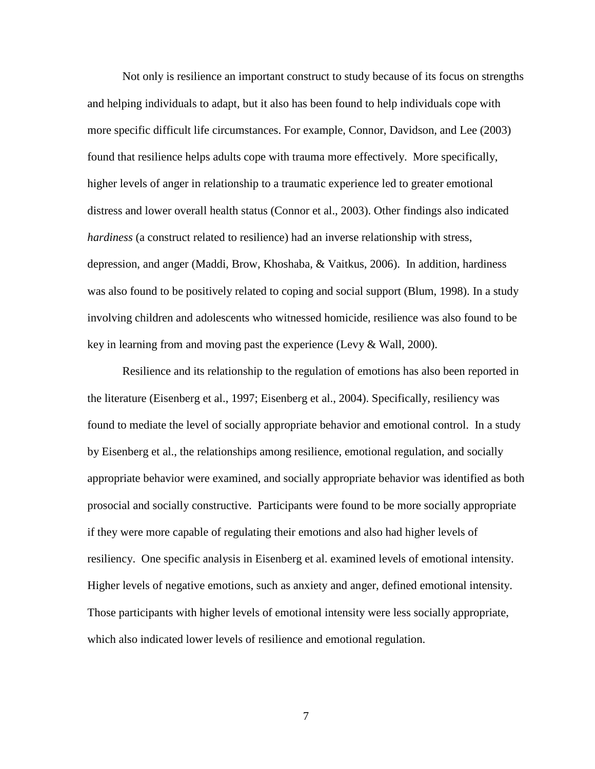Not only is resilience an important construct to study because of its focus on strengths and helping individuals to adapt, but it also has been found to help individuals cope with more specific difficult life circumstances. For example, Connor, Davidson, and Lee (2003) found that resilience helps adults cope with trauma more effectively. More specifically, higher levels of anger in relationship to a traumatic experience led to greater emotional distress and lower overall health status (Connor et al., 2003). Other findings also indicated *hardiness* (a construct related to resilience) had an inverse relationship with stress, depression, and anger (Maddi, Brow, Khoshaba, & Vaitkus, 2006). In addition, hardiness was also found to be positively related to coping and social support (Blum, 1998). In a study involving children and adolescents who witnessed homicide, resilience was also found to be key in learning from and moving past the experience (Levy & Wall, 2000).

Resilience and its relationship to the regulation of emotions has also been reported in the literature (Eisenberg et al., 1997; Eisenberg et al., 2004). Specifically, resiliency was found to mediate the level of socially appropriate behavior and emotional control. In a study by Eisenberg et al., the relationships among resilience, emotional regulation, and socially appropriate behavior were examined, and socially appropriate behavior was identified as both prosocial and socially constructive. Participants were found to be more socially appropriate if they were more capable of regulating their emotions and also had higher levels of resiliency. One specific analysis in Eisenberg et al. examined levels of emotional intensity. Higher levels of negative emotions, such as anxiety and anger, defined emotional intensity. Those participants with higher levels of emotional intensity were less socially appropriate, which also indicated lower levels of resilience and emotional regulation.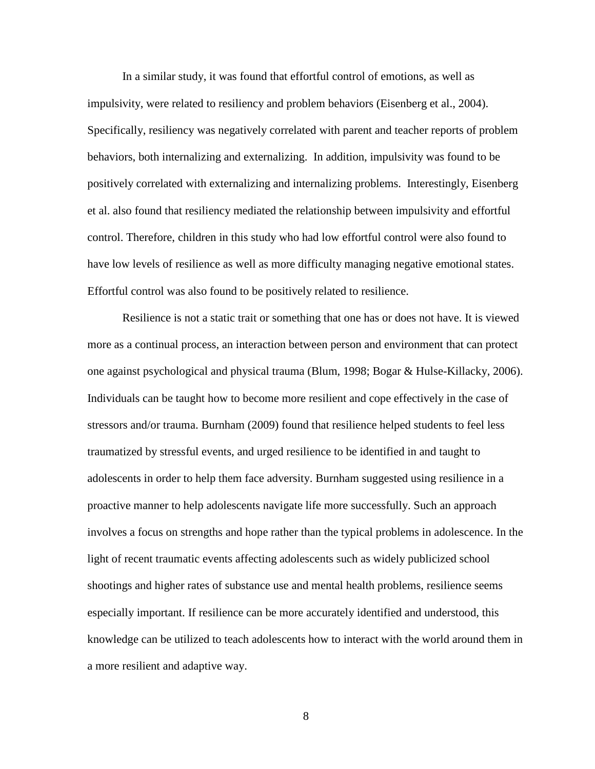In a similar study, it was found that effortful control of emotions, as well as impulsivity, were related to resiliency and problem behaviors (Eisenberg et al., 2004). Specifically, resiliency was negatively correlated with parent and teacher reports of problem behaviors, both internalizing and externalizing. In addition, impulsivity was found to be positively correlated with externalizing and internalizing problems. Interestingly, Eisenberg et al. also found that resiliency mediated the relationship between impulsivity and effortful control. Therefore, children in this study who had low effortful control were also found to have low levels of resilience as well as more difficulty managing negative emotional states. Effortful control was also found to be positively related to resilience.

Resilience is not a static trait or something that one has or does not have. It is viewed more as a continual process, an interaction between person and environment that can protect one against psychological and physical trauma (Blum, 1998; Bogar & Hulse-Killacky, 2006). Individuals can be taught how to become more resilient and cope effectively in the case of stressors and/or trauma. Burnham (2009) found that resilience helped students to feel less traumatized by stressful events, and urged resilience to be identified in and taught to adolescents in order to help them face adversity. Burnham suggested using resilience in a proactive manner to help adolescents navigate life more successfully. Such an approach involves a focus on strengths and hope rather than the typical problems in adolescence. In the light of recent traumatic events affecting adolescents such as widely publicized school shootings and higher rates of substance use and mental health problems, resilience seems especially important. If resilience can be more accurately identified and understood, this knowledge can be utilized to teach adolescents how to interact with the world around them in a more resilient and adaptive way.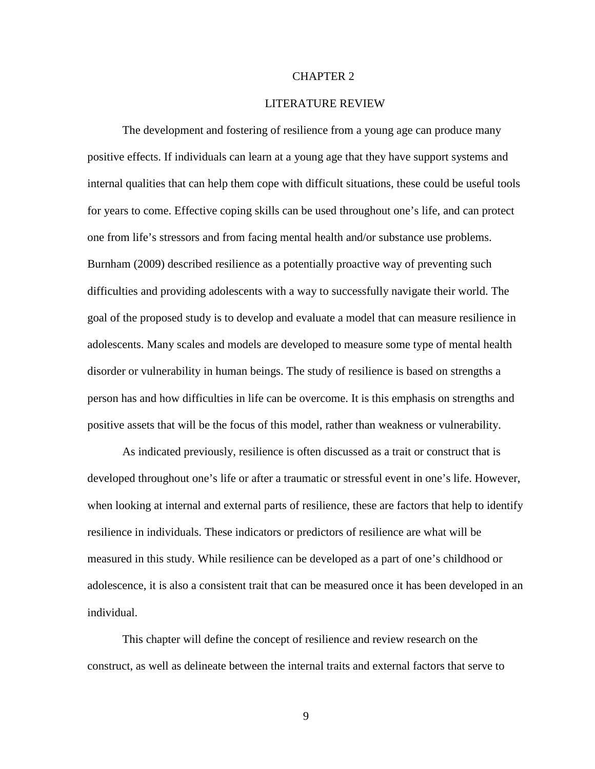## CHAPTER 2

#### LITERATURE REVIEW

The development and fostering of resilience from a young age can produce many positive effects. If individuals can learn at a young age that they have support systems and internal qualities that can help them cope with difficult situations, these could be useful tools for years to come. Effective coping skills can be used throughout one's life, and can protect one from life's stressors and from facing mental health and/or substance use problems. Burnham (2009) described resilience as a potentially proactive way of preventing such difficulties and providing adolescents with a way to successfully navigate their world. The goal of the proposed study is to develop and evaluate a model that can measure resilience in adolescents. Many scales and models are developed to measure some type of mental health disorder or vulnerability in human beings. The study of resilience is based on strengths a person has and how difficulties in life can be overcome. It is this emphasis on strengths and positive assets that will be the focus of this model, rather than weakness or vulnerability.

As indicated previously, resilience is often discussed as a trait or construct that is developed throughout one's life or after a traumatic or stressful event in one's life. However, when looking at internal and external parts of resilience, these are factors that help to identify resilience in individuals. These indicators or predictors of resilience are what will be measured in this study. While resilience can be developed as a part of one's childhood or adolescence, it is also a consistent trait that can be measured once it has been developed in an individual.

This chapter will define the concept of resilience and review research on the construct, as well as delineate between the internal traits and external factors that serve to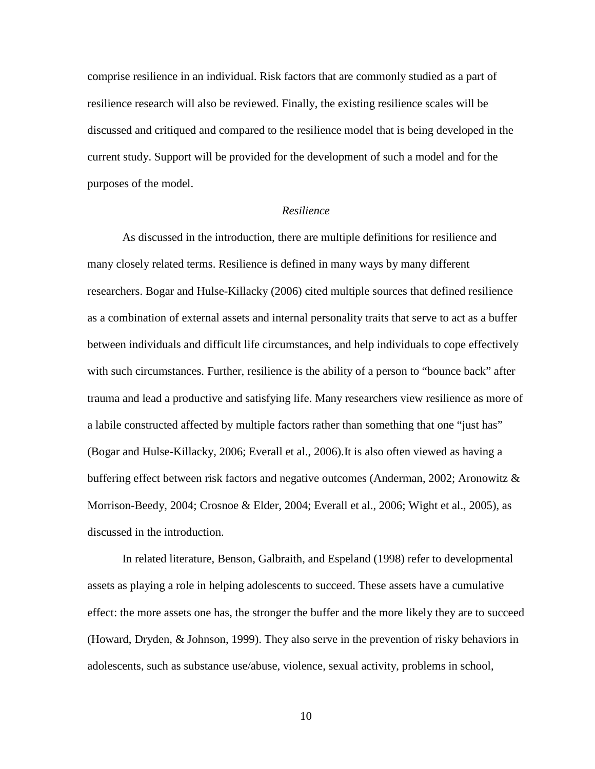comprise resilience in an individual. Risk factors that are commonly studied as a part of resilience research will also be reviewed. Finally, the existing resilience scales will be discussed and critiqued and compared to the resilience model that is being developed in the current study. Support will be provided for the development of such a model and for the purposes of the model.

## *Resilience*

As discussed in the introduction, there are multiple definitions for resilience and many closely related terms. Resilience is defined in many ways by many different researchers. Bogar and Hulse-Killacky (2006) cited multiple sources that defined resilience as a combination of external assets and internal personality traits that serve to act as a buffer between individuals and difficult life circumstances, and help individuals to cope effectively with such circumstances. Further, resilience is the ability of a person to "bounce back" after trauma and lead a productive and satisfying life. Many researchers view resilience as more of a labile constructed affected by multiple factors rather than something that one "just has" (Bogar and Hulse-Killacky, 2006; Everall et al., 2006).It is also often viewed as having a buffering effect between risk factors and negative outcomes (Anderman, 2002; Aronowitz & Morrison-Beedy, 2004; Crosnoe & Elder, 2004; Everall et al., 2006; Wight et al., 2005), as discussed in the introduction.

In related literature, Benson, Galbraith, and Espeland (1998) refer to developmental assets as playing a role in helping adolescents to succeed. These assets have a cumulative effect: the more assets one has, the stronger the buffer and the more likely they are to succeed (Howard, Dryden, & Johnson, 1999). They also serve in the prevention of risky behaviors in adolescents, such as substance use/abuse, violence, sexual activity, problems in school,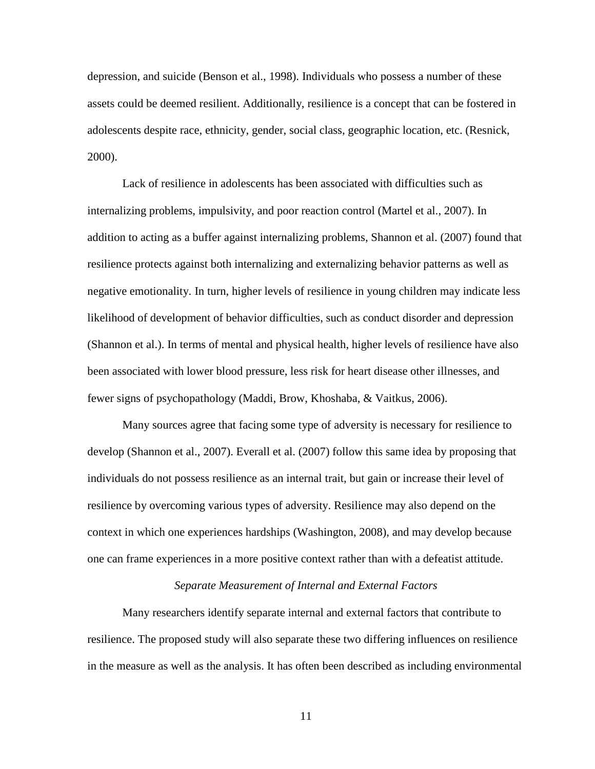depression, and suicide (Benson et al., 1998). Individuals who possess a number of these assets could be deemed resilient. Additionally, resilience is a concept that can be fostered in adolescents despite race, ethnicity, gender, social class, geographic location, etc. (Resnick, 2000).

Lack of resilience in adolescents has been associated with difficulties such as internalizing problems, impulsivity, and poor reaction control (Martel et al., 2007). In addition to acting as a buffer against internalizing problems, Shannon et al. (2007) found that resilience protects against both internalizing and externalizing behavior patterns as well as negative emotionality. In turn, higher levels of resilience in young children may indicate less likelihood of development of behavior difficulties, such as conduct disorder and depression (Shannon et al.). In terms of mental and physical health, higher levels of resilience have also been associated with lower blood pressure, less risk for heart disease other illnesses, and fewer signs of psychopathology (Maddi, Brow, Khoshaba, & Vaitkus, 2006).

Many sources agree that facing some type of adversity is necessary for resilience to develop (Shannon et al., 2007). Everall et al. (2007) follow this same idea by proposing that individuals do not possess resilience as an internal trait, but gain or increase their level of resilience by overcoming various types of adversity. Resilience may also depend on the context in which one experiences hardships (Washington, 2008), and may develop because one can frame experiences in a more positive context rather than with a defeatist attitude.

## *Separate Measurement of Internal and External Factors*

Many researchers identify separate internal and external factors that contribute to resilience. The proposed study will also separate these two differing influences on resilience in the measure as well as the analysis. It has often been described as including environmental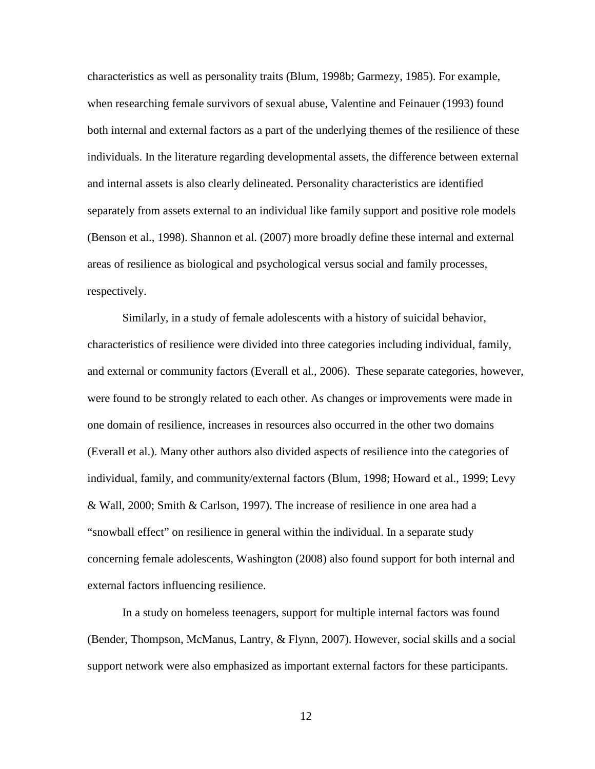characteristics as well as personality traits (Blum, 1998b; Garmezy, 1985). For example, when researching female survivors of sexual abuse, Valentine and Feinauer (1993) found both internal and external factors as a part of the underlying themes of the resilience of these individuals. In the literature regarding developmental assets, the difference between external and internal assets is also clearly delineated. Personality characteristics are identified separately from assets external to an individual like family support and positive role models (Benson et al., 1998). Shannon et al. (2007) more broadly define these internal and external areas of resilience as biological and psychological versus social and family processes, respectively.

Similarly, in a study of female adolescents with a history of suicidal behavior, characteristics of resilience were divided into three categories including individual, family, and external or community factors (Everall et al., 2006). These separate categories, however, were found to be strongly related to each other. As changes or improvements were made in one domain of resilience, increases in resources also occurred in the other two domains (Everall et al.). Many other authors also divided aspects of resilience into the categories of individual, family, and community/external factors (Blum, 1998; Howard et al., 1999; Levy & Wall, 2000; Smith & Carlson, 1997). The increase of resilience in one area had a "snowball effect" on resilience in general within the individual. In a separate study concerning female adolescents, Washington (2008) also found support for both internal and external factors influencing resilience.

In a study on homeless teenagers, support for multiple internal factors was found (Bender, Thompson, McManus, Lantry, & Flynn, 2007). However, social skills and a social support network were also emphasized as important external factors for these participants.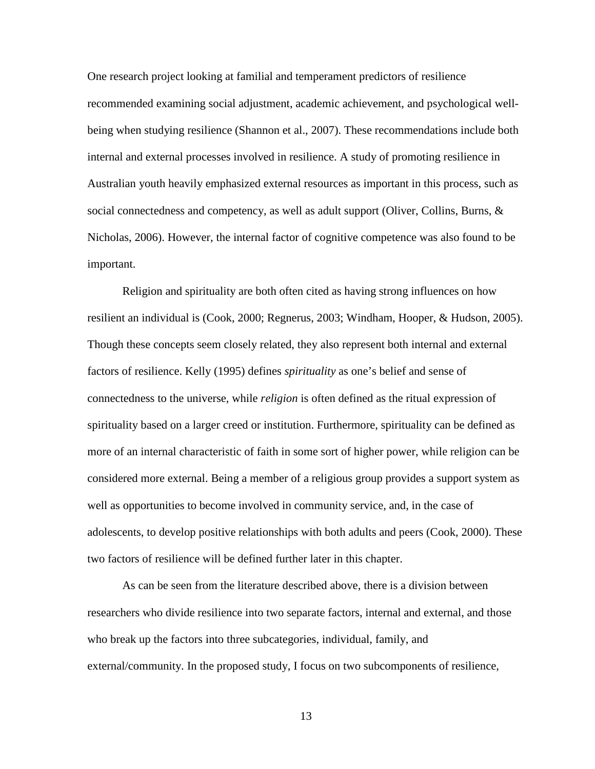One research project looking at familial and temperament predictors of resilience recommended examining social adjustment, academic achievement, and psychological wellbeing when studying resilience (Shannon et al., 2007). These recommendations include both internal and external processes involved in resilience. A study of promoting resilience in Australian youth heavily emphasized external resources as important in this process, such as social connectedness and competency, as well as adult support (Oliver, Collins, Burns, & Nicholas, 2006). However, the internal factor of cognitive competence was also found to be important.

Religion and spirituality are both often cited as having strong influences on how resilient an individual is (Cook, 2000; Regnerus, 2003; Windham, Hooper, & Hudson, 2005). Though these concepts seem closely related, they also represent both internal and external factors of resilience. Kelly (1995) defines *spirituality* as one's belief and sense of connectedness to the universe, while *religion* is often defined as the ritual expression of spirituality based on a larger creed or institution. Furthermore, spirituality can be defined as more of an internal characteristic of faith in some sort of higher power, while religion can be considered more external. Being a member of a religious group provides a support system as well as opportunities to become involved in community service, and, in the case of adolescents, to develop positive relationships with both adults and peers (Cook, 2000). These two factors of resilience will be defined further later in this chapter.

As can be seen from the literature described above, there is a division between researchers who divide resilience into two separate factors, internal and external, and those who break up the factors into three subcategories, individual, family, and external/community. In the proposed study, I focus on two subcomponents of resilience,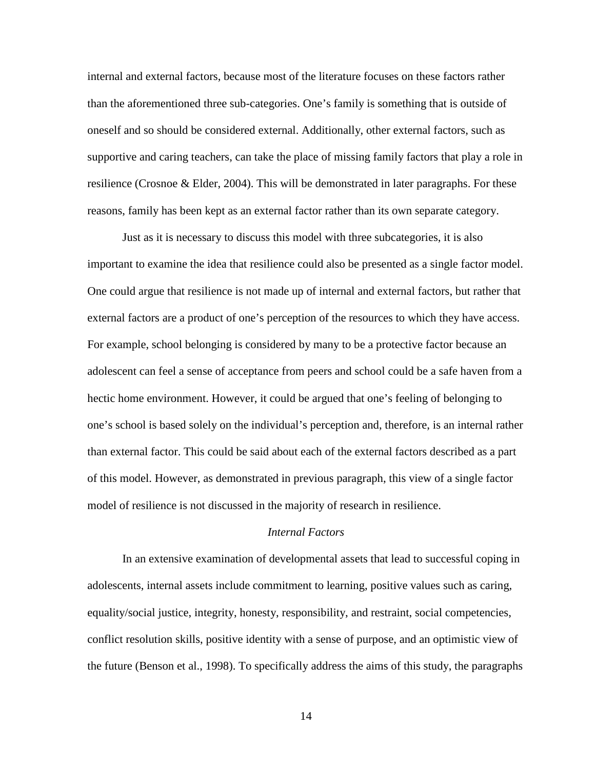internal and external factors, because most of the literature focuses on these factors rather than the aforementioned three sub-categories. One's family is something that is outside of oneself and so should be considered external. Additionally, other external factors, such as supportive and caring teachers, can take the place of missing family factors that play a role in resilience (Crosnoe & Elder, 2004). This will be demonstrated in later paragraphs. For these reasons, family has been kept as an external factor rather than its own separate category.

Just as it is necessary to discuss this model with three subcategories, it is also important to examine the idea that resilience could also be presented as a single factor model. One could argue that resilience is not made up of internal and external factors, but rather that external factors are a product of one's perception of the resources to which they have access. For example, school belonging is considered by many to be a protective factor because an adolescent can feel a sense of acceptance from peers and school could be a safe haven from a hectic home environment. However, it could be argued that one's feeling of belonging to one's school is based solely on the individual's perception and, therefore, is an internal rather than external factor. This could be said about each of the external factors described as a part of this model. However, as demonstrated in previous paragraph, this view of a single factor model of resilience is not discussed in the majority of research in resilience.

## *Internal Factors*

In an extensive examination of developmental assets that lead to successful coping in adolescents, internal assets include commitment to learning, positive values such as caring, equality/social justice, integrity, honesty, responsibility, and restraint, social competencies, conflict resolution skills, positive identity with a sense of purpose, and an optimistic view of the future (Benson et al., 1998). To specifically address the aims of this study, the paragraphs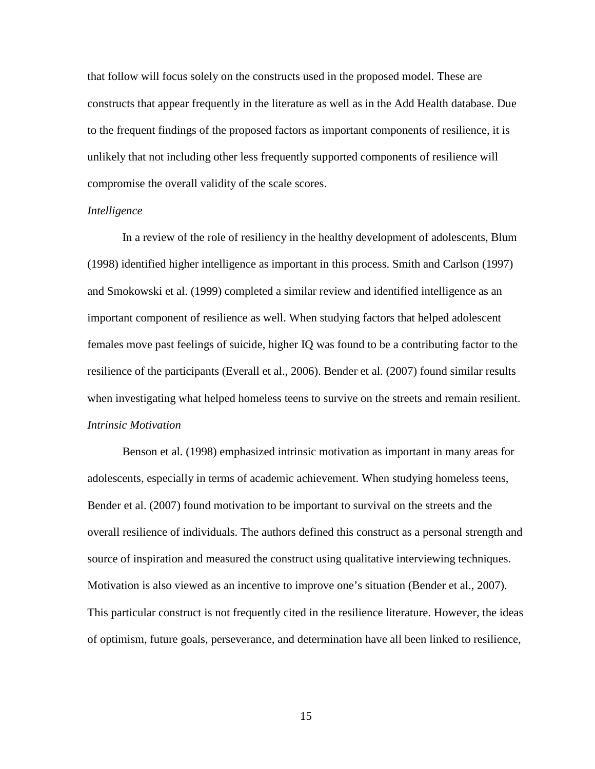that follow will focus solely on the constructs used in the proposed model. These are constructs that appear frequently in the literature as well as in the Add Health database. Due to the frequent findings of the proposed factors as important components of resilience, it is unlikely that not including other less frequently supported components of resilience will compromise the overall validity of the scale scores.

#### *Intelligence*

In a review of the role of resiliency in the healthy development of adolescents, Blum (1998) identified higher intelligence as important in this process. Smith and Carlson (1997) and Smokowski et al. (1999) completed a similar review and identified intelligence as an important component of resilience as well. When studying factors that helped adolescent females move past feelings of suicide, higher IQ was found to be a contributing factor to the resilience of the participants (Everall et al., 2006). Bender et al. (2007) found similar results when investigating what helped homeless teens to survive on the streets and remain resilient. *Intrinsic Motivation* 

Benson et al. (1998) emphasized intrinsic motivation as important in many areas for adolescents, especially in terms of academic achievement. When studying homeless teens, Bender et al. (2007) found motivation to be important to survival on the streets and the overall resilience of individuals. The authors defined this construct as a personal strength and source of inspiration and measured the construct using qualitative interviewing techniques. Motivation is also viewed as an incentive to improve one's situation (Bender et al., 2007). This particular construct is not frequently cited in the resilience literature. However, the ideas of optimism, future goals, perseverance, and determination have all been linked to resilience,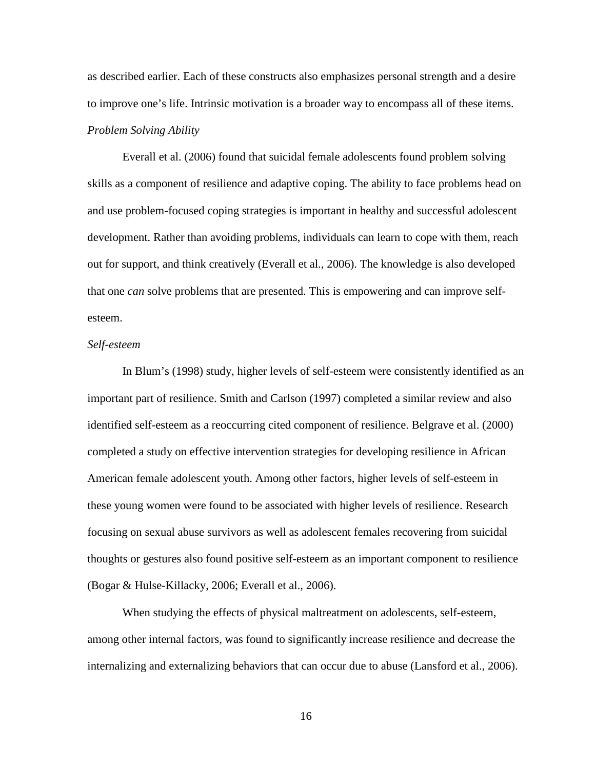as described earlier. Each of these constructs also emphasizes personal strength and a desire to improve one's life. Intrinsic motivation is a broader way to encompass all of these items. *Problem Solving Ability* 

Everall et al. (2006) found that suicidal female adolescents found problem solving skills as a component of resilience and adaptive coping. The ability to face problems head on and use problem-focused coping strategies is important in healthy and successful adolescent development. Rather than avoiding problems, individuals can learn to cope with them, reach out for support, and think creatively (Everall et al., 2006). The knowledge is also developed that one *can* solve problems that are presented. This is empowering and can improve selfesteem.

#### *Self-esteem*

In Blum's (1998) study, higher levels of self-esteem were consistently identified as an important part of resilience. Smith and Carlson (1997) completed a similar review and also identified self-esteem as a reoccurring cited component of resilience. Belgrave et al. (2000) completed a study on effective intervention strategies for developing resilience in African American female adolescent youth. Among other factors, higher levels of self-esteem in these young women were found to be associated with higher levels of resilience. Research focusing on sexual abuse survivors as well as adolescent females recovering from suicidal thoughts or gestures also found positive self-esteem as an important component to resilience (Bogar & Hulse-Killacky, 2006; Everall et al., 2006).

 When studying the effects of physical maltreatment on adolescents, self-esteem, among other internal factors, was found to significantly increase resilience and decrease the internalizing and externalizing behaviors that can occur due to abuse (Lansford et al., 2006).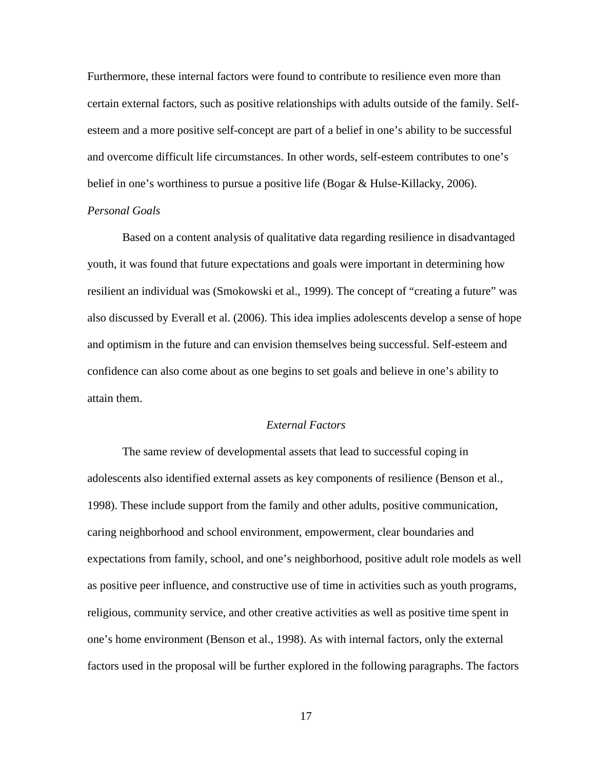Furthermore, these internal factors were found to contribute to resilience even more than certain external factors, such as positive relationships with adults outside of the family. Selfesteem and a more positive self-concept are part of a belief in one's ability to be successful and overcome difficult life circumstances. In other words, self-esteem contributes to one's belief in one's worthiness to pursue a positive life (Bogar & Hulse-Killacky, 2006). *Personal Goals* 

Based on a content analysis of qualitative data regarding resilience in disadvantaged youth, it was found that future expectations and goals were important in determining how resilient an individual was (Smokowski et al., 1999). The concept of "creating a future" was also discussed by Everall et al. (2006). This idea implies adolescents develop a sense of hope and optimism in the future and can envision themselves being successful. Self-esteem and confidence can also come about as one begins to set goals and believe in one's ability to attain them.

## *External Factors*

The same review of developmental assets that lead to successful coping in adolescents also identified external assets as key components of resilience (Benson et al., 1998). These include support from the family and other adults, positive communication, caring neighborhood and school environment, empowerment, clear boundaries and expectations from family, school, and one's neighborhood, positive adult role models as well as positive peer influence, and constructive use of time in activities such as youth programs, religious, community service, and other creative activities as well as positive time spent in one's home environment (Benson et al., 1998). As with internal factors, only the external factors used in the proposal will be further explored in the following paragraphs. The factors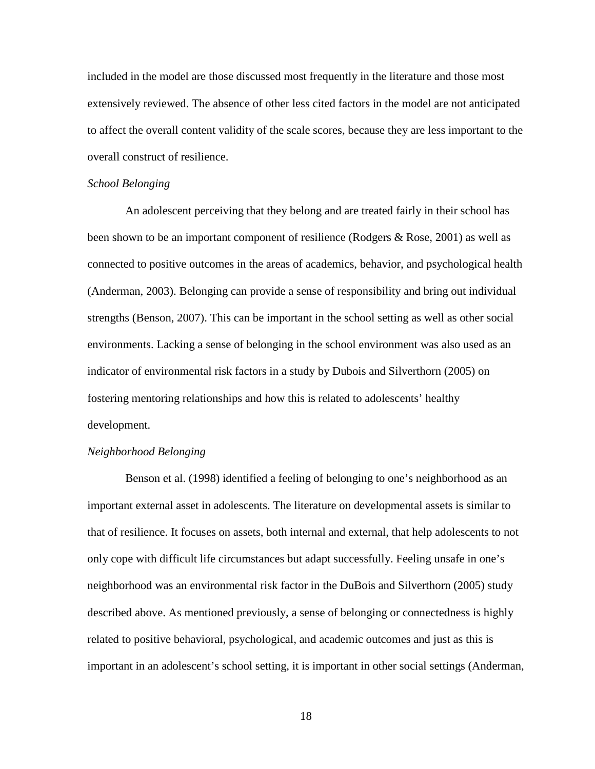included in the model are those discussed most frequently in the literature and those most extensively reviewed. The absence of other less cited factors in the model are not anticipated to affect the overall content validity of the scale scores, because they are less important to the overall construct of resilience.

#### *School Belonging*

An adolescent perceiving that they belong and are treated fairly in their school has been shown to be an important component of resilience (Rodgers & Rose, 2001) as well as connected to positive outcomes in the areas of academics, behavior, and psychological health (Anderman, 2003). Belonging can provide a sense of responsibility and bring out individual strengths (Benson, 2007). This can be important in the school setting as well as other social environments. Lacking a sense of belonging in the school environment was also used as an indicator of environmental risk factors in a study by Dubois and Silverthorn (2005) on fostering mentoring relationships and how this is related to adolescents' healthy development.

## *Neighborhood Belonging*

Benson et al. (1998) identified a feeling of belonging to one's neighborhood as an important external asset in adolescents. The literature on developmental assets is similar to that of resilience. It focuses on assets, both internal and external, that help adolescents to not only cope with difficult life circumstances but adapt successfully. Feeling unsafe in one's neighborhood was an environmental risk factor in the DuBois and Silverthorn (2005) study described above. As mentioned previously, a sense of belonging or connectedness is highly related to positive behavioral, psychological, and academic outcomes and just as this is important in an adolescent's school setting, it is important in other social settings (Anderman,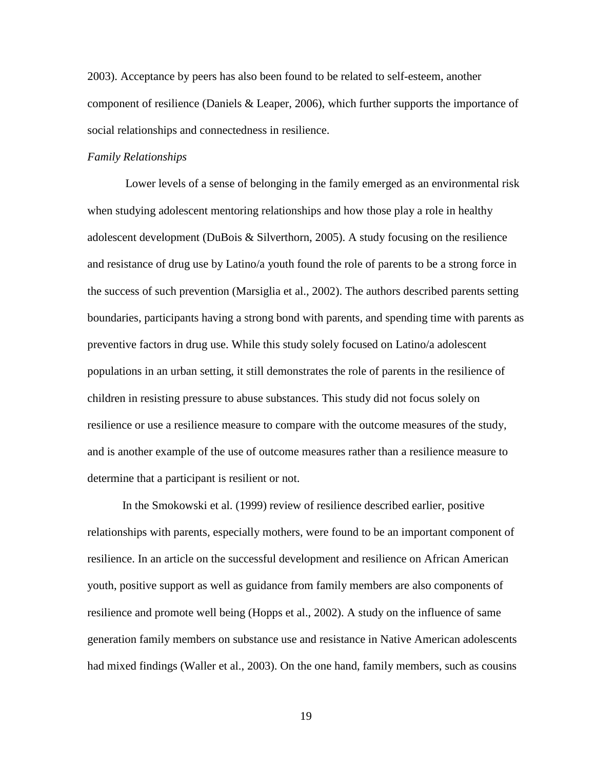2003). Acceptance by peers has also been found to be related to self-esteem, another component of resilience (Daniels & Leaper, 2006), which further supports the importance of social relationships and connectedness in resilience.

#### *Family Relationships*

Lower levels of a sense of belonging in the family emerged as an environmental risk when studying adolescent mentoring relationships and how those play a role in healthy adolescent development (DuBois & Silverthorn, 2005). A study focusing on the resilience and resistance of drug use by Latino/a youth found the role of parents to be a strong force in the success of such prevention (Marsiglia et al., 2002). The authors described parents setting boundaries, participants having a strong bond with parents, and spending time with parents as preventive factors in drug use. While this study solely focused on Latino/a adolescent populations in an urban setting, it still demonstrates the role of parents in the resilience of children in resisting pressure to abuse substances. This study did not focus solely on resilience or use a resilience measure to compare with the outcome measures of the study, and is another example of the use of outcome measures rather than a resilience measure to determine that a participant is resilient or not.

 In the Smokowski et al. (1999) review of resilience described earlier, positive relationships with parents, especially mothers, were found to be an important component of resilience. In an article on the successful development and resilience on African American youth, positive support as well as guidance from family members are also components of resilience and promote well being (Hopps et al., 2002). A study on the influence of same generation family members on substance use and resistance in Native American adolescents had mixed findings (Waller et al., 2003). On the one hand, family members, such as cousins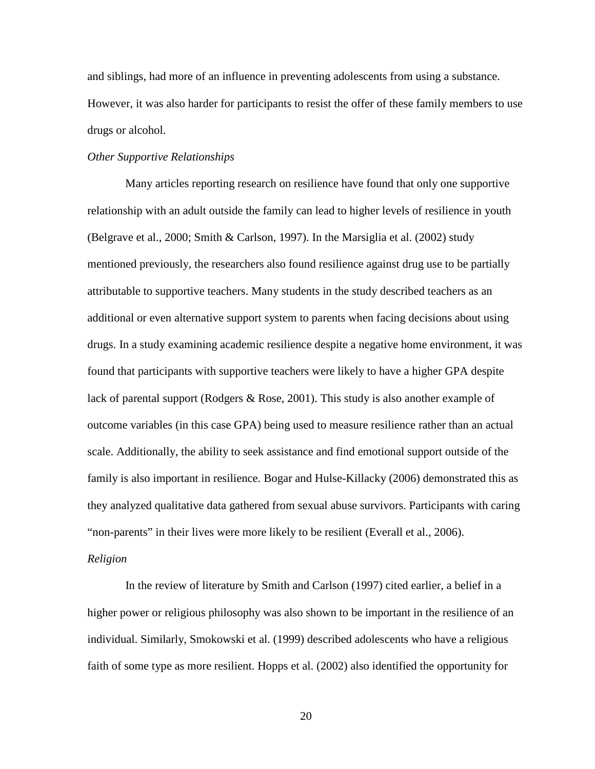and siblings, had more of an influence in preventing adolescents from using a substance. However, it was also harder for participants to resist the offer of these family members to use drugs or alcohol.

## *Other Supportive Relationships*

Many articles reporting research on resilience have found that only one supportive relationship with an adult outside the family can lead to higher levels of resilience in youth (Belgrave et al., 2000; Smith & Carlson, 1997). In the Marsiglia et al. (2002) study mentioned previously, the researchers also found resilience against drug use to be partially attributable to supportive teachers. Many students in the study described teachers as an additional or even alternative support system to parents when facing decisions about using drugs. In a study examining academic resilience despite a negative home environment, it was found that participants with supportive teachers were likely to have a higher GPA despite lack of parental support (Rodgers & Rose, 2001). This study is also another example of outcome variables (in this case GPA) being used to measure resilience rather than an actual scale. Additionally, the ability to seek assistance and find emotional support outside of the family is also important in resilience. Bogar and Hulse-Killacky (2006) demonstrated this as they analyzed qualitative data gathered from sexual abuse survivors. Participants with caring "non-parents" in their lives were more likely to be resilient (Everall et al., 2006).

#### *Religion*

In the review of literature by Smith and Carlson (1997) cited earlier, a belief in a higher power or religious philosophy was also shown to be important in the resilience of an individual. Similarly, Smokowski et al. (1999) described adolescents who have a religious faith of some type as more resilient. Hopps et al. (2002) also identified the opportunity for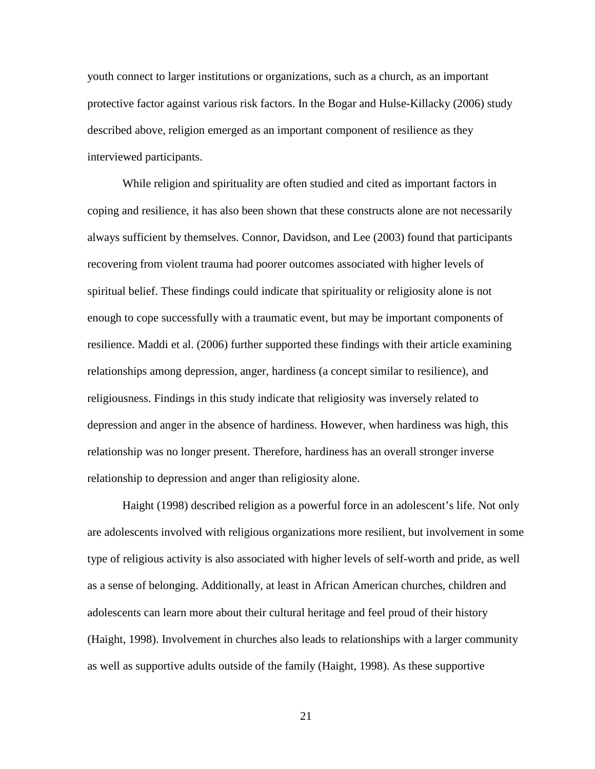youth connect to larger institutions or organizations, such as a church, as an important protective factor against various risk factors. In the Bogar and Hulse-Killacky (2006) study described above, religion emerged as an important component of resilience as they interviewed participants.

While religion and spirituality are often studied and cited as important factors in coping and resilience, it has also been shown that these constructs alone are not necessarily always sufficient by themselves. Connor, Davidson, and Lee (2003) found that participants recovering from violent trauma had poorer outcomes associated with higher levels of spiritual belief. These findings could indicate that spirituality or religiosity alone is not enough to cope successfully with a traumatic event, but may be important components of resilience. Maddi et al. (2006) further supported these findings with their article examining relationships among depression, anger, hardiness (a concept similar to resilience), and religiousness. Findings in this study indicate that religiosity was inversely related to depression and anger in the absence of hardiness. However, when hardiness was high, this relationship was no longer present. Therefore, hardiness has an overall stronger inverse relationship to depression and anger than religiosity alone.

Haight (1998) described religion as a powerful force in an adolescent's life. Not only are adolescents involved with religious organizations more resilient, but involvement in some type of religious activity is also associated with higher levels of self-worth and pride, as well as a sense of belonging. Additionally, at least in African American churches, children and adolescents can learn more about their cultural heritage and feel proud of their history (Haight, 1998). Involvement in churches also leads to relationships with a larger community as well as supportive adults outside of the family (Haight, 1998). As these supportive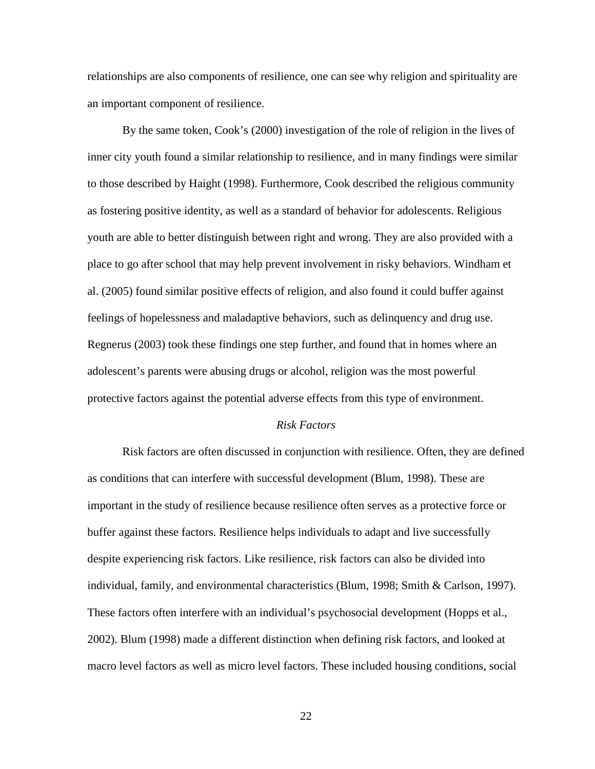relationships are also components of resilience, one can see why religion and spirituality are an important component of resilience.

By the same token, Cook's (2000) investigation of the role of religion in the lives of inner city youth found a similar relationship to resilience, and in many findings were similar to those described by Haight (1998). Furthermore, Cook described the religious community as fostering positive identity, as well as a standard of behavior for adolescents. Religious youth are able to better distinguish between right and wrong. They are also provided with a place to go after school that may help prevent involvement in risky behaviors. Windham et al. (2005) found similar positive effects of religion, and also found it could buffer against feelings of hopelessness and maladaptive behaviors, such as delinquency and drug use. Regnerus (2003) took these findings one step further, and found that in homes where an adolescent's parents were abusing drugs or alcohol, religion was the most powerful protective factors against the potential adverse effects from this type of environment.

#### *Risk Factors*

 Risk factors are often discussed in conjunction with resilience. Often, they are defined as conditions that can interfere with successful development (Blum, 1998). These are important in the study of resilience because resilience often serves as a protective force or buffer against these factors. Resilience helps individuals to adapt and live successfully despite experiencing risk factors. Like resilience, risk factors can also be divided into individual, family, and environmental characteristics (Blum, 1998; Smith & Carlson, 1997). These factors often interfere with an individual's psychosocial development (Hopps et al., 2002). Blum (1998) made a different distinction when defining risk factors, and looked at macro level factors as well as micro level factors. These included housing conditions, social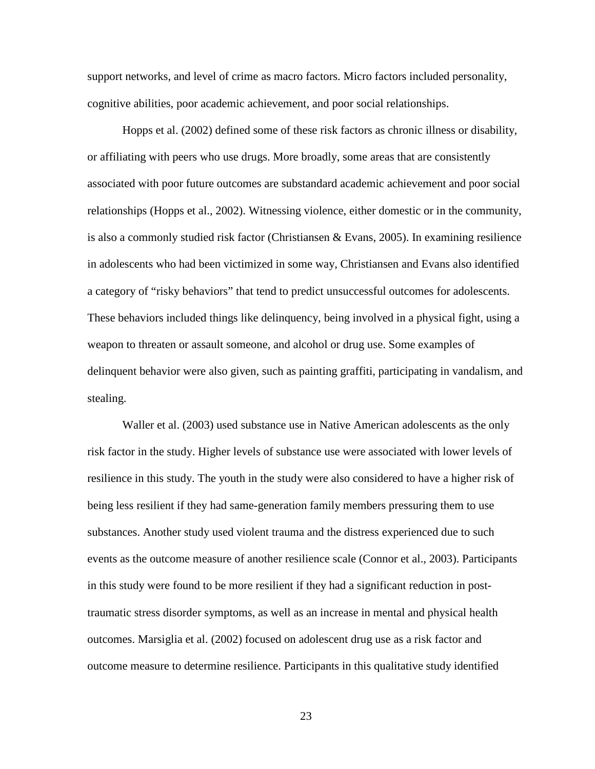support networks, and level of crime as macro factors. Micro factors included personality, cognitive abilities, poor academic achievement, and poor social relationships.

Hopps et al. (2002) defined some of these risk factors as chronic illness or disability, or affiliating with peers who use drugs. More broadly, some areas that are consistently associated with poor future outcomes are substandard academic achievement and poor social relationships (Hopps et al., 2002). Witnessing violence, either domestic or in the community, is also a commonly studied risk factor (Christiansen & Evans, 2005). In examining resilience in adolescents who had been victimized in some way, Christiansen and Evans also identified a category of "risky behaviors" that tend to predict unsuccessful outcomes for adolescents. These behaviors included things like delinquency, being involved in a physical fight, using a weapon to threaten or assault someone, and alcohol or drug use. Some examples of delinquent behavior were also given, such as painting graffiti, participating in vandalism, and stealing.

 Waller et al. (2003) used substance use in Native American adolescents as the only risk factor in the study. Higher levels of substance use were associated with lower levels of resilience in this study. The youth in the study were also considered to have a higher risk of being less resilient if they had same-generation family members pressuring them to use substances. Another study used violent trauma and the distress experienced due to such events as the outcome measure of another resilience scale (Connor et al., 2003). Participants in this study were found to be more resilient if they had a significant reduction in posttraumatic stress disorder symptoms, as well as an increase in mental and physical health outcomes. Marsiglia et al. (2002) focused on adolescent drug use as a risk factor and outcome measure to determine resilience. Participants in this qualitative study identified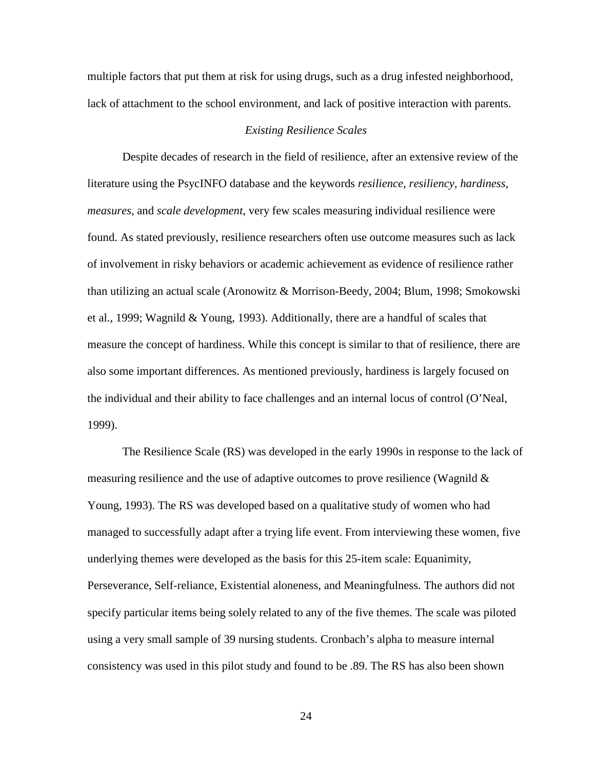multiple factors that put them at risk for using drugs, such as a drug infested neighborhood, lack of attachment to the school environment, and lack of positive interaction with parents.

#### *Existing Resilience Scales*

Despite decades of research in the field of resilience, after an extensive review of the literature using the PsycINFO database and the keywords *resilience, resiliency, hardiness, measures,* and *scale development*, very few scales measuring individual resilience were found. As stated previously, resilience researchers often use outcome measures such as lack of involvement in risky behaviors or academic achievement as evidence of resilience rather than utilizing an actual scale (Aronowitz & Morrison-Beedy, 2004; Blum, 1998; Smokowski et al., 1999; Wagnild & Young, 1993). Additionally, there are a handful of scales that measure the concept of hardiness. While this concept is similar to that of resilience, there are also some important differences. As mentioned previously, hardiness is largely focused on the individual and their ability to face challenges and an internal locus of control (O'Neal, 1999).

The Resilience Scale (RS) was developed in the early 1990s in response to the lack of measuring resilience and the use of adaptive outcomes to prove resilience (Wagnild  $\&$ Young, 1993). The RS was developed based on a qualitative study of women who had managed to successfully adapt after a trying life event. From interviewing these women, five underlying themes were developed as the basis for this 25-item scale: Equanimity, Perseverance, Self-reliance, Existential aloneness, and Meaningfulness. The authors did not specify particular items being solely related to any of the five themes. The scale was piloted using a very small sample of 39 nursing students. Cronbach's alpha to measure internal consistency was used in this pilot study and found to be .89. The RS has also been shown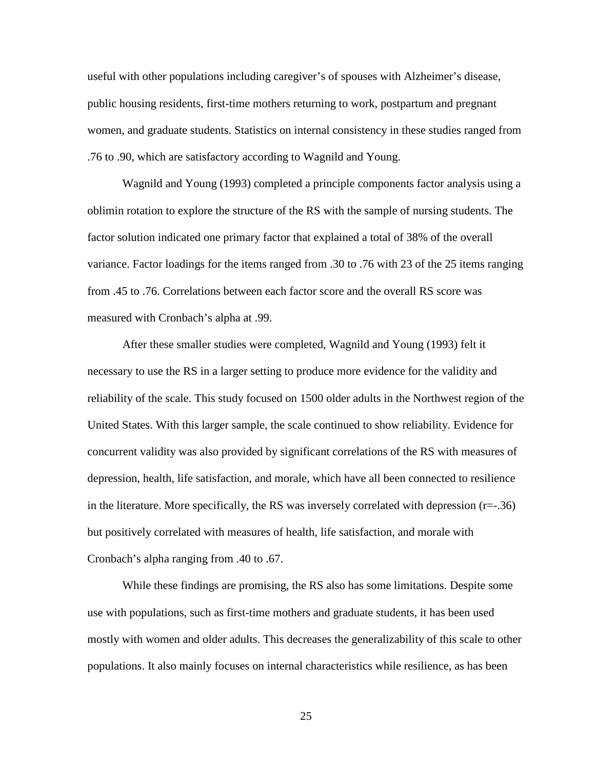useful with other populations including caregiver's of spouses with Alzheimer's disease, public housing residents, first-time mothers returning to work, postpartum and pregnant women, and graduate students. Statistics on internal consistency in these studies ranged from .76 to .90, which are satisfactory according to Wagnild and Young.

 Wagnild and Young (1993) completed a principle components factor analysis using a oblimin rotation to explore the structure of the RS with the sample of nursing students. The factor solution indicated one primary factor that explained a total of 38% of the overall variance. Factor loadings for the items ranged from .30 to .76 with 23 of the 25 items ranging from .45 to .76. Correlations between each factor score and the overall RS score was measured with Cronbach's alpha at .99.

After these smaller studies were completed, Wagnild and Young (1993) felt it necessary to use the RS in a larger setting to produce more evidence for the validity and reliability of the scale. This study focused on 1500 older adults in the Northwest region of the United States. With this larger sample, the scale continued to show reliability. Evidence for concurrent validity was also provided by significant correlations of the RS with measures of depression, health, life satisfaction, and morale, which have all been connected to resilience in the literature. More specifically, the RS was inversely correlated with depression  $(r=-.36)$ but positively correlated with measures of health, life satisfaction, and morale with Cronbach's alpha ranging from .40 to .67.

While these findings are promising, the RS also has some limitations. Despite some use with populations, such as first-time mothers and graduate students, it has been used mostly with women and older adults. This decreases the generalizability of this scale to other populations. It also mainly focuses on internal characteristics while resilience, as has been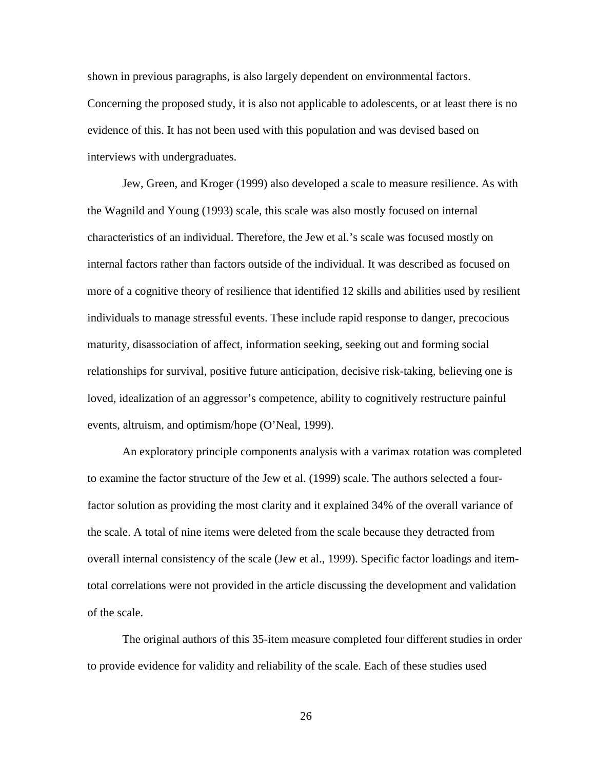shown in previous paragraphs, is also largely dependent on environmental factors. Concerning the proposed study, it is also not applicable to adolescents, or at least there is no evidence of this. It has not been used with this population and was devised based on interviews with undergraduates.

 Jew, Green, and Kroger (1999) also developed a scale to measure resilience. As with the Wagnild and Young (1993) scale, this scale was also mostly focused on internal characteristics of an individual. Therefore, the Jew et al.'s scale was focused mostly on internal factors rather than factors outside of the individual. It was described as focused on more of a cognitive theory of resilience that identified 12 skills and abilities used by resilient individuals to manage stressful events. These include rapid response to danger, precocious maturity, disassociation of affect, information seeking, seeking out and forming social relationships for survival, positive future anticipation, decisive risk-taking, believing one is loved, idealization of an aggressor's competence, ability to cognitively restructure painful events, altruism, and optimism/hope (O'Neal, 1999).

 An exploratory principle components analysis with a varimax rotation was completed to examine the factor structure of the Jew et al. (1999) scale. The authors selected a fourfactor solution as providing the most clarity and it explained 34% of the overall variance of the scale. A total of nine items were deleted from the scale because they detracted from overall internal consistency of the scale (Jew et al., 1999). Specific factor loadings and itemtotal correlations were not provided in the article discussing the development and validation of the scale.

The original authors of this 35-item measure completed four different studies in order to provide evidence for validity and reliability of the scale. Each of these studies used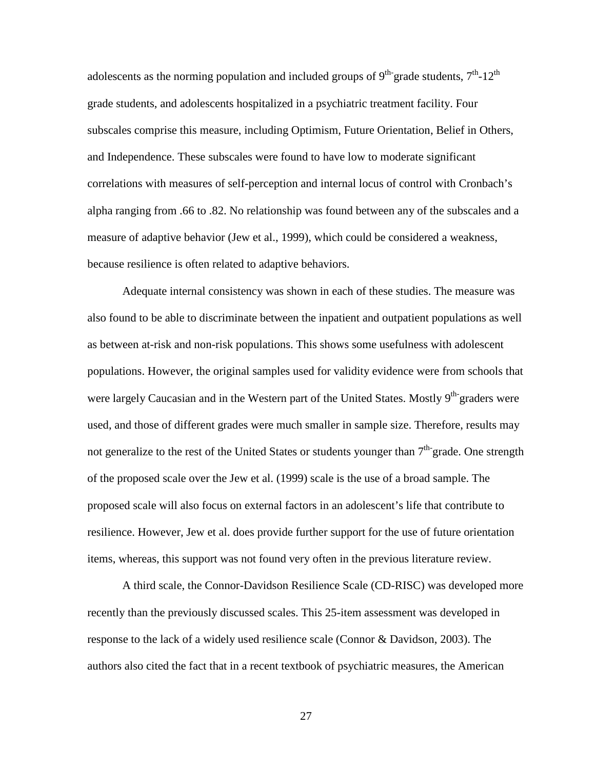adolescents as the norming population and included groups of  $9<sup>th</sup>$  grade students,  $7<sup>th</sup>$ -12<sup>th</sup> grade students, and adolescents hospitalized in a psychiatric treatment facility. Four subscales comprise this measure, including Optimism, Future Orientation, Belief in Others, and Independence. These subscales were found to have low to moderate significant correlations with measures of self-perception and internal locus of control with Cronbach's alpha ranging from .66 to .82. No relationship was found between any of the subscales and a measure of adaptive behavior (Jew et al., 1999), which could be considered a weakness, because resilience is often related to adaptive behaviors.

 Adequate internal consistency was shown in each of these studies. The measure was also found to be able to discriminate between the inpatient and outpatient populations as well as between at-risk and non-risk populations. This shows some usefulness with adolescent populations. However, the original samples used for validity evidence were from schools that were largely Caucasian and in the Western part of the United States. Mostly 9<sup>th-</sup>graders were used, and those of different grades were much smaller in sample size. Therefore, results may not generalize to the rest of the United States or students younger than  $7<sup>th</sup>$  grade. One strength of the proposed scale over the Jew et al. (1999) scale is the use of a broad sample. The proposed scale will also focus on external factors in an adolescent's life that contribute to resilience. However, Jew et al. does provide further support for the use of future orientation items, whereas, this support was not found very often in the previous literature review.

A third scale, the Connor-Davidson Resilience Scale (CD-RISC) was developed more recently than the previously discussed scales. This 25-item assessment was developed in response to the lack of a widely used resilience scale (Connor & Davidson, 2003). The authors also cited the fact that in a recent textbook of psychiatric measures, the American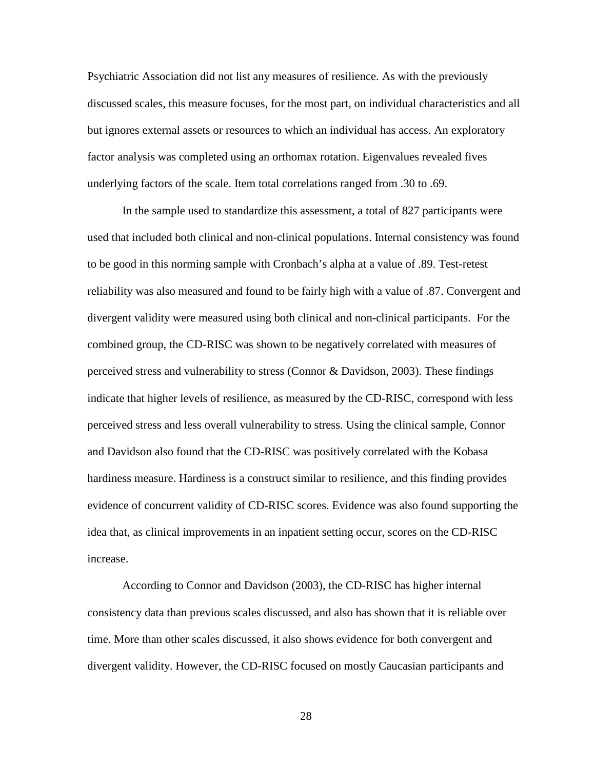Psychiatric Association did not list any measures of resilience. As with the previously discussed scales, this measure focuses, for the most part, on individual characteristics and all but ignores external assets or resources to which an individual has access. An exploratory factor analysis was completed using an orthomax rotation. Eigenvalues revealed fives underlying factors of the scale. Item total correlations ranged from .30 to .69.

In the sample used to standardize this assessment, a total of 827 participants were used that included both clinical and non-clinical populations. Internal consistency was found to be good in this norming sample with Cronbach's alpha at a value of .89. Test-retest reliability was also measured and found to be fairly high with a value of .87. Convergent and divergent validity were measured using both clinical and non-clinical participants. For the combined group, the CD-RISC was shown to be negatively correlated with measures of perceived stress and vulnerability to stress (Connor & Davidson, 2003). These findings indicate that higher levels of resilience, as measured by the CD-RISC, correspond with less perceived stress and less overall vulnerability to stress. Using the clinical sample, Connor and Davidson also found that the CD-RISC was positively correlated with the Kobasa hardiness measure. Hardiness is a construct similar to resilience, and this finding provides evidence of concurrent validity of CD-RISC scores. Evidence was also found supporting the idea that, as clinical improvements in an inpatient setting occur, scores on the CD-RISC increase.

According to Connor and Davidson (2003), the CD-RISC has higher internal consistency data than previous scales discussed, and also has shown that it is reliable over time. More than other scales discussed, it also shows evidence for both convergent and divergent validity. However, the CD-RISC focused on mostly Caucasian participants and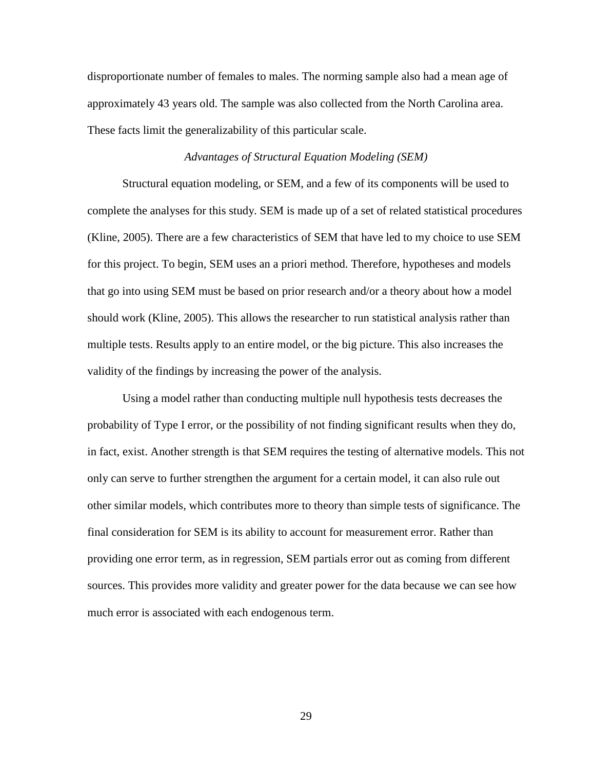disproportionate number of females to males. The norming sample also had a mean age of approximately 43 years old. The sample was also collected from the North Carolina area. These facts limit the generalizability of this particular scale.

## *Advantages of Structural Equation Modeling (SEM)*

Structural equation modeling, or SEM, and a few of its components will be used to complete the analyses for this study. SEM is made up of a set of related statistical procedures (Kline, 2005). There are a few characteristics of SEM that have led to my choice to use SEM for this project. To begin, SEM uses an a priori method. Therefore, hypotheses and models that go into using SEM must be based on prior research and/or a theory about how a model should work (Kline, 2005). This allows the researcher to run statistical analysis rather than multiple tests. Results apply to an entire model, or the big picture. This also increases the validity of the findings by increasing the power of the analysis.

Using a model rather than conducting multiple null hypothesis tests decreases the probability of Type I error, or the possibility of not finding significant results when they do, in fact, exist. Another strength is that SEM requires the testing of alternative models. This not only can serve to further strengthen the argument for a certain model, it can also rule out other similar models, which contributes more to theory than simple tests of significance. The final consideration for SEM is its ability to account for measurement error. Rather than providing one error term, as in regression, SEM partials error out as coming from different sources. This provides more validity and greater power for the data because we can see how much error is associated with each endogenous term.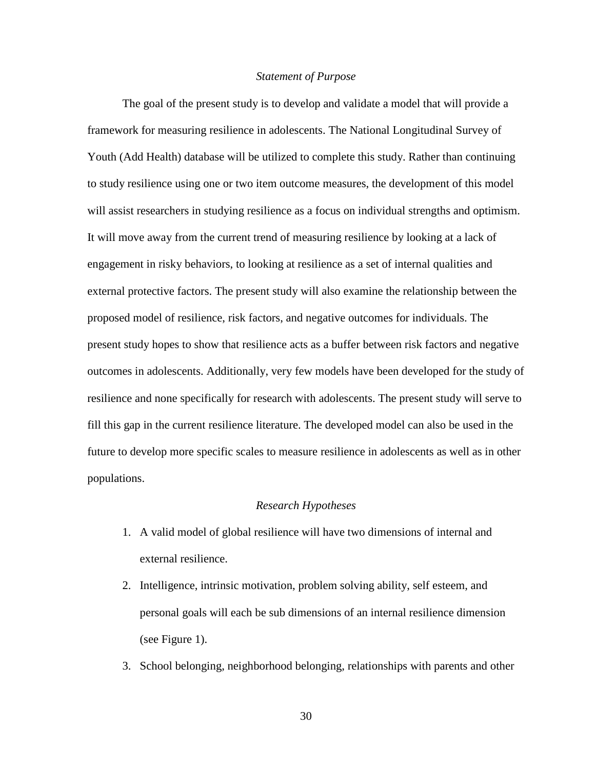#### *Statement of Purpose*

The goal of the present study is to develop and validate a model that will provide a framework for measuring resilience in adolescents. The National Longitudinal Survey of Youth (Add Health) database will be utilized to complete this study. Rather than continuing to study resilience using one or two item outcome measures, the development of this model will assist researchers in studying resilience as a focus on individual strengths and optimism. It will move away from the current trend of measuring resilience by looking at a lack of engagement in risky behaviors, to looking at resilience as a set of internal qualities and external protective factors. The present study will also examine the relationship between the proposed model of resilience, risk factors, and negative outcomes for individuals. The present study hopes to show that resilience acts as a buffer between risk factors and negative outcomes in adolescents. Additionally, very few models have been developed for the study of resilience and none specifically for research with adolescents. The present study will serve to fill this gap in the current resilience literature. The developed model can also be used in the future to develop more specific scales to measure resilience in adolescents as well as in other populations.

#### *Research Hypotheses*

- 1. A valid model of global resilience will have two dimensions of internal and external resilience.
- 2. Intelligence, intrinsic motivation, problem solving ability, self esteem, and personal goals will each be sub dimensions of an internal resilience dimension (see Figure 1).
- 3. School belonging, neighborhood belonging, relationships with parents and other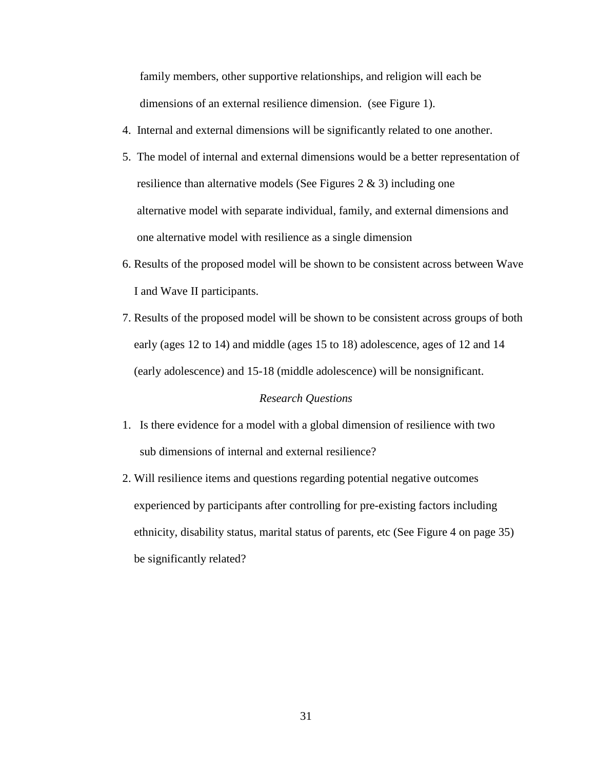family members, other supportive relationships, and religion will each be dimensions of an external resilience dimension. (see Figure 1).

- 4. Internal and external dimensions will be significantly related to one another.
- 5. The model of internal and external dimensions would be a better representation of resilience than alternative models (See Figures 2 & 3) including one alternative model with separate individual, family, and external dimensions and one alternative model with resilience as a single dimension
- 6. Results of the proposed model will be shown to be consistent across between Wave I and Wave II participants.
- 7. Results of the proposed model will be shown to be consistent across groups of both early (ages 12 to 14) and middle (ages 15 to 18) adolescence, ages of 12 and 14 (early adolescence) and 15-18 (middle adolescence) will be nonsignificant.

## *Research Questions*

- 1. Is there evidence for a model with a global dimension of resilience with two sub dimensions of internal and external resilience?
- 2. Will resilience items and questions regarding potential negative outcomes experienced by participants after controlling for pre-existing factors including ethnicity, disability status, marital status of parents, etc (See Figure 4 on page 35) be significantly related?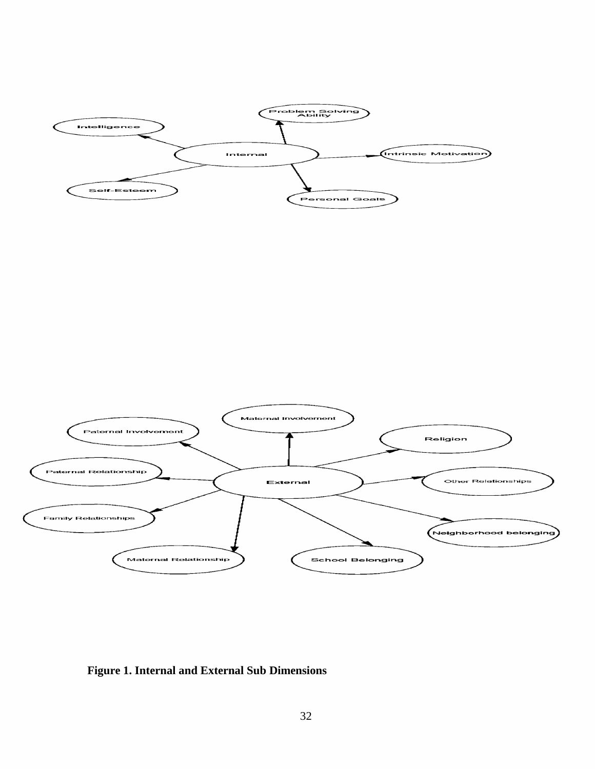



**Figure 1. Internal and External Sub Dimensions**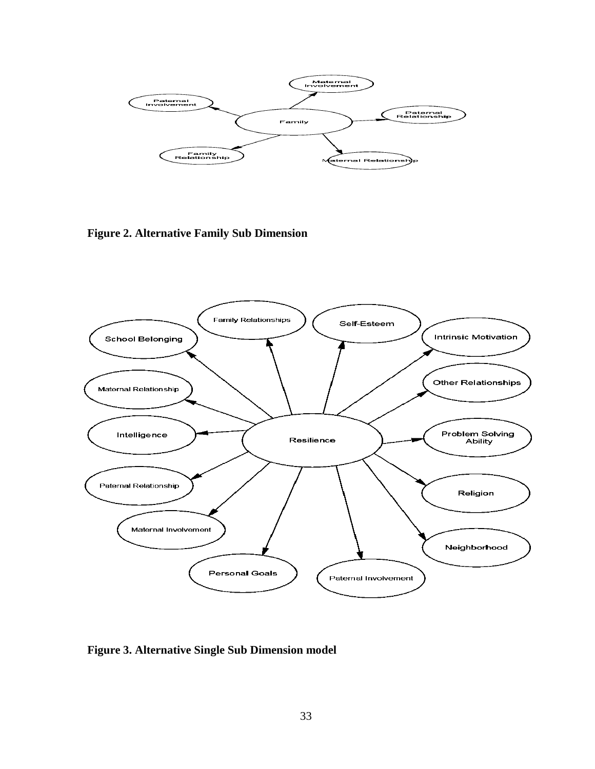

**Figure 2. Alternative Family Sub Dimension** 



**Figure 3. Alternative Single Sub Dimension model**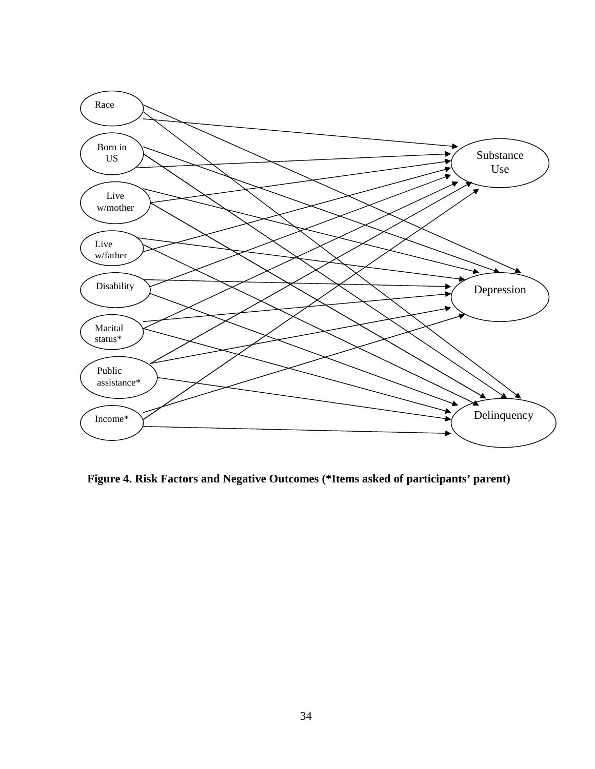

**Figure 4. Risk Factors and Negative Outcomes (\*Items asked of participants' parent)**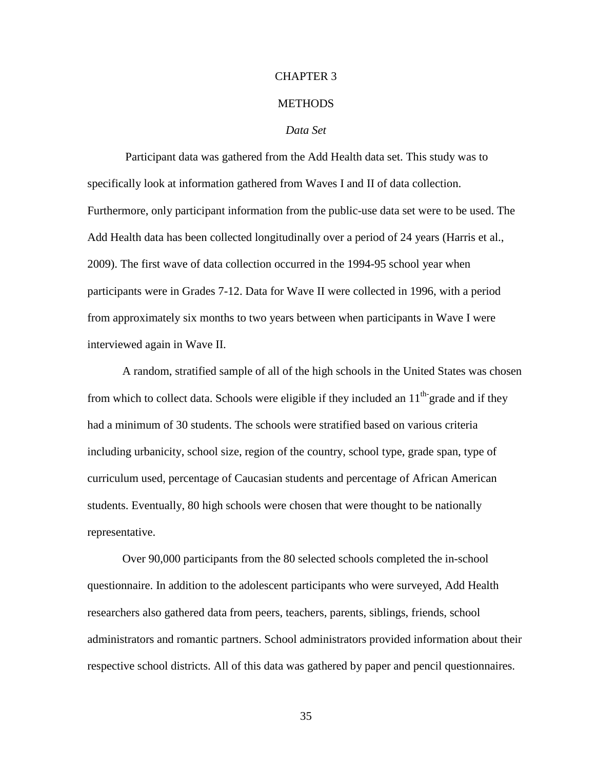#### CHAPTER 3

#### **METHODS**

## *Data Set*

 Participant data was gathered from the Add Health data set. This study was to specifically look at information gathered from Waves I and II of data collection. Furthermore, only participant information from the public-use data set were to be used. The Add Health data has been collected longitudinally over a period of 24 years (Harris et al., 2009). The first wave of data collection occurred in the 1994-95 school year when participants were in Grades 7-12. Data for Wave II were collected in 1996, with a period from approximately six months to two years between when participants in Wave I were interviewed again in Wave II.

A random, stratified sample of all of the high schools in the United States was chosen from which to collect data. Schools were eligible if they included an  $11<sup>th</sup>$  grade and if they had a minimum of 30 students. The schools were stratified based on various criteria including urbanicity, school size, region of the country, school type, grade span, type of curriculum used, percentage of Caucasian students and percentage of African American students. Eventually, 80 high schools were chosen that were thought to be nationally representative.

Over 90,000 participants from the 80 selected schools completed the in-school questionnaire. In addition to the adolescent participants who were surveyed, Add Health researchers also gathered data from peers, teachers, parents, siblings, friends, school administrators and romantic partners. School administrators provided information about their respective school districts. All of this data was gathered by paper and pencil questionnaires.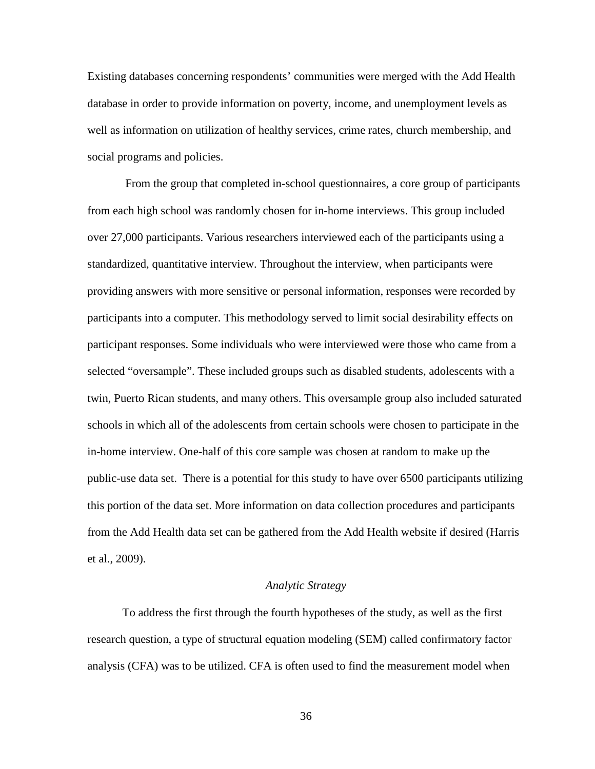Existing databases concerning respondents' communities were merged with the Add Health database in order to provide information on poverty, income, and unemployment levels as well as information on utilization of healthy services, crime rates, church membership, and social programs and policies.

 From the group that completed in-school questionnaires, a core group of participants from each high school was randomly chosen for in-home interviews. This group included over 27,000 participants. Various researchers interviewed each of the participants using a standardized, quantitative interview. Throughout the interview, when participants were providing answers with more sensitive or personal information, responses were recorded by participants into a computer. This methodology served to limit social desirability effects on participant responses. Some individuals who were interviewed were those who came from a selected "oversample". These included groups such as disabled students, adolescents with a twin, Puerto Rican students, and many others. This oversample group also included saturated schools in which all of the adolescents from certain schools were chosen to participate in the in-home interview. One-half of this core sample was chosen at random to make up the public-use data set. There is a potential for this study to have over 6500 participants utilizing this portion of the data set. More information on data collection procedures and participants from the Add Health data set can be gathered from the Add Health website if desired (Harris et al., 2009).

## *Analytic Strategy*

To address the first through the fourth hypotheses of the study, as well as the first research question, a type of structural equation modeling (SEM) called confirmatory factor analysis (CFA) was to be utilized. CFA is often used to find the measurement model when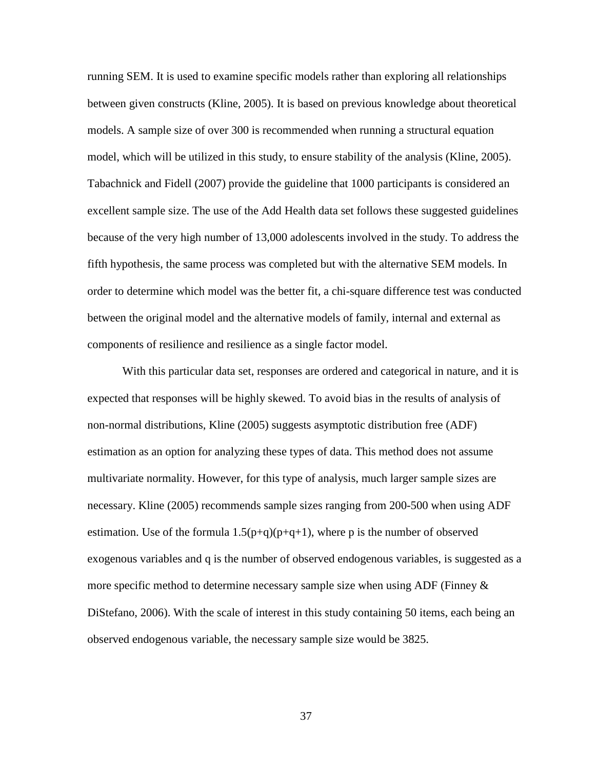running SEM. It is used to examine specific models rather than exploring all relationships between given constructs (Kline, 2005). It is based on previous knowledge about theoretical models. A sample size of over 300 is recommended when running a structural equation model, which will be utilized in this study, to ensure stability of the analysis (Kline, 2005). Tabachnick and Fidell (2007) provide the guideline that 1000 participants is considered an excellent sample size. The use of the Add Health data set follows these suggested guidelines because of the very high number of 13,000 adolescents involved in the study. To address the fifth hypothesis, the same process was completed but with the alternative SEM models. In order to determine which model was the better fit, a chi-square difference test was conducted between the original model and the alternative models of family, internal and external as components of resilience and resilience as a single factor model.

With this particular data set, responses are ordered and categorical in nature, and it is expected that responses will be highly skewed. To avoid bias in the results of analysis of non-normal distributions, Kline (2005) suggests asymptotic distribution free (ADF) estimation as an option for analyzing these types of data. This method does not assume multivariate normality. However, for this type of analysis, much larger sample sizes are necessary. Kline (2005) recommends sample sizes ranging from 200-500 when using ADF estimation. Use of the formula  $1.5(p+q)(p+q+1)$ , where p is the number of observed exogenous variables and q is the number of observed endogenous variables, is suggested as a more specific method to determine necessary sample size when using ADF (Finney  $\&$ DiStefano, 2006). With the scale of interest in this study containing 50 items, each being an observed endogenous variable, the necessary sample size would be 3825.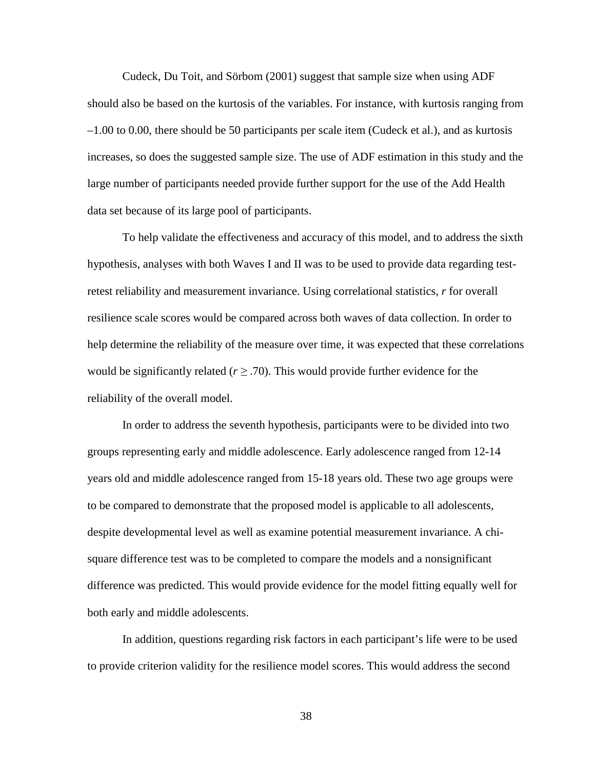Cudeck, Du Toit, and Sörbom (2001) suggest that sample size when using ADF should also be based on the kurtosis of the variables. For instance, with kurtosis ranging from –1.00 to 0.00, there should be 50 participants per scale item (Cudeck et al.), and as kurtosis increases, so does the suggested sample size. The use of ADF estimation in this study and the large number of participants needed provide further support for the use of the Add Health data set because of its large pool of participants.

To help validate the effectiveness and accuracy of this model, and to address the sixth hypothesis, analyses with both Waves I and II was to be used to provide data regarding testretest reliability and measurement invariance. Using correlational statistics, *r* for overall resilience scale scores would be compared across both waves of data collection. In order to help determine the reliability of the measure over time, it was expected that these correlations would be significantly related ( $r \geq 0.70$ ). This would provide further evidence for the reliability of the overall model.

In order to address the seventh hypothesis, participants were to be divided into two groups representing early and middle adolescence. Early adolescence ranged from 12-14 years old and middle adolescence ranged from 15-18 years old. These two age groups were to be compared to demonstrate that the proposed model is applicable to all adolescents, despite developmental level as well as examine potential measurement invariance. A chisquare difference test was to be completed to compare the models and a nonsignificant difference was predicted. This would provide evidence for the model fitting equally well for both early and middle adolescents.

In addition, questions regarding risk factors in each participant's life were to be used to provide criterion validity for the resilience model scores. This would address the second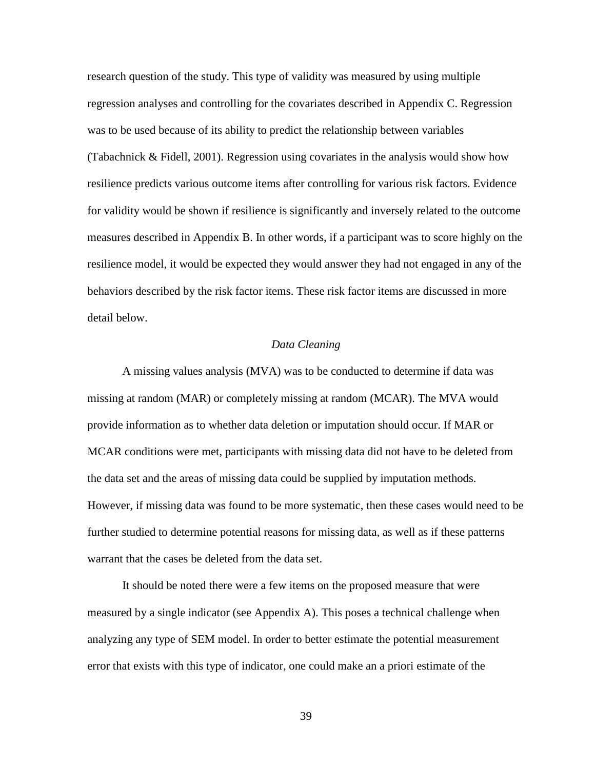research question of the study. This type of validity was measured by using multiple regression analyses and controlling for the covariates described in Appendix C. Regression was to be used because of its ability to predict the relationship between variables (Tabachnick & Fidell, 2001). Regression using covariates in the analysis would show how resilience predicts various outcome items after controlling for various risk factors. Evidence for validity would be shown if resilience is significantly and inversely related to the outcome measures described in Appendix B. In other words, if a participant was to score highly on the resilience model, it would be expected they would answer they had not engaged in any of the behaviors described by the risk factor items. These risk factor items are discussed in more detail below.

### *Data Cleaning*

A missing values analysis (MVA) was to be conducted to determine if data was missing at random (MAR) or completely missing at random (MCAR). The MVA would provide information as to whether data deletion or imputation should occur. If MAR or MCAR conditions were met, participants with missing data did not have to be deleted from the data set and the areas of missing data could be supplied by imputation methods. However, if missing data was found to be more systematic, then these cases would need to be further studied to determine potential reasons for missing data, as well as if these patterns warrant that the cases be deleted from the data set.

It should be noted there were a few items on the proposed measure that were measured by a single indicator (see Appendix A). This poses a technical challenge when analyzing any type of SEM model. In order to better estimate the potential measurement error that exists with this type of indicator, one could make an a priori estimate of the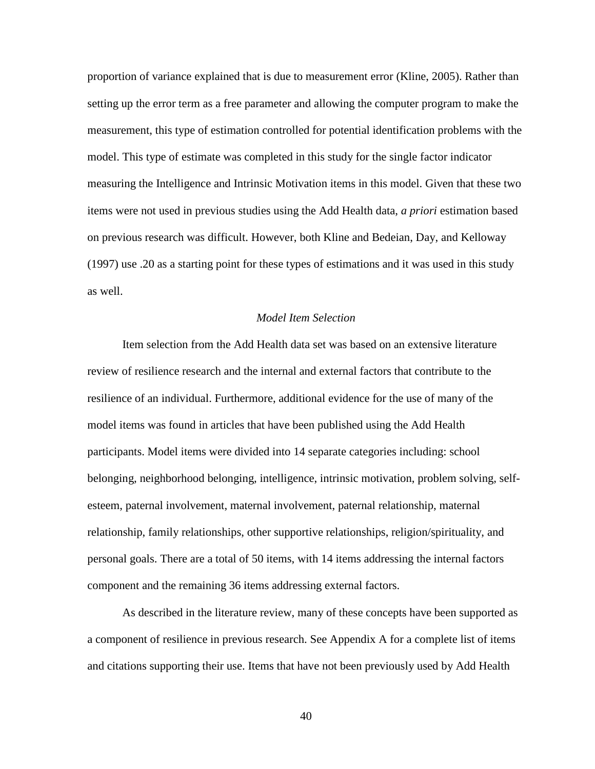proportion of variance explained that is due to measurement error (Kline, 2005). Rather than setting up the error term as a free parameter and allowing the computer program to make the measurement, this type of estimation controlled for potential identification problems with the model. This type of estimate was completed in this study for the single factor indicator measuring the Intelligence and Intrinsic Motivation items in this model. Given that these two items were not used in previous studies using the Add Health data, *a priori* estimation based on previous research was difficult. However, both Kline and Bedeian, Day, and Kelloway (1997) use .20 as a starting point for these types of estimations and it was used in this study as well.

## *Model Item Selection*

Item selection from the Add Health data set was based on an extensive literature review of resilience research and the internal and external factors that contribute to the resilience of an individual. Furthermore, additional evidence for the use of many of the model items was found in articles that have been published using the Add Health participants. Model items were divided into 14 separate categories including: school belonging, neighborhood belonging, intelligence, intrinsic motivation, problem solving, selfesteem, paternal involvement, maternal involvement, paternal relationship, maternal relationship, family relationships, other supportive relationships, religion/spirituality, and personal goals. There are a total of 50 items, with 14 items addressing the internal factors component and the remaining 36 items addressing external factors.

As described in the literature review, many of these concepts have been supported as a component of resilience in previous research. See Appendix A for a complete list of items and citations supporting their use. Items that have not been previously used by Add Health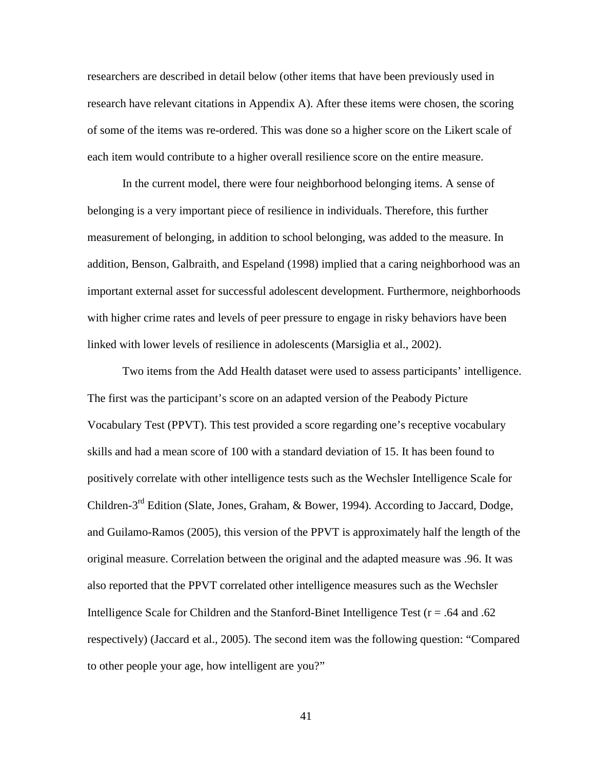researchers are described in detail below (other items that have been previously used in research have relevant citations in Appendix A). After these items were chosen, the scoring of some of the items was re-ordered. This was done so a higher score on the Likert scale of each item would contribute to a higher overall resilience score on the entire measure.

In the current model, there were four neighborhood belonging items. A sense of belonging is a very important piece of resilience in individuals. Therefore, this further measurement of belonging, in addition to school belonging, was added to the measure. In addition, Benson, Galbraith, and Espeland (1998) implied that a caring neighborhood was an important external asset for successful adolescent development. Furthermore, neighborhoods with higher crime rates and levels of peer pressure to engage in risky behaviors have been linked with lower levels of resilience in adolescents (Marsiglia et al., 2002).

Two items from the Add Health dataset were used to assess participants' intelligence. The first was the participant's score on an adapted version of the Peabody Picture Vocabulary Test (PPVT). This test provided a score regarding one's receptive vocabulary skills and had a mean score of 100 with a standard deviation of 15. It has been found to positively correlate with other intelligence tests such as the Wechsler Intelligence Scale for Children-3rd Edition (Slate, Jones, Graham, & Bower, 1994). According to Jaccard, Dodge, and Guilamo-Ramos (2005), this version of the PPVT is approximately half the length of the original measure. Correlation between the original and the adapted measure was .96. It was also reported that the PPVT correlated other intelligence measures such as the Wechsler Intelligence Scale for Children and the Stanford-Binet Intelligence Test (r = .64 and .62 respectively) (Jaccard et al., 2005). The second item was the following question: "Compared to other people your age, how intelligent are you?"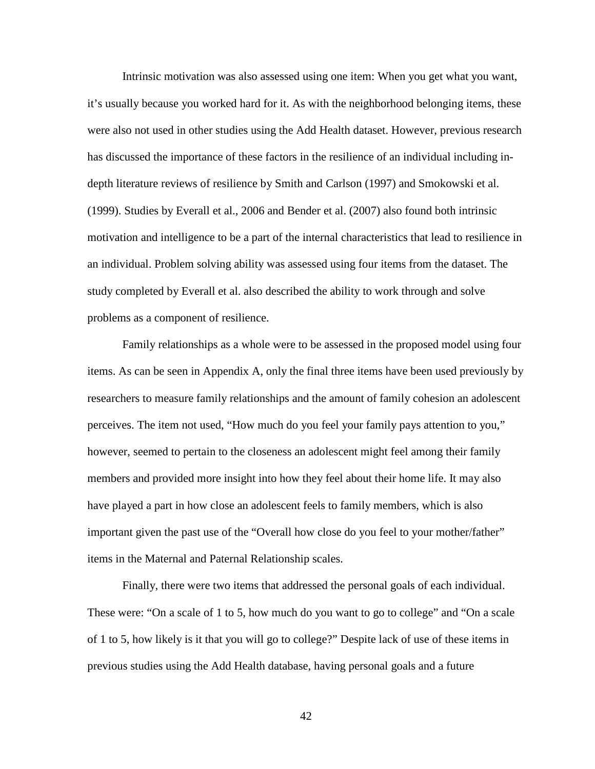Intrinsic motivation was also assessed using one item: When you get what you want, it's usually because you worked hard for it. As with the neighborhood belonging items, these were also not used in other studies using the Add Health dataset. However, previous research has discussed the importance of these factors in the resilience of an individual including indepth literature reviews of resilience by Smith and Carlson (1997) and Smokowski et al. (1999). Studies by Everall et al., 2006 and Bender et al. (2007) also found both intrinsic motivation and intelligence to be a part of the internal characteristics that lead to resilience in an individual. Problem solving ability was assessed using four items from the dataset. The study completed by Everall et al. also described the ability to work through and solve problems as a component of resilience.

Family relationships as a whole were to be assessed in the proposed model using four items. As can be seen in Appendix A, only the final three items have been used previously by researchers to measure family relationships and the amount of family cohesion an adolescent perceives. The item not used, "How much do you feel your family pays attention to you," however, seemed to pertain to the closeness an adolescent might feel among their family members and provided more insight into how they feel about their home life. It may also have played a part in how close an adolescent feels to family members, which is also important given the past use of the "Overall how close do you feel to your mother/father" items in the Maternal and Paternal Relationship scales.

Finally, there were two items that addressed the personal goals of each individual. These were: "On a scale of 1 to 5, how much do you want to go to college" and "On a scale" of 1 to 5, how likely is it that you will go to college?" Despite lack of use of these items in previous studies using the Add Health database, having personal goals and a future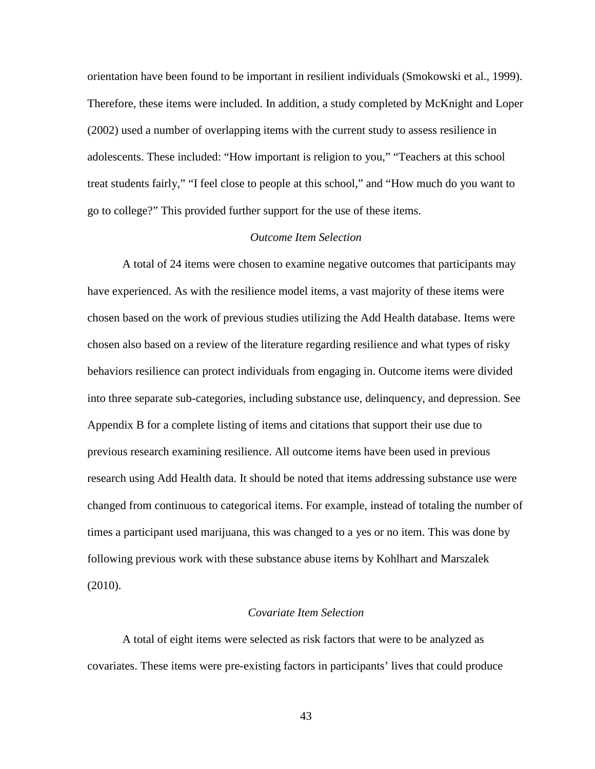orientation have been found to be important in resilient individuals (Smokowski et al., 1999). Therefore, these items were included. In addition, a study completed by McKnight and Loper (2002) used a number of overlapping items with the current study to assess resilience in adolescents. These included: "How important is religion to you," "Teachers at this school treat students fairly," "I feel close to people at this school," and "How much do you want to go to college?" This provided further support for the use of these items.

## *Outcome Item Selection*

A total of 24 items were chosen to examine negative outcomes that participants may have experienced. As with the resilience model items, a vast majority of these items were chosen based on the work of previous studies utilizing the Add Health database. Items were chosen also based on a review of the literature regarding resilience and what types of risky behaviors resilience can protect individuals from engaging in. Outcome items were divided into three separate sub-categories, including substance use, delinquency, and depression. See Appendix B for a complete listing of items and citations that support their use due to previous research examining resilience. All outcome items have been used in previous research using Add Health data. It should be noted that items addressing substance use were changed from continuous to categorical items. For example, instead of totaling the number of times a participant used marijuana, this was changed to a yes or no item. This was done by following previous work with these substance abuse items by Kohlhart and Marszalek (2010).

### *Covariate Item Selection*

A total of eight items were selected as risk factors that were to be analyzed as covariates. These items were pre-existing factors in participants' lives that could produce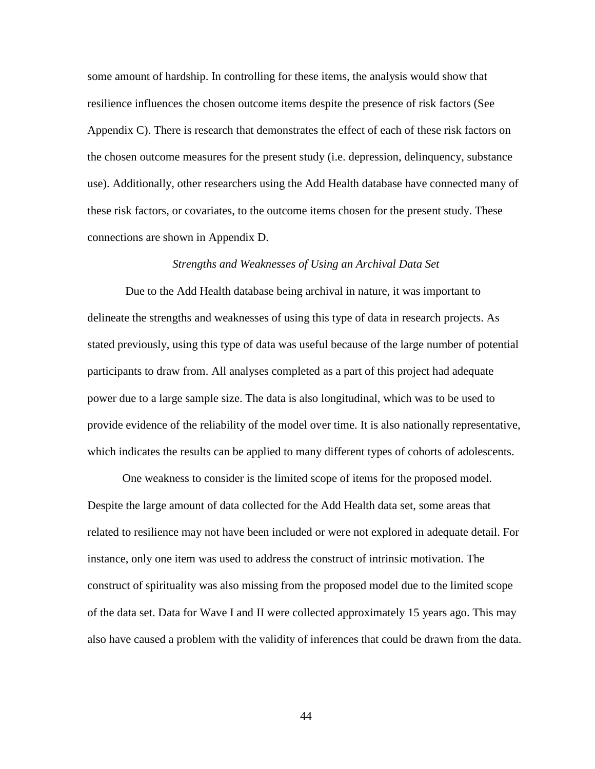some amount of hardship. In controlling for these items, the analysis would show that resilience influences the chosen outcome items despite the presence of risk factors (See Appendix C). There is research that demonstrates the effect of each of these risk factors on the chosen outcome measures for the present study (i.e. depression, delinquency, substance use). Additionally, other researchers using the Add Health database have connected many of these risk factors, or covariates, to the outcome items chosen for the present study. These connections are shown in Appendix D.

#### *Strengths and Weaknesses of Using an Archival Data Set*

 Due to the Add Health database being archival in nature, it was important to delineate the strengths and weaknesses of using this type of data in research projects. As stated previously, using this type of data was useful because of the large number of potential participants to draw from. All analyses completed as a part of this project had adequate power due to a large sample size. The data is also longitudinal, which was to be used to provide evidence of the reliability of the model over time. It is also nationally representative, which indicates the results can be applied to many different types of cohorts of adolescents.

One weakness to consider is the limited scope of items for the proposed model. Despite the large amount of data collected for the Add Health data set, some areas that related to resilience may not have been included or were not explored in adequate detail. For instance, only one item was used to address the construct of intrinsic motivation. The construct of spirituality was also missing from the proposed model due to the limited scope of the data set. Data for Wave I and II were collected approximately 15 years ago. This may also have caused a problem with the validity of inferences that could be drawn from the data.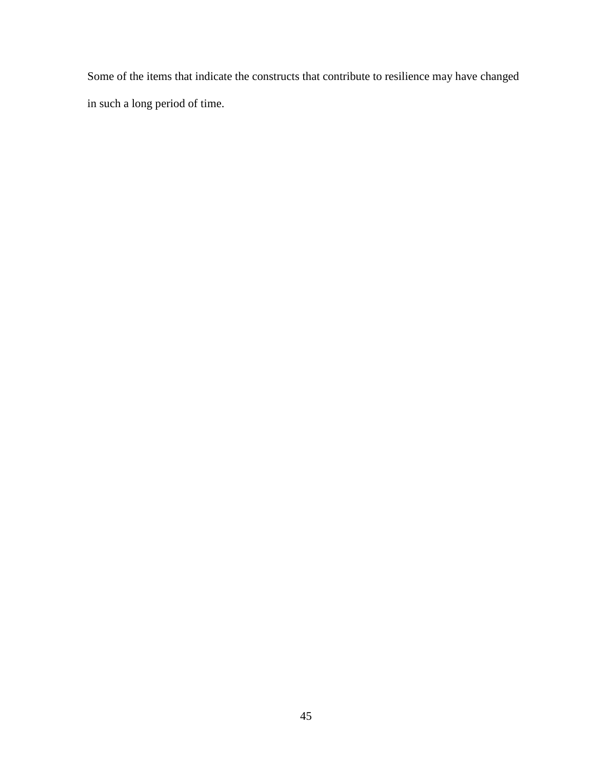Some of the items that indicate the constructs that contribute to resilience may have changed in such a long period of time.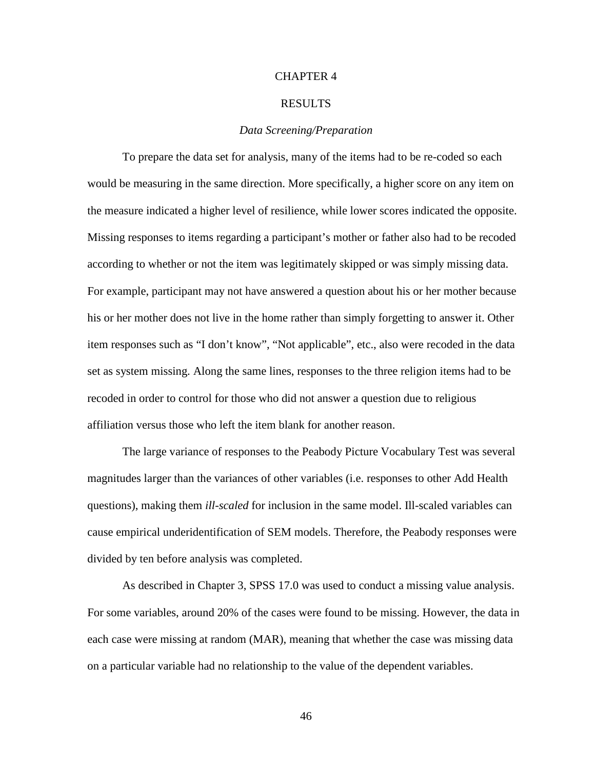## CHAPTER 4

#### RESULTS

## *Data Screening/Preparation*

To prepare the data set for analysis, many of the items had to be re-coded so each would be measuring in the same direction. More specifically, a higher score on any item on the measure indicated a higher level of resilience, while lower scores indicated the opposite. Missing responses to items regarding a participant's mother or father also had to be recoded according to whether or not the item was legitimately skipped or was simply missing data. For example, participant may not have answered a question about his or her mother because his or her mother does not live in the home rather than simply forgetting to answer it. Other item responses such as "I don't know", "Not applicable", etc., also were recoded in the data set as system missing. Along the same lines, responses to the three religion items had to be recoded in order to control for those who did not answer a question due to religious affiliation versus those who left the item blank for another reason.

 The large variance of responses to the Peabody Picture Vocabulary Test was several magnitudes larger than the variances of other variables (i.e. responses to other Add Health questions), making them *ill-scaled* for inclusion in the same model. Ill-scaled variables can cause empirical underidentification of SEM models. Therefore, the Peabody responses were divided by ten before analysis was completed.

As described in Chapter 3, SPSS 17.0 was used to conduct a missing value analysis. For some variables, around 20% of the cases were found to be missing. However, the data in each case were missing at random (MAR), meaning that whether the case was missing data on a particular variable had no relationship to the value of the dependent variables.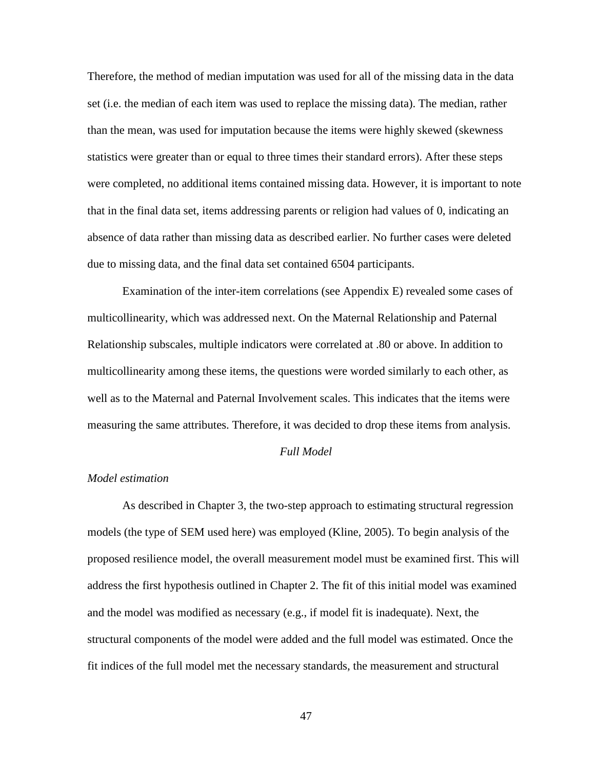Therefore, the method of median imputation was used for all of the missing data in the data set (i.e. the median of each item was used to replace the missing data). The median, rather than the mean, was used for imputation because the items were highly skewed (skewness statistics were greater than or equal to three times their standard errors). After these steps were completed, no additional items contained missing data. However, it is important to note that in the final data set, items addressing parents or religion had values of 0, indicating an absence of data rather than missing data as described earlier. No further cases were deleted due to missing data, and the final data set contained 6504 participants.

 Examination of the inter-item correlations (see Appendix E) revealed some cases of multicollinearity, which was addressed next. On the Maternal Relationship and Paternal Relationship subscales, multiple indicators were correlated at .80 or above. In addition to multicollinearity among these items, the questions were worded similarly to each other, as well as to the Maternal and Paternal Involvement scales. This indicates that the items were measuring the same attributes. Therefore, it was decided to drop these items from analysis.

## *Full Model*

## *Model estimation*

As described in Chapter 3, the two-step approach to estimating structural regression models (the type of SEM used here) was employed (Kline, 2005). To begin analysis of the proposed resilience model, the overall measurement model must be examined first. This will address the first hypothesis outlined in Chapter 2. The fit of this initial model was examined and the model was modified as necessary (e.g., if model fit is inadequate). Next, the structural components of the model were added and the full model was estimated. Once the fit indices of the full model met the necessary standards, the measurement and structural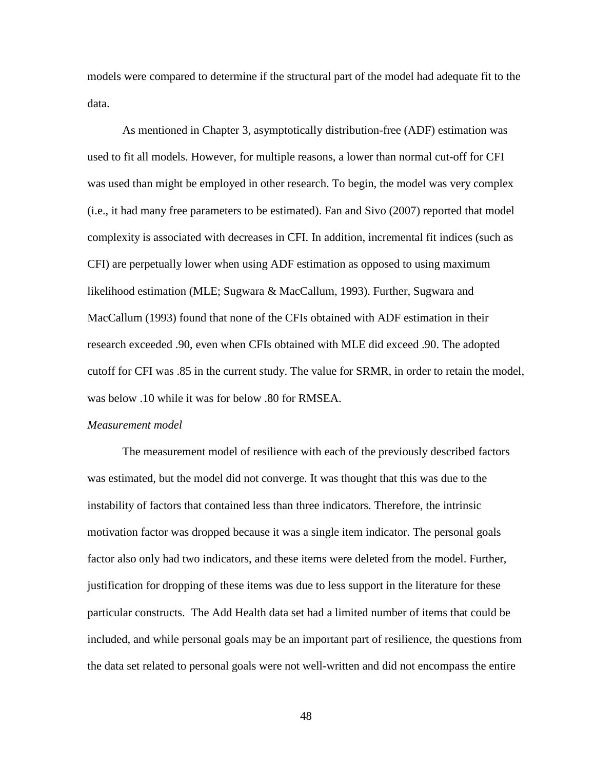models were compared to determine if the structural part of the model had adequate fit to the data.

As mentioned in Chapter 3, asymptotically distribution-free (ADF) estimation was used to fit all models. However, for multiple reasons, a lower than normal cut-off for CFI was used than might be employed in other research. To begin, the model was very complex (i.e., it had many free parameters to be estimated). Fan and Sivo (2007) reported that model complexity is associated with decreases in CFI. In addition, incremental fit indices (such as CFI) are perpetually lower when using ADF estimation as opposed to using maximum likelihood estimation (MLE; Sugwara & MacCallum, 1993). Further, Sugwara and MacCallum (1993) found that none of the CFIs obtained with ADF estimation in their research exceeded .90, even when CFIs obtained with MLE did exceed .90. The adopted cutoff for CFI was .85 in the current study. The value for SRMR, in order to retain the model, was below .10 while it was for below .80 for RMSEA.

#### *Measurement model*

The measurement model of resilience with each of the previously described factors was estimated, but the model did not converge. It was thought that this was due to the instability of factors that contained less than three indicators. Therefore, the intrinsic motivation factor was dropped because it was a single item indicator. The personal goals factor also only had two indicators, and these items were deleted from the model. Further, justification for dropping of these items was due to less support in the literature for these particular constructs. The Add Health data set had a limited number of items that could be included, and while personal goals may be an important part of resilience, the questions from the data set related to personal goals were not well-written and did not encompass the entire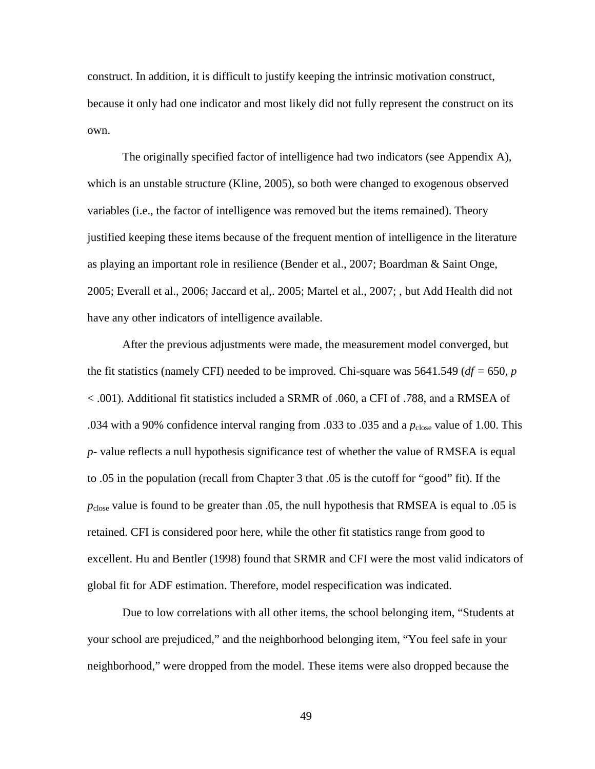construct. In addition, it is difficult to justify keeping the intrinsic motivation construct, because it only had one indicator and most likely did not fully represent the construct on its own.

The originally specified factor of intelligence had two indicators (see Appendix A), which is an unstable structure (Kline, 2005), so both were changed to exogenous observed variables (i.e., the factor of intelligence was removed but the items remained). Theory justified keeping these items because of the frequent mention of intelligence in the literature as playing an important role in resilience (Bender et al., 2007; Boardman & Saint Onge, 2005; Everall et al., 2006; Jaccard et al,. 2005; Martel et al., 2007; , but Add Health did not have any other indicators of intelligence available.

After the previous adjustments were made, the measurement model converged, but the fit statistics (namely CFI) needed to be improved. Chi-square was 5641.549 (*df =* 650*, p* < .001). Additional fit statistics included a SRMR of .060, a CFI of .788, and a RMSEA of .034 with a 90% confidence interval ranging from .033 to .035 and a  $p_{close}$  value of 1.00. This *p-* value reflects a null hypothesis significance test of whether the value of RMSEA is equal to .05 in the population (recall from Chapter 3 that .05 is the cutoff for "good" fit). If the *p*close value is found to be greater than .05, the null hypothesis that RMSEA is equal to .05 is retained. CFI is considered poor here, while the other fit statistics range from good to excellent. Hu and Bentler (1998) found that SRMR and CFI were the most valid indicators of global fit for ADF estimation. Therefore, model respecification was indicated.

Due to low correlations with all other items, the school belonging item, "Students at your school are prejudiced," and the neighborhood belonging item, "You feel safe in your neighborhood," were dropped from the model. These items were also dropped because the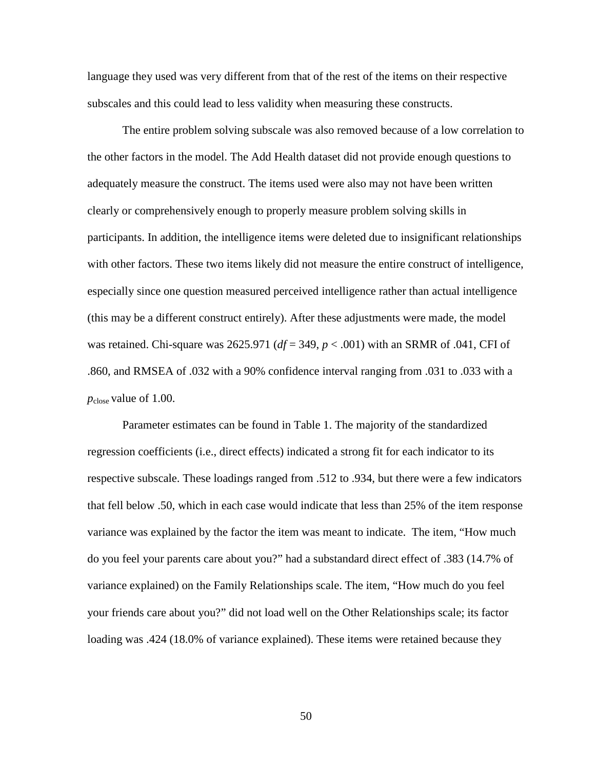language they used was very different from that of the rest of the items on their respective subscales and this could lead to less validity when measuring these constructs.

The entire problem solving subscale was also removed because of a low correlation to the other factors in the model. The Add Health dataset did not provide enough questions to adequately measure the construct. The items used were also may not have been written clearly or comprehensively enough to properly measure problem solving skills in participants. In addition, the intelligence items were deleted due to insignificant relationships with other factors. These two items likely did not measure the entire construct of intelligence, especially since one question measured perceived intelligence rather than actual intelligence (this may be a different construct entirely). After these adjustments were made, the model was retained. Chi-square was 2625.971 (*df* = 349, *p* < .001) with an SRMR of .041, CFI of .860, and RMSEA of .032 with a 90% confidence interval ranging from .031 to .033 with a *p*close value of 1.00.

Parameter estimates can be found in Table 1. The majority of the standardized regression coefficients (i.e., direct effects) indicated a strong fit for each indicator to its respective subscale. These loadings ranged from .512 to .934, but there were a few indicators that fell below .50, which in each case would indicate that less than 25% of the item response variance was explained by the factor the item was meant to indicate. The item, "How much do you feel your parents care about you?" had a substandard direct effect of .383 (14.7% of variance explained) on the Family Relationships scale. The item, "How much do you feel your friends care about you?" did not load well on the Other Relationships scale; its factor loading was .424 (18.0% of variance explained). These items were retained because they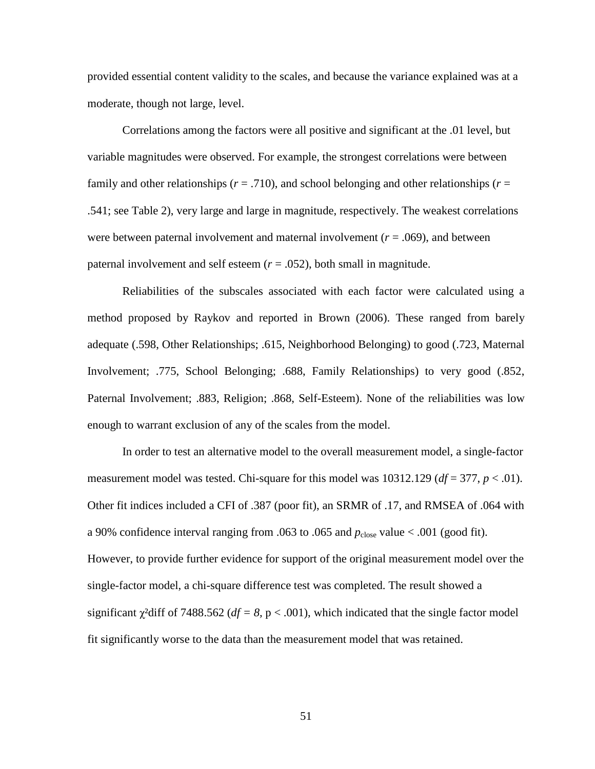provided essential content validity to the scales, and because the variance explained was at a moderate, though not large, level.

Correlations among the factors were all positive and significant at the .01 level, but variable magnitudes were observed. For example, the strongest correlations were between family and other relationships ( $r = .710$ ), and school belonging and other relationships ( $r =$ .541; see Table 2), very large and large in magnitude, respectively. The weakest correlations were between paternal involvement and maternal involvement  $(r = .069)$ , and between paternal involvement and self esteem  $(r = .052)$ , both small in magnitude.

Reliabilities of the subscales associated with each factor were calculated using a method proposed by Raykov and reported in Brown (2006). These ranged from barely adequate (.598, Other Relationships; .615, Neighborhood Belonging) to good (.723, Maternal Involvement; .775, School Belonging; .688, Family Relationships) to very good (.852, Paternal Involvement; .883, Religion; .868, Self-Esteem). None of the reliabilities was low enough to warrant exclusion of any of the scales from the model.

In order to test an alternative model to the overall measurement model, a single-factor measurement model was tested. Chi-square for this model was  $10312.129$  ( $df = 377$ ,  $p < .01$ ). Other fit indices included a CFI of .387 (poor fit), an SRMR of .17, and RMSEA of .064 with a 90% confidence interval ranging from .063 to .065 and  $p_{close}$  value  $< .001$  (good fit). However, to provide further evidence for support of the original measurement model over the single-factor model, a chi-square difference test was completed. The result showed a significant  $\gamma^2$ diff of 7488.562 ( $df = 8$ , p < .001), which indicated that the single factor model fit significantly worse to the data than the measurement model that was retained.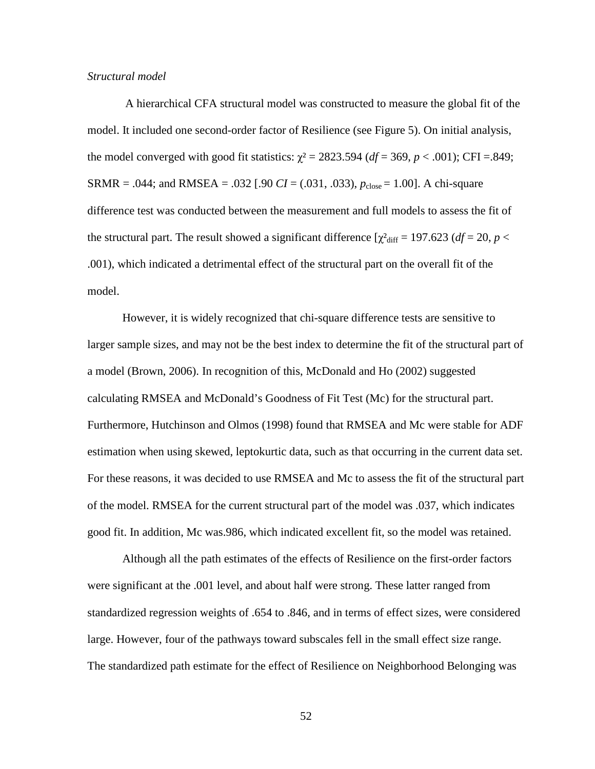## *Structural model*

A hierarchical CFA structural model was constructed to measure the global fit of the model. It included one second-order factor of Resilience (see Figure 5). On initial analysis, the model converged with good fit statistics:  $\chi^2 = 2823.594$  ( $df = 369$ ,  $p < .001$ ); CFI = .849; SRMR = .044; and RMSEA = .032 [.90 *CI* = (.031, .033),  $p_{\text{close}} = 1.00$ ]. A chi-square difference test was conducted between the measurement and full models to assess the fit of the structural part. The result showed a significant difference  $[\chi^2_{\text{diff}} = 197.623 \, df = 20, p <$ .001), which indicated a detrimental effect of the structural part on the overall fit of the model.

However, it is widely recognized that chi-square difference tests are sensitive to larger sample sizes, and may not be the best index to determine the fit of the structural part of a model (Brown, 2006). In recognition of this, McDonald and Ho (2002) suggested calculating RMSEA and McDonald's Goodness of Fit Test (Mc) for the structural part. Furthermore, Hutchinson and Olmos (1998) found that RMSEA and Mc were stable for ADF estimation when using skewed, leptokurtic data, such as that occurring in the current data set. For these reasons, it was decided to use RMSEA and Mc to assess the fit of the structural part of the model. RMSEA for the current structural part of the model was .037, which indicates good fit. In addition, Mc was.986, which indicated excellent fit, so the model was retained.

Although all the path estimates of the effects of Resilience on the first-order factors were significant at the .001 level, and about half were strong. These latter ranged from standardized regression weights of .654 to .846, and in terms of effect sizes, were considered large. However, four of the pathways toward subscales fell in the small effect size range. The standardized path estimate for the effect of Resilience on Neighborhood Belonging was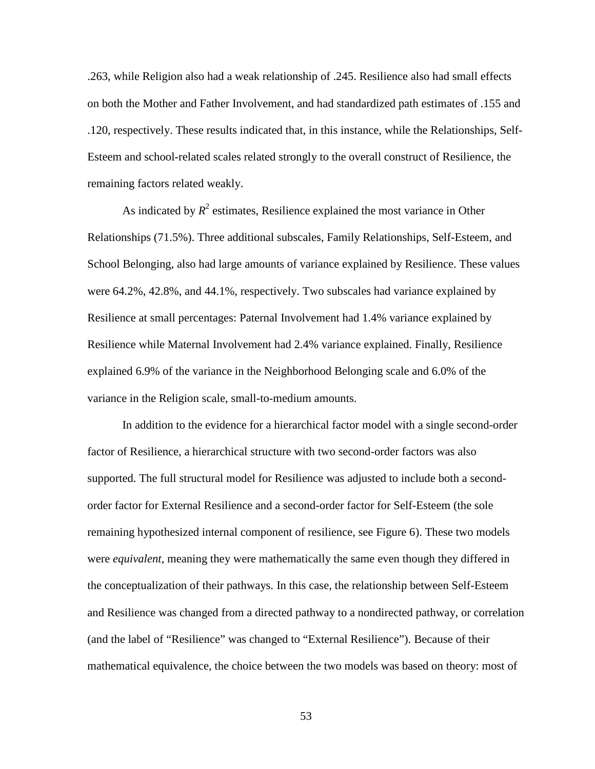.263, while Religion also had a weak relationship of .245. Resilience also had small effects on both the Mother and Father Involvement, and had standardized path estimates of .155 and .120, respectively. These results indicated that, in this instance, while the Relationships, Self-Esteem and school-related scales related strongly to the overall construct of Resilience, the remaining factors related weakly.

As indicated by  $R^2$  estimates, Resilience explained the most variance in Other Relationships (71.5%). Three additional subscales, Family Relationships, Self-Esteem, and School Belonging, also had large amounts of variance explained by Resilience. These values were 64.2%, 42.8%, and 44.1%, respectively. Two subscales had variance explained by Resilience at small percentages: Paternal Involvement had 1.4% variance explained by Resilience while Maternal Involvement had 2.4% variance explained. Finally, Resilience explained 6.9% of the variance in the Neighborhood Belonging scale and 6.0% of the variance in the Religion scale, small-to-medium amounts.

In addition to the evidence for a hierarchical factor model with a single second-order factor of Resilience, a hierarchical structure with two second-order factors was also supported. The full structural model for Resilience was adjusted to include both a secondorder factor for External Resilience and a second-order factor for Self-Esteem (the sole remaining hypothesized internal component of resilience, see Figure 6). These two models were *equivalent*, meaning they were mathematically the same even though they differed in the conceptualization of their pathways. In this case, the relationship between Self-Esteem and Resilience was changed from a directed pathway to a nondirected pathway, or correlation (and the label of "Resilience" was changed to "External Resilience"). Because of their mathematical equivalence, the choice between the two models was based on theory: most of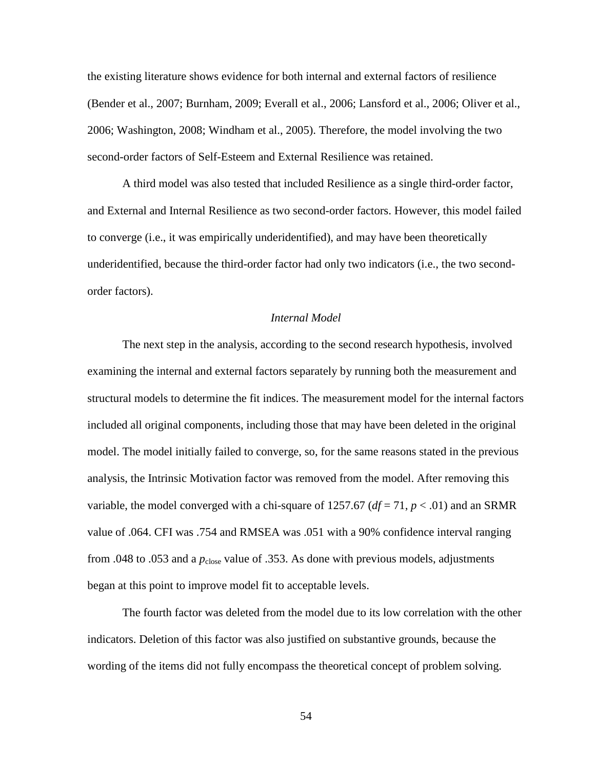the existing literature shows evidence for both internal and external factors of resilience (Bender et al., 2007; Burnham, 2009; Everall et al., 2006; Lansford et al., 2006; Oliver et al., 2006; Washington, 2008; Windham et al., 2005). Therefore, the model involving the two second-order factors of Self-Esteem and External Resilience was retained.

A third model was also tested that included Resilience as a single third-order factor, and External and Internal Resilience as two second-order factors. However, this model failed to converge (i.e., it was empirically underidentified), and may have been theoretically underidentified, because the third-order factor had only two indicators (i.e., the two secondorder factors).

## *Internal Model*

The next step in the analysis, according to the second research hypothesis, involved examining the internal and external factors separately by running both the measurement and structural models to determine the fit indices. The measurement model for the internal factors included all original components, including those that may have been deleted in the original model. The model initially failed to converge, so, for the same reasons stated in the previous analysis, the Intrinsic Motivation factor was removed from the model. After removing this variable, the model converged with a chi-square of 1257.67 ( $df = 71$ ,  $p < .01$ ) and an SRMR value of .064. CFI was .754 and RMSEA was .051 with a 90% confidence interval ranging from .048 to .053 and a  $p_{close}$  value of .353. As done with previous models, adjustments began at this point to improve model fit to acceptable levels.

The fourth factor was deleted from the model due to its low correlation with the other indicators. Deletion of this factor was also justified on substantive grounds, because the wording of the items did not fully encompass the theoretical concept of problem solving.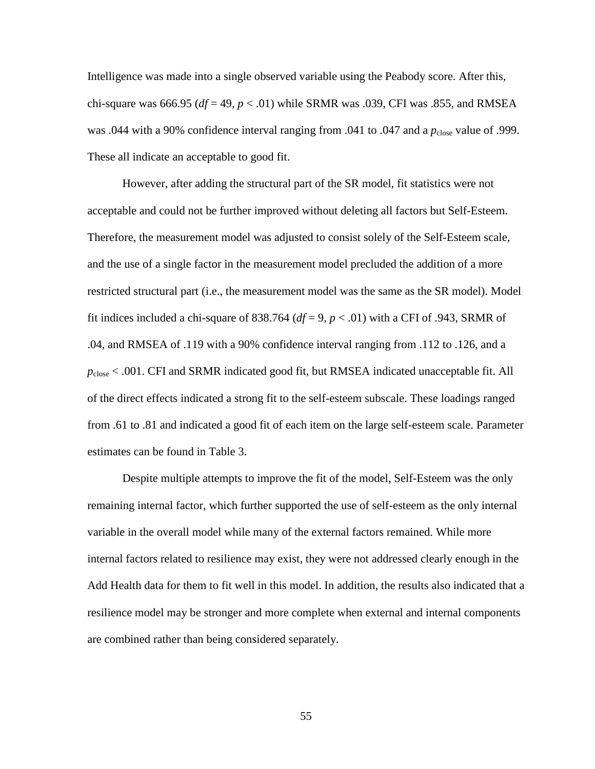Intelligence was made into a single observed variable using the Peabody score. After this, chi-square was 666.95 ( $df = 49$ ,  $p < .01$ ) while SRMR was .039, CFI was .855, and RMSEA was .044 with a 90% confidence interval ranging from .041 to .047 and a  $p_{close}$  value of .999. These all indicate an acceptable to good fit.

However, after adding the structural part of the SR model, fit statistics were not acceptable and could not be further improved without deleting all factors but Self-Esteem. Therefore, the measurement model was adjusted to consist solely of the Self-Esteem scale, and the use of a single factor in the measurement model precluded the addition of a more restricted structural part (i.e., the measurement model was the same as the SR model). Model fit indices included a chi-square of 838.764 ( $df = 9$ ,  $p < .01$ ) with a CFI of .943, SRMR of .04, and RMSEA of .119 with a 90% confidence interval ranging from .112 to .126, and a *p*close < .001. CFI and SRMR indicated good fit, but RMSEA indicated unacceptable fit. All of the direct effects indicated a strong fit to the self-esteem subscale. These loadings ranged from .61 to .81 and indicated a good fit of each item on the large self-esteem scale. Parameter estimates can be found in Table 3.

 Despite multiple attempts to improve the fit of the model, Self-Esteem was the only remaining internal factor, which further supported the use of self-esteem as the only internal variable in the overall model while many of the external factors remained. While more internal factors related to resilience may exist, they were not addressed clearly enough in the Add Health data for them to fit well in this model. In addition, the results also indicated that a resilience model may be stronger and more complete when external and internal components are combined rather than being considered separately.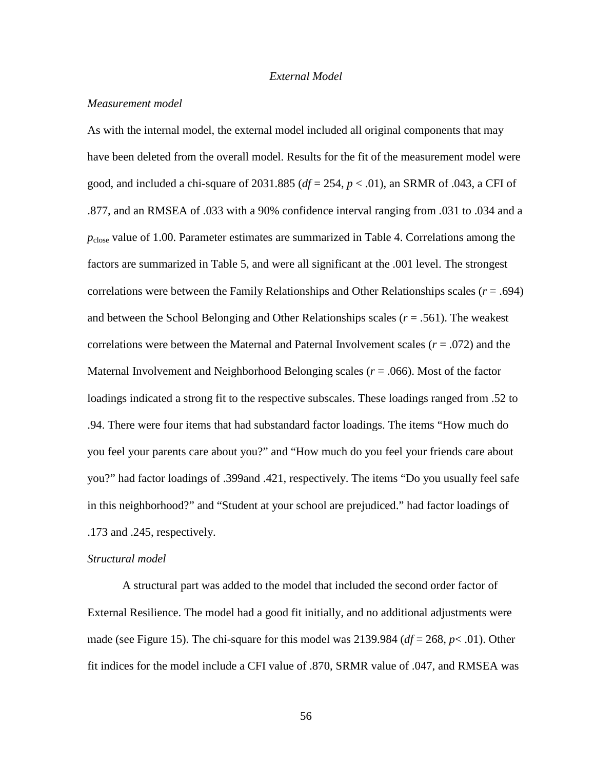## *External Model*

## *Measurement model*

As with the internal model, the external model included all original components that may have been deleted from the overall model. Results for the fit of the measurement model were good, and included a chi-square of 2031.885 (*df* = 254, *p* < .01), an SRMR of .043, a CFI of .877, and an RMSEA of .033 with a 90% confidence interval ranging from .031 to .034 and a *p*close value of 1.00. Parameter estimates are summarized in Table 4. Correlations among the factors are summarized in Table 5, and were all significant at the .001 level. The strongest correlations were between the Family Relationships and Other Relationships scales (*r* = .694) and between the School Belonging and Other Relationships scales  $(r = .561)$ . The weakest correlations were between the Maternal and Paternal Involvement scales (*r* = .072) and the Maternal Involvement and Neighborhood Belonging scales (*r* = .066). Most of the factor loadings indicated a strong fit to the respective subscales. These loadings ranged from .52 to .94. There were four items that had substandard factor loadings. The items "How much do you feel your parents care about you?" and "How much do you feel your friends care about you?" had factor loadings of .399and .421, respectively. The items "Do you usually feel safe in this neighborhood?" and "Student at your school are prejudiced." had factor loadings of .173 and .245, respectively.

## *Structural model*

A structural part was added to the model that included the second order factor of External Resilience. The model had a good fit initially, and no additional adjustments were made (see Figure 15). The chi-square for this model was 2139.984 (*df* = 268, *p*< .01). Other fit indices for the model include a CFI value of .870, SRMR value of .047, and RMSEA was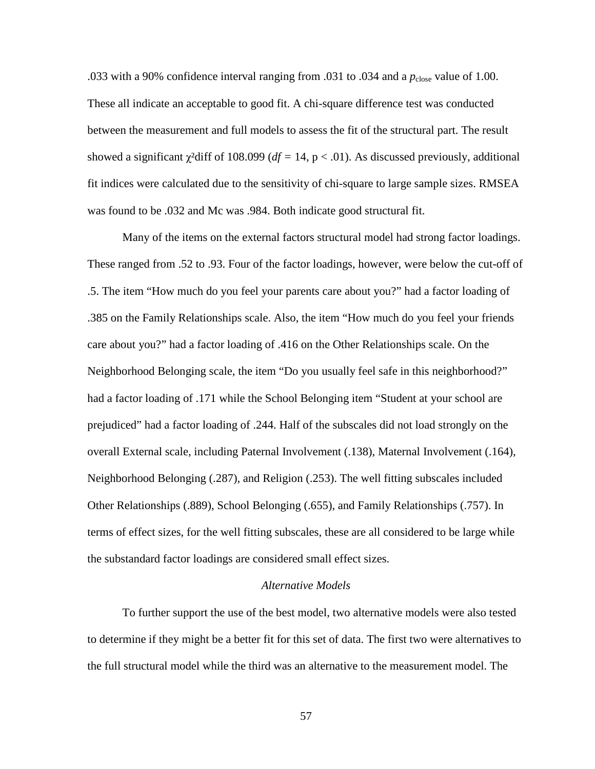.033 with a 90% confidence interval ranging from .031 to .034 and a  $p_{close}$  value of 1.00. These all indicate an acceptable to good fit. A chi-square difference test was conducted between the measurement and full models to assess the fit of the structural part. The result showed a significant  $\chi^2$ diff of 108.099 ( $df = 14$ , p < .01). As discussed previously, additional fit indices were calculated due to the sensitivity of chi-square to large sample sizes. RMSEA was found to be .032 and Mc was .984. Both indicate good structural fit.

Many of the items on the external factors structural model had strong factor loadings. These ranged from .52 to .93. Four of the factor loadings, however, were below the cut-off of .5. The item "How much do you feel your parents care about you?" had a factor loading of .385 on the Family Relationships scale. Also, the item "How much do you feel your friends care about you?" had a factor loading of .416 on the Other Relationships scale. On the Neighborhood Belonging scale, the item "Do you usually feel safe in this neighborhood?" had a factor loading of .171 while the School Belonging item "Student at your school are prejudiced" had a factor loading of .244. Half of the subscales did not load strongly on the overall External scale, including Paternal Involvement (.138), Maternal Involvement (.164), Neighborhood Belonging (.287), and Religion (.253). The well fitting subscales included Other Relationships (.889), School Belonging (.655), and Family Relationships (.757). In terms of effect sizes, for the well fitting subscales, these are all considered to be large while the substandard factor loadings are considered small effect sizes.

## *Alternative Models*

To further support the use of the best model, two alternative models were also tested to determine if they might be a better fit for this set of data. The first two were alternatives to the full structural model while the third was an alternative to the measurement model. The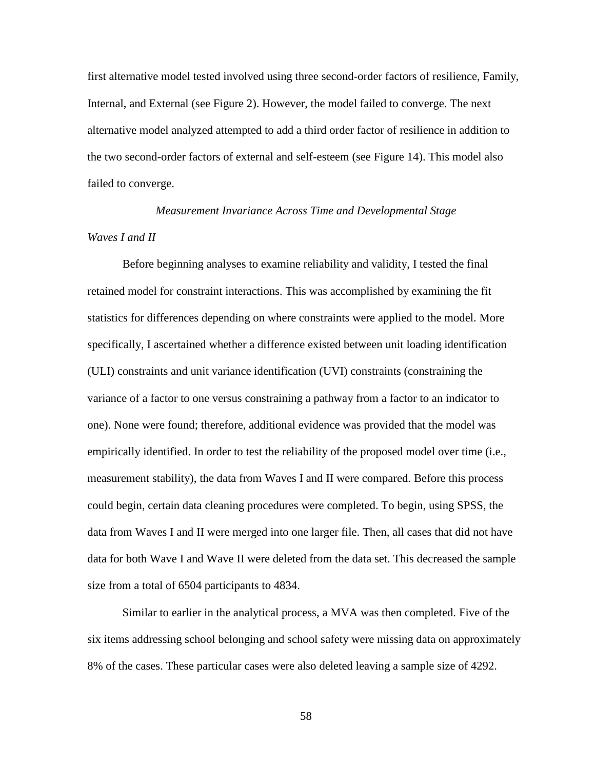first alternative model tested involved using three second-order factors of resilience, Family, Internal, and External (see Figure 2). However, the model failed to converge. The next alternative model analyzed attempted to add a third order factor of resilience in addition to the two second-order factors of external and self-esteem (see Figure 14). This model also failed to converge.

# *Measurement Invariance Across Time and Developmental Stage Waves I and II*

Before beginning analyses to examine reliability and validity, I tested the final retained model for constraint interactions. This was accomplished by examining the fit statistics for differences depending on where constraints were applied to the model. More specifically, I ascertained whether a difference existed between unit loading identification (ULI) constraints and unit variance identification (UVI) constraints (constraining the variance of a factor to one versus constraining a pathway from a factor to an indicator to one). None were found; therefore, additional evidence was provided that the model was empirically identified. In order to test the reliability of the proposed model over time (i.e., measurement stability), the data from Waves I and II were compared. Before this process could begin, certain data cleaning procedures were completed. To begin, using SPSS, the data from Waves I and II were merged into one larger file. Then, all cases that did not have data for both Wave I and Wave II were deleted from the data set. This decreased the sample size from a total of 6504 participants to 4834.

Similar to earlier in the analytical process, a MVA was then completed. Five of the six items addressing school belonging and school safety were missing data on approximately 8% of the cases. These particular cases were also deleted leaving a sample size of 4292.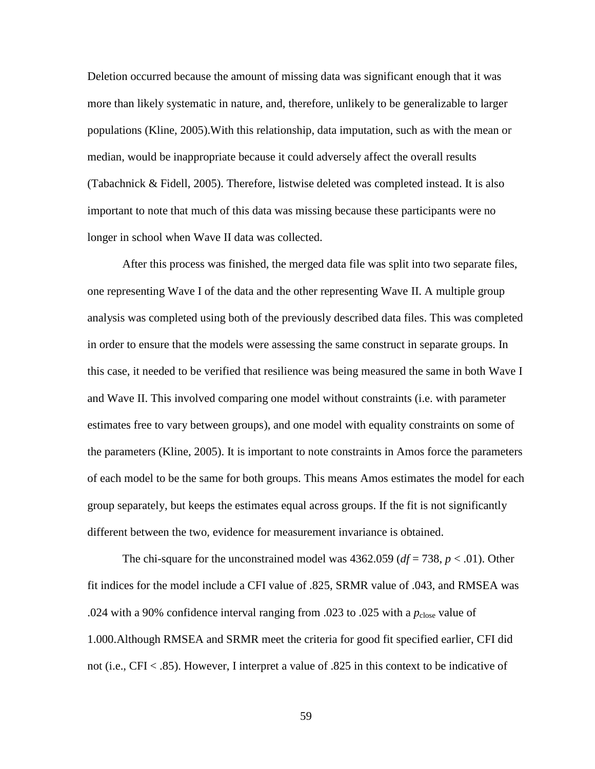Deletion occurred because the amount of missing data was significant enough that it was more than likely systematic in nature, and, therefore, unlikely to be generalizable to larger populations (Kline, 2005).With this relationship, data imputation, such as with the mean or median, would be inappropriate because it could adversely affect the overall results (Tabachnick & Fidell, 2005). Therefore, listwise deleted was completed instead. It is also important to note that much of this data was missing because these participants were no longer in school when Wave II data was collected.

 After this process was finished, the merged data file was split into two separate files, one representing Wave I of the data and the other representing Wave II. A multiple group analysis was completed using both of the previously described data files. This was completed in order to ensure that the models were assessing the same construct in separate groups. In this case, it needed to be verified that resilience was being measured the same in both Wave I and Wave II. This involved comparing one model without constraints (i.e. with parameter estimates free to vary between groups), and one model with equality constraints on some of the parameters (Kline, 2005). It is important to note constraints in Amos force the parameters of each model to be the same for both groups. This means Amos estimates the model for each group separately, but keeps the estimates equal across groups. If the fit is not significantly different between the two, evidence for measurement invariance is obtained.

The chi-square for the unconstrained model was  $4362.059$  ( $df = 738$ ,  $p < .01$ ). Other fit indices for the model include a CFI value of .825, SRMR value of .043, and RMSEA was .024 with a 90% confidence interval ranging from .023 to .025 with a  $p_{\text{close}}$  value of 1.000.Although RMSEA and SRMR meet the criteria for good fit specified earlier, CFI did not (i.e., CFI < .85). However, I interpret a value of .825 in this context to be indicative of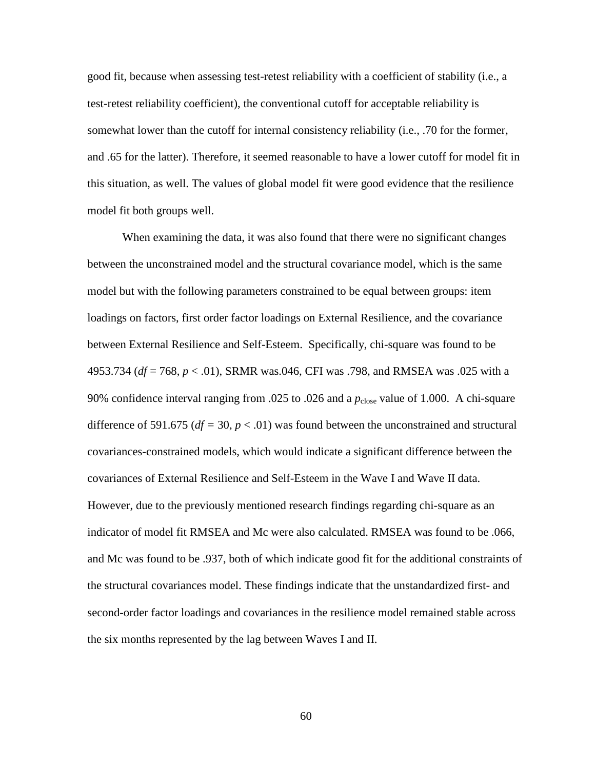good fit, because when assessing test-retest reliability with a coefficient of stability (i.e., a test-retest reliability coefficient), the conventional cutoff for acceptable reliability is somewhat lower than the cutoff for internal consistency reliability (i.e., .70 for the former, and .65 for the latter). Therefore, it seemed reasonable to have a lower cutoff for model fit in this situation, as well. The values of global model fit were good evidence that the resilience model fit both groups well.

When examining the data, it was also found that there were no significant changes between the unconstrained model and the structural covariance model, which is the same model but with the following parameters constrained to be equal between groups: item loadings on factors, first order factor loadings on External Resilience, and the covariance between External Resilience and Self-Esteem. Specifically, chi-square was found to be 4953.734 (*df* = 768, *p* < .01), SRMR was.046, CFI was .798, and RMSEA was .025 with a 90% confidence interval ranging from .025 to .026 and a  $p_{\text{close}}$  value of 1.000. A chi-square difference of 591.675 ( $df = 30$ ,  $p < .01$ ) was found between the unconstrained and structural covariances-constrained models, which would indicate a significant difference between the covariances of External Resilience and Self-Esteem in the Wave I and Wave II data. However, due to the previously mentioned research findings regarding chi-square as an indicator of model fit RMSEA and Mc were also calculated. RMSEA was found to be .066, and Mc was found to be .937, both of which indicate good fit for the additional constraints of the structural covariances model. These findings indicate that the unstandardized first- and second-order factor loadings and covariances in the resilience model remained stable across the six months represented by the lag between Waves I and II.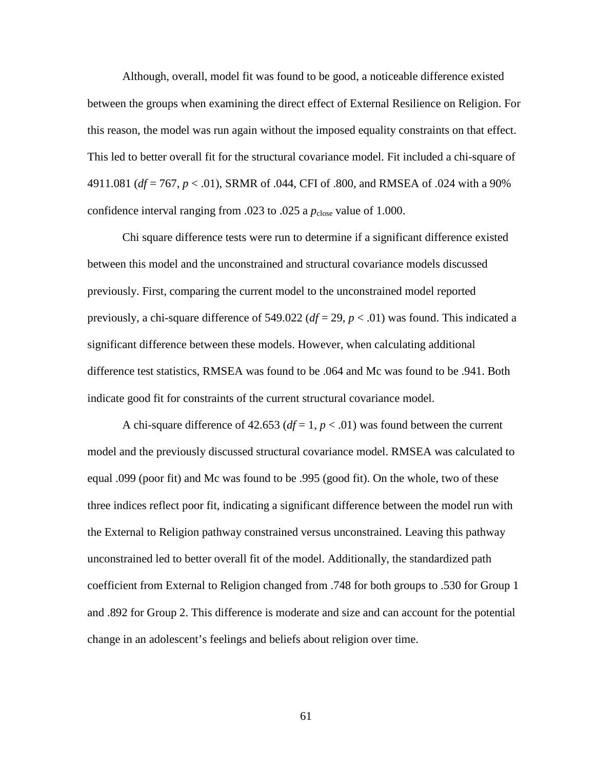Although, overall, model fit was found to be good, a noticeable difference existed between the groups when examining the direct effect of External Resilience on Religion. For this reason, the model was run again without the imposed equality constraints on that effect. This led to better overall fit for the structural covariance model. Fit included a chi-square of 4911.081 (*df* = 767, *p* < .01), SRMR of .044, CFI of .800, and RMSEA of .024 with a 90% confidence interval ranging from .023 to .025 a  $p_{close}$  value of 1.000.

Chi square difference tests were run to determine if a significant difference existed between this model and the unconstrained and structural covariance models discussed previously. First, comparing the current model to the unconstrained model reported previously, a chi-square difference of 549.022 (*df* = 29, *p* < .01) was found. This indicated a significant difference between these models. However, when calculating additional difference test statistics, RMSEA was found to be .064 and Mc was found to be .941. Both indicate good fit for constraints of the current structural covariance model.

A chi-square difference of 42.653 ( $df = 1$ ,  $p < .01$ ) was found between the current model and the previously discussed structural covariance model. RMSEA was calculated to equal .099 (poor fit) and Mc was found to be .995 (good fit). On the whole, two of these three indices reflect poor fit, indicating a significant difference between the model run with the External to Religion pathway constrained versus unconstrained. Leaving this pathway unconstrained led to better overall fit of the model. Additionally, the standardized path coefficient from External to Religion changed from .748 for both groups to .530 for Group 1 and .892 for Group 2. This difference is moderate and size and can account for the potential change in an adolescent's feelings and beliefs about religion over time.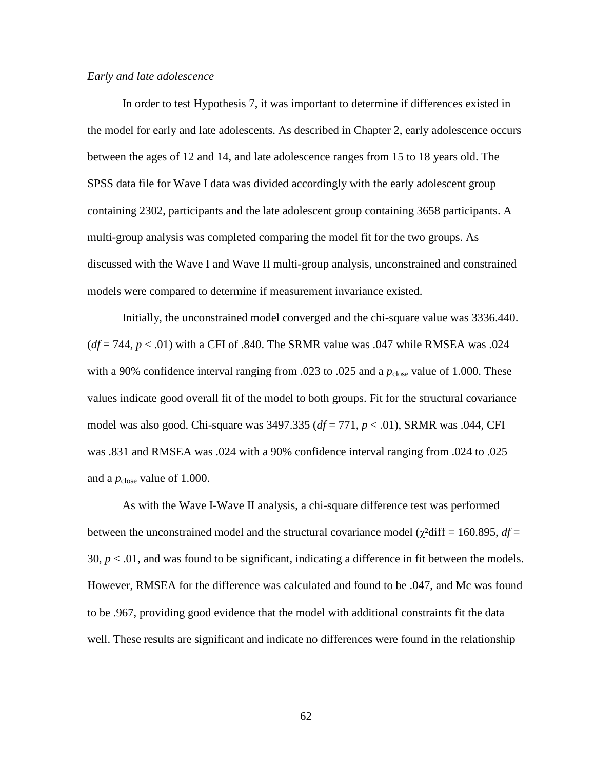#### *Early and late adolescence*

In order to test Hypothesis 7, it was important to determine if differences existed in the model for early and late adolescents. As described in Chapter 2, early adolescence occurs between the ages of 12 and 14, and late adolescence ranges from 15 to 18 years old. The SPSS data file for Wave I data was divided accordingly with the early adolescent group containing 2302, participants and the late adolescent group containing 3658 participants. A multi-group analysis was completed comparing the model fit for the two groups. As discussed with the Wave I and Wave II multi-group analysis, unconstrained and constrained models were compared to determine if measurement invariance existed.

Initially, the unconstrained model converged and the chi-square value was 3336.440.  $(df = 744, p < .01)$  with a CFI of .840. The SRMR value was .047 while RMSEA was .024 with a 90% confidence interval ranging from .023 to .025 and a  $p_{close}$  value of 1.000. These values indicate good overall fit of the model to both groups. Fit for the structural covariance model was also good. Chi-square was 3497.335 (*df* = 771, *p* < .01), SRMR was .044, CFI was .831 and RMSEA was .024 with a 90% confidence interval ranging from .024 to .025 and a  $p_{\text{close}}$  value of 1.000.

As with the Wave I-Wave II analysis, a chi-square difference test was performed between the unconstrained model and the structural covariance model ( $\chi^2$ diff = 160.895,  $df =$ 30,  $p < .01$ , and was found to be significant, indicating a difference in fit between the models. However, RMSEA for the difference was calculated and found to be .047, and Mc was found to be .967, providing good evidence that the model with additional constraints fit the data well. These results are significant and indicate no differences were found in the relationship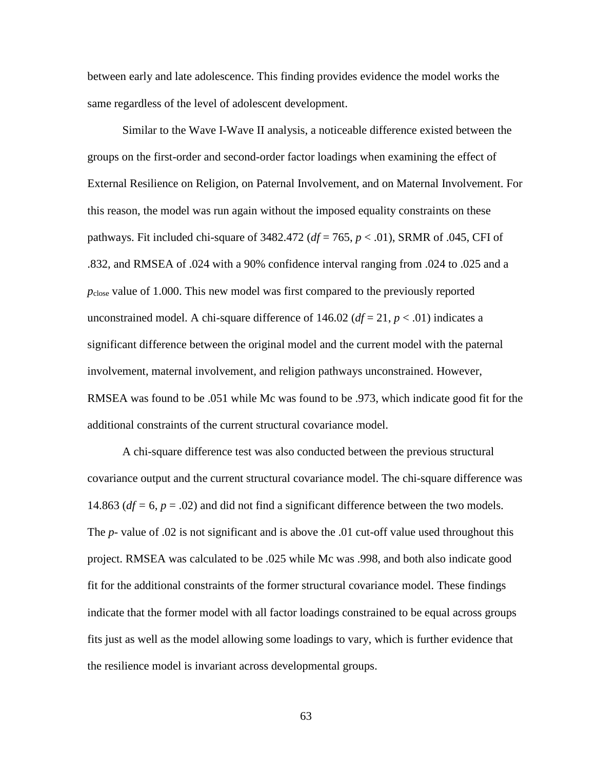between early and late adolescence. This finding provides evidence the model works the same regardless of the level of adolescent development.

Similar to the Wave I-Wave II analysis, a noticeable difference existed between the groups on the first-order and second-order factor loadings when examining the effect of External Resilience on Religion, on Paternal Involvement, and on Maternal Involvement. For this reason, the model was run again without the imposed equality constraints on these pathways. Fit included chi-square of 3482.472 (*df* = 765, *p* < .01), SRMR of .045, CFI of .832, and RMSEA of .024 with a 90% confidence interval ranging from .024 to .025 and a *p*close value of 1.000. This new model was first compared to the previously reported unconstrained model. A chi-square difference of 146.02 ( $df = 21$ ,  $p < .01$ ) indicates a significant difference between the original model and the current model with the paternal involvement, maternal involvement, and religion pathways unconstrained. However, RMSEA was found to be .051 while Mc was found to be .973, which indicate good fit for the additional constraints of the current structural covariance model.

A chi-square difference test was also conducted between the previous structural covariance output and the current structural covariance model. The chi-square difference was 14.863 (*df =* 6, *p* = .02) and did not find a significant difference between the two models. The *p-* value of .02 is not significant and is above the .01 cut-off value used throughout this project. RMSEA was calculated to be .025 while Mc was .998, and both also indicate good fit for the additional constraints of the former structural covariance model. These findings indicate that the former model with all factor loadings constrained to be equal across groups fits just as well as the model allowing some loadings to vary, which is further evidence that the resilience model is invariant across developmental groups.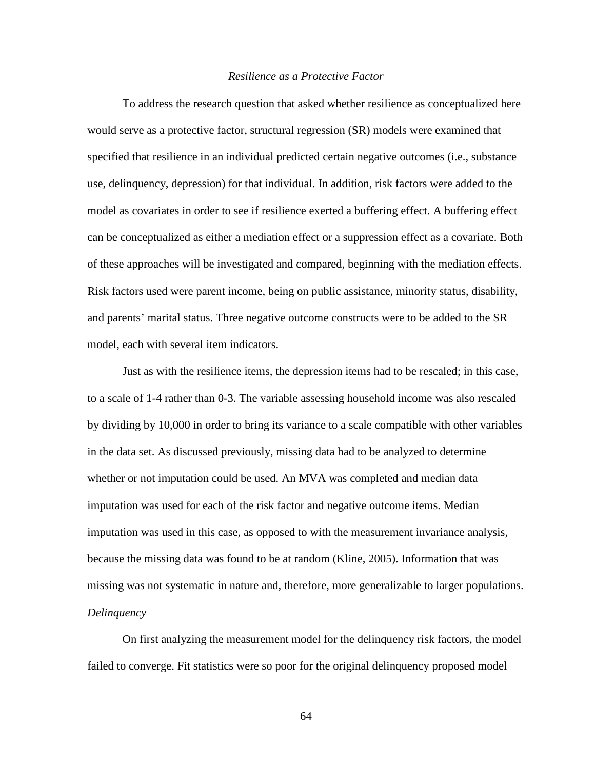## *Resilience as a Protective Factor*

 To address the research question that asked whether resilience as conceptualized here would serve as a protective factor, structural regression (SR) models were examined that specified that resilience in an individual predicted certain negative outcomes (i.e., substance use, delinquency, depression) for that individual. In addition, risk factors were added to the model as covariates in order to see if resilience exerted a buffering effect. A buffering effect can be conceptualized as either a mediation effect or a suppression effect as a covariate. Both of these approaches will be investigated and compared, beginning with the mediation effects. Risk factors used were parent income, being on public assistance, minority status, disability, and parents' marital status. Three negative outcome constructs were to be added to the SR model, each with several item indicators.

Just as with the resilience items, the depression items had to be rescaled; in this case, to a scale of 1-4 rather than 0-3. The variable assessing household income was also rescaled by dividing by 10,000 in order to bring its variance to a scale compatible with other variables in the data set. As discussed previously, missing data had to be analyzed to determine whether or not imputation could be used. An MVA was completed and median data imputation was used for each of the risk factor and negative outcome items. Median imputation was used in this case, as opposed to with the measurement invariance analysis, because the missing data was found to be at random (Kline, 2005). Information that was missing was not systematic in nature and, therefore, more generalizable to larger populations. *Delinquency* 

On first analyzing the measurement model for the delinquency risk factors, the model failed to converge. Fit statistics were so poor for the original delinquency proposed model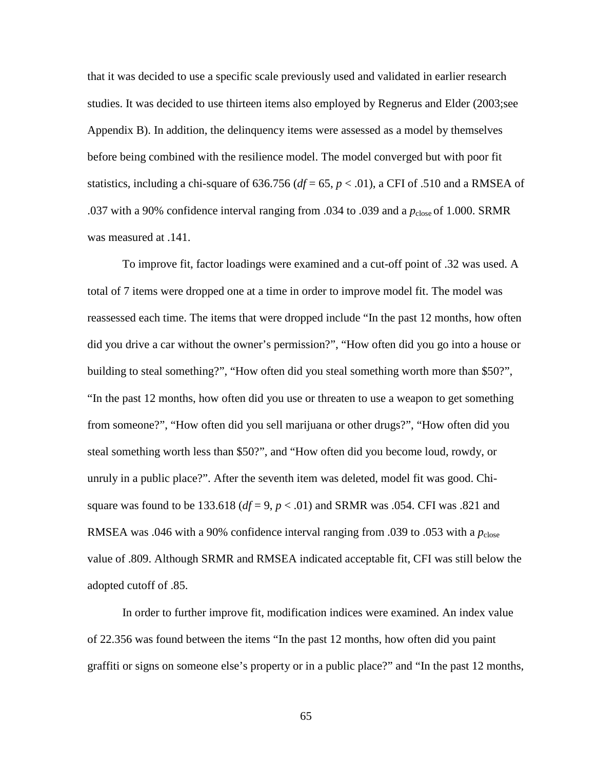that it was decided to use a specific scale previously used and validated in earlier research studies. It was decided to use thirteen items also employed by Regnerus and Elder (2003;see Appendix B). In addition, the delinquency items were assessed as a model by themselves before being combined with the resilience model. The model converged but with poor fit statistics, including a chi-square of 636.756 ( $df = 65$ ,  $p < .01$ ), a CFI of .510 and a RMSEA of .037 with a 90% confidence interval ranging from .034 to .039 and a  $p_{\text{close}}$  of 1.000. SRMR was measured at .141.

To improve fit, factor loadings were examined and a cut-off point of .32 was used. A total of 7 items were dropped one at a time in order to improve model fit. The model was reassessed each time. The items that were dropped include "In the past 12 months, how often did you drive a car without the owner's permission?", "How often did you go into a house or building to steal something?", "How often did you steal something worth more than \$50?", "In the past 12 months, how often did you use or threaten to use a weapon to get something from someone?", "How often did you sell marijuana or other drugs?", "How often did you steal something worth less than \$50?", and "How often did you become loud, rowdy, or unruly in a public place?". After the seventh item was deleted, model fit was good. Chisquare was found to be 133.618 ( $df = 9$ ,  $p < .01$ ) and SRMR was .054. CFI was .821 and RMSEA was .046 with a 90% confidence interval ranging from .039 to .053 with a  $p_{\text{close}}$ value of .809. Although SRMR and RMSEA indicated acceptable fit, CFI was still below the adopted cutoff of .85.

In order to further improve fit, modification indices were examined. An index value of 22.356 was found between the items "In the past 12 months, how often did you paint graffiti or signs on someone else's property or in a public place?" and "In the past 12 months,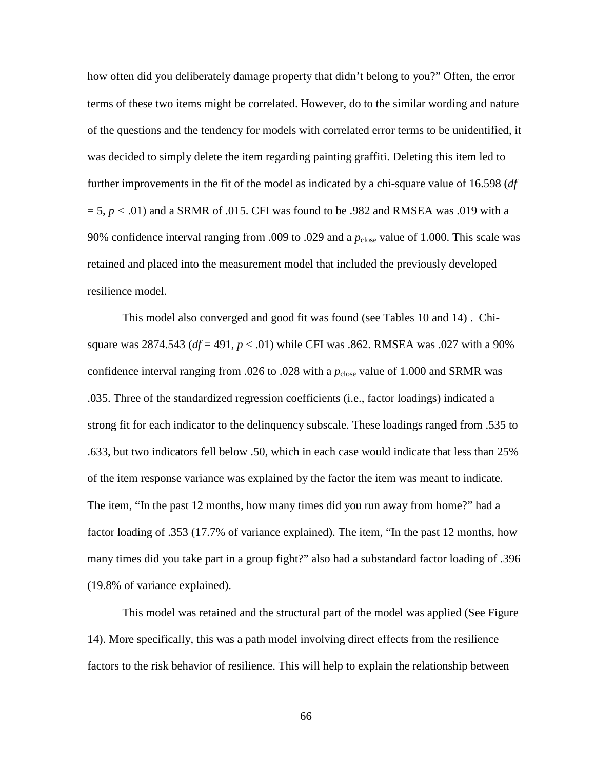how often did you deliberately damage property that didn't belong to you?" Often, the error terms of these two items might be correlated. However, do to the similar wording and nature of the questions and the tendency for models with correlated error terms to be unidentified, it was decided to simply delete the item regarding painting graffiti. Deleting this item led to further improvements in the fit of the model as indicated by a chi-square value of 16.598 (*df*   $= 5, p < .01$ ) and a SRMR of .015. CFI was found to be .982 and RMSEA was .019 with a 90% confidence interval ranging from .009 to .029 and a  $p_{close}$  value of 1.000. This scale was retained and placed into the measurement model that included the previously developed resilience model.

This model also converged and good fit was found (see Tables 10 and 14) . Chisquare was 2874.543 (*df* = 491, *p* < .01) while CFI was .862. RMSEA was .027 with a 90% confidence interval ranging from .026 to .028 with a  $p_{\text{close}}$  value of 1.000 and SRMR was .035. Three of the standardized regression coefficients (i.e., factor loadings) indicated a strong fit for each indicator to the delinquency subscale. These loadings ranged from .535 to .633, but two indicators fell below .50, which in each case would indicate that less than 25% of the item response variance was explained by the factor the item was meant to indicate. The item, "In the past 12 months, how many times did you run away from home?" had a factor loading of .353 (17.7% of variance explained). The item, "In the past 12 months, how many times did you take part in a group fight?" also had a substandard factor loading of .396 (19.8% of variance explained).

This model was retained and the structural part of the model was applied (See Figure 14). More specifically, this was a path model involving direct effects from the resilience factors to the risk behavior of resilience. This will help to explain the relationship between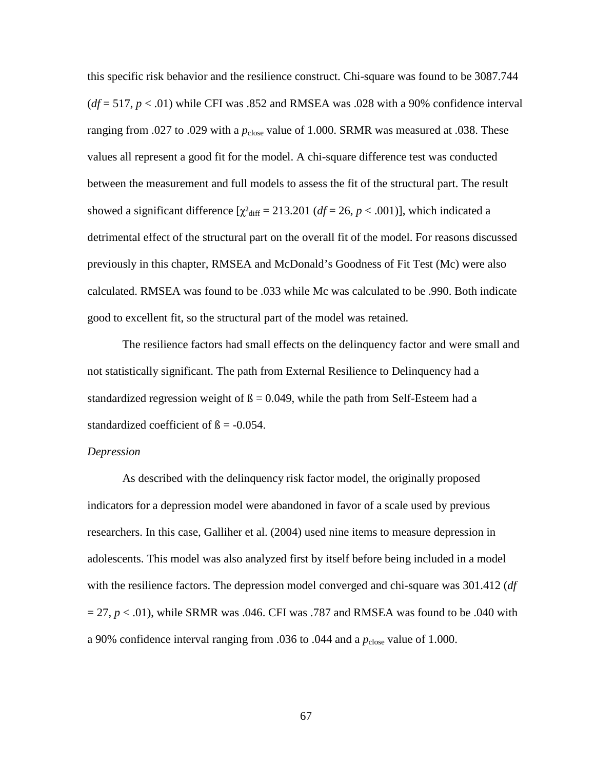this specific risk behavior and the resilience construct. Chi-square was found to be 3087.744  $(df = 517, p < .01)$  while CFI was .852 and RMSEA was .028 with a 90% confidence interval ranging from .027 to .029 with a  $p_{close}$  value of 1.000. SRMR was measured at .038. These values all represent a good fit for the model. A chi-square difference test was conducted between the measurement and full models to assess the fit of the structural part. The result showed a significant difference  $[\chi^2_{\text{diff}} = 213.201 \, (df = 26, p < .001)]$ , which indicated a detrimental effect of the structural part on the overall fit of the model. For reasons discussed previously in this chapter, RMSEA and McDonald's Goodness of Fit Test (Mc) were also calculated. RMSEA was found to be .033 while Mc was calculated to be .990. Both indicate good to excellent fit, so the structural part of the model was retained.

The resilience factors had small effects on the delinquency factor and were small and not statistically significant. The path from External Resilience to Delinquency had a standardized regression weight of  $\beta = 0.049$ , while the path from Self-Esteem had a standardized coefficient of  $\beta$  = -0.054.

# *Depression*

As described with the delinquency risk factor model, the originally proposed indicators for a depression model were abandoned in favor of a scale used by previous researchers. In this case, Galliher et al. (2004) used nine items to measure depression in adolescents. This model was also analyzed first by itself before being included in a model with the resilience factors. The depression model converged and chi-square was 301.412 (*df*   $= 27$ ,  $p < .01$ ), while SRMR was .046. CFI was .787 and RMSEA was found to be .040 with a 90% confidence interval ranging from .036 to .044 and a  $p_{\text{close}}$  value of 1.000.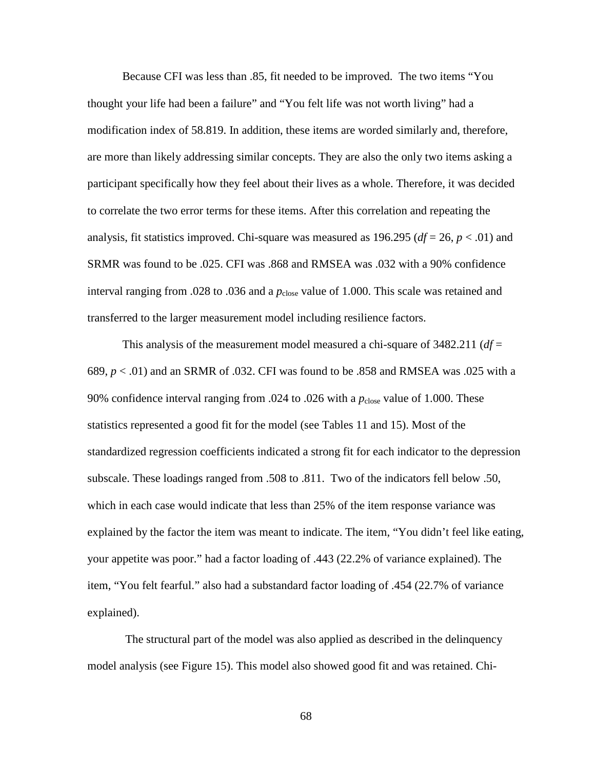Because CFI was less than .85, fit needed to be improved. The two items "You thought your life had been a failure" and "You felt life was not worth living" had a modification index of 58.819. In addition, these items are worded similarly and, therefore, are more than likely addressing similar concepts. They are also the only two items asking a participant specifically how they feel about their lives as a whole. Therefore, it was decided to correlate the two error terms for these items. After this correlation and repeating the analysis, fit statistics improved. Chi-square was measured as  $196.295$  ( $df = 26$ ,  $p < .01$ ) and SRMR was found to be .025. CFI was .868 and RMSEA was .032 with a 90% confidence interval ranging from .028 to .036 and a  $p_{close}$  value of 1.000. This scale was retained and transferred to the larger measurement model including resilience factors.

This analysis of the measurement model measured a chi-square of 3482.211 (*df* = 689, *p* < .01) and an SRMR of .032. CFI was found to be .858 and RMSEA was .025 with a 90% confidence interval ranging from .024 to .026 with a  $p_{\text{close}}$  value of 1.000. These statistics represented a good fit for the model (see Tables 11 and 15). Most of the standardized regression coefficients indicated a strong fit for each indicator to the depression subscale. These loadings ranged from .508 to .811. Two of the indicators fell below .50, which in each case would indicate that less than 25% of the item response variance was explained by the factor the item was meant to indicate. The item, "You didn't feel like eating, your appetite was poor." had a factor loading of .443 (22.2% of variance explained). The item, "You felt fearful." also had a substandard factor loading of .454 (22.7% of variance explained).

 The structural part of the model was also applied as described in the delinquency model analysis (see Figure 15). This model also showed good fit and was retained. Chi-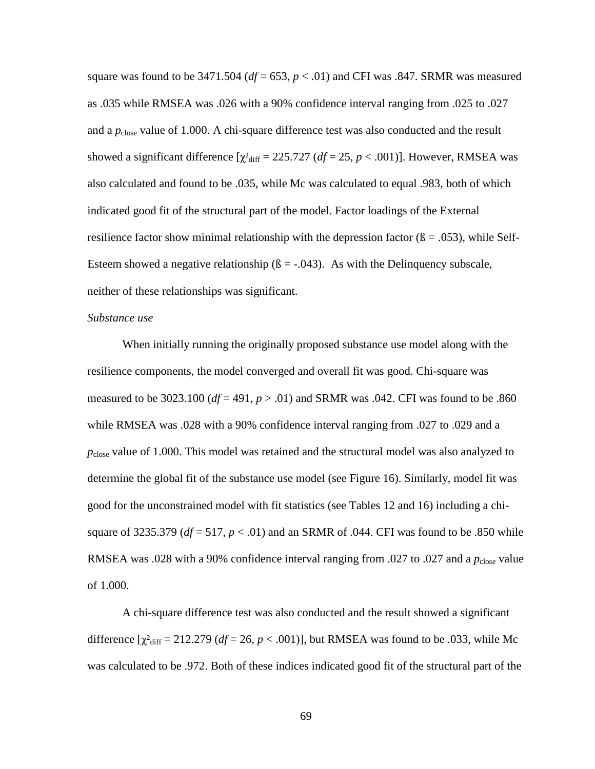square was found to be  $3471.504$  ( $df = 653$ ,  $p < .01$ ) and CFI was .847. SRMR was measured as .035 while RMSEA was .026 with a 90% confidence interval ranging from .025 to .027 and a  $p_{\text{close}}$  value of 1.000. A chi-square difference test was also conducted and the result showed a significant difference  $[\chi^2_{\text{diff}} = 225.727 \, (df = 25, p < .001)]$ . However, RMSEA was also calculated and found to be .035, while Mc was calculated to equal .983, both of which indicated good fit of the structural part of the model. Factor loadings of the External resilience factor show minimal relationship with the depression factor  $(6 = .053)$ , while Self-Esteem showed a negative relationship  $(6 = -0.043)$ . As with the Delinquency subscale, neither of these relationships was significant.

#### *Substance use*

When initially running the originally proposed substance use model along with the resilience components, the model converged and overall fit was good. Chi-square was measured to be 3023.100 ( $df = 491$ ,  $p > .01$ ) and SRMR was .042. CFI was found to be .860 while RMSEA was .028 with a 90% confidence interval ranging from .027 to .029 and a *p*close value of 1.000. This model was retained and the structural model was also analyzed to determine the global fit of the substance use model (see Figure 16). Similarly, model fit was good for the unconstrained model with fit statistics (see Tables 12 and 16) including a chisquare of 3235.379 (*df* = 517, *p* < .01) and an SRMR of .044. CFI was found to be .850 while RMSEA was .028 with a 90% confidence interval ranging from .027 to .027 and a  $p_{\text{close}}$  value of 1.000.

A chi-square difference test was also conducted and the result showed a significant difference  $[\chi^2_{\text{diff}} = 212.279 \, (df = 26, p < .001)]$ , but RMSEA was found to be .033, while Mc was calculated to be .972. Both of these indices indicated good fit of the structural part of the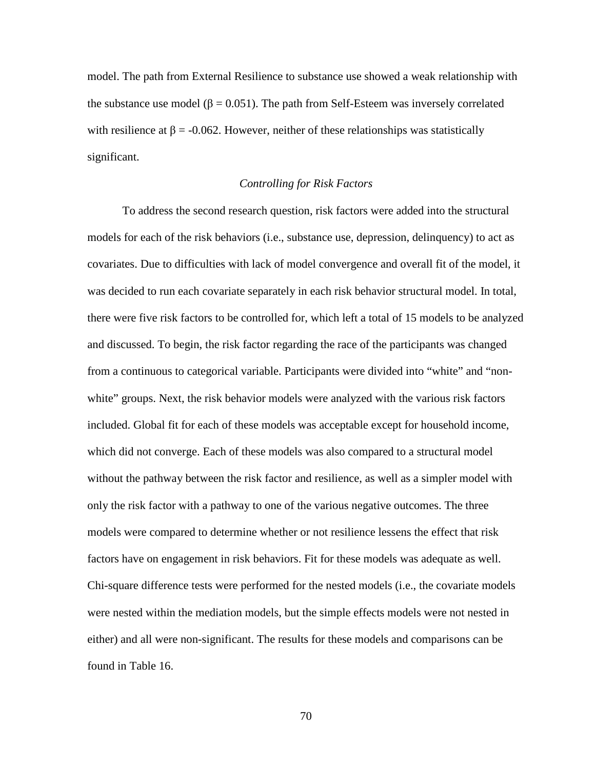model. The path from External Resilience to substance use showed a weak relationship with the substance use model ( $\beta = 0.051$ ). The path from Self-Esteem was inversely correlated with resilience at  $\beta$  = -0.062. However, neither of these relationships was statistically significant.

#### *Controlling for Risk Factors*

 To address the second research question, risk factors were added into the structural models for each of the risk behaviors (i.e., substance use, depression, delinquency) to act as covariates. Due to difficulties with lack of model convergence and overall fit of the model, it was decided to run each covariate separately in each risk behavior structural model. In total, there were five risk factors to be controlled for, which left a total of 15 models to be analyzed and discussed. To begin, the risk factor regarding the race of the participants was changed from a continuous to categorical variable. Participants were divided into "white" and "nonwhite" groups. Next, the risk behavior models were analyzed with the various risk factors included. Global fit for each of these models was acceptable except for household income, which did not converge. Each of these models was also compared to a structural model without the pathway between the risk factor and resilience, as well as a simpler model with only the risk factor with a pathway to one of the various negative outcomes. The three models were compared to determine whether or not resilience lessens the effect that risk factors have on engagement in risk behaviors. Fit for these models was adequate as well. Chi-square difference tests were performed for the nested models (i.e., the covariate models were nested within the mediation models, but the simple effects models were not nested in either) and all were non-significant. The results for these models and comparisons can be found in Table 16.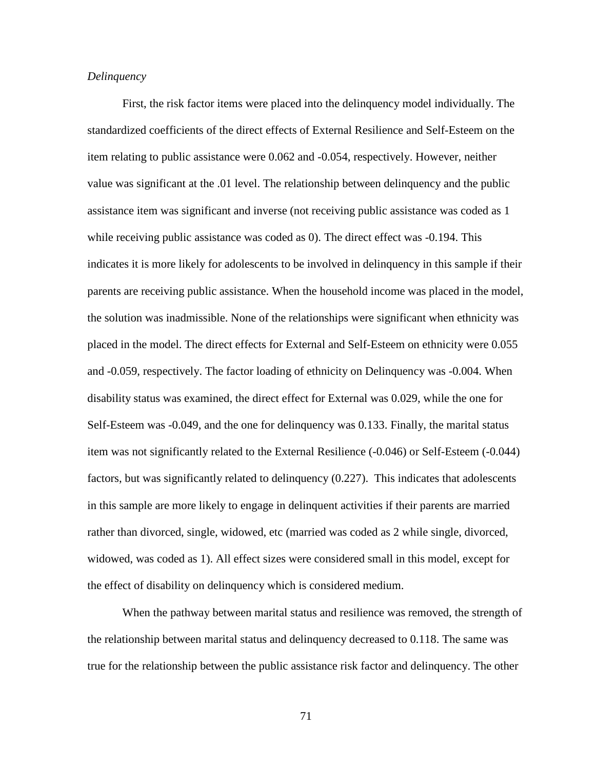#### *Delinquency*

First, the risk factor items were placed into the delinquency model individually. The standardized coefficients of the direct effects of External Resilience and Self-Esteem on the item relating to public assistance were 0.062 and -0.054, respectively. However, neither value was significant at the .01 level. The relationship between delinquency and the public assistance item was significant and inverse (not receiving public assistance was coded as 1 while receiving public assistance was coded as 0). The direct effect was -0.194. This indicates it is more likely for adolescents to be involved in delinquency in this sample if their parents are receiving public assistance. When the household income was placed in the model, the solution was inadmissible. None of the relationships were significant when ethnicity was placed in the model. The direct effects for External and Self-Esteem on ethnicity were 0.055 and -0.059, respectively. The factor loading of ethnicity on Delinquency was -0.004. When disability status was examined, the direct effect for External was 0.029, while the one for Self-Esteem was -0.049, and the one for delinquency was 0.133. Finally, the marital status item was not significantly related to the External Resilience (-0.046) or Self-Esteem (-0.044) factors, but was significantly related to delinquency (0.227). This indicates that adolescents in this sample are more likely to engage in delinquent activities if their parents are married rather than divorced, single, widowed, etc (married was coded as 2 while single, divorced, widowed, was coded as 1). All effect sizes were considered small in this model, except for the effect of disability on delinquency which is considered medium.

When the pathway between marital status and resilience was removed, the strength of the relationship between marital status and delinquency decreased to 0.118. The same was true for the relationship between the public assistance risk factor and delinquency. The other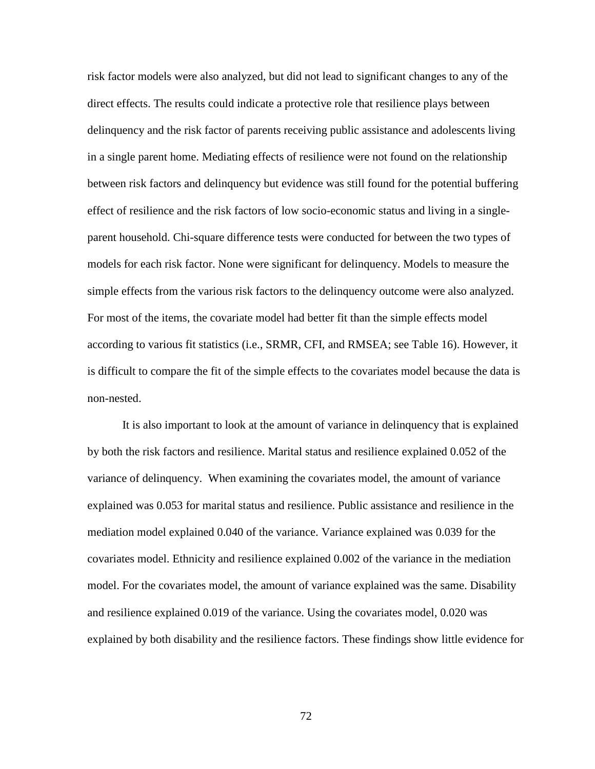risk factor models were also analyzed, but did not lead to significant changes to any of the direct effects. The results could indicate a protective role that resilience plays between delinquency and the risk factor of parents receiving public assistance and adolescents living in a single parent home. Mediating effects of resilience were not found on the relationship between risk factors and delinquency but evidence was still found for the potential buffering effect of resilience and the risk factors of low socio-economic status and living in a singleparent household. Chi-square difference tests were conducted for between the two types of models for each risk factor. None were significant for delinquency. Models to measure the simple effects from the various risk factors to the delinquency outcome were also analyzed. For most of the items, the covariate model had better fit than the simple effects model according to various fit statistics (i.e., SRMR, CFI, and RMSEA; see Table 16). However, it is difficult to compare the fit of the simple effects to the covariates model because the data is non-nested.

It is also important to look at the amount of variance in delinquency that is explained by both the risk factors and resilience. Marital status and resilience explained 0.052 of the variance of delinquency. When examining the covariates model, the amount of variance explained was 0.053 for marital status and resilience. Public assistance and resilience in the mediation model explained 0.040 of the variance. Variance explained was 0.039 for the covariates model. Ethnicity and resilience explained 0.002 of the variance in the mediation model. For the covariates model, the amount of variance explained was the same. Disability and resilience explained 0.019 of the variance. Using the covariates model, 0.020 was explained by both disability and the resilience factors. These findings show little evidence for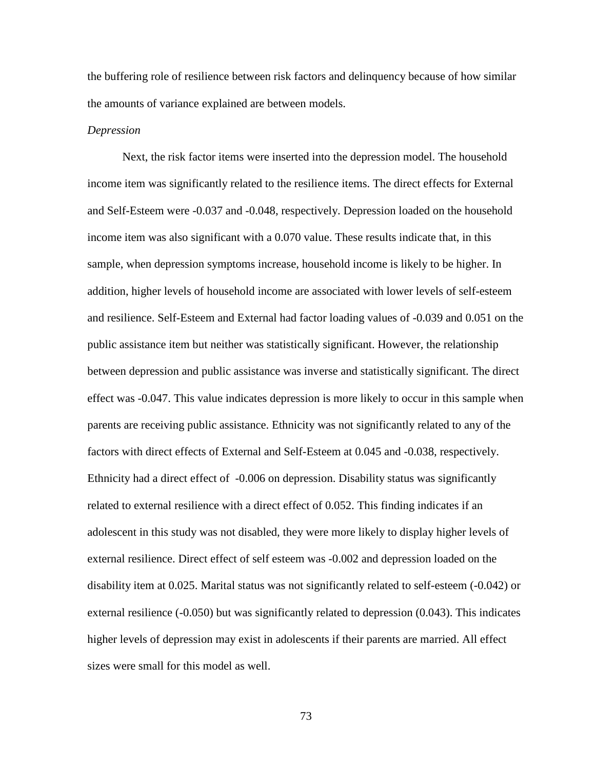the buffering role of resilience between risk factors and delinquency because of how similar the amounts of variance explained are between models.

#### *Depression*

Next, the risk factor items were inserted into the depression model. The household income item was significantly related to the resilience items. The direct effects for External and Self-Esteem were -0.037 and -0.048, respectively. Depression loaded on the household income item was also significant with a 0.070 value. These results indicate that, in this sample, when depression symptoms increase, household income is likely to be higher. In addition, higher levels of household income are associated with lower levels of self-esteem and resilience. Self-Esteem and External had factor loading values of -0.039 and 0.051 on the public assistance item but neither was statistically significant. However, the relationship between depression and public assistance was inverse and statistically significant. The direct effect was -0.047. This value indicates depression is more likely to occur in this sample when parents are receiving public assistance. Ethnicity was not significantly related to any of the factors with direct effects of External and Self-Esteem at 0.045 and -0.038, respectively. Ethnicity had a direct effect of -0.006 on depression. Disability status was significantly related to external resilience with a direct effect of 0.052. This finding indicates if an adolescent in this study was not disabled, they were more likely to display higher levels of external resilience. Direct effect of self esteem was -0.002 and depression loaded on the disability item at 0.025. Marital status was not significantly related to self-esteem (-0.042) or external resilience (-0.050) but was significantly related to depression (0.043). This indicates higher levels of depression may exist in adolescents if their parents are married. All effect sizes were small for this model as well.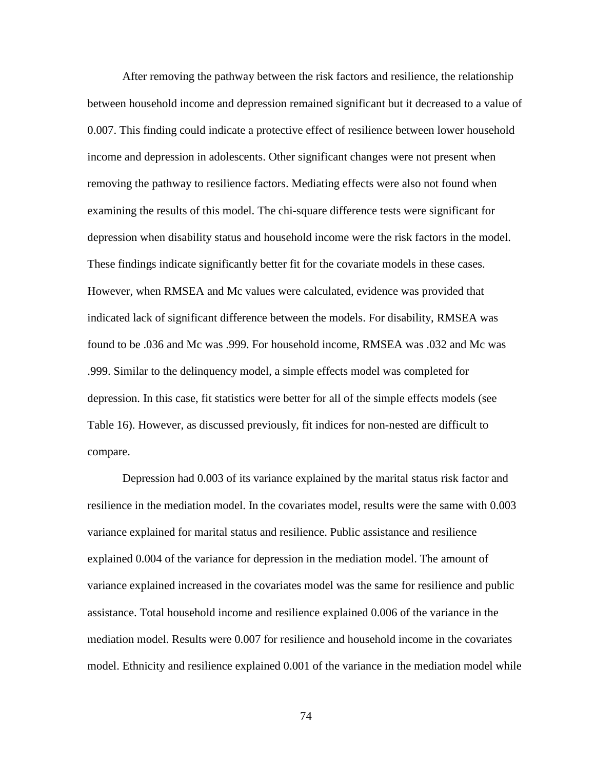After removing the pathway between the risk factors and resilience, the relationship between household income and depression remained significant but it decreased to a value of 0.007. This finding could indicate a protective effect of resilience between lower household income and depression in adolescents. Other significant changes were not present when removing the pathway to resilience factors. Mediating effects were also not found when examining the results of this model. The chi-square difference tests were significant for depression when disability status and household income were the risk factors in the model. These findings indicate significantly better fit for the covariate models in these cases. However, when RMSEA and Mc values were calculated, evidence was provided that indicated lack of significant difference between the models. For disability, RMSEA was found to be .036 and Mc was .999. For household income, RMSEA was .032 and Mc was .999. Similar to the delinquency model, a simple effects model was completed for depression. In this case, fit statistics were better for all of the simple effects models (see Table 16). However, as discussed previously, fit indices for non-nested are difficult to compare.

Depression had 0.003 of its variance explained by the marital status risk factor and resilience in the mediation model. In the covariates model, results were the same with 0.003 variance explained for marital status and resilience. Public assistance and resilience explained 0.004 of the variance for depression in the mediation model. The amount of variance explained increased in the covariates model was the same for resilience and public assistance. Total household income and resilience explained 0.006 of the variance in the mediation model. Results were 0.007 for resilience and household income in the covariates model. Ethnicity and resilience explained 0.001 of the variance in the mediation model while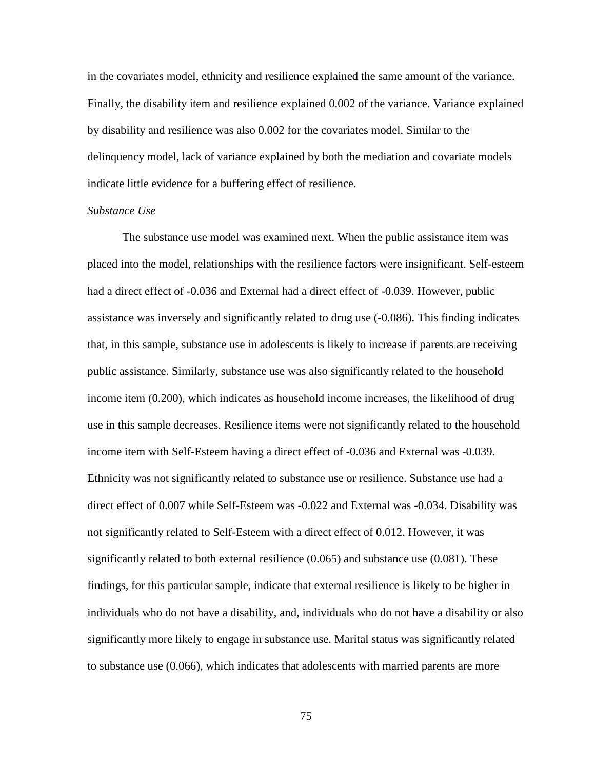in the covariates model, ethnicity and resilience explained the same amount of the variance. Finally, the disability item and resilience explained 0.002 of the variance. Variance explained by disability and resilience was also 0.002 for the covariates model. Similar to the delinquency model, lack of variance explained by both the mediation and covariate models indicate little evidence for a buffering effect of resilience.

## *Substance Use*

The substance use model was examined next. When the public assistance item was placed into the model, relationships with the resilience factors were insignificant. Self-esteem had a direct effect of -0.036 and External had a direct effect of -0.039. However, public assistance was inversely and significantly related to drug use (-0.086). This finding indicates that, in this sample, substance use in adolescents is likely to increase if parents are receiving public assistance. Similarly, substance use was also significantly related to the household income item (0.200), which indicates as household income increases, the likelihood of drug use in this sample decreases. Resilience items were not significantly related to the household income item with Self-Esteem having a direct effect of -0.036 and External was -0.039. Ethnicity was not significantly related to substance use or resilience. Substance use had a direct effect of 0.007 while Self-Esteem was -0.022 and External was -0.034. Disability was not significantly related to Self-Esteem with a direct effect of 0.012. However, it was significantly related to both external resilience  $(0.065)$  and substance use  $(0.081)$ . These findings, for this particular sample, indicate that external resilience is likely to be higher in individuals who do not have a disability, and, individuals who do not have a disability or also significantly more likely to engage in substance use. Marital status was significantly related to substance use (0.066), which indicates that adolescents with married parents are more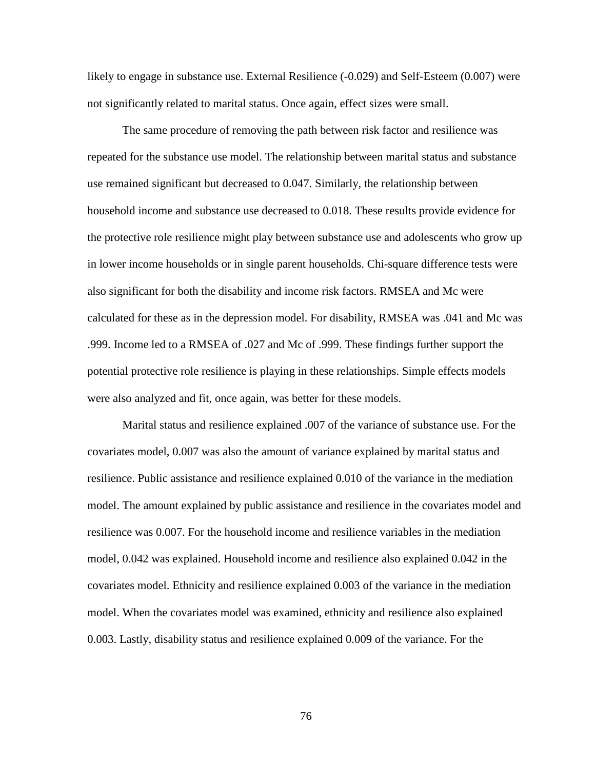likely to engage in substance use. External Resilience (-0.029) and Self-Esteem (0.007) were not significantly related to marital status. Once again, effect sizes were small.

The same procedure of removing the path between risk factor and resilience was repeated for the substance use model. The relationship between marital status and substance use remained significant but decreased to 0.047. Similarly, the relationship between household income and substance use decreased to 0.018. These results provide evidence for the protective role resilience might play between substance use and adolescents who grow up in lower income households or in single parent households. Chi-square difference tests were also significant for both the disability and income risk factors. RMSEA and Mc were calculated for these as in the depression model. For disability, RMSEA was .041 and Mc was .999. Income led to a RMSEA of .027 and Mc of .999. These findings further support the potential protective role resilience is playing in these relationships. Simple effects models were also analyzed and fit, once again, was better for these models.

Marital status and resilience explained .007 of the variance of substance use. For the covariates model, 0.007 was also the amount of variance explained by marital status and resilience. Public assistance and resilience explained 0.010 of the variance in the mediation model. The amount explained by public assistance and resilience in the covariates model and resilience was 0.007. For the household income and resilience variables in the mediation model, 0.042 was explained. Household income and resilience also explained 0.042 in the covariates model. Ethnicity and resilience explained 0.003 of the variance in the mediation model. When the covariates model was examined, ethnicity and resilience also explained 0.003. Lastly, disability status and resilience explained 0.009 of the variance. For the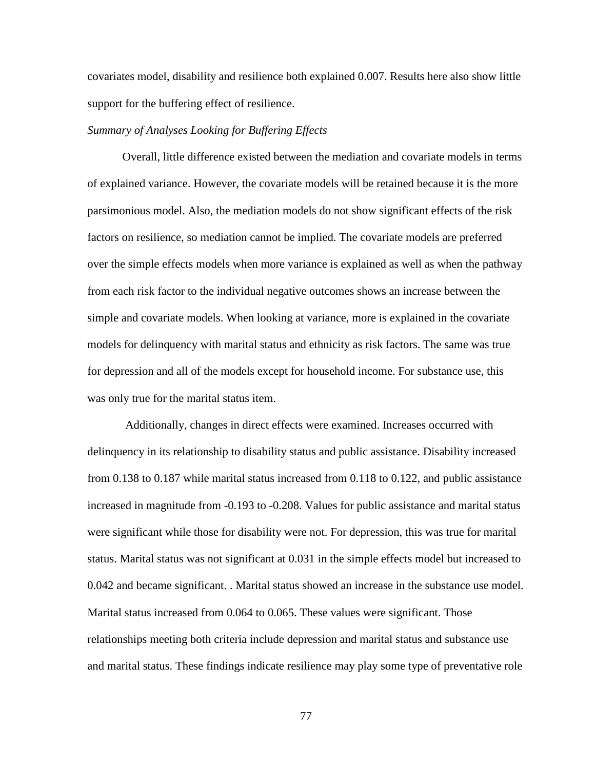covariates model, disability and resilience both explained 0.007. Results here also show little support for the buffering effect of resilience.

#### *Summary of Analyses Looking for Buffering Effects*

Overall, little difference existed between the mediation and covariate models in terms of explained variance. However, the covariate models will be retained because it is the more parsimonious model. Also, the mediation models do not show significant effects of the risk factors on resilience, so mediation cannot be implied. The covariate models are preferred over the simple effects models when more variance is explained as well as when the pathway from each risk factor to the individual negative outcomes shows an increase between the simple and covariate models. When looking at variance, more is explained in the covariate models for delinquency with marital status and ethnicity as risk factors. The same was true for depression and all of the models except for household income. For substance use, this was only true for the marital status item.

 Additionally, changes in direct effects were examined. Increases occurred with delinquency in its relationship to disability status and public assistance. Disability increased from 0.138 to 0.187 while marital status increased from 0.118 to 0.122, and public assistance increased in magnitude from -0.193 to -0.208. Values for public assistance and marital status were significant while those for disability were not. For depression, this was true for marital status. Marital status was not significant at 0.031 in the simple effects model but increased to 0.042 and became significant. . Marital status showed an increase in the substance use model. Marital status increased from 0.064 to 0.065. These values were significant. Those relationships meeting both criteria include depression and marital status and substance use and marital status. These findings indicate resilience may play some type of preventative role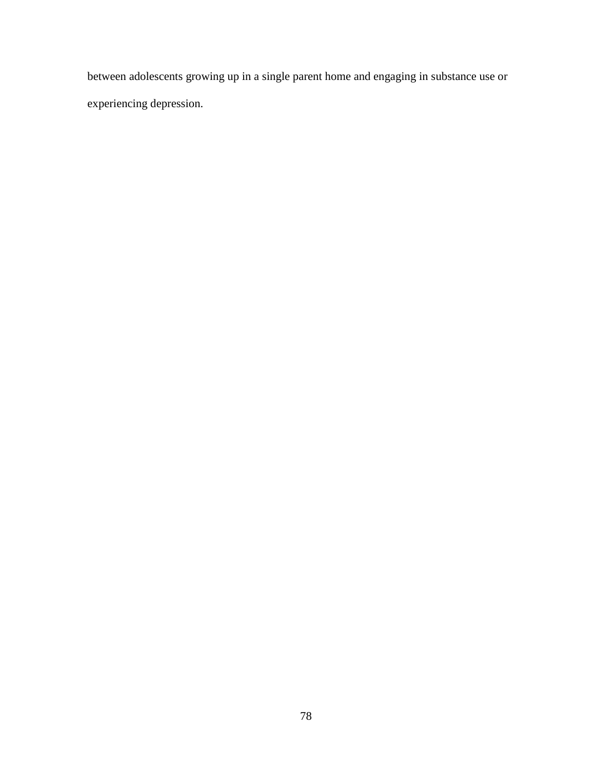between adolescents growing up in a single parent home and engaging in substance use or experiencing depression.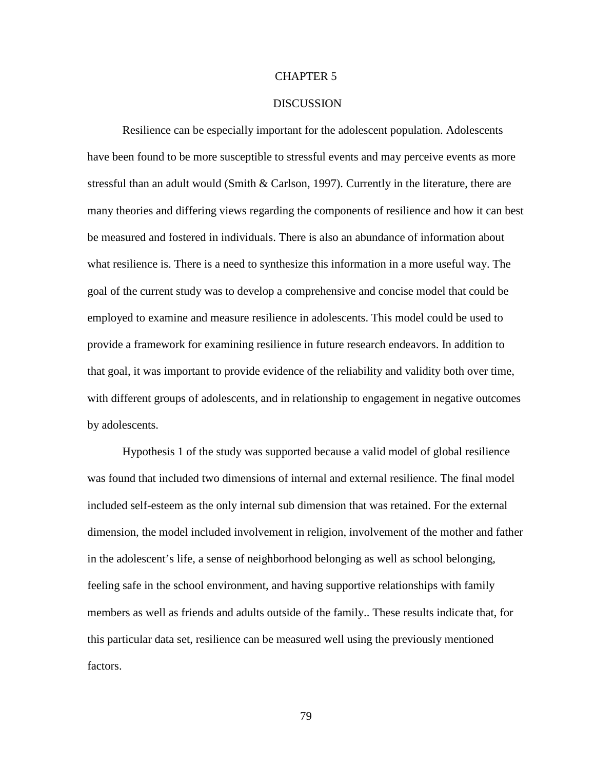#### CHAPTER 5

## **DISCUSSION**

Resilience can be especially important for the adolescent population. Adolescents have been found to be more susceptible to stressful events and may perceive events as more stressful than an adult would (Smith & Carlson, 1997). Currently in the literature, there are many theories and differing views regarding the components of resilience and how it can best be measured and fostered in individuals. There is also an abundance of information about what resilience is. There is a need to synthesize this information in a more useful way. The goal of the current study was to develop a comprehensive and concise model that could be employed to examine and measure resilience in adolescents. This model could be used to provide a framework for examining resilience in future research endeavors. In addition to that goal, it was important to provide evidence of the reliability and validity both over time, with different groups of adolescents, and in relationship to engagement in negative outcomes by adolescents.

Hypothesis 1 of the study was supported because a valid model of global resilience was found that included two dimensions of internal and external resilience. The final model included self-esteem as the only internal sub dimension that was retained. For the external dimension, the model included involvement in religion, involvement of the mother and father in the adolescent's life, a sense of neighborhood belonging as well as school belonging, feeling safe in the school environment, and having supportive relationships with family members as well as friends and adults outside of the family.. These results indicate that, for this particular data set, resilience can be measured well using the previously mentioned factors.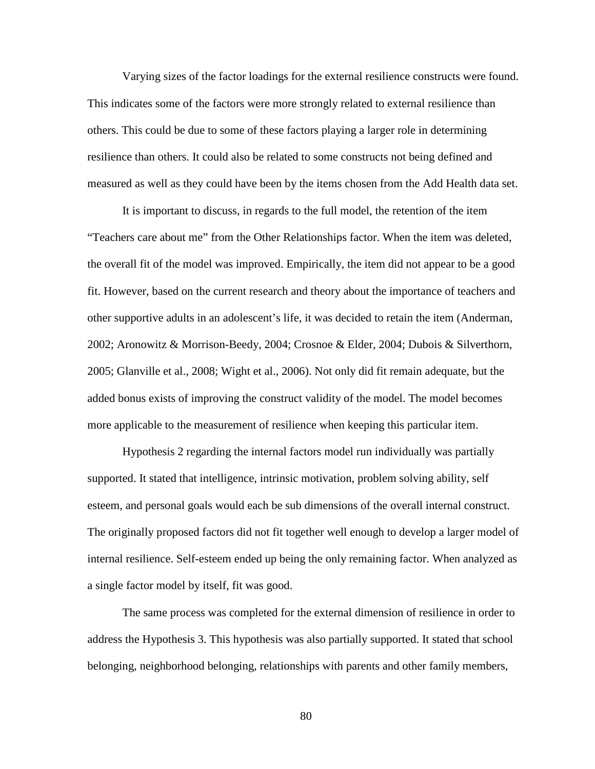Varying sizes of the factor loadings for the external resilience constructs were found. This indicates some of the factors were more strongly related to external resilience than others. This could be due to some of these factors playing a larger role in determining resilience than others. It could also be related to some constructs not being defined and measured as well as they could have been by the items chosen from the Add Health data set.

It is important to discuss, in regards to the full model, the retention of the item "Teachers care about me" from the Other Relationships factor. When the item was deleted, the overall fit of the model was improved. Empirically, the item did not appear to be a good fit. However, based on the current research and theory about the importance of teachers and other supportive adults in an adolescent's life, it was decided to retain the item (Anderman, 2002; Aronowitz & Morrison-Beedy, 2004; Crosnoe & Elder, 2004; Dubois & Silverthorn, 2005; Glanville et al., 2008; Wight et al., 2006). Not only did fit remain adequate, but the added bonus exists of improving the construct validity of the model. The model becomes more applicable to the measurement of resilience when keeping this particular item.

Hypothesis 2 regarding the internal factors model run individually was partially supported. It stated that intelligence, intrinsic motivation, problem solving ability, self esteem, and personal goals would each be sub dimensions of the overall internal construct. The originally proposed factors did not fit together well enough to develop a larger model of internal resilience. Self-esteem ended up being the only remaining factor. When analyzed as a single factor model by itself, fit was good.

The same process was completed for the external dimension of resilience in order to address the Hypothesis 3. This hypothesis was also partially supported. It stated that school belonging, neighborhood belonging, relationships with parents and other family members,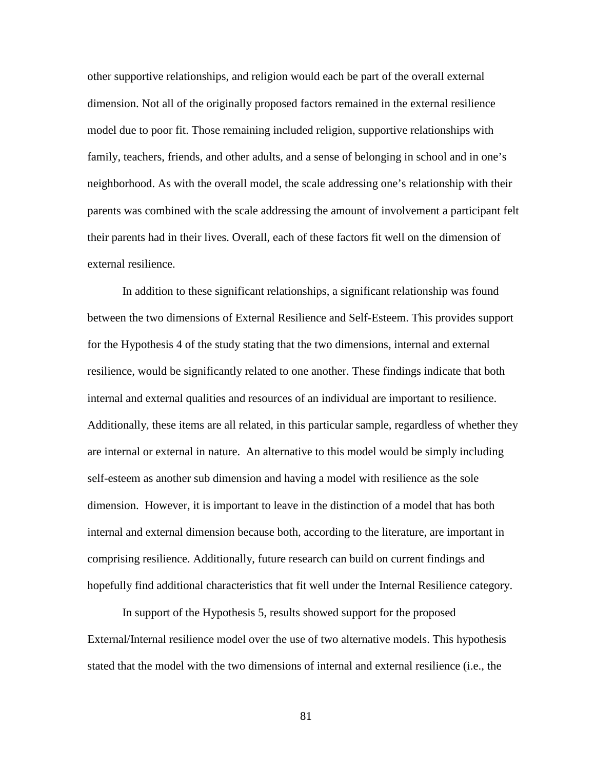other supportive relationships, and religion would each be part of the overall external dimension. Not all of the originally proposed factors remained in the external resilience model due to poor fit. Those remaining included religion, supportive relationships with family, teachers, friends, and other adults, and a sense of belonging in school and in one's neighborhood. As with the overall model, the scale addressing one's relationship with their parents was combined with the scale addressing the amount of involvement a participant felt their parents had in their lives. Overall, each of these factors fit well on the dimension of external resilience.

In addition to these significant relationships, a significant relationship was found between the two dimensions of External Resilience and Self-Esteem. This provides support for the Hypothesis 4 of the study stating that the two dimensions, internal and external resilience, would be significantly related to one another. These findings indicate that both internal and external qualities and resources of an individual are important to resilience. Additionally, these items are all related, in this particular sample, regardless of whether they are internal or external in nature. An alternative to this model would be simply including self-esteem as another sub dimension and having a model with resilience as the sole dimension. However, it is important to leave in the distinction of a model that has both internal and external dimension because both, according to the literature, are important in comprising resilience. Additionally, future research can build on current findings and hopefully find additional characteristics that fit well under the Internal Resilience category.

In support of the Hypothesis 5, results showed support for the proposed External/Internal resilience model over the use of two alternative models. This hypothesis stated that the model with the two dimensions of internal and external resilience (i.e., the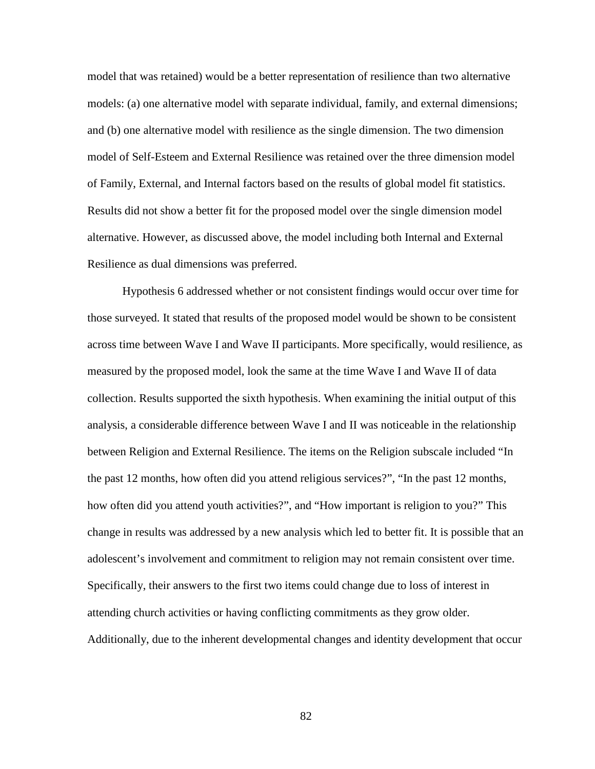model that was retained) would be a better representation of resilience than two alternative models: (a) one alternative model with separate individual, family, and external dimensions; and (b) one alternative model with resilience as the single dimension. The two dimension model of Self-Esteem and External Resilience was retained over the three dimension model of Family, External, and Internal factors based on the results of global model fit statistics. Results did not show a better fit for the proposed model over the single dimension model alternative. However, as discussed above, the model including both Internal and External Resilience as dual dimensions was preferred.

Hypothesis 6 addressed whether or not consistent findings would occur over time for those surveyed. It stated that results of the proposed model would be shown to be consistent across time between Wave I and Wave II participants. More specifically, would resilience, as measured by the proposed model, look the same at the time Wave I and Wave II of data collection. Results supported the sixth hypothesis. When examining the initial output of this analysis, a considerable difference between Wave I and II was noticeable in the relationship between Religion and External Resilience. The items on the Religion subscale included "In the past 12 months, how often did you attend religious services?", "In the past 12 months, how often did you attend youth activities?", and "How important is religion to you?" This change in results was addressed by a new analysis which led to better fit. It is possible that an adolescent's involvement and commitment to religion may not remain consistent over time. Specifically, their answers to the first two items could change due to loss of interest in attending church activities or having conflicting commitments as they grow older. Additionally, due to the inherent developmental changes and identity development that occur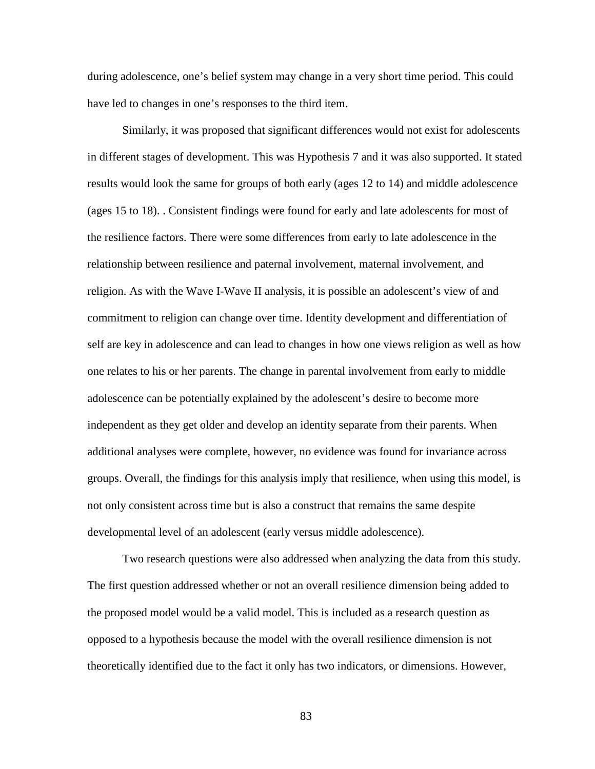during adolescence, one's belief system may change in a very short time period. This could have led to changes in one's responses to the third item.

Similarly, it was proposed that significant differences would not exist for adolescents in different stages of development. This was Hypothesis 7 and it was also supported. It stated results would look the same for groups of both early (ages 12 to 14) and middle adolescence (ages 15 to 18). . Consistent findings were found for early and late adolescents for most of the resilience factors. There were some differences from early to late adolescence in the relationship between resilience and paternal involvement, maternal involvement, and religion. As with the Wave I-Wave II analysis, it is possible an adolescent's view of and commitment to religion can change over time. Identity development and differentiation of self are key in adolescence and can lead to changes in how one views religion as well as how one relates to his or her parents. The change in parental involvement from early to middle adolescence can be potentially explained by the adolescent's desire to become more independent as they get older and develop an identity separate from their parents. When additional analyses were complete, however, no evidence was found for invariance across groups. Overall, the findings for this analysis imply that resilience, when using this model, is not only consistent across time but is also a construct that remains the same despite developmental level of an adolescent (early versus middle adolescence).

Two research questions were also addressed when analyzing the data from this study. The first question addressed whether or not an overall resilience dimension being added to the proposed model would be a valid model. This is included as a research question as opposed to a hypothesis because the model with the overall resilience dimension is not theoretically identified due to the fact it only has two indicators, or dimensions. However,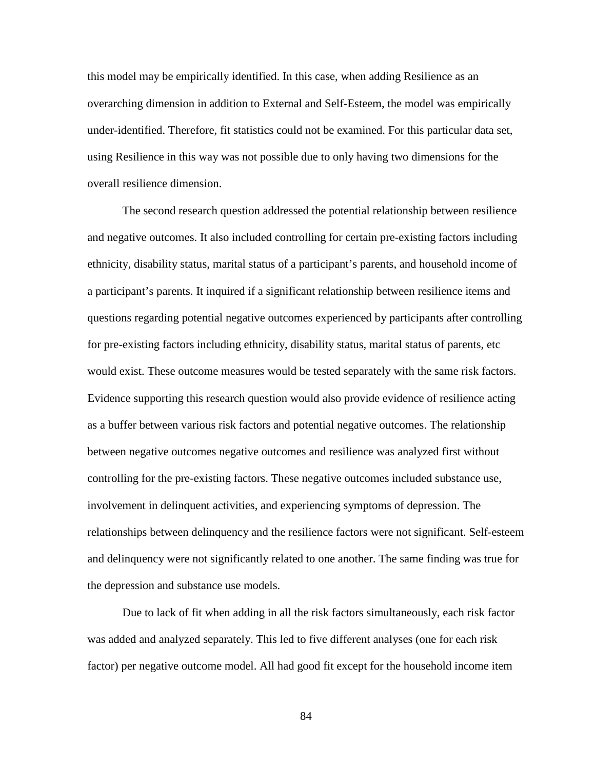this model may be empirically identified. In this case, when adding Resilience as an overarching dimension in addition to External and Self-Esteem, the model was empirically under-identified. Therefore, fit statistics could not be examined. For this particular data set, using Resilience in this way was not possible due to only having two dimensions for the overall resilience dimension.

The second research question addressed the potential relationship between resilience and negative outcomes. It also included controlling for certain pre-existing factors including ethnicity, disability status, marital status of a participant's parents, and household income of a participant's parents. It inquired if a significant relationship between resilience items and questions regarding potential negative outcomes experienced by participants after controlling for pre-existing factors including ethnicity, disability status, marital status of parents, etc would exist. These outcome measures would be tested separately with the same risk factors. Evidence supporting this research question would also provide evidence of resilience acting as a buffer between various risk factors and potential negative outcomes. The relationship between negative outcomes negative outcomes and resilience was analyzed first without controlling for the pre-existing factors. These negative outcomes included substance use, involvement in delinquent activities, and experiencing symptoms of depression. The relationships between delinquency and the resilience factors were not significant. Self-esteem and delinquency were not significantly related to one another. The same finding was true for the depression and substance use models.

 Due to lack of fit when adding in all the risk factors simultaneously, each risk factor was added and analyzed separately. This led to five different analyses (one for each risk factor) per negative outcome model. All had good fit except for the household income item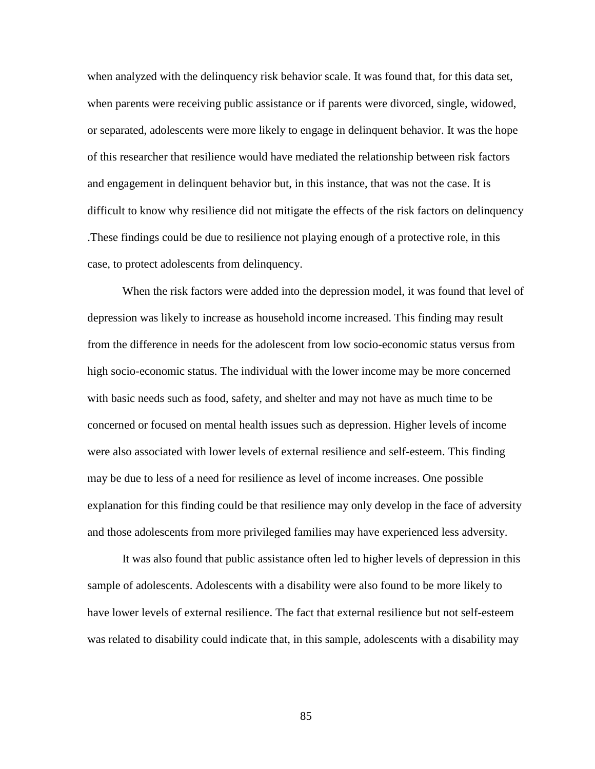when analyzed with the delinquency risk behavior scale. It was found that, for this data set, when parents were receiving public assistance or if parents were divorced, single, widowed, or separated, adolescents were more likely to engage in delinquent behavior. It was the hope of this researcher that resilience would have mediated the relationship between risk factors and engagement in delinquent behavior but, in this instance, that was not the case. It is difficult to know why resilience did not mitigate the effects of the risk factors on delinquency .These findings could be due to resilience not playing enough of a protective role, in this case, to protect adolescents from delinquency.

When the risk factors were added into the depression model, it was found that level of depression was likely to increase as household income increased. This finding may result from the difference in needs for the adolescent from low socio-economic status versus from high socio-economic status. The individual with the lower income may be more concerned with basic needs such as food, safety, and shelter and may not have as much time to be concerned or focused on mental health issues such as depression. Higher levels of income were also associated with lower levels of external resilience and self-esteem. This finding may be due to less of a need for resilience as level of income increases. One possible explanation for this finding could be that resilience may only develop in the face of adversity and those adolescents from more privileged families may have experienced less adversity.

It was also found that public assistance often led to higher levels of depression in this sample of adolescents. Adolescents with a disability were also found to be more likely to have lower levels of external resilience. The fact that external resilience but not self-esteem was related to disability could indicate that, in this sample, adolescents with a disability may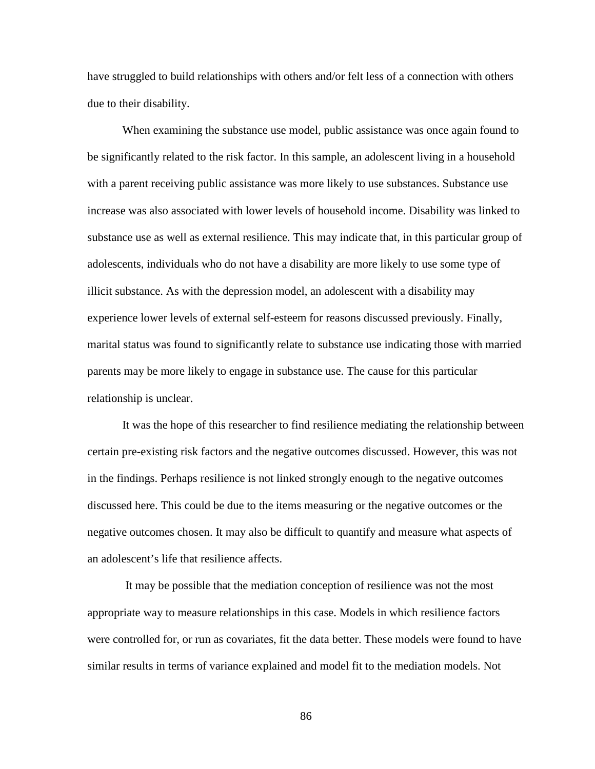have struggled to build relationships with others and/or felt less of a connection with others due to their disability.

When examining the substance use model, public assistance was once again found to be significantly related to the risk factor. In this sample, an adolescent living in a household with a parent receiving public assistance was more likely to use substances. Substance use increase was also associated with lower levels of household income. Disability was linked to substance use as well as external resilience. This may indicate that, in this particular group of adolescents, individuals who do not have a disability are more likely to use some type of illicit substance. As with the depression model, an adolescent with a disability may experience lower levels of external self-esteem for reasons discussed previously. Finally, marital status was found to significantly relate to substance use indicating those with married parents may be more likely to engage in substance use. The cause for this particular relationship is unclear.

It was the hope of this researcher to find resilience mediating the relationship between certain pre-existing risk factors and the negative outcomes discussed. However, this was not in the findings. Perhaps resilience is not linked strongly enough to the negative outcomes discussed here. This could be due to the items measuring or the negative outcomes or the negative outcomes chosen. It may also be difficult to quantify and measure what aspects of an adolescent's life that resilience affects.

 It may be possible that the mediation conception of resilience was not the most appropriate way to measure relationships in this case. Models in which resilience factors were controlled for, or run as covariates, fit the data better. These models were found to have similar results in terms of variance explained and model fit to the mediation models. Not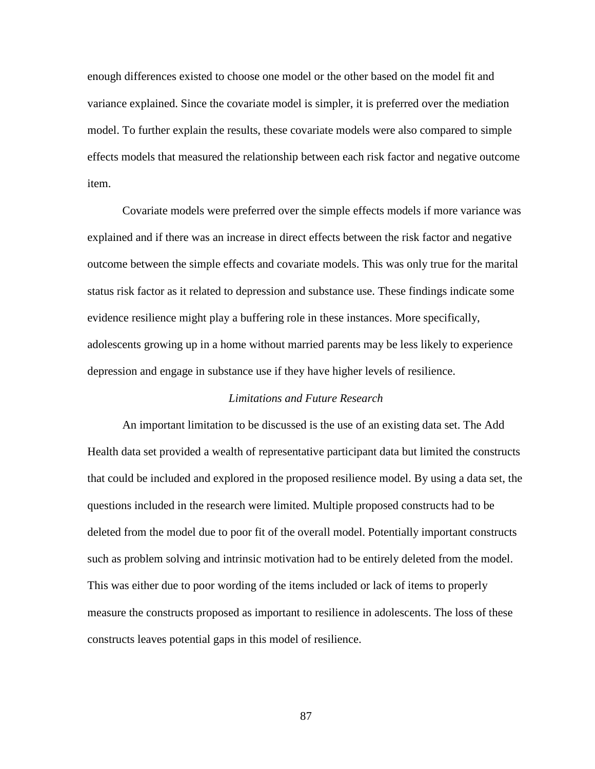enough differences existed to choose one model or the other based on the model fit and variance explained. Since the covariate model is simpler, it is preferred over the mediation model. To further explain the results, these covariate models were also compared to simple effects models that measured the relationship between each risk factor and negative outcome item.

Covariate models were preferred over the simple effects models if more variance was explained and if there was an increase in direct effects between the risk factor and negative outcome between the simple effects and covariate models. This was only true for the marital status risk factor as it related to depression and substance use. These findings indicate some evidence resilience might play a buffering role in these instances. More specifically, adolescents growing up in a home without married parents may be less likely to experience depression and engage in substance use if they have higher levels of resilience.

## *Limitations and Future Research*

An important limitation to be discussed is the use of an existing data set. The Add Health data set provided a wealth of representative participant data but limited the constructs that could be included and explored in the proposed resilience model. By using a data set, the questions included in the research were limited. Multiple proposed constructs had to be deleted from the model due to poor fit of the overall model. Potentially important constructs such as problem solving and intrinsic motivation had to be entirely deleted from the model. This was either due to poor wording of the items included or lack of items to properly measure the constructs proposed as important to resilience in adolescents. The loss of these constructs leaves potential gaps in this model of resilience.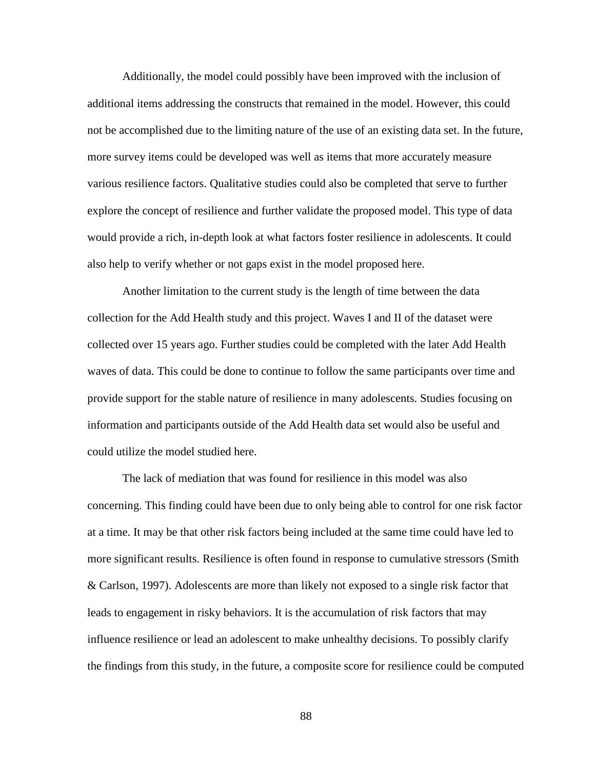Additionally, the model could possibly have been improved with the inclusion of additional items addressing the constructs that remained in the model. However, this could not be accomplished due to the limiting nature of the use of an existing data set. In the future, more survey items could be developed was well as items that more accurately measure various resilience factors. Qualitative studies could also be completed that serve to further explore the concept of resilience and further validate the proposed model. This type of data would provide a rich, in-depth look at what factors foster resilience in adolescents. It could also help to verify whether or not gaps exist in the model proposed here.

 Another limitation to the current study is the length of time between the data collection for the Add Health study and this project. Waves I and II of the dataset were collected over 15 years ago. Further studies could be completed with the later Add Health waves of data. This could be done to continue to follow the same participants over time and provide support for the stable nature of resilience in many adolescents. Studies focusing on information and participants outside of the Add Health data set would also be useful and could utilize the model studied here.

 The lack of mediation that was found for resilience in this model was also concerning. This finding could have been due to only being able to control for one risk factor at a time. It may be that other risk factors being included at the same time could have led to more significant results. Resilience is often found in response to cumulative stressors (Smith & Carlson, 1997). Adolescents are more than likely not exposed to a single risk factor that leads to engagement in risky behaviors. It is the accumulation of risk factors that may influence resilience or lead an adolescent to make unhealthy decisions. To possibly clarify the findings from this study, in the future, a composite score for resilience could be computed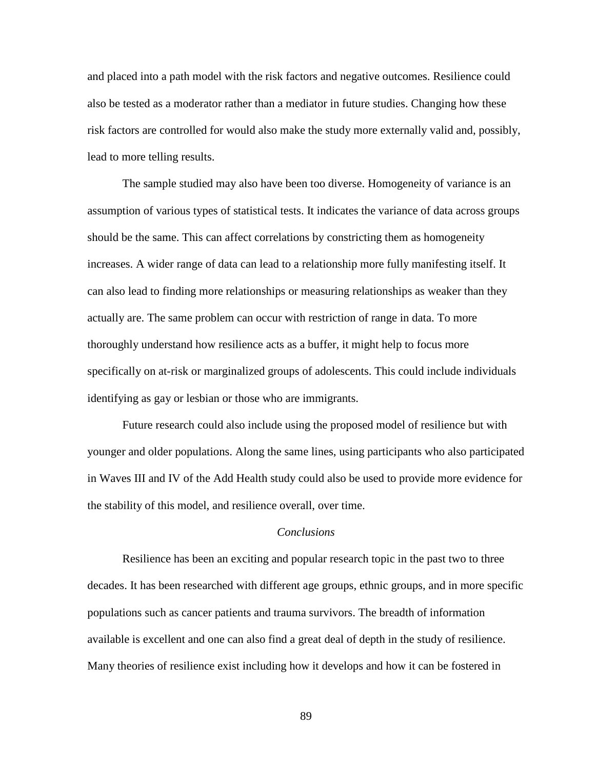and placed into a path model with the risk factors and negative outcomes. Resilience could also be tested as a moderator rather than a mediator in future studies. Changing how these risk factors are controlled for would also make the study more externally valid and, possibly, lead to more telling results.

The sample studied may also have been too diverse. Homogeneity of variance is an assumption of various types of statistical tests. It indicates the variance of data across groups should be the same. This can affect correlations by constricting them as homogeneity increases. A wider range of data can lead to a relationship more fully manifesting itself. It can also lead to finding more relationships or measuring relationships as weaker than they actually are. The same problem can occur with restriction of range in data. To more thoroughly understand how resilience acts as a buffer, it might help to focus more specifically on at-risk or marginalized groups of adolescents. This could include individuals identifying as gay or lesbian or those who are immigrants.

Future research could also include using the proposed model of resilience but with younger and older populations. Along the same lines, using participants who also participated in Waves III and IV of the Add Health study could also be used to provide more evidence for the stability of this model, and resilience overall, over time.

## *Conclusions*

Resilience has been an exciting and popular research topic in the past two to three decades. It has been researched with different age groups, ethnic groups, and in more specific populations such as cancer patients and trauma survivors. The breadth of information available is excellent and one can also find a great deal of depth in the study of resilience. Many theories of resilience exist including how it develops and how it can be fostered in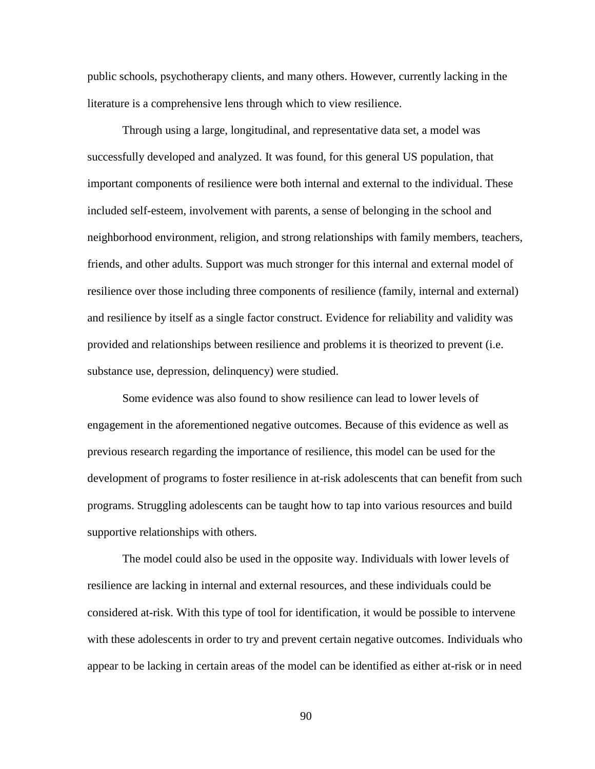public schools, psychotherapy clients, and many others. However, currently lacking in the literature is a comprehensive lens through which to view resilience.

Through using a large, longitudinal, and representative data set, a model was successfully developed and analyzed. It was found, for this general US population, that important components of resilience were both internal and external to the individual. These included self-esteem, involvement with parents, a sense of belonging in the school and neighborhood environment, religion, and strong relationships with family members, teachers, friends, and other adults. Support was much stronger for this internal and external model of resilience over those including three components of resilience (family, internal and external) and resilience by itself as a single factor construct. Evidence for reliability and validity was provided and relationships between resilience and problems it is theorized to prevent (i.e. substance use, depression, delinquency) were studied.

Some evidence was also found to show resilience can lead to lower levels of engagement in the aforementioned negative outcomes. Because of this evidence as well as previous research regarding the importance of resilience, this model can be used for the development of programs to foster resilience in at-risk adolescents that can benefit from such programs. Struggling adolescents can be taught how to tap into various resources and build supportive relationships with others.

The model could also be used in the opposite way. Individuals with lower levels of resilience are lacking in internal and external resources, and these individuals could be considered at-risk. With this type of tool for identification, it would be possible to intervene with these adolescents in order to try and prevent certain negative outcomes. Individuals who appear to be lacking in certain areas of the model can be identified as either at-risk or in need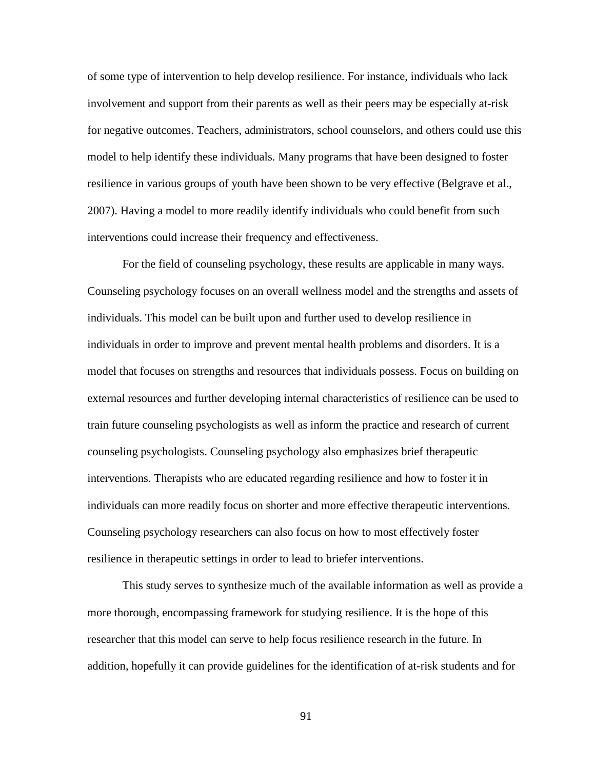of some type of intervention to help develop resilience. For instance, individuals who lack involvement and support from their parents as well as their peers may be especially at-risk for negative outcomes. Teachers, administrators, school counselors, and others could use this model to help identify these individuals. Many programs that have been designed to foster resilience in various groups of youth have been shown to be very effective (Belgrave et al., 2007). Having a model to more readily identify individuals who could benefit from such interventions could increase their frequency and effectiveness.

For the field of counseling psychology, these results are applicable in many ways. Counseling psychology focuses on an overall wellness model and the strengths and assets of individuals. This model can be built upon and further used to develop resilience in individuals in order to improve and prevent mental health problems and disorders. It is a model that focuses on strengths and resources that individuals possess. Focus on building on external resources and further developing internal characteristics of resilience can be used to train future counseling psychologists as well as inform the practice and research of current counseling psychologists. Counseling psychology also emphasizes brief therapeutic interventions. Therapists who are educated regarding resilience and how to foster it in individuals can more readily focus on shorter and more effective therapeutic interventions. Counseling psychology researchers can also focus on how to most effectively foster resilience in therapeutic settings in order to lead to briefer interventions.

This study serves to synthesize much of the available information as well as provide a more thorough, encompassing framework for studying resilience. It is the hope of this researcher that this model can serve to help focus resilience research in the future. In addition, hopefully it can provide guidelines for the identification of at-risk students and for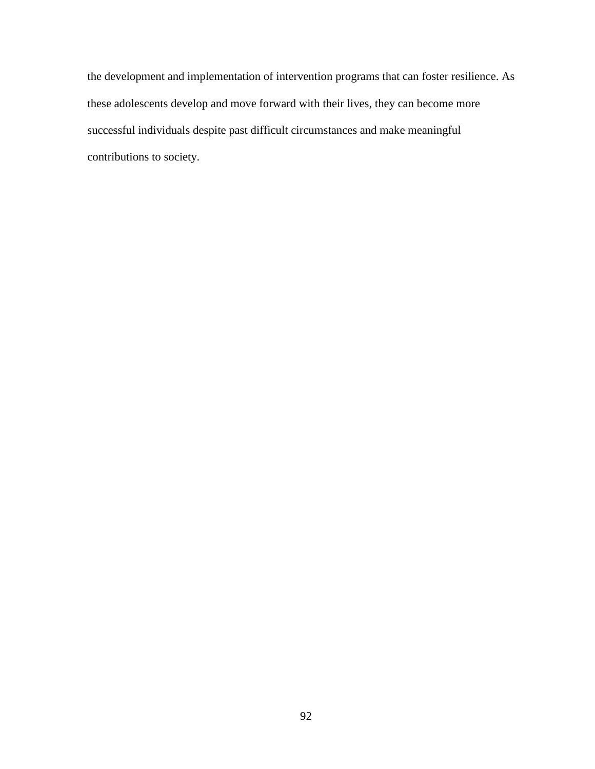the development and implementation of intervention programs that can foster resilience. As these adolescents develop and move forward with their lives, they can become more successful individuals despite past difficult circumstances and make meaningful contributions to society.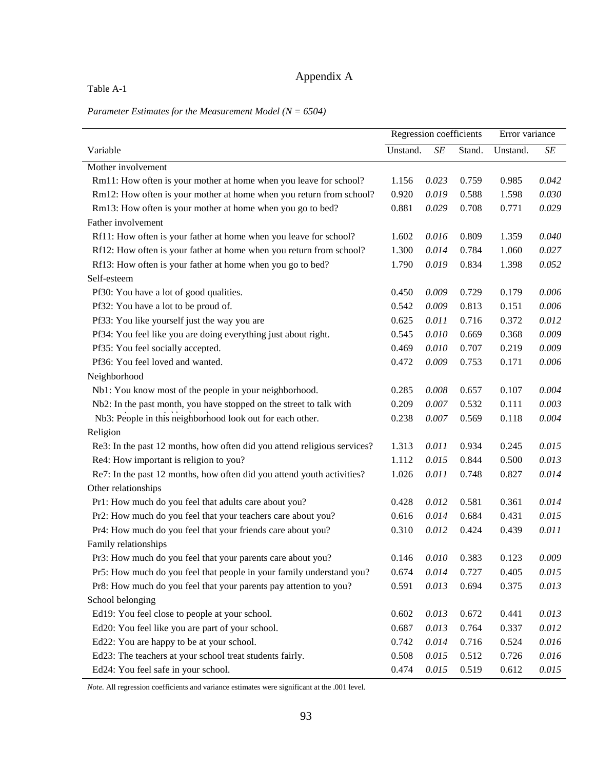# Appendix A

Table A-1

*Parameter Estimates for the Measurement Model (N = 6504)*

|                                                                          | Regression coefficients |           | Error variance |          |           |
|--------------------------------------------------------------------------|-------------------------|-----------|----------------|----------|-----------|
| Variable                                                                 | Unstand.                | $\cal SE$ | Stand.         | Unstand. | $\cal SE$ |
| Mother involvement                                                       |                         |           |                |          |           |
| Rm11: How often is your mother at home when you leave for school?        | 1.156                   | 0.023     | 0.759          | 0.985    | 0.042     |
| Rm12: How often is your mother at home when you return from school?      | 0.920                   | 0.019     | 0.588          | 1.598    | 0.030     |
| Rm13: How often is your mother at home when you go to bed?               | 0.881                   | 0.029     | 0.708          | 0.771    | 0.029     |
| Father involvement                                                       |                         |           |                |          |           |
| Rf11: How often is your father at home when you leave for school?        | 1.602                   | 0.016     | 0.809          | 1.359    | 0.040     |
| Rf12: How often is your father at home when you return from school?      | 1.300                   | 0.014     | 0.784          | 1.060    | 0.027     |
| Rf13: How often is your father at home when you go to bed?               | 1.790                   | 0.019     | 0.834          | 1.398    | 0.052     |
| Self-esteem                                                              |                         |           |                |          |           |
| Pf30: You have a lot of good qualities.                                  | 0.450                   | 0.009     | 0.729          | 0.179    | 0.006     |
| Pf32: You have a lot to be proud of.                                     | 0.542                   | 0.009     | 0.813          | 0.151    | 0.006     |
| Pf33: You like yourself just the way you are                             | 0.625                   | 0.011     | 0.716          | 0.372    | 0.012     |
| Pf34: You feel like you are doing everything just about right.           | 0.545                   | 0.010     | 0.669          | 0.368    | 0.009     |
| Pf35: You feel socially accepted.                                        | 0.469                   | 0.010     | 0.707          | 0.219    | 0.009     |
| Pf36: You feel loved and wanted.                                         | 0.472                   | 0.009     | 0.753          | 0.171    | 0.006     |
| Neighborhood                                                             |                         |           |                |          |           |
| Nb1: You know most of the people in your neighborhood.                   | 0.285                   | 0.008     | 0.657          | 0.107    | 0.004     |
| Nb2: In the past month, you have stopped on the street to talk with      | 0.209                   | 0.007     | 0.532          | 0.111    | 0.003     |
| Nb3: People in this neighborhood look out for each other.                | 0.238                   | 0.007     | 0.569          | 0.118    | 0.004     |
| Religion                                                                 |                         |           |                |          |           |
| Re3: In the past 12 months, how often did you attend religious services? | 1.313                   | 0.011     | 0.934          | 0.245    | 0.015     |
| Re4: How important is religion to you?                                   | 1.112                   | 0.015     | 0.844          | 0.500    | 0.013     |
| Re7: In the past 12 months, how often did you attend youth activities?   | 1.026                   | 0.011     | 0.748          | 0.827    | 0.014     |
| Other relationships                                                      |                         |           |                |          |           |
| Pr1: How much do you feel that adults care about you?                    | 0.428                   | 0.012     | 0.581          | 0.361    | 0.014     |
| Pr2: How much do you feel that your teachers care about you?             | 0.616                   | 0.014     | 0.684          | 0.431    | 0.015     |
| Pr4: How much do you feel that your friends care about you?              | 0.310                   | 0.012     | 0.424          | 0.439    | 0.011     |
| Family relationships                                                     |                         |           |                |          |           |
| Pr3: How much do you feel that your parents care about you?              | 0.146                   | 0.010     | 0.383          | 0.123    | 0.009     |
| Pr5: How much do you feel that people in your family understand you?     | 0.674                   | 0.014     | 0.727          | 0.405    | 0.015     |
| Pr8: How much do you feel that your parents pay attention to you?        | 0.591                   | 0.013     | 0.694          | 0.375    | 0.013     |
| School belonging                                                         |                         |           |                |          |           |
| Ed19: You feel close to people at your school.                           | 0.602                   | 0.013     | 0.672          | 0.441    | 0.013     |
| Ed20: You feel like you are part of your school.                         | 0.687                   | 0.013     | 0.764          | 0.337    | 0.012     |
| Ed22: You are happy to be at your school.                                | 0.742                   | 0.014     | 0.716          | 0.524    | 0.016     |
| Ed23: The teachers at your school treat students fairly.                 | 0.508                   | 0.015     | 0.512          | 0.726    | 0.016     |
| Ed24: You feel safe in your school.                                      | 0.474                   | 0.015     | 0.519          | 0.612    | 0.015     |

*Note.* All regression coefficients and variance estimates were significant at the .001 level.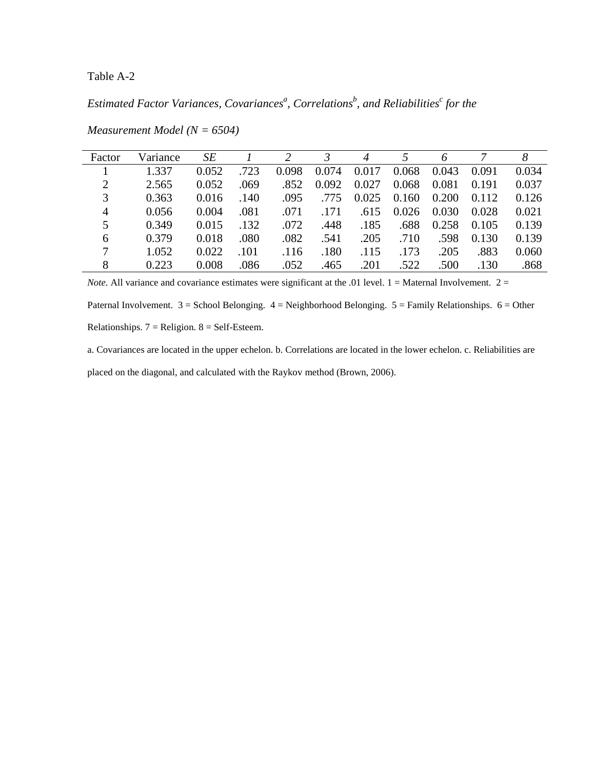Table A-2

*Estimated Factor Variances, Covariances<sup>a</sup> , Correlations<sup>b</sup> , and Reliabilities<sup>c</sup> for the* 

| Factor         | Variance | SE    |      | $\mathcal{L}$ | 3     | 4     |       | 6     |       | 8     |
|----------------|----------|-------|------|---------------|-------|-------|-------|-------|-------|-------|
|                | 1.337    | 0.052 | .723 | 0.098         | 0.074 | 0.017 | 0.068 | 0.043 | 0.091 | 0.034 |
| 2              | 2.565    | 0.052 | .069 | .852          | 0.092 | 0.027 | 0.068 | 0.081 | 0.191 | 0.037 |
| 3              | 0.363    | 0.016 | .140 | .095          | .775  | 0.025 | 0.160 | 0.200 | 0.112 | 0.126 |
| $\overline{4}$ | 0.056    | 0.004 | .081 | .071          | .171  | .615  | 0.026 | 0.030 | 0.028 | 0.021 |
| 5              | 0.349    | 0.015 | .132 | .072          | .448  | .185  | .688  | 0.258 | 0.105 | 0.139 |
| 6              | 0.379    | 0.018 | .080 | .082          | .541  | .205  | .710  | .598  | 0.130 | 0.139 |
| 7              | 1.052    | 0.022 | .101 | .116          | .180  | .115  | .173  | .205  | .883  | 0.060 |
| 8              | 0.223    | 0.008 | .086 | .052          | .465  | .201  | .522  | .500  | .130  | .868  |

*Measurement Model (N = 6504)* 

*Note.* All variance and covariance estimates were significant at the .01 level. 1 = Maternal Involvement. 2 = Paternal Involvement.  $3 =$  School Belonging.  $4 =$  Neighborhood Belonging.  $5 =$  Family Relationships.  $6 =$  Other Relationships.  $7 =$  Religion.  $8 =$  Self-Esteem.

a. Covariances are located in the upper echelon. b. Correlations are located in the lower echelon. c. Reliabilities are placed on the diagonal, and calculated with the Raykov method (Brown, 2006).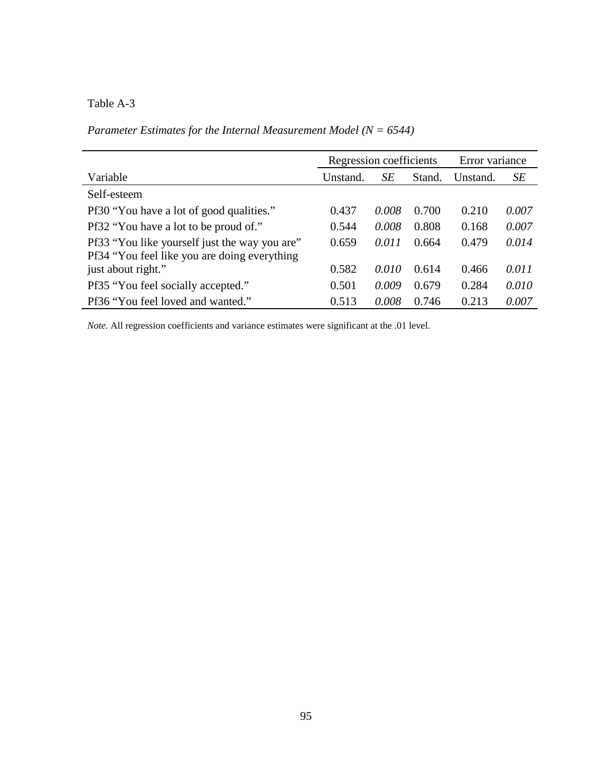# Table A-3

# *Parameter Estimates for the Internal Measurement Model (N = 6544)*

|                                                                                               | Regression coefficients |       |        | Error variance |       |  |
|-----------------------------------------------------------------------------------------------|-------------------------|-------|--------|----------------|-------|--|
| Variable                                                                                      | Unstand.                | SE    | Stand. | Unstand.       | SE    |  |
| Self-esteem                                                                                   |                         |       |        |                |       |  |
| Pf30 "You have a lot of good qualities."                                                      | 0.437                   | 0.008 | 0.700  | 0.210          | 0.007 |  |
| Pf32 "You have a lot to be proud of."                                                         | 0.544                   | 0.008 | 0.808  | 0.168          | 0.007 |  |
| Pf33 "You like yourself just the way you are"<br>Pf34 "You feel like you are doing everything | 0.659                   | 0.011 | 0.664  | 0.479          | 0.014 |  |
| just about right."                                                                            | 0.582                   | 0.010 | 0.614  | 0.466          | 0.011 |  |
| Pf35 "You feel socially accepted."                                                            | 0.501                   | 0.009 | 0.679  | 0.284          | 0.010 |  |
| Pf36 "You feel loved and wanted."                                                             | 0.513                   | 0.008 | 0.746  | 0.213          | 0.007 |  |

*Note.* All regression coefficients and variance estimates were significant at the .01 level.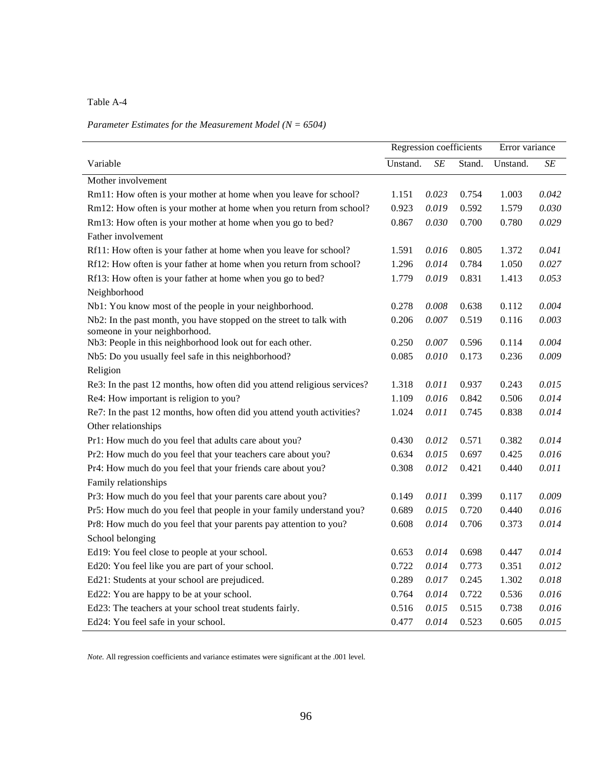Table A-4

# *Parameter Estimates for the Measurement Model (N = 6504)*

|                                                                          | Regression coefficients |           |        | Error variance |           |
|--------------------------------------------------------------------------|-------------------------|-----------|--------|----------------|-----------|
| Variable                                                                 | Unstand.                | $\cal SE$ | Stand. | Unstand.       | $\cal SE$ |
| Mother involvement                                                       |                         |           |        |                |           |
| Rm11: How often is your mother at home when you leave for school?        | 1.151                   | 0.023     | 0.754  | 1.003          | 0.042     |
| Rm12: How often is your mother at home when you return from school?      | 0.923                   | 0.019     | 0.592  | 1.579          | 0.030     |
| Rm13: How often is your mother at home when you go to bed?               | 0.867                   | 0.030     | 0.700  | 0.780          | 0.029     |
| Father involvement                                                       |                         |           |        |                |           |
| Rf11: How often is your father at home when you leave for school?        | 1.591                   | 0.016     | 0.805  | 1.372          | 0.041     |
| Rf12: How often is your father at home when you return from school?      | 1.296                   | 0.014     | 0.784  | 1.050          | 0.027     |
| Rf13: How often is your father at home when you go to bed?               | 1.779                   | 0.019     | 0.831  | 1.413          | 0.053     |
| Neighborhood                                                             |                         |           |        |                |           |
| Nb1: You know most of the people in your neighborhood.                   | 0.278                   | 0.008     | 0.638  | 0.112          | 0.004     |
| Nb2: In the past month, you have stopped on the street to talk with      | 0.206                   | 0.007     | 0.519  | 0.116          | 0.003     |
| someone in your neighborhood.                                            |                         |           |        |                |           |
| Nb3: People in this neighborhood look out for each other.                | 0.250                   | 0.007     | 0.596  | 0.114          | 0.004     |
| Nb5: Do you usually feel safe in this neighborhood?                      | 0.085                   | 0.010     | 0.173  | 0.236          | 0.009     |
| Religion                                                                 |                         |           |        |                |           |
| Re3: In the past 12 months, how often did you attend religious services? | 1.318                   | 0.011     | 0.937  | 0.243          | 0.015     |
| Re4: How important is religion to you?                                   | 1.109                   | 0.016     | 0.842  | 0.506          | 0.014     |
| Re7: In the past 12 months, how often did you attend youth activities?   | 1.024                   | 0.011     | 0.745  | 0.838          | 0.014     |
| Other relationships                                                      |                         |           |        |                |           |
| Pr1: How much do you feel that adults care about you?                    | 0.430                   | 0.012     | 0.571  | 0.382          | 0.014     |
| Pr2: How much do you feel that your teachers care about you?             | 0.634                   | 0.015     | 0.697  | 0.425          | 0.016     |
| Pr4: How much do you feel that your friends care about you?              | 0.308                   | 0.012     | 0.421  | 0.440          | 0.011     |
| Family relationships                                                     |                         |           |        |                |           |
| Pr3: How much do you feel that your parents care about you?              | 0.149                   | 0.011     | 0.399  | 0.117          | 0.009     |
| Pr5: How much do you feel that people in your family understand you?     | 0.689                   | 0.015     | 0.720  | 0.440          | 0.016     |
| Pr8: How much do you feel that your parents pay attention to you?        | 0.608                   | 0.014     | 0.706  | 0.373          | 0.014     |
| School belonging                                                         |                         |           |        |                |           |
| Ed19: You feel close to people at your school.                           | 0.653                   | 0.014     | 0.698  | 0.447          | 0.014     |
| Ed20: You feel like you are part of your school.                         | 0.722                   | 0.014     | 0.773  | 0.351          | 0.012     |
| Ed21: Students at your school are prejudiced.                            | 0.289                   | 0.017     | 0.245  | 1.302          | 0.018     |
| Ed22: You are happy to be at your school.                                | 0.764                   | 0.014     | 0.722  | 0.536          | 0.016     |
| Ed23: The teachers at your school treat students fairly.                 | 0.516                   | 0.015     | 0.515  | 0.738          | 0.016     |
| Ed24: You feel safe in your school.                                      | 0.477                   | 0.014     | 0.523  | 0.605          | 0.015     |

*Note.* All regression coefficients and variance estimates were significant at the .001 level.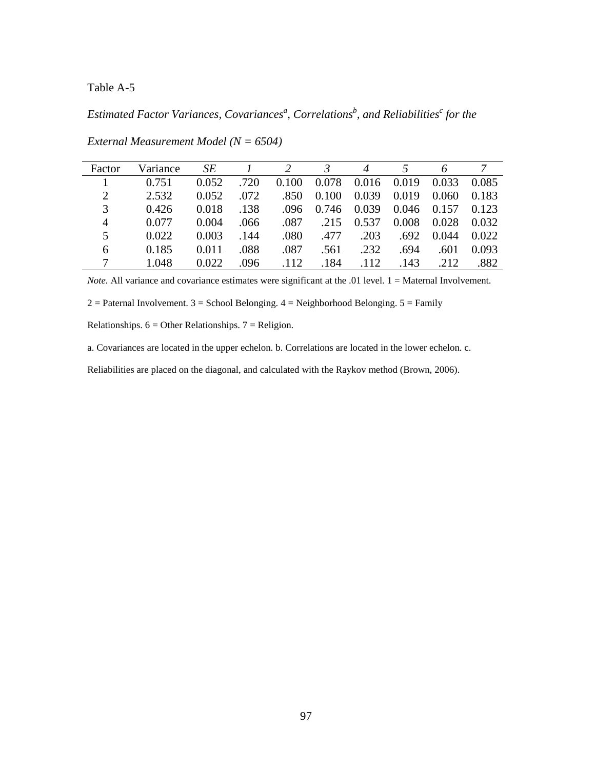# Table A-5

*Estimated Factor Variances, Covariances<sup>a</sup> , Correlations<sup>b</sup> , and Reliabilities<sup>c</sup> for the* 

| Factor         | Variance | <b>SE</b> |      |       | 3     | 4     |       | 6     |       |
|----------------|----------|-----------|------|-------|-------|-------|-------|-------|-------|
|                | 0.751    | 0.052     | .720 | 0.100 | 0.078 | 0.016 | 0.019 | 0.033 | 0.085 |
| $\overline{2}$ | 2.532    | 0.052     | .072 | .850  | 0.100 | 0.039 | 0.019 | 0.060 | 0.183 |
| 3              | 0.426    | 0.018     | .138 | .096  | 0.746 | 0.039 | 0.046 | 0.157 | 0.123 |
| $\overline{4}$ | 0.077    | 0.004     | .066 | .087  | .215  | 0.537 | 0.008 | 0.028 | 0.032 |
| 5              | 0.022    | 0.003     | .144 | .080  | .477  | .203  | .692  | 0.044 | 0.022 |
| 6              | 0.185    | 0.011     | .088 | .087  | .561  | .232  | .694  | .601  | 0.093 |
|                | 1.048    | 0.022     | .096 | .112  | 184   | .112  | .143  | .212  | .882  |

*External Measurement Model (N = 6504)* 

*Note.* All variance and covariance estimates were significant at the .01 level. 1 = Maternal Involvement.

 $2 =$  Paternal Involvement.  $3 =$  School Belonging.  $4 =$  Neighborhood Belonging.  $5 =$  Family

Relationships.  $6 =$  Other Relationships.  $7 =$  Religion.

a. Covariances are located in the upper echelon. b. Correlations are located in the lower echelon. c.

Reliabilities are placed on the diagonal, and calculated with the Raykov method (Brown, 2006).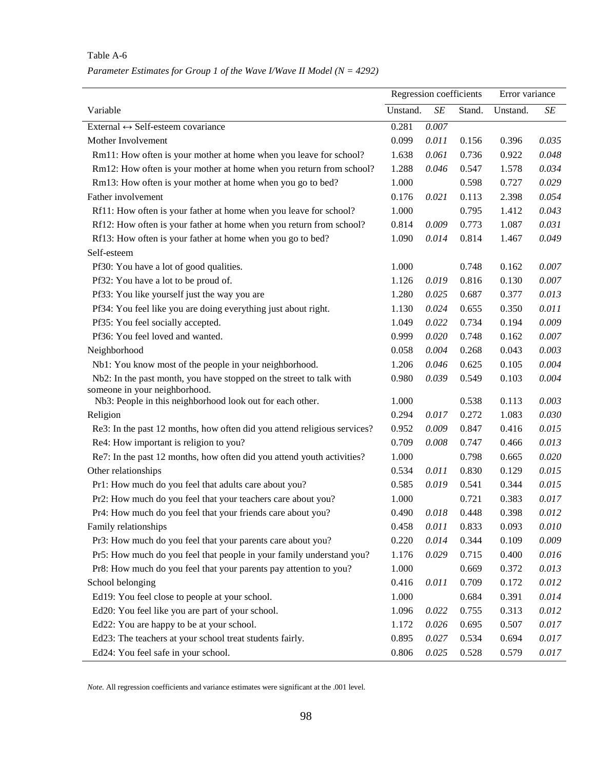|                                                                                                      | Regression coefficients |       |        | Error variance |       |
|------------------------------------------------------------------------------------------------------|-------------------------|-------|--------|----------------|-------|
| Variable                                                                                             | Unstand.                | SE    | Stand. | Unstand.       | SE    |
| External $\leftrightarrow$ Self-esteem covariance                                                    | 0.281                   | 0.007 |        |                |       |
| Mother Involvement                                                                                   | 0.099                   | 0.011 | 0.156  | 0.396          | 0.035 |
| Rm11: How often is your mother at home when you leave for school?                                    | 1.638                   | 0.061 | 0.736  | 0.922          | 0.048 |
| Rm12: How often is your mother at home when you return from school?                                  | 1.288                   | 0.046 | 0.547  | 1.578          | 0.034 |
| Rm13: How often is your mother at home when you go to bed?                                           | 1.000                   |       | 0.598  | 0.727          | 0.029 |
| Father involvement                                                                                   | 0.176                   | 0.021 | 0.113  | 2.398          | 0.054 |
| Rf11: How often is your father at home when you leave for school?                                    | 1.000                   |       | 0.795  | 1.412          | 0.043 |
| Rf12: How often is your father at home when you return from school?                                  | 0.814                   | 0.009 | 0.773  | 1.087          | 0.031 |
| Rf13: How often is your father at home when you go to bed?                                           | 1.090                   | 0.014 | 0.814  | 1.467          | 0.049 |
| Self-esteem                                                                                          |                         |       |        |                |       |
| Pf30: You have a lot of good qualities.                                                              | 1.000                   |       | 0.748  | 0.162          | 0.007 |
| Pf32: You have a lot to be proud of.                                                                 | 1.126                   | 0.019 | 0.816  | 0.130          | 0.007 |
| Pf33: You like yourself just the way you are                                                         | 1.280                   | 0.025 | 0.687  | 0.377          | 0.013 |
| Pf34: You feel like you are doing everything just about right.                                       | 1.130                   | 0.024 | 0.655  | 0.350          | 0.011 |
| Pf35: You feel socially accepted.                                                                    | 1.049                   | 0.022 | 0.734  | 0.194          | 0.009 |
| Pf36: You feel loved and wanted.                                                                     | 0.999                   | 0.020 | 0.748  | 0.162          | 0.007 |
| Neighborhood                                                                                         | 0.058                   | 0.004 | 0.268  | 0.043          | 0.003 |
| Nb1: You know most of the people in your neighborhood.                                               | 1.206                   | 0.046 | 0.625  | 0.105          | 0.004 |
| Nb2: In the past month, you have stopped on the street to talk with<br>someone in your neighborhood. | 0.980                   | 0.039 | 0.549  | 0.103          | 0.004 |
| Nb3: People in this neighborhood look out for each other.                                            | 1.000                   |       | 0.538  | 0.113          | 0.003 |
| Religion                                                                                             | 0.294                   | 0.017 | 0.272  | 1.083          | 0.030 |
| Re3: In the past 12 months, how often did you attend religious services?                             | 0.952                   | 0.009 | 0.847  | 0.416          | 0.015 |
| Re4: How important is religion to you?                                                               | 0.709                   | 0.008 | 0.747  | 0.466          | 0.013 |
| Re7: In the past 12 months, how often did you attend youth activities?                               | 1.000                   |       | 0.798  | 0.665          | 0.020 |
| Other relationships                                                                                  | 0.534                   | 0.011 | 0.830  | 0.129          | 0.015 |
| Pr1: How much do you feel that adults care about you?                                                | 0.585                   | 0.019 | 0.541  | 0.344          | 0.015 |
| Pr2: How much do you feel that your teachers care about you?                                         | 1.000                   |       | 0.721  | 0.383          | 0.017 |
| Pr4: How much do you feel that your friends care about you?                                          | 0.490                   | 0.018 | 0.448  | 0.398          | 0.012 |
| Family relationships                                                                                 | 0.458                   | 0.011 | 0.833  | 0.093          | 0.010 |
| Pr3: How much do you feel that your parents care about you?                                          | 0.220                   | 0.014 | 0.344  | 0.109          | 0.009 |
| Pr5: How much do you feel that people in your family understand you?                                 | 1.176                   | 0.029 | 0.715  | 0.400          | 0.016 |
| Pr8: How much do you feel that your parents pay attention to you?                                    | 1.000                   |       | 0.669  | 0.372          | 0.013 |
| School belonging                                                                                     | 0.416                   | 0.011 | 0.709  | 0.172          | 0.012 |
| Ed19: You feel close to people at your school.                                                       | 1.000                   |       | 0.684  | 0.391          | 0.014 |
| Ed20: You feel like you are part of your school.                                                     | 1.096                   | 0.022 | 0.755  | 0.313          | 0.012 |
| Ed22: You are happy to be at your school.                                                            | 1.172                   | 0.026 | 0.695  | 0.507          | 0.017 |
| Ed23: The teachers at your school treat students fairly.                                             | 0.895                   | 0.027 | 0.534  | 0.694          | 0.017 |
| Ed24: You feel safe in your school.                                                                  | 0.806                   | 0.025 | 0.528  | 0.579          | 0.017 |

# Table A-6 *Parameter Estimates for Group 1 of the Wave I/Wave II Model (N = 4292)*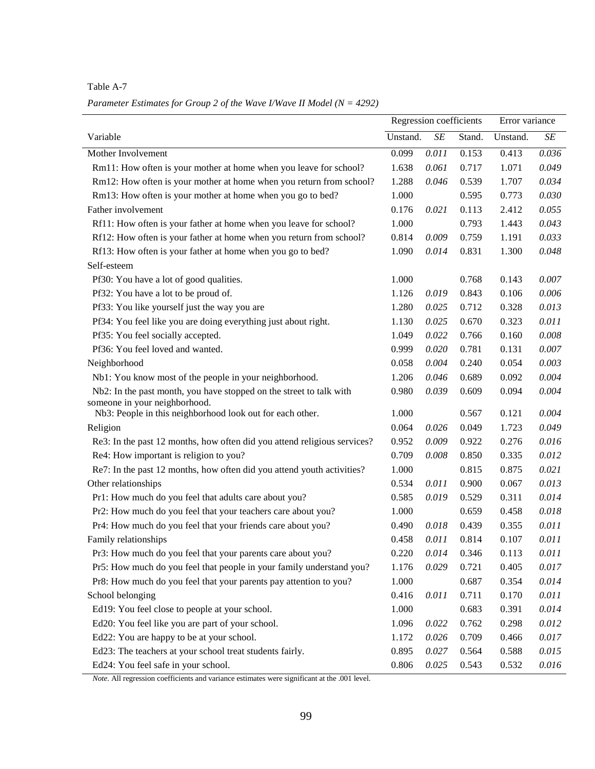Table A-7

*Parameter Estimates for Group 2 of the Wave I/Wave II Model (N = 4292)*

|                                                                          | Regression coefficients |           |        | Error variance |           |
|--------------------------------------------------------------------------|-------------------------|-----------|--------|----------------|-----------|
| Variable                                                                 | Unstand.                | $\cal SE$ | Stand. | Unstand.       | $\cal SE$ |
| Mother Involvement                                                       | 0.099                   | 0.011     | 0.153  | 0.413          | 0.036     |
| Rm11: How often is your mother at home when you leave for school?        | 1.638                   | 0.061     | 0.717  | 1.071          | 0.049     |
| Rm12: How often is your mother at home when you return from school?      | 1.288                   | 0.046     | 0.539  | 1.707          | 0.034     |
| Rm13: How often is your mother at home when you go to bed?               | 1.000                   |           | 0.595  | 0.773          | 0.030     |
| Father involvement                                                       | 0.176                   | 0.021     | 0.113  | 2.412          | 0.055     |
| Rf11: How often is your father at home when you leave for school?        | 1.000                   |           | 0.793  | 1.443          | 0.043     |
| Rf12: How often is your father at home when you return from school?      | 0.814                   | 0.009     | 0.759  | 1.191          | 0.033     |
| Rf13: How often is your father at home when you go to bed?               | 1.090                   | 0.014     | 0.831  | 1.300          | 0.048     |
| Self-esteem                                                              |                         |           |        |                |           |
| Pf30: You have a lot of good qualities.                                  | 1.000                   |           | 0.768  | 0.143          | 0.007     |
| Pf32: You have a lot to be proud of.                                     | 1.126                   | 0.019     | 0.843  | 0.106          | 0.006     |
| Pf33: You like yourself just the way you are                             | 1.280                   | 0.025     | 0.712  | 0.328          | 0.013     |
| Pf34: You feel like you are doing everything just about right.           | 1.130                   | 0.025     | 0.670  | 0.323          | 0.011     |
| Pf35: You feel socially accepted.                                        | 1.049                   | 0.022     | 0.766  | 0.160          | 0.008     |
| Pf36: You feel loved and wanted.                                         | 0.999                   | 0.020     | 0.781  | 0.131          | 0.007     |
| Neighborhood                                                             | 0.058                   | 0.004     | 0.240  | 0.054          | 0.003     |
| Nb1: You know most of the people in your neighborhood.                   | 1.206                   | 0.046     | 0.689  | 0.092          | 0.004     |
| Nb2: In the past month, you have stopped on the street to talk with      | 0.980                   | 0.039     | 0.609  | 0.094          | 0.004     |
| someone in your neighborhood.                                            |                         |           |        |                |           |
| Nb3: People in this neighborhood look out for each other.                | 1.000                   |           | 0.567  | 0.121          | 0.004     |
| Religion                                                                 | 0.064                   | 0.026     | 0.049  | 1.723          | 0.049     |
| Re3: In the past 12 months, how often did you attend religious services? | 0.952                   | 0.009     | 0.922  | 0.276          | 0.016     |
| Re4: How important is religion to you?                                   | 0.709                   | 0.008     | 0.850  | 0.335          | 0.012     |
| Re7: In the past 12 months, how often did you attend youth activities?   | 1.000                   |           | 0.815  | 0.875          | 0.021     |
| Other relationships                                                      | 0.534                   | 0.011     | 0.900  | 0.067          | 0.013     |
| Pr1: How much do you feel that adults care about you?                    | 0.585                   | 0.019     | 0.529  | 0.311          | 0.014     |
| Pr2: How much do you feel that your teachers care about you?             | 1.000                   |           | 0.659  | 0.458          | 0.018     |
| Pr4: How much do you feel that your friends care about you?              | 0.490                   | 0.018     | 0.439  | 0.355          | 0.011     |
| Family relationships                                                     | 0.458                   | 0.011     | 0.814  | 0.107          | 0.011     |
| Pr3: How much do you feel that your parents care about you?              | 0.220                   | 0.014     | 0.346  | 0.113          | 0.011     |
| Pr5: How much do you feel that people in your family understand you?     | 1.176                   | 0.029     | 0.721  | 0.405          | 0.017     |
| Pr8: How much do you feel that your parents pay attention to you?        | 1.000                   |           | 0.687  | 0.354          | 0.014     |
| School belonging                                                         | 0.416                   | 0.011     | 0.711  | 0.170          | 0.011     |
| Ed19: You feel close to people at your school.                           | 1.000                   |           | 0.683  | 0.391          | 0.014     |
| Ed20: You feel like you are part of your school.                         | 1.096                   | 0.022     | 0.762  | 0.298          | 0.012     |
| Ed22: You are happy to be at your school.                                | 1.172                   | 0.026     | 0.709  | 0.466          | 0.017     |
| Ed23: The teachers at your school treat students fairly.                 | 0.895                   | 0.027     | 0.564  | 0.588          | 0.015     |
| Ed24: You feel safe in your school.                                      | 0.806                   | 0.025     | 0.543  | 0.532          | 0.016     |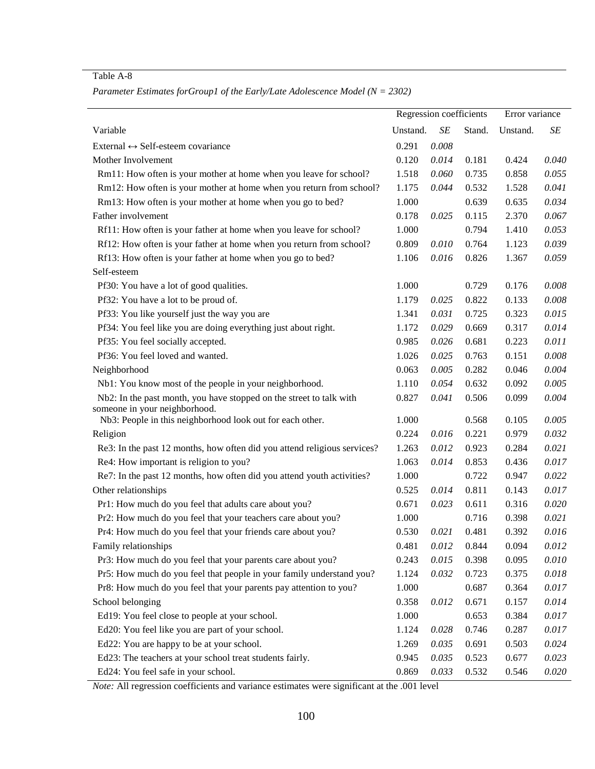Table A-8

|                                                                          | Regression coefficients |       |        | Error variance |       |
|--------------------------------------------------------------------------|-------------------------|-------|--------|----------------|-------|
| Variable                                                                 | Unstand.                | SE    | Stand. | Unstand.       | SE    |
| External $\leftrightarrow$ Self-esteem covariance                        | 0.291                   | 0.008 |        |                |       |
| Mother Involvement                                                       | 0.120                   | 0.014 | 0.181  | 0.424          | 0.040 |
| Rm11: How often is your mother at home when you leave for school?        | 1.518                   | 0.060 | 0.735  | 0.858          | 0.055 |
| Rm12: How often is your mother at home when you return from school?      | 1.175                   | 0.044 | 0.532  | 1.528          | 0.041 |
| Rm13: How often is your mother at home when you go to bed?               | 1.000                   |       | 0.639  | 0.635          | 0.034 |
| Father involvement                                                       | 0.178                   | 0.025 | 0.115  | 2.370          | 0.067 |
| Rf11: How often is your father at home when you leave for school?        | 1.000                   |       | 0.794  | 1.410          | 0.053 |
| Rf12: How often is your father at home when you return from school?      | 0.809                   | 0.010 | 0.764  | 1.123          | 0.039 |
| Rf13: How often is your father at home when you go to bed?               | 1.106                   | 0.016 | 0.826  | 1.367          | 0.059 |
| Self-esteem                                                              |                         |       |        |                |       |
| Pf30: You have a lot of good qualities.                                  | 1.000                   |       | 0.729  | 0.176          | 0.008 |
| Pf32: You have a lot to be proud of.                                     | 1.179                   | 0.025 | 0.822  | 0.133          | 0.008 |
| Pf33: You like yourself just the way you are                             | 1.341                   | 0.031 | 0.725  | 0.323          | 0.015 |
| Pf34: You feel like you are doing everything just about right.           | 1.172                   | 0.029 | 0.669  | 0.317          | 0.014 |
| Pf35: You feel socially accepted.                                        | 0.985                   | 0.026 | 0.681  | 0.223          | 0.011 |
| Pf36: You feel loved and wanted.                                         | 1.026                   | 0.025 | 0.763  | 0.151          | 0.008 |
| Neighborhood                                                             | 0.063                   | 0.005 | 0.282  | 0.046          | 0.004 |
| Nb1: You know most of the people in your neighborhood.                   | 1.110                   | 0.054 | 0.632  | 0.092          | 0.005 |
| Nb2: In the past month, you have stopped on the street to talk with      | 0.827                   | 0.041 | 0.506  | 0.099          | 0.004 |
| someone in your neighborhood.                                            |                         |       |        |                |       |
| Nb3: People in this neighborhood look out for each other.                | 1.000                   |       | 0.568  | 0.105          | 0.005 |
| Religion                                                                 | 0.224                   | 0.016 | 0.221  | 0.979          | 0.032 |
| Re3: In the past 12 months, how often did you attend religious services? | 1.263                   | 0.012 | 0.923  | 0.284          | 0.021 |
| Re4: How important is religion to you?                                   | 1.063                   | 0.014 | 0.853  | 0.436          | 0.017 |
| Re7: In the past 12 months, how often did you attend youth activities?   | 1.000                   |       | 0.722  | 0.947          | 0.022 |
| Other relationships                                                      | 0.525                   | 0.014 | 0.811  | 0.143          | 0.017 |
| Pr1: How much do you feel that adults care about you?                    | 0.671                   | 0.023 | 0.611  | 0.316          | 0.020 |
| Pr2: How much do you feel that your teachers care about you?             | 1.000                   |       | 0.716  | 0.398          | 0.021 |
| Pr4: How much do you feel that your friends care about you?              | 0.530                   | 0.021 | 0.481  | 0.392          | 0.016 |
| Family relationships                                                     | 0.481                   | 0.012 | 0.844  | 0.094          | 0.012 |
| Pr3: How much do you feel that your parents care about you?              | 0.243                   | 0.015 | 0.398  | 0.095          | 0.010 |
| Pr5: How much do you feel that people in your family understand you?     | 1.124                   | 0.032 | 0.723  | 0.375          | 0.018 |
| Pr8: How much do you feel that your parents pay attention to you?        | 1.000                   |       | 0.687  | 0.364          | 0.017 |
| School belonging                                                         | 0.358                   | 0.012 | 0.671  | 0.157          | 0.014 |
| Ed19: You feel close to people at your school.                           | 1.000                   |       | 0.653  | 0.384          | 0.017 |
| Ed20: You feel like you are part of your school.                         | 1.124                   | 0.028 | 0.746  | 0.287          | 0.017 |
| Ed22: You are happy to be at your school.                                | 1.269                   | 0.035 | 0.691  | 0.503          | 0.024 |
| Ed23: The teachers at your school treat students fairly.                 | 0.945                   | 0.035 | 0.523  | 0.677          | 0.023 |
| Ed24: You feel safe in your school.                                      | 0.869                   | 0.033 | 0.532  | 0.546          | 0.020 |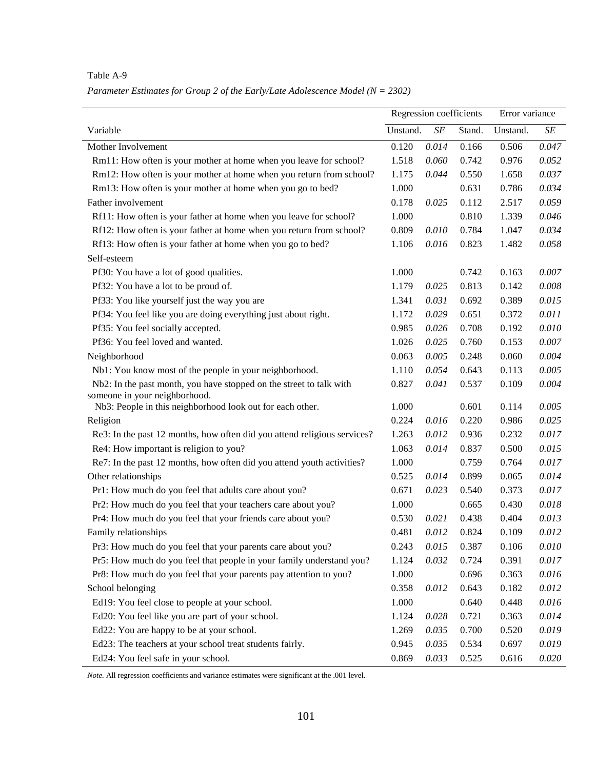|                                                                          | Regression coefficients |           |        | Error variance |           |
|--------------------------------------------------------------------------|-------------------------|-----------|--------|----------------|-----------|
| Variable                                                                 | Unstand.                | $\cal SE$ | Stand. | Unstand.       | $\cal SE$ |
| Mother Involvement                                                       | 0.120                   | 0.014     | 0.166  | 0.506          | 0.047     |
| Rm11: How often is your mother at home when you leave for school?        | 1.518                   | 0.060     | 0.742  | 0.976          | 0.052     |
| Rm12: How often is your mother at home when you return from school?      | 1.175                   | 0.044     | 0.550  | 1.658          | 0.037     |
| Rm13: How often is your mother at home when you go to bed?               | 1.000                   |           | 0.631  | 0.786          | 0.034     |
| Father involvement                                                       | 0.178                   | 0.025     | 0.112  | 2.517          | 0.059     |
| Rf11: How often is your father at home when you leave for school?        | 1.000                   |           | 0.810  | 1.339          | 0.046     |
| Rf12: How often is your father at home when you return from school?      | 0.809                   | 0.010     | 0.784  | 1.047          | 0.034     |
| Rf13: How often is your father at home when you go to bed?               | 1.106                   | 0.016     | 0.823  | 1.482          | 0.058     |
| Self-esteem                                                              |                         |           |        |                |           |
| Pf30: You have a lot of good qualities.                                  | 1.000                   |           | 0.742  | 0.163          | 0.007     |
| Pf32: You have a lot to be proud of.                                     | 1.179                   | 0.025     | 0.813  | 0.142          | 0.008     |
| Pf33: You like yourself just the way you are                             | 1.341                   | 0.031     | 0.692  | 0.389          | 0.015     |
| Pf34: You feel like you are doing everything just about right.           | 1.172                   | 0.029     | 0.651  | 0.372          | 0.011     |
| Pf35: You feel socially accepted.                                        | 0.985                   | 0.026     | 0.708  | 0.192          | 0.010     |
| Pf36: You feel loved and wanted.                                         | 1.026                   | 0.025     | 0.760  | 0.153          | 0.007     |
| Neighborhood                                                             | 0.063                   | 0.005     | 0.248  | 0.060          | 0.004     |
| Nb1: You know most of the people in your neighborhood.                   | 1.110                   | 0.054     | 0.643  | 0.113          | 0.005     |
| Nb2: In the past month, you have stopped on the street to talk with      | 0.827                   | 0.041     | 0.537  | 0.109          | 0.004     |
| someone in your neighborhood.                                            |                         |           |        |                |           |
| Nb3: People in this neighborhood look out for each other.                | 1.000                   |           | 0.601  | 0.114          | 0.005     |
| Religion                                                                 | 0.224                   | 0.016     | 0.220  | 0.986          | 0.025     |
| Re3: In the past 12 months, how often did you attend religious services? | 1.263                   | 0.012     | 0.936  | 0.232          | 0.017     |
| Re4: How important is religion to you?                                   | 1.063                   | 0.014     | 0.837  | 0.500          | 0.015     |
| Re7: In the past 12 months, how often did you attend youth activities?   | 1.000                   |           | 0.759  | 0.764          | 0.017     |
| Other relationships                                                      | 0.525                   | 0.014     | 0.899  | 0.065          | 0.014     |
| Pr1: How much do you feel that adults care about you?                    | 0.671                   | 0.023     | 0.540  | 0.373          | 0.017     |
| Pr2: How much do you feel that your teachers care about you?             | 1.000                   |           | 0.665  | 0.430          | 0.018     |
| Pr4: How much do you feel that your friends care about you?              | 0.530                   | 0.021     | 0.438  | 0.404          | 0.013     |
| Family relationships                                                     | 0.481                   | 0.012     | 0.824  | 0.109          | 0.012     |
| Pr3: How much do you feel that your parents care about you?              | 0.243                   | 0.015     | 0.387  | 0.106          | 0.010     |
| Pr5: How much do you feel that people in your family understand you?     | 1.124                   | 0.032     | 0.724  | 0.391          | 0.017     |
| Pr8: How much do you feel that your parents pay attention to you?        | 1.000                   |           | 0.696  | 0.363          | 0.016     |
| School belonging                                                         | 0.358                   | 0.012     | 0.643  | 0.182          | 0.012     |
| Ed19: You feel close to people at your school.                           | 1.000                   |           | 0.640  | 0.448          | 0.016     |
| Ed20: You feel like you are part of your school.                         | 1.124                   | 0.028     | 0.721  | 0.363          | 0.014     |
| Ed22: You are happy to be at your school.                                | 1.269                   | 0.035     | 0.700  | 0.520          | 0.019     |
| Ed23: The teachers at your school treat students fairly.                 | 0.945                   | 0.035     | 0.534  | 0.697          | 0.019     |
| Ed24: You feel safe in your school.                                      | 0.869                   | 0.033     | 0.525  | 0.616          | 0.020     |

*Parameter Estimates for Group 2 of the Early/Late Adolescence Model (N = 2302)*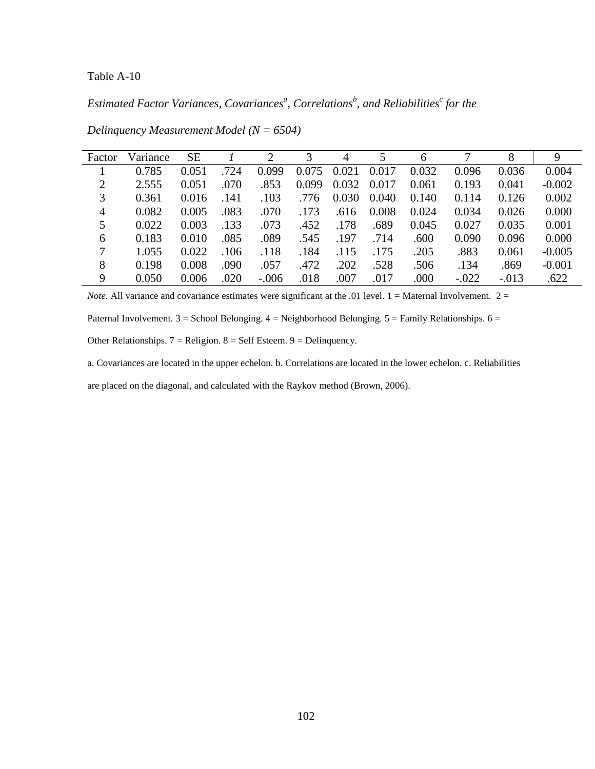*Estimated Factor Variances, Covariances<sup>a</sup> , Correlations<sup>b</sup> , and Reliabilities<sup>c</sup> for the* 

| Factor         | Variance | <b>SE</b> |      | 2       | 3     | 4     |       | 6     |         | 8       | 9        |
|----------------|----------|-----------|------|---------|-------|-------|-------|-------|---------|---------|----------|
|                | 0.785    | 0.051     | .724 | 0.099   | 0.075 | 0.021 | 0.017 | 0.032 | 0.096   | 0.036   | 0.004    |
| $\overline{2}$ | 2.555    | 0.051     | .070 | .853    | 0.099 | 0.032 | 0.017 | 0.061 | 0.193   | 0.041   | $-0.002$ |
| 3              | 0.361    | 0.016     | .141 | .103    | .776  | 0.030 | 0.040 | 0.140 | 0.114   | 0.126   | 0.002    |
| $\overline{4}$ | 0.082    | 0.005     | .083 | .070    | .173  | .616  | 0.008 | 0.024 | 0.034   | 0.026   | 0.000    |
| 5              | 0.022    | 0.003     | .133 | .073    | .452  | .178  | .689  | 0.045 | 0.027   | 0.035   | 0.001    |
| 6              | 0.183    | 0.010     | .085 | .089    | .545  | .197  | .714  | .600  | 0.090   | 0.096   | 0.000    |
| 7              | 1.055    | 0.022     | .106 | .118    | .184  | .115  | .175  | .205  | .883    | 0.061   | $-0.005$ |
| 8              | 0.198    | 0.008     | .090 | .057    | .472  | .202  | .528  | .506  | .134    | .869    | $-0.001$ |
| 9              | 0.050    | 0.006     | .020 | $-.006$ | .018  | .007  | .017  | .000  | $-.022$ | $-.013$ | .622     |

*Delinquency Measurement Model (N = 6504)* 

*Note.* All variance and covariance estimates were significant at the .01 level.  $1 =$  Maternal Involvement.  $2 =$ 

Paternal Involvement. 3 = School Belonging. 4 = Neighborhood Belonging. 5 = Family Relationships. 6 =

Other Relationships.  $7 =$  Religion.  $8 =$  Self Esteem.  $9 =$  Delinquency.

a. Covariances are located in the upper echelon. b. Correlations are located in the lower echelon. c. Reliabilities

are placed on the diagonal, and calculated with the Raykov method (Brown, 2006).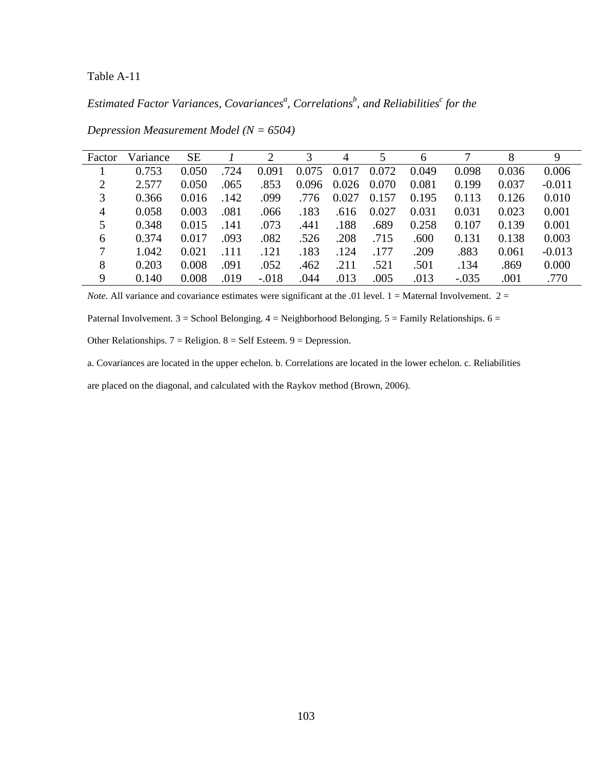# *Estimated Factor Variances, Covariances<sup>a</sup> , Correlations<sup>b</sup> , and Reliabilities<sup>c</sup> for the*

| Factor         | Variance | <b>SE</b> |      | $\overline{2}$ | 3     | 4     |       | 6     |         | 8     | 9        |
|----------------|----------|-----------|------|----------------|-------|-------|-------|-------|---------|-------|----------|
|                | 0.753    | 0.050     | .724 | 0.091          | 0.075 | 0.017 | 0.072 | 0.049 | 0.098   | 0.036 | 0.006    |
| $\overline{2}$ | 2.577    | 0.050     | .065 | .853           | 0.096 | 0.026 | 0.070 | 0.081 | 0.199   | 0.037 | $-0.011$ |
| 3              | 0.366    | 0.016     | .142 | .099           | .776  | 0.027 | 0.157 | 0.195 | 0.113   | 0.126 | 0.010    |
| 4              | 0.058    | 0.003     | .081 | .066           | .183  | .616  | 0.027 | 0.031 | 0.031   | 0.023 | 0.001    |
| 5              | 0.348    | 0.015     | .141 | .073           | .441  | .188  | .689  | 0.258 | 0.107   | 0.139 | 0.001    |
| 6              | 0.374    | 0.017     | .093 | .082           | .526  | .208  | .715  | .600  | 0.131   | 0.138 | 0.003    |
| 7              | 1.042    | 0.021     | .111 | .121           | .183  | .124  | .177  | .209  | .883    | 0.061 | $-0.013$ |
| 8              | 0.203    | 0.008     | .091 | .052           | .462  | .211  | .521  | .501  | .134    | .869  | 0.000    |
| 9              | 0.140    | 0.008     | .019 | $-.018$        | .044  | .013  | .005  | .013  | $-.035$ | .001  | .770     |

*Depression Measurement Model (N = 6504)* 

*Note.* All variance and covariance estimates were significant at the .01 level.  $1 =$  Maternal Involvement.  $2 =$ 

Paternal Involvement. 3 = School Belonging. 4 = Neighborhood Belonging. 5 = Family Relationships. 6 =

Other Relationships.  $7 =$  Religion.  $8 =$  Self Esteem.  $9 =$  Depression.

a. Covariances are located in the upper echelon. b. Correlations are located in the lower echelon. c. Reliabilities

are placed on the diagonal, and calculated with the Raykov method (Brown, 2006).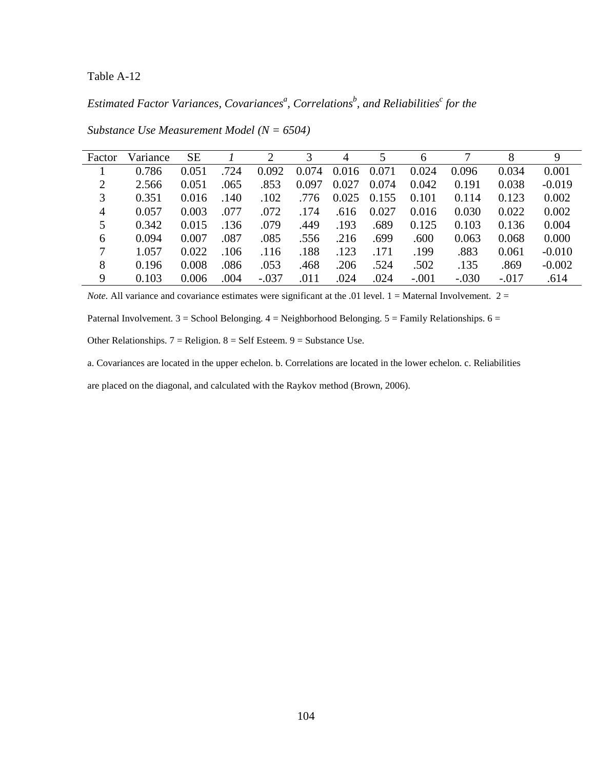*Estimated Factor Variances, Covariances<sup>a</sup> , Correlations<sup>b</sup> , and Reliabilities<sup>c</sup> for the* 

| Factor         | Variance | <b>SE</b> |      | $\overline{2}$ | 3     | 4     |       | 6       |         | 8       | 9        |
|----------------|----------|-----------|------|----------------|-------|-------|-------|---------|---------|---------|----------|
|                | 0.786    | 0.051     | .724 | 0.092          | 0.074 | 0.016 | 0.071 | 0.024   | 0.096   | 0.034   | 0.001    |
| $\overline{2}$ | 2.566    | 0.051     | .065 | .853           | 0.097 | 0.027 | 0.074 | 0.042   | 0.191   | 0.038   | $-0.019$ |
| 3              | 0.351    | 0.016     | .140 | .102           | .776  | 0.025 | 0.155 | 0.101   | 0.114   | 0.123   | 0.002    |
| 4              | 0.057    | 0.003     | .077 | .072           | .174  | .616  | 0.027 | 0.016   | 0.030   | 0.022   | 0.002    |
| 5              | 0.342    | 0.015     | .136 | .079           | .449  | .193  | .689  | 0.125   | 0.103   | 0.136   | 0.004    |
| 6              | 0.094    | 0.007     | .087 | .085           | .556  | .216  | .699  | .600    | 0.063   | 0.068   | 0.000    |
| 7              | 1.057    | 0.022     | .106 | .116           | .188  | .123  | .171  | .199    | .883    | 0.061   | $-0.010$ |
| 8              | 0.196    | 0.008     | .086 | .053           | .468  | .206  | .524  | .502    | .135    | .869    | $-0.002$ |
| 9              | 0.103    | 0.006     | .004 | $-.037$        | .011  | .024  | .024  | $-.001$ | $-.030$ | $-.017$ | .614     |

*Substance Use Measurement Model (N = 6504)* 

*Note.* All variance and covariance estimates were significant at the .01 level.  $1 =$  Maternal Involvement.  $2 =$ 

Paternal Involvement. 3 = School Belonging. 4 = Neighborhood Belonging. 5 = Family Relationships. 6 =

Other Relationships.  $7 =$  Religion.  $8 =$  Self Esteem.  $9 =$  Substance Use.

a. Covariances are located in the upper echelon. b. Correlations are located in the lower echelon. c. Reliabilities

are placed on the diagonal, and calculated with the Raykov method (Brown, 2006).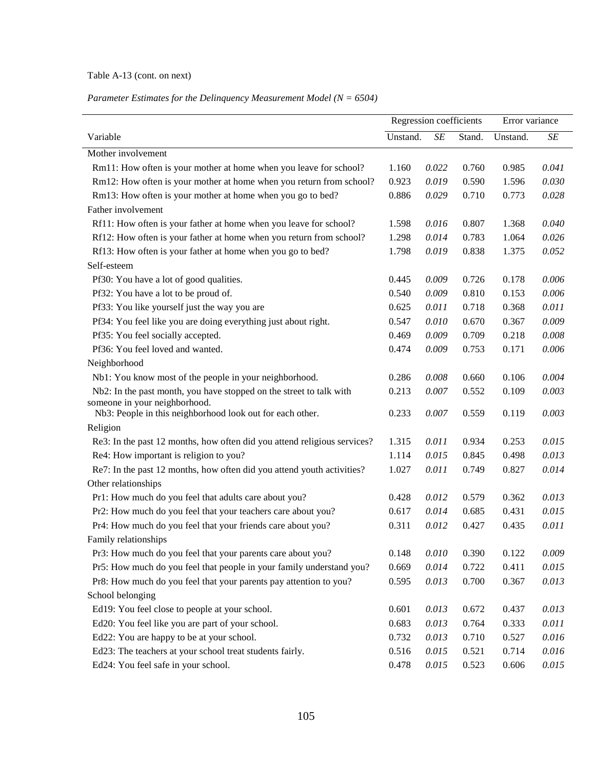## Table A-13 (cont. on next)

# *Parameter Estimates for the Delinquency Measurement Model (N = 6504)*

|                                                                          | Regression coefficients |           | Error variance |          |       |
|--------------------------------------------------------------------------|-------------------------|-----------|----------------|----------|-------|
| Variable                                                                 | Unstand.                | $\cal SE$ | Stand.         | Unstand. | SE    |
| Mother involvement                                                       |                         |           |                |          |       |
| Rm11: How often is your mother at home when you leave for school?        | 1.160                   | 0.022     | 0.760          | 0.985    | 0.041 |
| Rm12: How often is your mother at home when you return from school?      | 0.923                   | 0.019     | 0.590          | 1.596    | 0.030 |
| Rm13: How often is your mother at home when you go to bed?               | 0.886                   | 0.029     | 0.710          | 0.773    | 0.028 |
| Father involvement                                                       |                         |           |                |          |       |
| Rf11: How often is your father at home when you leave for school?        | 1.598                   | 0.016     | 0.807          | 1.368    | 0.040 |
| Rf12: How often is your father at home when you return from school?      | 1.298                   | 0.014     | 0.783          | 1.064    | 0.026 |
| Rf13: How often is your father at home when you go to bed?               | 1.798                   | 0.019     | 0.838          | 1.375    | 0.052 |
| Self-esteem                                                              |                         |           |                |          |       |
| Pf30: You have a lot of good qualities.                                  | 0.445                   | 0.009     | 0.726          | 0.178    | 0.006 |
| Pf32: You have a lot to be proud of.                                     | 0.540                   | 0.009     | 0.810          | 0.153    | 0.006 |
| Pf33: You like yourself just the way you are                             | 0.625                   | 0.011     | 0.718          | 0.368    | 0.011 |
| Pf34: You feel like you are doing everything just about right.           | 0.547                   | 0.010     | 0.670          | 0.367    | 0.009 |
| Pf35: You feel socially accepted.                                        | 0.469                   | 0.009     | 0.709          | 0.218    | 0.008 |
| Pf36: You feel loved and wanted.                                         | 0.474                   | 0.009     | 0.753          | 0.171    | 0.006 |
| Neighborhood                                                             |                         |           |                |          |       |
| Nb1: You know most of the people in your neighborhood.                   | 0.286                   | 0.008     | 0.660          | 0.106    | 0.004 |
| Nb2: In the past month, you have stopped on the street to talk with      | 0.213                   | 0.007     | 0.552          | 0.109    | 0.003 |
| someone in your neighborhood.                                            |                         |           |                |          |       |
| Nb3: People in this neighborhood look out for each other.                | 0.233                   | 0.007     | 0.559          | 0.119    | 0.003 |
| Religion                                                                 |                         |           |                |          |       |
| Re3: In the past 12 months, how often did you attend religious services? | 1.315                   | 0.011     | 0.934          | 0.253    | 0.015 |
| Re4: How important is religion to you?                                   | 1.114                   | 0.015     | 0.845          | 0.498    | 0.013 |
| Re7: In the past 12 months, how often did you attend youth activities?   | 1.027                   | 0.011     | 0.749          | 0.827    | 0.014 |
| Other relationships                                                      |                         |           |                |          |       |
| Pr1: How much do you feel that adults care about you?                    | 0.428                   | 0.012     | 0.579          | 0.362    | 0.013 |
| Pr2: How much do you feel that your teachers care about you?             | 0.617                   | 0.014     | 0.685          | 0.431    | 0.015 |
| Pr4: How much do you feel that your friends care about you?              | 0.311                   | 0.012     | 0.427          | 0.435    | 0.011 |
| Family relationships                                                     |                         |           |                |          |       |
| Pr3: How much do you feel that your parents care about you?              | 0.148                   | 0.010     | 0.390          | 0.122    | 0.009 |
| Pr5: How much do you feel that people in your family understand you?     | 0.669                   | 0.014     | 0.722          | 0.411    | 0.015 |
| Pr8: How much do you feel that your parents pay attention to you?        | 0.595                   | 0.013     | 0.700          | 0.367    | 0.013 |
| School belonging                                                         |                         |           |                |          |       |
| Ed19: You feel close to people at your school.                           | 0.601                   | 0.013     | 0.672          | 0.437    | 0.013 |
| Ed20: You feel like you are part of your school.                         | 0.683                   | 0.013     | 0.764          | 0.333    | 0.011 |
| Ed22: You are happy to be at your school.                                | 0.732                   | 0.013     | 0.710          | 0.527    | 0.016 |
| Ed23: The teachers at your school treat students fairly.                 | 0.516                   | 0.015     | 0.521          | 0.714    | 0.016 |
| Ed24: You feel safe in your school.                                      | 0.478                   | 0.015     | 0.523          | 0.606    | 0.015 |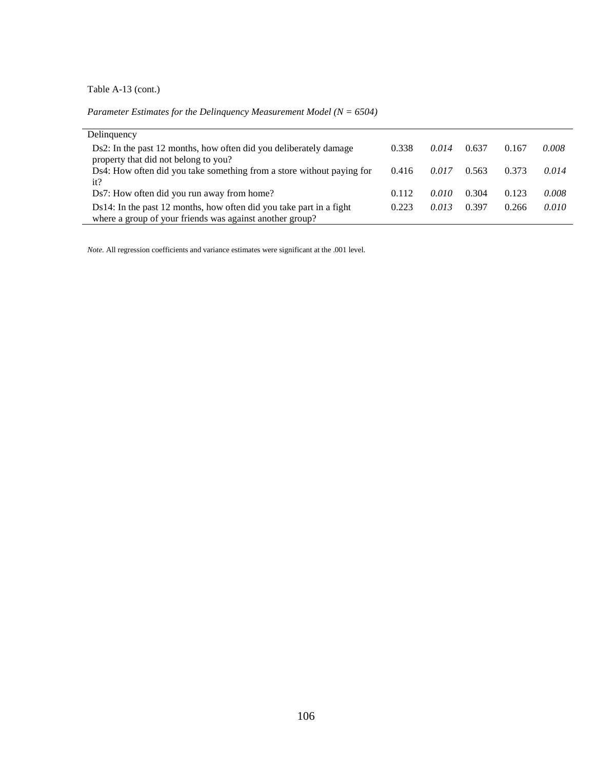Table A-13 (cont.)

*Parameter Estimates for the Delinquency Measurement Model (N = 6504)*

| Delinquency                                                                                                                     |       |       |       |       |       |
|---------------------------------------------------------------------------------------------------------------------------------|-------|-------|-------|-------|-------|
| Ds2: In the past 12 months, how often did you deliberately damage<br>property that did not belong to you?                       | 0.338 | 0.014 | 0.637 | 0.167 | 0.008 |
| Ds4: How often did you take something from a store without paying for<br>it?                                                    | 0.416 | 0.017 | 0.563 | 0.373 | 0.014 |
| Ds7: How often did you run away from home?                                                                                      | 0.112 | 0.010 | 0.304 | 0.123 | 0.008 |
| Ds14: In the past 12 months, how often did you take part in a fight<br>where a group of your friends was against another group? | 0.223 | 0.013 | 0.397 | 0.266 | 0.010 |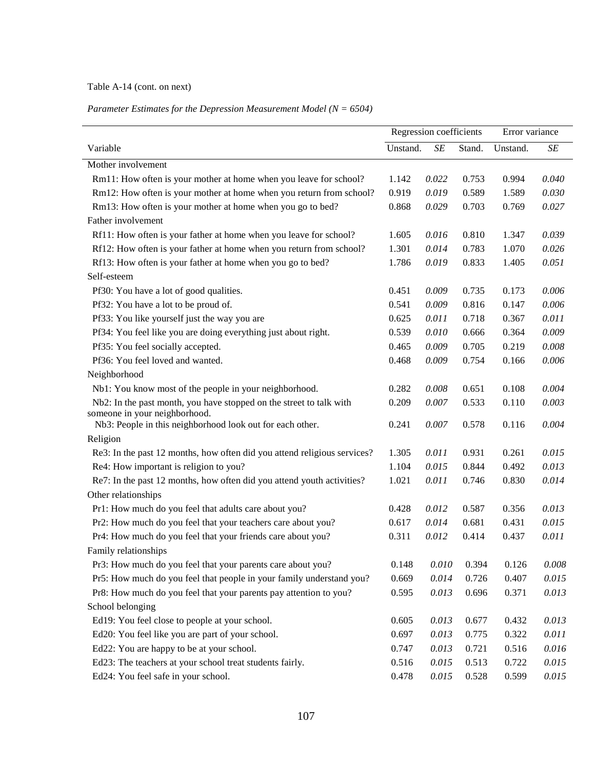## Table A-14 (cont. on next)

#### *Parameter Estimates for the Depression Measurement Model (N = 6504)*

|                                                                          |          | Regression coefficients |        |          | Error variance |
|--------------------------------------------------------------------------|----------|-------------------------|--------|----------|----------------|
| Variable                                                                 | Unstand. | SE                      | Stand. | Unstand. | SE             |
| Mother involvement                                                       |          |                         |        |          |                |
| Rm11: How often is your mother at home when you leave for school?        | 1.142    | 0.022                   | 0.753  | 0.994    | 0.040          |
| Rm12: How often is your mother at home when you return from school?      | 0.919    | 0.019                   | 0.589  | 1.589    | 0.030          |
| Rm13: How often is your mother at home when you go to bed?               | 0.868    | 0.029                   | 0.703  | 0.769    | 0.027          |
| Father involvement                                                       |          |                         |        |          |                |
| Rf11: How often is your father at home when you leave for school?        | 1.605    | 0.016                   | 0.810  | 1.347    | 0.039          |
| Rf12: How often is your father at home when you return from school?      | 1.301    | 0.014                   | 0.783  | 1.070    | 0.026          |
| Rf13: How often is your father at home when you go to bed?               | 1.786    | 0.019                   | 0.833  | 1.405    | 0.051          |
| Self-esteem                                                              |          |                         |        |          |                |
| Pf30: You have a lot of good qualities.                                  | 0.451    | 0.009                   | 0.735  | 0.173    | 0.006          |
| Pf32: You have a lot to be proud of.                                     | 0.541    | 0.009                   | 0.816  | 0.147    | 0.006          |
| Pf33: You like yourself just the way you are                             | 0.625    | 0.011                   | 0.718  | 0.367    | 0.011          |
| Pf34: You feel like you are doing everything just about right.           | 0.539    | 0.010                   | 0.666  | 0.364    | 0.009          |
| Pf35: You feel socially accepted.                                        | 0.465    | 0.009                   | 0.705  | 0.219    | 0.008          |
| Pf36: You feel loved and wanted.                                         | 0.468    | 0.009                   | 0.754  | 0.166    | 0.006          |
| Neighborhood                                                             |          |                         |        |          |                |
| Nb1: You know most of the people in your neighborhood.                   | 0.282    | 0.008                   | 0.651  | 0.108    | 0.004          |
| Nb2: In the past month, you have stopped on the street to talk with      | 0.209    | 0.007                   | 0.533  | 0.110    | 0.003          |
| someone in your neighborhood.                                            |          |                         |        |          |                |
| Nb3: People in this neighborhood look out for each other.                | 0.241    | 0.007                   | 0.578  | 0.116    | 0.004          |
| Religion                                                                 |          |                         |        |          |                |
| Re3: In the past 12 months, how often did you attend religious services? | 1.305    | 0.011                   | 0.931  | 0.261    | 0.015          |
| Re4: How important is religion to you?                                   | 1.104    | 0.015                   | 0.844  | 0.492    | 0.013          |
| Re7: In the past 12 months, how often did you attend youth activities?   | 1.021    | 0.011                   | 0.746  | 0.830    | 0.014          |
| Other relationships                                                      |          |                         |        |          |                |
| Pr1: How much do you feel that adults care about you?                    | 0.428    | 0.012                   | 0.587  | 0.356    | 0.013          |
| Pr2: How much do you feel that your teachers care about you?             | 0.617    | 0.014                   | 0.681  | 0.431    | 0.015          |
| Pr4: How much do you feel that your friends care about you?              | 0.311    | 0.012                   | 0.414  | 0.437    | 0.011          |
| Family relationships                                                     |          |                         |        |          |                |
| Pr3: How much do you feel that your parents care about you?              | 0.148    | 0.010                   | 0.394  | 0.126    | 0.008          |
| Pr5: How much do you feel that people in your family understand you?     | 0.669    | 0.014                   | 0.726  | 0.407    | 0.015          |
| Pr8: How much do you feel that your parents pay attention to you?        | 0.595    | 0.013                   | 0.696  | 0.371    | 0.013          |
| School belonging                                                         |          |                         |        |          |                |
| Ed19: You feel close to people at your school.                           | 0.605    | 0.013                   | 0.677  | 0.432    | 0.013          |
| Ed20: You feel like you are part of your school.                         | 0.697    | 0.013                   | 0.775  | 0.322    | 0.011          |
| Ed22: You are happy to be at your school.                                | 0.747    | 0.013                   | 0.721  | 0.516    | 0.016          |
| Ed23: The teachers at your school treat students fairly.                 | 0.516    | 0.015                   | 0.513  | 0.722    | 0.015          |
| Ed24: You feel safe in your school.                                      | 0.478    | 0.015                   | 0.528  | 0.599    | 0.015          |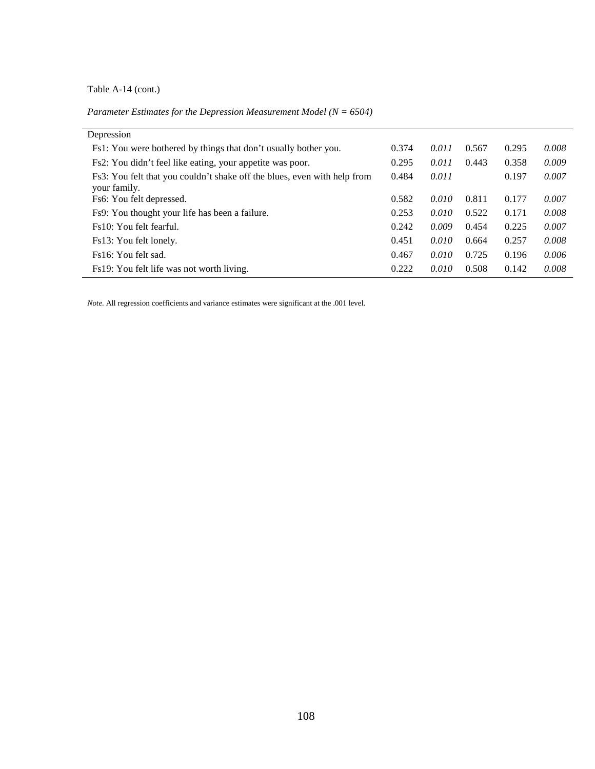# Table A-14 (cont.)

*Parameter Estimates for the Depression Measurement Model (N = 6504)*

| Depression                                                                               |       |       |       |       |       |
|------------------------------------------------------------------------------------------|-------|-------|-------|-------|-------|
| Fs1: You were bothered by things that don't usually bother you.                          | 0.374 | 0.011 | 0.567 | 0.295 | 0.008 |
| Fs2: You didn't feel like eating, your appetite was poor.                                | 0.295 | 0.011 | 0.443 | 0.358 | 0.009 |
| Fs3: You felt that you couldn't shake off the blues, even with help from<br>your family. | 0.484 | 0.011 |       | 0.197 | 0.007 |
| Fs6: You felt depressed.                                                                 | 0.582 | 0.010 | 0.811 | 0.177 | 0.007 |
| Fs9: You thought your life has been a failure.                                           | 0.253 | 0.010 | 0.522 | 0.171 | 0.008 |
| Fs10: You felt fearful.                                                                  | 0.242 | 0.009 | 0.454 | 0.225 | 0.007 |
| Fs13: You felt lonely.                                                                   | 0.451 | 0.010 | 0.664 | 0.257 | 0.008 |
| Fs16: You felt sad.                                                                      | 0.467 | 0.010 | 0.725 | 0.196 | 0.006 |
| Fs19: You felt life was not worth living.                                                | 0.222 | 0.010 | 0.508 | 0.142 | 0.008 |
|                                                                                          |       |       |       |       |       |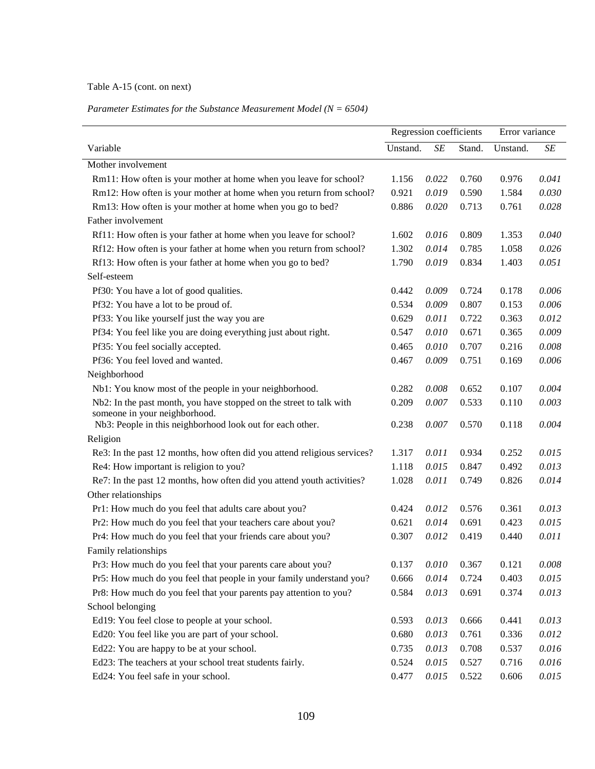## Table A-15 (cont. on next)

#### *Parameter Estimates for the Substance Measurement Model (N = 6504)*

|                                                                          | Regression coefficients |       |        | Error variance |           |
|--------------------------------------------------------------------------|-------------------------|-------|--------|----------------|-----------|
| Variable                                                                 | Unstand.                | SE    | Stand. | Unstand.       | $\cal SE$ |
| Mother involvement                                                       |                         |       |        |                |           |
| Rm11: How often is your mother at home when you leave for school?        | 1.156                   | 0.022 | 0.760  | 0.976          | 0.041     |
| Rm12: How often is your mother at home when you return from school?      | 0.921                   | 0.019 | 0.590  | 1.584          | 0.030     |
| Rm13: How often is your mother at home when you go to bed?               | 0.886                   | 0.020 | 0.713  | 0.761          | 0.028     |
| Father involvement                                                       |                         |       |        |                |           |
| Rf11: How often is your father at home when you leave for school?        | 1.602                   | 0.016 | 0.809  | 1.353          | 0.040     |
| Rf12: How often is your father at home when you return from school?      | 1.302                   | 0.014 | 0.785  | 1.058          | 0.026     |
| Rf13: How often is your father at home when you go to bed?               | 1.790                   | 0.019 | 0.834  | 1.403          | 0.051     |
| Self-esteem                                                              |                         |       |        |                |           |
| Pf30: You have a lot of good qualities.                                  | 0.442                   | 0.009 | 0.724  | 0.178          | 0.006     |
| Pf32: You have a lot to be proud of.                                     | 0.534                   | 0.009 | 0.807  | 0.153          | 0.006     |
| Pf33: You like yourself just the way you are                             | 0.629                   | 0.011 | 0.722  | 0.363          | 0.012     |
| Pf34: You feel like you are doing everything just about right.           | 0.547                   | 0.010 | 0.671  | 0.365          | 0.009     |
| Pf35: You feel socially accepted.                                        | 0.465                   | 0.010 | 0.707  | 0.216          | 0.008     |
| Pf36: You feel loved and wanted.                                         | 0.467                   | 0.009 | 0.751  | 0.169          | 0.006     |
| Neighborhood                                                             |                         |       |        |                |           |
| Nb1: You know most of the people in your neighborhood.                   | 0.282                   | 0.008 | 0.652  | 0.107          | 0.004     |
| Nb2: In the past month, you have stopped on the street to talk with      | 0.209                   | 0.007 | 0.533  | 0.110          | 0.003     |
| someone in your neighborhood.                                            |                         |       |        |                |           |
| Nb3: People in this neighborhood look out for each other.                | 0.238                   | 0.007 | 0.570  | 0.118          | 0.004     |
| Religion                                                                 |                         |       |        |                |           |
| Re3: In the past 12 months, how often did you attend religious services? | 1.317                   | 0.011 | 0.934  | 0.252          | 0.015     |
| Re4: How important is religion to you?                                   | 1.118                   | 0.015 | 0.847  | 0.492          | 0.013     |
| Re7: In the past 12 months, how often did you attend youth activities?   | 1.028                   | 0.011 | 0.749  | 0.826          | 0.014     |
| Other relationships                                                      |                         |       |        |                |           |
| Pr1: How much do you feel that adults care about you?                    | 0.424                   | 0.012 | 0.576  | 0.361          | 0.013     |
| Pr2: How much do you feel that your teachers care about you?             | 0.621                   | 0.014 | 0.691  | 0.423          | 0.015     |
| Pr4: How much do you feel that your friends care about you?              | 0.307                   | 0.012 | 0.419  | 0.440          | 0.011     |
| Family relationships                                                     |                         |       |        |                |           |
| Pr3: How much do you feel that your parents care about you?              | 0.137                   | 0.010 | 0.367  | 0.121          | 0.008     |
| Pr5: How much do you feel that people in your family understand you?     | 0.666                   | 0.014 | 0.724  | 0.403          | 0.015     |
| Pr8: How much do you feel that your parents pay attention to you?        | 0.584                   | 0.013 | 0.691  | 0.374          | 0.013     |
| School belonging                                                         |                         |       |        |                |           |
| Ed19: You feel close to people at your school.                           | 0.593                   | 0.013 | 0.666  | 0.441          | 0.013     |
| Ed20: You feel like you are part of your school.                         | 0.680                   | 0.013 | 0.761  | 0.336          | 0.012     |
| Ed22: You are happy to be at your school.                                | 0.735                   | 0.013 | 0.708  | 0.537          | 0.016     |
| Ed23: The teachers at your school treat students fairly.                 | 0.524                   | 0.015 | 0.527  | 0.716          | 0.016     |
| Ed24: You feel safe in your school.                                      | 0.477                   | 0.015 | 0.522  | 0.606          | 0.015     |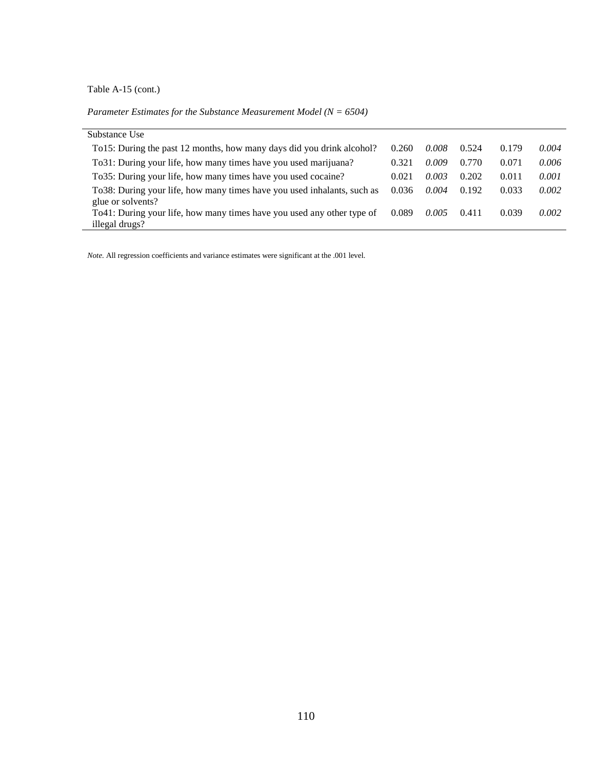Table A-15 (cont.)

*Parameter Estimates for the Substance Measurement Model (N = 6504)*

| Substance Use                                                                                 |       |       |       |       |       |
|-----------------------------------------------------------------------------------------------|-------|-------|-------|-------|-------|
| To15: During the past 12 months, how many days did you drink alcohol?                         | 0.260 | 0.008 | 0.524 | 0.179 | 0.004 |
| To 31: During your life, how many times have you used marijuana?                              | 0.321 | 0.009 | 0.770 | 0.071 | 0.006 |
| To 35: During your life, how many times have you used cocaine?                                | 0.021 | 0.003 | 0.202 | 0.011 | 0.001 |
| To 38: During your life, how many times have you used inhalants, such as<br>glue or solvents? | 0.036 | 0.004 | 0.192 | 0.033 | 0.002 |
| To 41: During your life, how many times have you used any other type of                       | 0.089 | 0.005 | 0.411 | 0.039 | 0.002 |
| illegal drugs?                                                                                |       |       |       |       |       |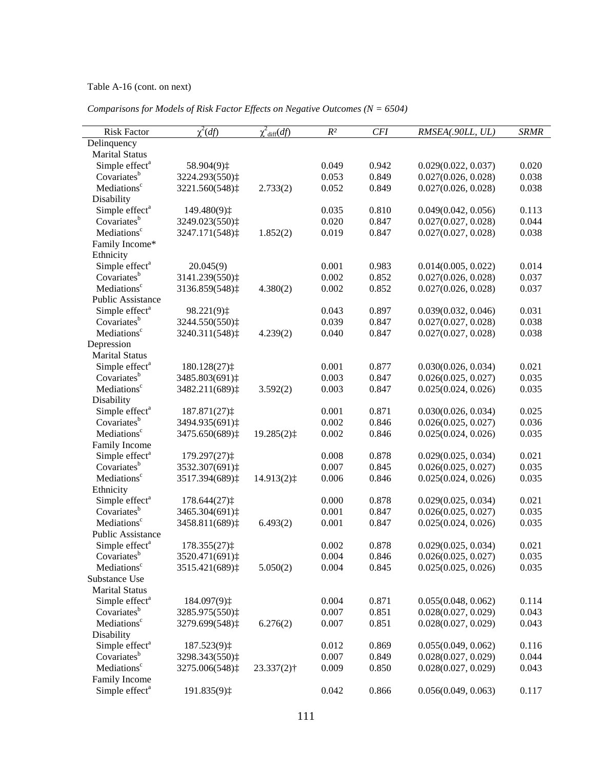# Table A-16 (cont. on next)

| <b>Risk Factor</b>                                    | $\chi^2(df)$             | $\chi^2$ <sub>diff</sub> ( <i>df</i> ) | $R^2$ | <b>CFI</b> | RMSEA(.90LL, UL)    | <b>SRMR</b> |
|-------------------------------------------------------|--------------------------|----------------------------------------|-------|------------|---------------------|-------------|
| Delinquency                                           |                          |                                        |       |            |                     |             |
| <b>Marital Status</b>                                 |                          |                                        |       |            |                     |             |
| Simple effect <sup>a</sup>                            | 58.904(9) $\ddagger$     |                                        | 0.049 | 0.942      | 0.029(0.022, 0.037) | 0.020       |
| Covariates <sup>b</sup>                               | 3224.293(550) $\ddagger$ |                                        | 0.053 | 0.849      | 0.027(0.026, 0.028) | 0.038       |
| Mediations <sup>c</sup>                               | 3221.560(548) $\ddagger$ | 2.733(2)                               | 0.052 | 0.849      | 0.027(0.026, 0.028) | 0.038       |
| Disability                                            |                          |                                        |       |            |                     |             |
| Simple effect <sup>a</sup>                            | 149.480(9) $\ddagger$    |                                        | 0.035 | 0.810      | 0.049(0.042, 0.056) | 0.113       |
| Covariates <sup>b</sup>                               | 3249.023(550) $\ddagger$ |                                        | 0.020 | 0.847      | 0.027(0.027, 0.028) | 0.044       |
| Mediations <sup>c</sup>                               | 3247.171(548) $\ddagger$ | 1.852(2)                               | 0.019 | 0.847      | 0.027(0.027, 0.028) | 0.038       |
| Family Income*                                        |                          |                                        |       |            |                     |             |
| Ethnicity                                             |                          |                                        |       |            |                     |             |
| Simple effect <sup>a</sup>                            | 20.045(9)                |                                        | 0.001 | 0.983      | 0.014(0.005, 0.022) | 0.014       |
| Covariates <sup>b</sup>                               | 3141.239(550) $\ddagger$ |                                        | 0.002 | 0.852      | 0.027(0.026, 0.028) | 0.037       |
| Mediations <sup>c</sup>                               | 3136.859(548) $\ddagger$ | 4.380(2)                               | 0.002 | 0.852      | 0.027(0.026, 0.028) | 0.037       |
| <b>Public Assistance</b>                              |                          |                                        |       |            |                     |             |
| Simple effect <sup>a</sup>                            | 98.221(9) $\ddagger$     |                                        | 0.043 | 0.897      | 0.039(0.032, 0.046) | 0.031       |
| Covariates <sup>b</sup>                               | 3244.550(550) $\ddagger$ |                                        | 0.039 | 0.847      | 0.027(0.027, 0.028) | 0.038       |
| Mediations <sup>c</sup>                               | 3240.311(548) $\ddagger$ | 4.239(2)                               | 0.040 | 0.847      | 0.027(0.027, 0.028) | 0.038       |
| Depression                                            |                          |                                        |       |            |                     |             |
| <b>Marital Status</b>                                 |                          |                                        |       |            |                     |             |
| Simple effect <sup>a</sup>                            | 180.128(27) $\ddagger$   |                                        | 0.001 | 0.877      | 0.030(0.026, 0.034) | 0.021       |
| Covariates <sup>b</sup>                               | 3485.803(691) $\ddagger$ |                                        | 0.003 | 0.847      | 0.026(0.025, 0.027) | 0.035       |
| Mediations <sup>c</sup>                               | 3482.211(689) $\ddagger$ | 3.592(2)                               | 0.003 | 0.847      | 0.025(0.024, 0.026) | 0.035       |
| Disability                                            |                          |                                        |       |            |                     |             |
| Simple effect <sup>a</sup>                            | 187.871(27) $\ddagger$   |                                        | 0.001 | 0.871      | 0.030(0.026, 0.034) | 0.025       |
| Covariates <sup>b</sup>                               | 3494.935(691) $\ddagger$ |                                        | 0.002 | 0.846      | 0.026(0.025, 0.027) | 0.036       |
| Mediations <sup>c</sup>                               | 3475.650(689) $\ddagger$ | 19.285(2) $\ddagger$                   | 0.002 | 0.846      | 0.025(0.024, 0.026) | 0.035       |
|                                                       |                          |                                        |       |            |                     |             |
| Family Income                                         |                          |                                        | 0.008 | 0.878      | 0.029(0.025, 0.034) | 0.021       |
| Simple effect <sup>a</sup><br>Covariates <sup>b</sup> | 179.297(27) $\ddagger$   |                                        |       | 0.845      |                     | 0.035       |
|                                                       | 3532.307(691) $\ddagger$ |                                        | 0.007 |            | 0.026(0.025, 0.027) |             |
| Mediations <sup>c</sup>                               | 3517.394(689) $\ddagger$ | 14.913(2) $\ddagger$                   | 0.006 | 0.846      | 0.025(0.024, 0.026) | 0.035       |
| Ethnicity                                             |                          |                                        |       |            |                     |             |
| Simple effect <sup>a</sup>                            | 178.644(27) $\ddagger$   |                                        | 0.000 | 0.878      | 0.029(0.025, 0.034) | 0.021       |
| Covariates <sup>b</sup>                               | 3465.304(691) $\ddagger$ |                                        | 0.001 | 0.847      | 0.026(0.025, 0.027) | 0.035       |
| Mediations <sup>c</sup>                               | 3458.811(689) $\ddagger$ | 6.493(2)                               | 0.001 | 0.847      | 0.025(0.024, 0.026) | 0.035       |
| Public Assistance                                     |                          |                                        |       |            |                     |             |
| Simple effect <sup>a</sup>                            | 178.355(27) $\ddagger$   |                                        | 0.002 | 0.878      | 0.029(0.025, 0.034) | 0.021       |
| Covariates <sup>b</sup>                               | 3520.471(691) $\ddagger$ |                                        | 0.004 | 0.846      | 0.026(0.025, 0.027) | 0.035       |
| Mediations <sup>c</sup>                               | 3515.421(689) $\ddagger$ | 5.050(2)                               | 0.004 | 0.845      | 0.025(0.025, 0.026) | 0.035       |
| Substance Use                                         |                          |                                        |       |            |                     |             |
| <b>Marital Status</b>                                 |                          |                                        |       |            |                     |             |
| Simple effect <sup>a</sup>                            | 184.097(9) $\ddagger$    |                                        | 0.004 | 0.871      | 0.055(0.048, 0.062) | 0.114       |
| Covariates <sup>b</sup>                               | 3285.975(550) $\ddagger$ |                                        | 0.007 | 0.851      | 0.028(0.027, 0.029) | 0.043       |
| Mediations <sup>c</sup>                               | 3279.699(548) $\ddagger$ | 6.276(2)                               | 0.007 | 0.851      | 0.028(0.027, 0.029) | 0.043       |
| Disability                                            |                          |                                        |       |            |                     |             |
| Simple effect <sup>a</sup>                            | 187.523(9) $\ddagger$    |                                        | 0.012 | 0.869      | 0.055(0.049, 0.062) | 0.116       |
| Covariates <sup>b</sup>                               | 3298.343(550) $\ddagger$ |                                        | 0.007 | 0.849      | 0.028(0.027, 0.029) | 0.044       |
| Mediations <sup>c</sup>                               | 3275.006(548):           | $23.337(2)$ †                          | 0.009 | 0.850      | 0.028(0.027, 0.029) | 0.043       |
| Family Income                                         |                          |                                        |       |            |                     |             |
| Simple effect <sup>a</sup>                            | 191.835(9)‡              |                                        | 0.042 | 0.866      | 0.056(0.049, 0.063) | 0.117       |

*Comparisons for Models of Risk Factor Effects on Negative Outcomes (N = 6504)*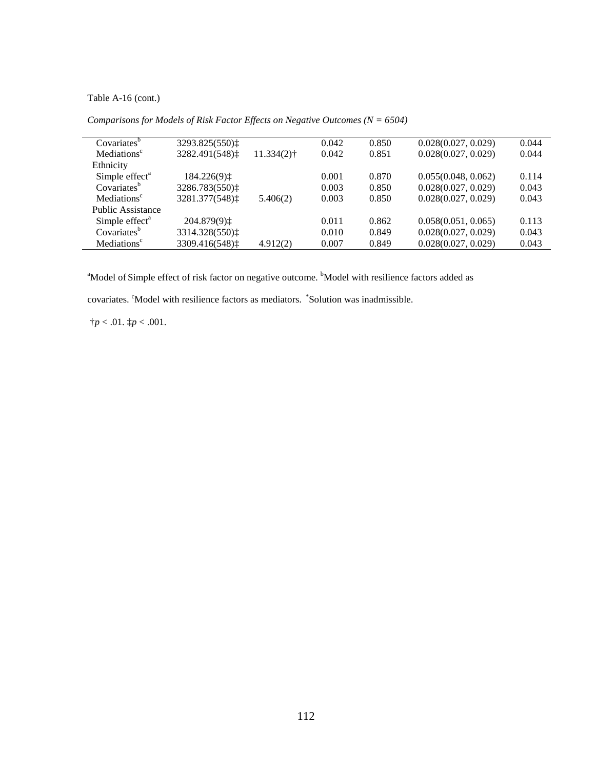Table A-16 (cont.)

| Covariates <sup>b</sup>    | 3293.825(550):           |                          | 0.042 | 0.850 | 0.028(0.027, 0.029) | 0.044 |
|----------------------------|--------------------------|--------------------------|-------|-------|---------------------|-------|
| Mediations <sup>c</sup>    | 3282.491(548):           | $11.334(2)$ <sup>†</sup> | 0.042 | 0.851 | 0.028(0.027, 0.029) | 0.044 |
| Ethnicity                  |                          |                          |       |       |                     |       |
| Simple effect <sup>a</sup> | 184.226(9) $\ddagger$    |                          | 0.001 | 0.870 | 0.055(0.048, 0.062) | 0.114 |
| Covariates <sup>b</sup>    | 3286.783(550):           |                          | 0.003 | 0.850 | 0.028(0.027, 0.029) | 0.043 |
| Mediations <sup>c</sup>    | 3281.377(548) $\ddagger$ | 5.406(2)                 | 0.003 | 0.850 | 0.028(0.027, 0.029) | 0.043 |
| <b>Public Assistance</b>   |                          |                          |       |       |                     |       |
| Simple effect <sup>a</sup> | 204.879(9) $\ddagger$    |                          | 0.011 | 0.862 | 0.058(0.051, 0.065) | 0.113 |
| Covariates <sup>b</sup>    | 3314.328(550):           |                          | 0.010 | 0.849 | 0.028(0.027, 0.029) | 0.043 |
| Mediations <sup>c</sup>    | 3309.416(548) $\ddagger$ | 4.912(2)                 | 0.007 | 0.849 | 0.028(0.027, 0.029) | 0.043 |
|                            |                          |                          |       |       |                     |       |

*Comparisons for Models of Risk Factor Effects on Negative Outcomes (N = 6504)* 

<sup>a</sup>Model of Simple effect of risk factor on negative outcome. <sup>b</sup>Model with resilience factors added as

covariates. <sup>c</sup>Model with resilience factors as mediators. <sup>\*</sup>Solution was inadmissible.

 $\dagger p < .01.$   $\dagger p < .001.$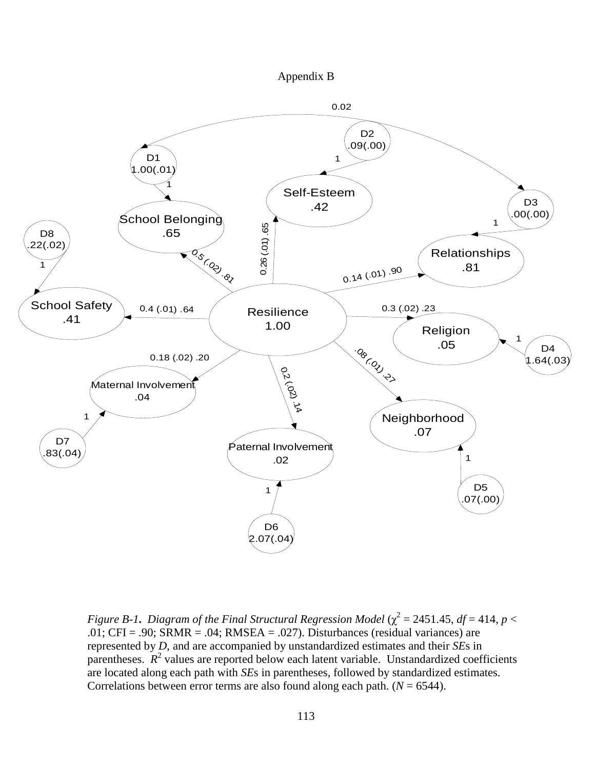



*Figure B-1. Diagram of the Final Structural Regression Model* ( $\chi^2$  = 2451.45, *df* = 414, *p* < .01; CFI = .90; SRMR = .04; RMSEA = .027). Disturbances (residual variances) are represented by *D*, and are accompanied by unstandardized estimates and their *SE*s in parentheses.  $R^2$  values are reported below each latent variable. Unstandardized coefficients are located along each path with *SE*s in parentheses, followed by standardized estimates. Correlations between error terms are also found along each path.  $(N = 6544)$ .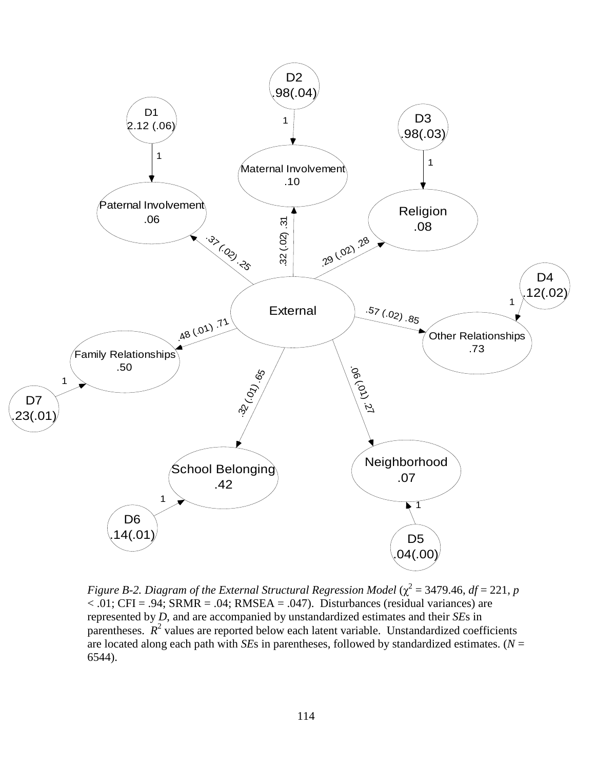

*Figure B-2. Diagram of the External Structural Regression Model* ( $\chi^2$  = 3479.46, *df* = 221, *p*  $< .01$ ; CFI = .94; SRMR = .04; RMSEA = .047). Disturbances (residual variances) are represented by *D*, and are accompanied by unstandardized estimates and their *SE*s in parentheses.  $R^2$  values are reported below each latent variable. Unstandardized coefficients are located along each path with *SE*s in parentheses, followed by standardized estimates. ( $N =$ 6544).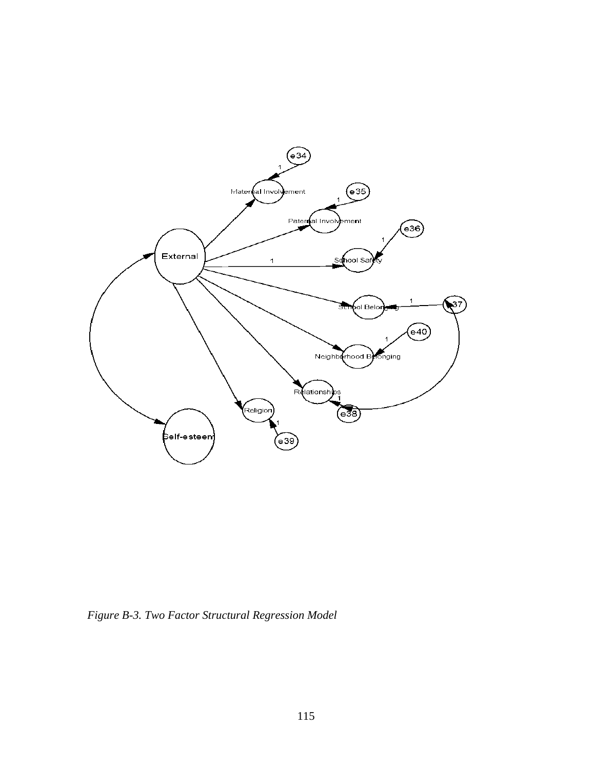

*Figure B-3. Two Factor Structural Regression Model*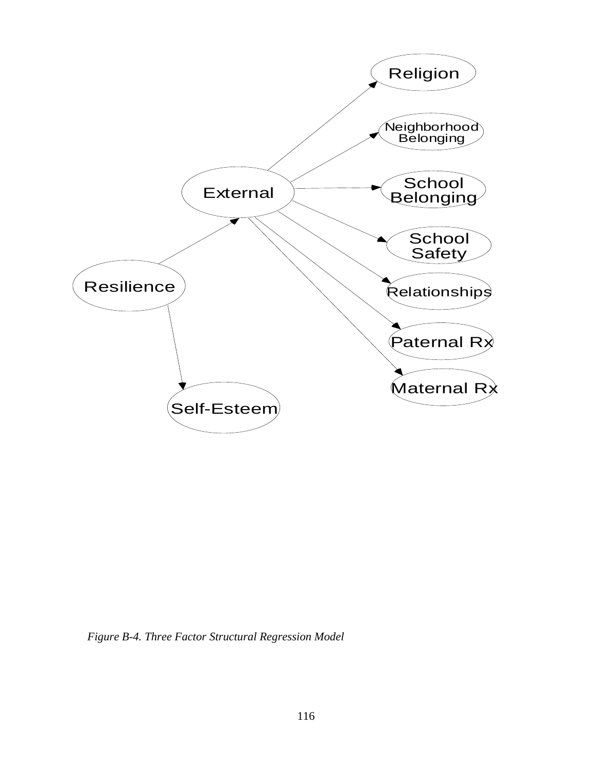

*Figure B-4. Three Factor Structural Regression Model*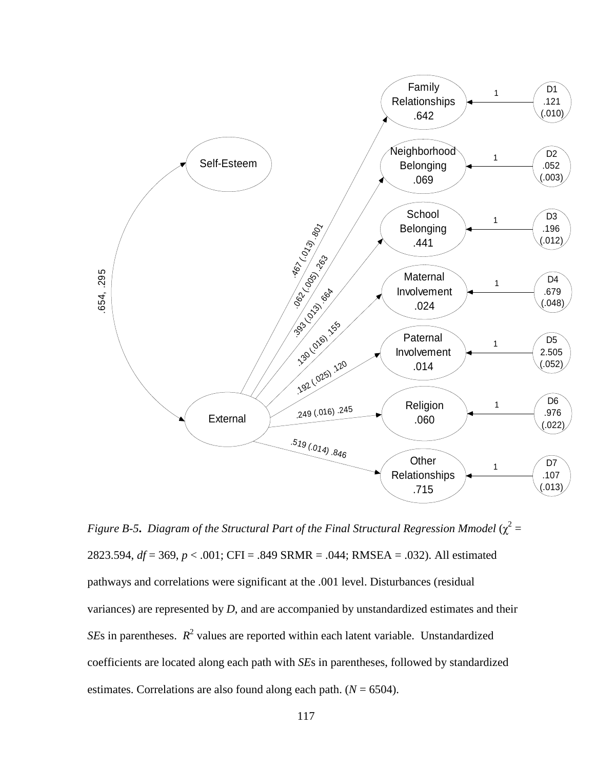

Figure B-5. Diagram of the Structural Part of the Final Structural Regression Mmodel ( $\chi^2$  = 2823.594, *df* = 369, *p* < .001; CFI = .849 SRMR = .044; RMSEA = .032). All estimated pathways and correlations were significant at the .001 level. Disturbances (residual variances) are represented by *D*, and are accompanied by unstandardized estimates and their *SE*s in parentheses.  $R^2$  values are reported within each latent variable. Unstandardized coefficients are located along each path with *SE*s in parentheses, followed by standardized estimates. Correlations are also found along each path.  $(N = 6504)$ .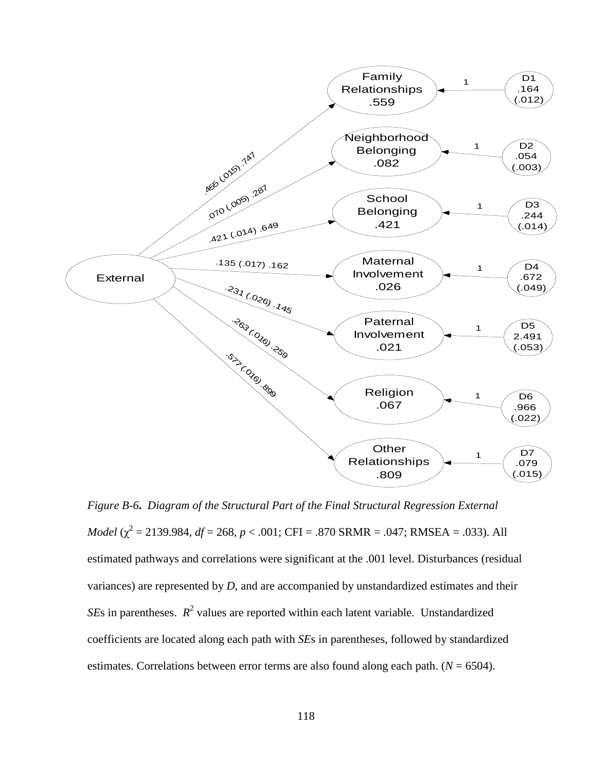

*Figure B-6***.** *Diagram of the Structural Part of the Final Structural Regression External Model* ( $\chi^2$  = 2139.984, *df* = 268, *p* < .001; CFI = .870 SRMR = .047; RMSEA = .033). All estimated pathways and correlations were significant at the .001 level. Disturbances (residual variances) are represented by *D*, and are accompanied by unstandardized estimates and their *SEs* in parentheses.  $R^2$  values are reported within each latent variable. Unstandardized coefficients are located along each path with *SE*s in parentheses, followed by standardized estimates. Correlations between error terms are also found along each path.  $(N = 6504)$ .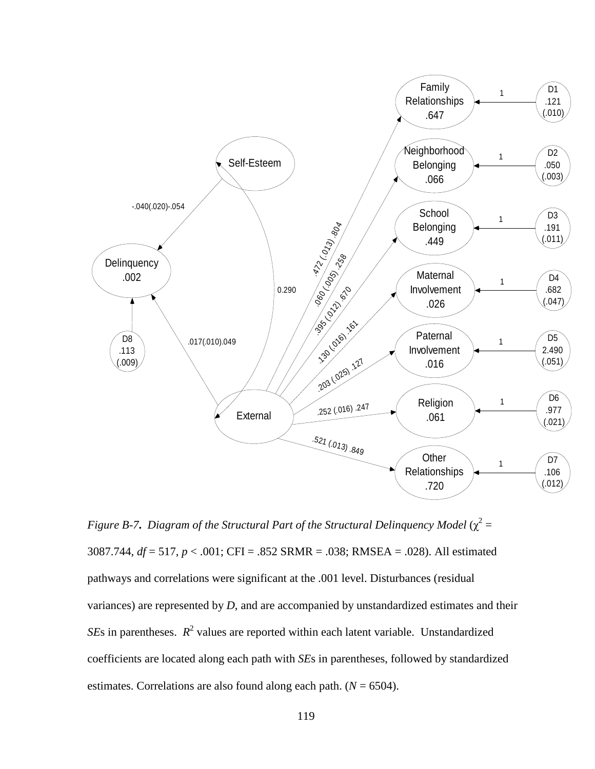

*Figure B-7. Diagram of the Structural Part of the Structural Delinquency Model* ( $\chi^2$  = 3087.744, *df* = 517, *p* < .001; CFI = .852 SRMR = .038; RMSEA = .028). All estimated pathways and correlations were significant at the .001 level. Disturbances (residual variances) are represented by *D*, and are accompanied by unstandardized estimates and their *SEs* in parentheses.  $R^2$  values are reported within each latent variable. Unstandardized coefficients are located along each path with *SE*s in parentheses, followed by standardized estimates. Correlations are also found along each path.  $(N = 6504)$ .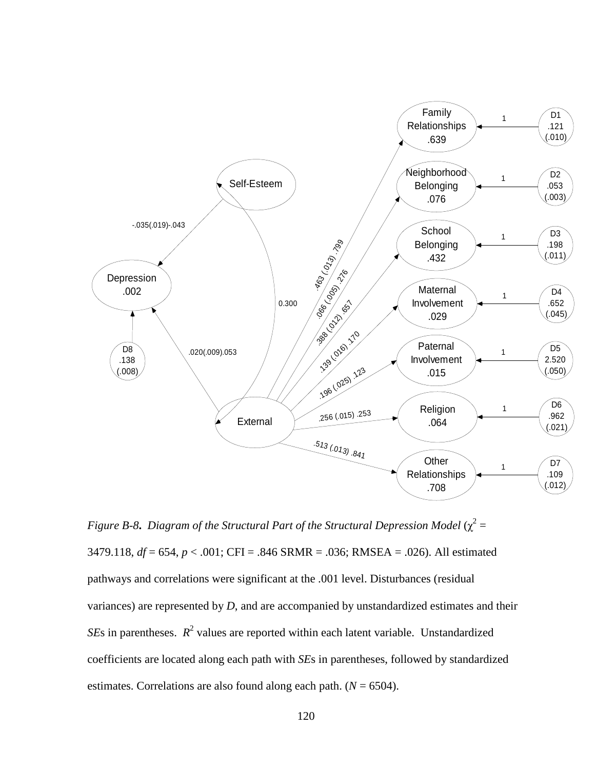

Figure B-8. Diagram of the Structural Part of the Structural Depression Model ( $\chi^2$  = 3479.118, *df* = 654, *p* < .001; CFI = .846 SRMR = .036; RMSEA = .026). All estimated pathways and correlations were significant at the .001 level. Disturbances (residual variances) are represented by *D*, and are accompanied by unstandardized estimates and their *SEs* in parentheses.  $R^2$  values are reported within each latent variable. Unstandardized coefficients are located along each path with *SE*s in parentheses, followed by standardized estimates. Correlations are also found along each path.  $(N = 6504)$ .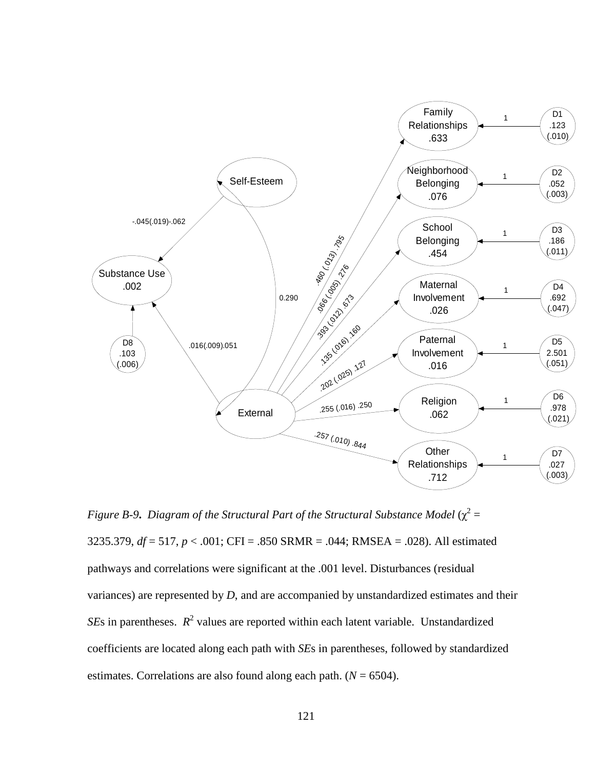

*Figure B-9. Diagram of the Structural Part of the Structural Substance Model* ( $\chi^2$  = 3235.379, *df* = 517, *p* < .001; CFI = .850 SRMR = .044; RMSEA = .028). All estimated pathways and correlations were significant at the .001 level. Disturbances (residual variances) are represented by *D*, and are accompanied by unstandardized estimates and their *SEs* in parentheses.  $R^2$  values are reported within each latent variable. Unstandardized coefficients are located along each path with *SE*s in parentheses, followed by standardized estimates. Correlations are also found along each path. (*N* = 6504).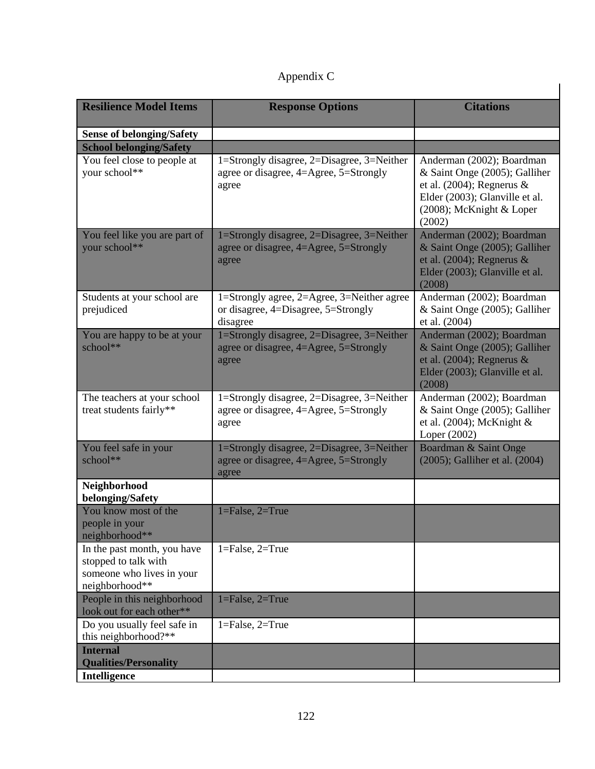# Appendix C

| <b>Resilience Model Items</b>                                                                      | <b>Response Options</b>                                                                       | <b>Citations</b>                                                                                                                                                   |  |  |
|----------------------------------------------------------------------------------------------------|-----------------------------------------------------------------------------------------------|--------------------------------------------------------------------------------------------------------------------------------------------------------------------|--|--|
| <b>Sense of belonging/Safety</b>                                                                   |                                                                                               |                                                                                                                                                                    |  |  |
| <b>School belonging/Safety</b>                                                                     |                                                                                               |                                                                                                                                                                    |  |  |
| You feel close to people at<br>your school**                                                       | 1=Strongly disagree, 2=Disagree, 3=Neither<br>agree or disagree, 4=Agree, 5=Strongly<br>agree | Anderman (2002); Boardman<br>& Saint Onge (2005); Galliher<br>et al. $(2004)$ ; Regnerus &<br>Elder (2003); Glanville et al.<br>(2008); McKnight & Loper<br>(2002) |  |  |
| You feel like you are part of<br>your school**                                                     | 1=Strongly disagree, 2=Disagree, 3=Neither<br>agree or disagree, 4=Agree, 5=Strongly<br>agree | Anderman (2002); Boardman<br>& Saint Onge (2005); Galliher<br>et al. $(2004)$ ; Regnerus &<br>Elder (2003); Glanville et al.<br>(2008)                             |  |  |
| Students at your school are<br>prejudiced                                                          | 1=Strongly agree, 2=Agree, 3=Neither agree<br>or disagree, 4=Disagree, 5=Strongly<br>disagree | Anderman (2002); Boardman<br>& Saint Onge (2005); Galliher<br>et al. (2004)                                                                                        |  |  |
| You are happy to be at your<br>school**                                                            | 1=Strongly disagree, 2=Disagree, 3=Neither<br>agree or disagree, 4=Agree, 5=Strongly<br>agree | Anderman (2002); Boardman<br>& Saint Onge (2005); Galliher<br>et al. $(2004)$ ; Regnerus &<br>Elder (2003); Glanville et al.<br>(2008)                             |  |  |
| The teachers at your school<br>treat students fairly**                                             | 1=Strongly disagree, 2=Disagree, 3=Neither<br>agree or disagree, 4=Agree, 5=Strongly<br>agree | Anderman (2002); Boardman<br>& Saint Onge (2005); Galliher<br>et al. $(2004)$ ; McKnight &<br>Loper (2002)                                                         |  |  |
| You feel safe in your<br>school**                                                                  | 1=Strongly disagree, 2=Disagree, 3=Neither<br>agree or disagree, 4=Agree, 5=Strongly<br>agree | Boardman & Saint Onge<br>(2005); Galliher et al. (2004)                                                                                                            |  |  |
| Neighborhood<br>belonging/Safety                                                                   |                                                                                               |                                                                                                                                                                    |  |  |
| You know most of the<br>people in your<br>neighborhood**                                           | $1 = False, 2 = True$                                                                         |                                                                                                                                                                    |  |  |
| In the past month, you have<br>stopped to talk with<br>someone who lives in your<br>neighborhood** | $1 = False, 2 = True$                                                                         |                                                                                                                                                                    |  |  |
| People in this neighborhood<br>look out for each other**                                           | $1 = False, 2 = True$                                                                         |                                                                                                                                                                    |  |  |
| Do you usually feel safe in<br>this neighborhood?**                                                | $1 = False, 2 = True$                                                                         |                                                                                                                                                                    |  |  |
| <b>Internal</b><br><b>Qualities/Personality</b>                                                    |                                                                                               |                                                                                                                                                                    |  |  |
| Intelligence                                                                                       |                                                                                               |                                                                                                                                                                    |  |  |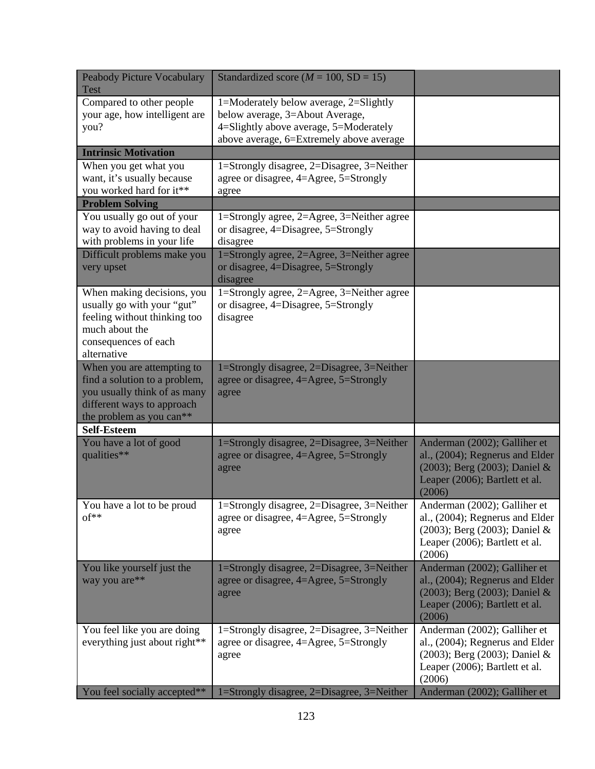| <b>Peabody Picture Vocabulary</b><br><b>Test</b>                                                                                                      | Standardized score ( $M = 100$ , SD = 15)                                                                                                                       |                                                                                                                                              |
|-------------------------------------------------------------------------------------------------------------------------------------------------------|-----------------------------------------------------------------------------------------------------------------------------------------------------------------|----------------------------------------------------------------------------------------------------------------------------------------------|
| Compared to other people<br>your age, how intelligent are<br>you?                                                                                     | 1=Moderately below average, 2=Slightly<br>below average, 3=About Average,<br>4=Slightly above average, 5=Moderately<br>above average, 6=Extremely above average |                                                                                                                                              |
| <b>Intrinsic Motivation</b>                                                                                                                           |                                                                                                                                                                 |                                                                                                                                              |
| When you get what you<br>want, it's usually because<br>you worked hard for it**                                                                       | 1=Strongly disagree, 2=Disagree, 3=Neither<br>agree or disagree, 4=Agree, 5=Strongly<br>agree                                                                   |                                                                                                                                              |
| <b>Problem Solving</b>                                                                                                                                |                                                                                                                                                                 |                                                                                                                                              |
| You usually go out of your<br>way to avoid having to deal<br>with problems in your life                                                               | 1=Strongly agree, 2=Agree, 3=Neither agree<br>or disagree, 4=Disagree, 5=Strongly<br>disagree                                                                   |                                                                                                                                              |
| Difficult problems make you<br>very upset                                                                                                             | 1=Strongly agree, 2=Agree, 3=Neither agree<br>or disagree, 4=Disagree, 5=Strongly<br>disagree                                                                   |                                                                                                                                              |
| When making decisions, you<br>usually go with your "gut"<br>feeling without thinking too<br>much about the<br>consequences of each<br>alternative     | 1=Strongly agree, 2=Agree, 3=Neither agree<br>or disagree, 4=Disagree, 5=Strongly<br>disagree                                                                   |                                                                                                                                              |
| When you are attempting to<br>find a solution to a problem,<br>you usually think of as many<br>different ways to approach<br>the problem as you can** | 1=Strongly disagree, 2=Disagree, 3=Neither<br>agree or disagree, 4=Agree, 5=Strongly<br>agree                                                                   |                                                                                                                                              |
| <b>Self-Esteem</b>                                                                                                                                    |                                                                                                                                                                 |                                                                                                                                              |
| You have a lot of good<br>qualities**                                                                                                                 | 1=Strongly disagree, 2=Disagree, 3=Neither<br>agree or disagree, 4=Agree, 5=Strongly<br>agree                                                                   | Anderman (2002); Galliher et<br>al., (2004); Regnerus and Elder<br>(2003); Berg (2003); Daniel &<br>Leaper (2006); Bartlett et al.<br>(2006) |
| You have a lot to be proud<br>$of**$                                                                                                                  | 1=Strongly disagree, 2=Disagree, 3=Neither<br>agree or disagree, 4=Agree, 5=Strongly<br>agree                                                                   | Anderman (2002); Galliher et<br>al., (2004); Regnerus and Elder<br>(2003); Berg (2003); Daniel &<br>Leaper (2006); Bartlett et al.<br>(2006) |
| You like yourself just the<br>way you are**                                                                                                           | 1=Strongly disagree, 2=Disagree, 3=Neither<br>agree or disagree, 4=Agree, 5=Strongly<br>agree                                                                   | Anderman (2002); Galliher et<br>al., (2004); Regnerus and Elder<br>(2003); Berg (2003); Daniel &<br>Leaper (2006); Bartlett et al.<br>(2006) |
| You feel like you are doing<br>everything just about right**                                                                                          | 1=Strongly disagree, 2=Disagree, 3=Neither<br>agree or disagree, 4=Agree, 5=Strongly<br>agree                                                                   | Anderman (2002); Galliher et<br>al., (2004); Regnerus and Elder<br>(2003); Berg (2003); Daniel &<br>Leaper (2006); Bartlett et al.<br>(2006) |
| You feel socially accepted**                                                                                                                          | 1=Strongly disagree, 2=Disagree, 3=Neither                                                                                                                      | Anderman (2002); Galliher et                                                                                                                 |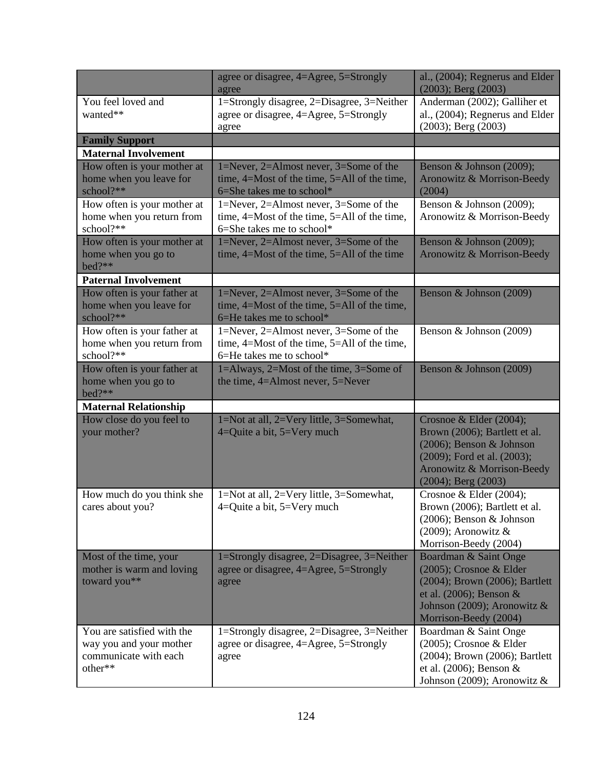|                                                                                           | agree or disagree, 4=Agree, 5=Strongly<br>agree                                                                            | al., (2004); Regnerus and Elder<br>$(2003)$ ; Berg $(2003)$                                                                                                                   |
|-------------------------------------------------------------------------------------------|----------------------------------------------------------------------------------------------------------------------------|-------------------------------------------------------------------------------------------------------------------------------------------------------------------------------|
| You feel loved and<br>wanted**                                                            | 1=Strongly disagree, 2=Disagree, 3=Neither<br>agree or disagree, 4=Agree, 5=Strongly<br>agree                              | Anderman (2002); Galliher et<br>al., (2004); Regnerus and Elder<br>$(2003)$ ; Berg $(2003)$                                                                                   |
| <b>Family Support</b>                                                                     |                                                                                                                            |                                                                                                                                                                               |
| <b>Maternal Involvement</b>                                                               |                                                                                                                            |                                                                                                                                                                               |
| How often is your mother at<br>home when you leave for<br>school?**                       | 1=Never, 2=Almost never, 3=Some of the<br>time, $4=Most$ of the time, $5=All$ of the time,<br>6=She takes me to school*    | Benson & Johnson (2009);<br>Aronowitz & Morrison-Beedy<br>(2004)                                                                                                              |
| How often is your mother at<br>home when you return from<br>school?**                     | 1=Never, 2=Almost never, $3=$ Some of the<br>time, $4=Most$ of the time, $5=All$ of the time,<br>6=She takes me to school* | Benson & Johnson (2009);<br>Aronowitz & Morrison-Beedy                                                                                                                        |
| How often is your mother at<br>home when you go to<br>bed?**                              | 1=Never, 2=Almost never, 3=Some of the<br>time, $4=Most$ of the time, $5=All$ of the time                                  | Benson & Johnson (2009);<br>Aronowitz & Morrison-Beedy                                                                                                                        |
| <b>Paternal Involvement</b>                                                               |                                                                                                                            |                                                                                                                                                                               |
| How often is your father at<br>home when you leave for<br>school?**                       | 1=Never, 2=Almost never, 3=Some of the<br>time, 4=Most of the time, 5=All of the time,<br>6=He takes me to school*         | Benson & Johnson (2009)                                                                                                                                                       |
| How often is your father at<br>home when you return from<br>school?**                     | 1=Never, 2=Almost never, $3=$ Some of the<br>time, $4=Most$ of the time, $5=All$ of the time,<br>6=He takes me to school*  | Benson & Johnson (2009)                                                                                                                                                       |
| How often is your father at<br>home when you go to<br>bed?**                              | 1=Always, 2=Most of the time, 3=Some of<br>the time, 4=Almost never, 5=Never                                               | Benson & Johnson (2009)                                                                                                                                                       |
| <b>Maternal Relationship</b>                                                              |                                                                                                                            |                                                                                                                                                                               |
| How close do you feel to<br>your mother?                                                  | 1=Not at all, 2=Very little, 3=Somewhat,<br>$4 =$ Quite a bit, $5 =$ Very much                                             | Crosnoe & Elder (2004);<br>Brown (2006); Bartlett et al.<br>(2006); Benson & Johnson<br>(2009); Ford et al. (2003);<br>Aronowitz & Morrison-Beedy<br>$(2004)$ ; Berg $(2003)$ |
| How much do you think she<br>cares about you?                                             | 1=Not at all, 2=Very little, 3=Somewhat,<br>4=Quite a bit, 5=Very much                                                     | Crosnoe & Elder (2004);<br>Brown (2006); Bartlett et al.<br>$(2006)$ ; Benson & Johnson<br>(2009); Aronowitz $\&$<br>Morrison-Beedy (2004)                                    |
| Most of the time, your<br>mother is warm and loving<br>toward you**                       | 1=Strongly disagree, 2=Disagree, 3=Neither<br>agree or disagree, 4=Agree, 5=Strongly<br>agree                              | Boardman & Saint Onge<br>(2005); Crosnoe & Elder<br>(2004); Brown (2006); Bartlett<br>et al. $(2006)$ ; Benson &<br>Johnson (2009); Aronowitz &<br>Morrison-Beedy (2004)      |
| You are satisfied with the<br>way you and your mother<br>communicate with each<br>other** | 1=Strongly disagree, 2=Disagree, 3=Neither<br>agree or disagree, 4=Agree, 5=Strongly<br>agree                              | Boardman & Saint Onge<br>(2005); Crosnoe & Elder<br>(2004); Brown (2006); Bartlett<br>et al. $(2006)$ ; Benson &<br>Johnson (2009); Aronowitz &                               |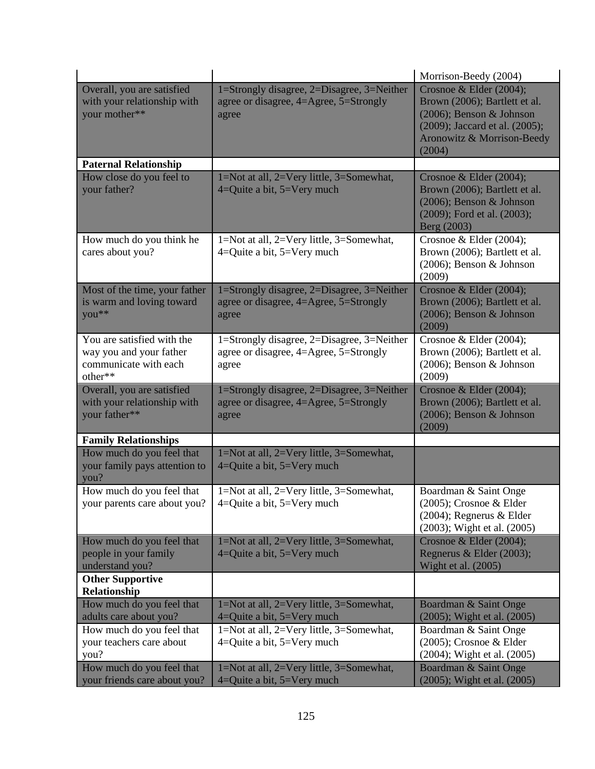|                                                                                           |                                                                                               | Morrison-Beedy (2004)                                                                                                                                          |
|-------------------------------------------------------------------------------------------|-----------------------------------------------------------------------------------------------|----------------------------------------------------------------------------------------------------------------------------------------------------------------|
| Overall, you are satisfied<br>with your relationship with<br>your mother**                | 1=Strongly disagree, 2=Disagree, 3=Neither<br>agree or disagree, 4=Agree, 5=Strongly<br>agree | Crosnoe & Elder (2004);<br>Brown (2006); Bartlett et al.<br>(2006); Benson & Johnson<br>(2009); Jaccard et al. (2005);<br>Aronowitz & Morrison-Beedy<br>(2004) |
| <b>Paternal Relationship</b>                                                              |                                                                                               |                                                                                                                                                                |
| How close do you feel to<br>your father?                                                  | 1=Not at all, 2=Very little, 3=Somewhat,<br>4=Quite a bit, 5=Very much                        | Crosnoe & Elder (2004);<br>Brown (2006); Bartlett et al.<br>(2006); Benson & Johnson<br>(2009); Ford et al. (2003);<br>Berg (2003)                             |
| How much do you think he<br>cares about you?                                              | 1=Not at all, 2=Very little, 3=Somewhat,<br>$4=$ Quite a bit, $5=$ Very much                  | Crosnoe & Elder $(2004)$ ;<br>Brown (2006); Bartlett et al.<br>(2006); Benson & Johnson<br>(2009)                                                              |
| Most of the time, your father<br>is warm and loving toward<br>you**                       | 1=Strongly disagree, 2=Disagree, 3=Neither<br>agree or disagree, 4=Agree, 5=Strongly<br>agree | Crosnoe & Elder (2004);<br>Brown (2006); Bartlett et al.<br>$(2006)$ ; Benson & Johnson<br>(2009)                                                              |
| You are satisfied with the<br>way you and your father<br>communicate with each<br>other** | 1=Strongly disagree, 2=Disagree, 3=Neither<br>agree or disagree, 4=Agree, 5=Strongly<br>agree | Crosnoe & Elder (2004);<br>Brown (2006); Bartlett et al.<br>(2006); Benson & Johnson<br>(2009)                                                                 |
| Overall, you are satisfied<br>with your relationship with<br>your father**                | 1=Strongly disagree, 2=Disagree, 3=Neither<br>agree or disagree, 4=Agree, 5=Strongly<br>agree | Crosnoe & Elder (2004);<br>Brown (2006); Bartlett et al.<br>(2006); Benson & Johnson<br>(2009)                                                                 |
| <b>Family Relationships</b>                                                               |                                                                                               |                                                                                                                                                                |
| How much do you feel that<br>your family pays attention to<br>you?                        | 1=Not at all, 2=Very little, 3=Somewhat,<br>4=Quite a bit, 5=Very much                        |                                                                                                                                                                |
| How much do you feel that<br>your parents care about you?                                 | 1=Not at all, 2=Very little, 3=Somewhat,<br>$4=$ Quite a bit, $5=$ Very much                  | Boardman & Saint Onge<br>(2005); Crosnoe & Elder<br>$(2004)$ ; Regnerus & Elder<br>(2003); Wight et al. (2005)                                                 |
| How much do you feel that<br>people in your family<br>understand you?                     | 1=Not at all, 2=Very little, 3=Somewhat,<br>$4=$ Quite a bit, $5=$ Very much                  | Crosnoe & Elder (2004);<br>Regnerus & Elder (2003);<br>Wight et al. $(2005)$                                                                                   |
| <b>Other Supportive</b>                                                                   |                                                                                               |                                                                                                                                                                |
| Relationship<br>How much do you feel that                                                 | 1=Not at all, 2=Very little, 3=Somewhat,                                                      | Boardman & Saint Onge                                                                                                                                          |
| adults care about you?                                                                    | 4=Quite a bit, 5=Very much                                                                    | (2005); Wight et al. (2005)                                                                                                                                    |
| How much do you feel that<br>your teachers care about                                     | 1=Not at all, 2=Very little, 3=Somewhat,<br>$4=$ Quite a bit, $5=$ Very much                  | Boardman & Saint Onge<br>(2005); Crosnoe & Elder                                                                                                               |
| you?                                                                                      |                                                                                               | (2004); Wight et al. (2005)                                                                                                                                    |
| How much do you feel that<br>your friends care about you?                                 | 1=Not at all, 2=Very little, 3=Somewhat,<br>4=Quite a bit, $5=V$ ery much                     | Boardman & Saint Onge<br>(2005); Wight et al. (2005)                                                                                                           |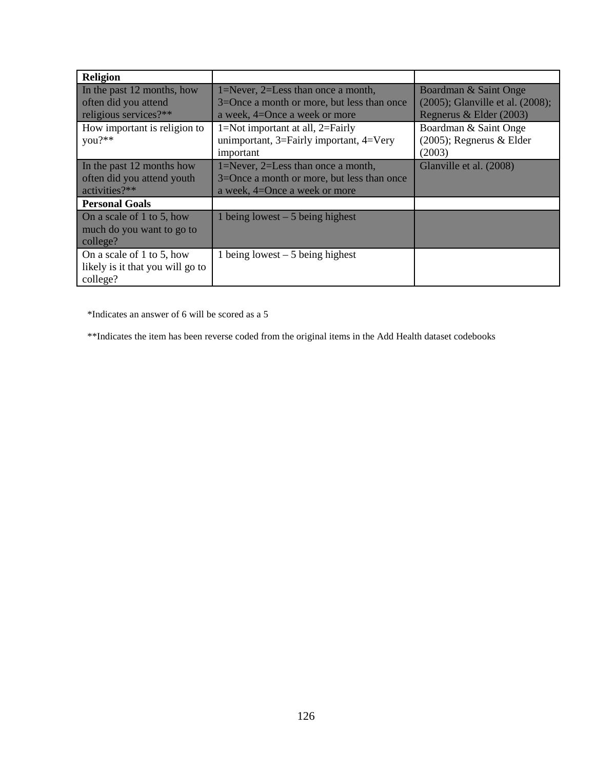| <b>Religion</b>                                                             |                                                                                                                   |                                                                                      |
|-----------------------------------------------------------------------------|-------------------------------------------------------------------------------------------------------------------|--------------------------------------------------------------------------------------|
| In the past 12 months, how<br>often did you attend<br>religious services?** | 1=Never, 2=Less than once a month,<br>3=Once a month or more, but less than once<br>a week, 4=Once a week or more | Boardman & Saint Onge<br>(2005); Glanville et al. (2008);<br>Regnerus & Elder (2003) |
| How important is religion to<br>you?**                                      | $1 = Not important$ at all, $2 = Fairly$<br>unimportant, $3=$ Fairly important, $4=$ Very<br>important            | Boardman & Saint Onge<br>$(2005)$ ; Regnerus & Elder<br>(2003)                       |
| In the past 12 months how<br>often did you attend youth<br>activities?**    | 1=Never, 2=Less than once a month,<br>3=Once a month or more, but less than once<br>a week, 4=Once a week or more | Glanville et al. (2008)                                                              |
| <b>Personal Goals</b>                                                       |                                                                                                                   |                                                                                      |
| On a scale of 1 to 5, how<br>much do you want to go to<br>college?          | 1 being lowest $-5$ being highest                                                                                 |                                                                                      |
| On a scale of 1 to 5, how<br>likely is it that you will go to<br>college?   | 1 being lowest $-5$ being highest                                                                                 |                                                                                      |

\*Indicates an answer of 6 will be scored as a 5

\*\*Indicates the item has been reverse coded from the original items in the Add Health dataset codebooks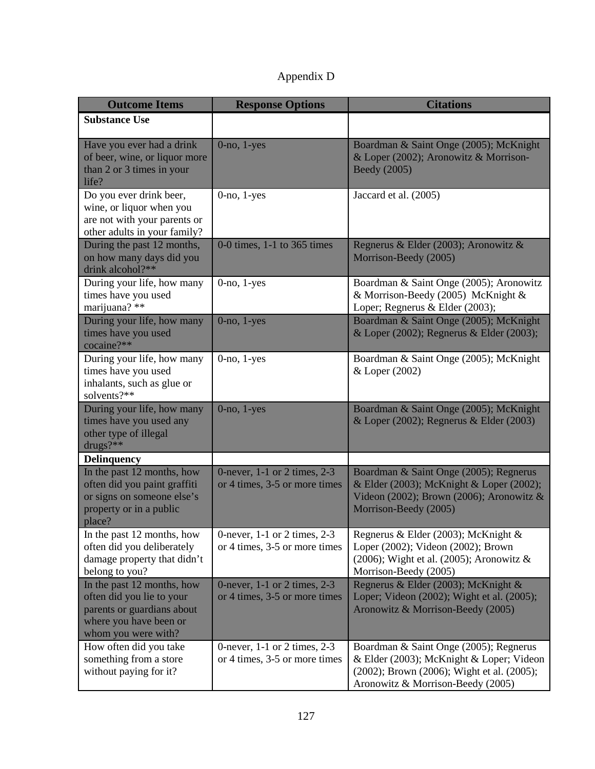| Appendix D |  |
|------------|--|
|------------|--|

| <b>Outcome Items</b>                                                                                                                   | <b>Response Options</b>                                           | <b>Citations</b>                                                                                                                                                      |
|----------------------------------------------------------------------------------------------------------------------------------------|-------------------------------------------------------------------|-----------------------------------------------------------------------------------------------------------------------------------------------------------------------|
| <b>Substance Use</b>                                                                                                                   |                                                                   |                                                                                                                                                                       |
| Have you ever had a drink<br>of beer, wine, or liquor more<br>than 2 or 3 times in your<br>life?                                       | $0$ -no, $1$ -yes                                                 | Boardman & Saint Onge (2005); McKnight<br>& Loper (2002); Aronowitz & Morrison-<br>Beedy (2005)                                                                       |
| Do you ever drink beer,<br>wine, or liquor when you<br>are not with your parents or<br>other adults in your family?                    | $0$ -no, $1$ -yes                                                 | Jaccard et al. (2005)                                                                                                                                                 |
| During the past 12 months,<br>on how many days did you<br>drink alcohol?**                                                             | 0-0 times, 1-1 to 365 times                                       | Regnerus & Elder (2003); Aronowitz &<br>Morrison-Beedy (2005)                                                                                                         |
| During your life, how many<br>times have you used<br>marijuana? **                                                                     | $0$ -no, $1$ -yes                                                 | Boardman & Saint Onge (2005); Aronowitz<br>& Morrison-Beedy (2005) McKnight &<br>Loper; Regnerus & Elder (2003);                                                      |
| During your life, how many<br>times have you used<br>cocaine?**                                                                        | $0$ -no, $1$ -yes                                                 | Boardman & Saint Onge (2005); McKnight<br>& Loper (2002); Regnerus & Elder (2003);                                                                                    |
| During your life, how many<br>times have you used<br>inhalants, such as glue or<br>solvents?**                                         | $0$ -no, $1$ -yes                                                 | Boardman & Saint Onge (2005); McKnight<br>& Loper (2002)                                                                                                              |
| During your life, how many<br>times have you used any<br>other type of illegal<br>drugs?**                                             | $0$ -no, $1$ -yes                                                 | Boardman & Saint Onge (2005); McKnight<br>& Loper (2002); Regnerus & Elder (2003)                                                                                     |
| <b>Delinquency</b>                                                                                                                     |                                                                   |                                                                                                                                                                       |
| In the past 12 months, how<br>often did you paint graffiti<br>or signs on someone else's<br>property or in a public<br>place?          | 0-never, 1-1 or 2 times, 2-3<br>or 4 times, 3-5 or more times     | Boardman & Saint Onge (2005); Regnerus<br>& Elder (2003); McKnight & Loper (2002);<br>Videon (2002); Brown (2006); Aronowitz $&$<br>Morrison-Beedy (2005)             |
| In the past 12 months, how<br>often did you deliberately<br>damage property that didn't<br>belong to you?                              | 0-never, $1-1$ or 2 times, $2-3$<br>or 4 times, 3-5 or more times | Regnerus & Elder (2003); McKnight &<br>Loper (2002); Videon (2002); Brown<br>(2006); Wight et al. (2005); Aronowitz $\&$<br>Morrison-Beedy (2005)                     |
| In the past 12 months, how<br>often did you lie to your<br>parents or guardians about<br>where you have been or<br>whom you were with? | 0-never, 1-1 or 2 times, 2-3<br>or 4 times, 3-5 or more times     | Regnerus & Elder (2003); McKnight &<br>Loper; Videon (2002); Wight et al. (2005);<br>Aronowitz & Morrison-Beedy (2005)                                                |
| How often did you take<br>something from a store<br>without paying for it?                                                             | 0-never, 1-1 or 2 times, 2-3<br>or 4 times, 3-5 or more times     | Boardman & Saint Onge (2005); Regnerus<br>& Elder (2003); McKnight & Loper; Videon<br>(2002); Brown (2006); Wight et al. (2005);<br>Aronowitz & Morrison-Beedy (2005) |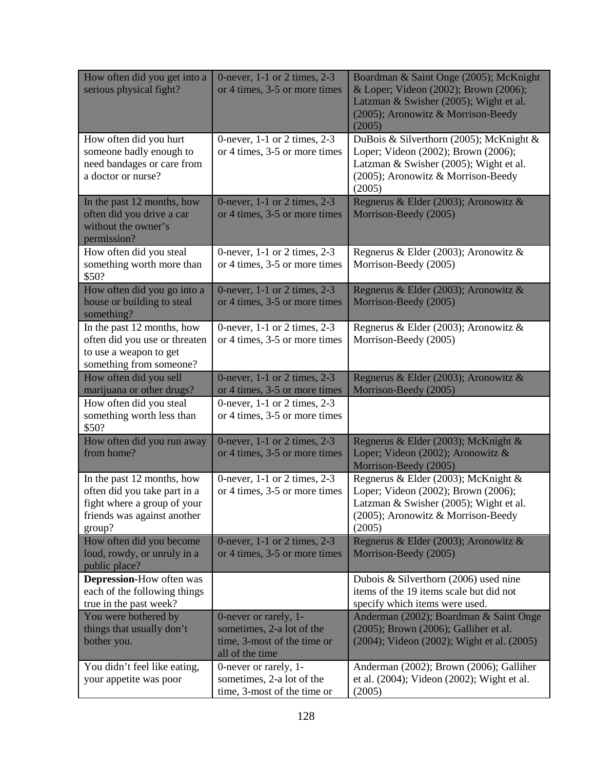| How often did you get into a<br>serious physical fight?                                                                            | 0-never, $1-1$ or 2 times, $2-3$<br>or 4 times, 3-5 or more times                                    | Boardman & Saint Onge (2005); McKnight<br>& Loper; Videon (2002); Brown (2006);<br>Latzman & Swisher (2005); Wight et al.<br>(2005); Aronowitz & Morrison-Beedy<br>(2005) |
|------------------------------------------------------------------------------------------------------------------------------------|------------------------------------------------------------------------------------------------------|---------------------------------------------------------------------------------------------------------------------------------------------------------------------------|
| How often did you hurt<br>someone badly enough to<br>need bandages or care from<br>a doctor or nurse?                              | 0-never, 1-1 or 2 times, 2-3<br>or 4 times, 3-5 or more times                                        | DuBois & Silverthorn (2005); McKnight &<br>Loper; Videon (2002); Brown (2006);<br>Latzman & Swisher (2005); Wight et al.<br>(2005); Aronowitz & Morrison-Beedy<br>(2005)  |
| In the past 12 months, how<br>often did you drive a car<br>without the owner's<br>permission?                                      | 0-never, 1-1 or 2 times, 2-3<br>or 4 times, 3-5 or more times                                        | Regnerus & Elder (2003); Aronowitz &<br>Morrison-Beedy (2005)                                                                                                             |
| How often did you steal<br>something worth more than<br>\$50?                                                                      | 0-never, $1-1$ or 2 times, $2-3$<br>or 4 times, 3-5 or more times                                    | Regnerus & Elder (2003); Aronowitz &<br>Morrison-Beedy (2005)                                                                                                             |
| How often did you go into a<br>house or building to steal<br>something?                                                            | 0-never, 1-1 or 2 times, 2-3<br>or 4 times, 3-5 or more times                                        | Regnerus & Elder (2003); Aronowitz &<br>Morrison-Beedy (2005)                                                                                                             |
| In the past 12 months, how<br>often did you use or threaten<br>to use a weapon to get<br>something from someone?                   | 0-never, 1-1 or 2 times, 2-3<br>or 4 times, 3-5 or more times                                        | Regnerus & Elder (2003); Aronowitz &<br>Morrison-Beedy (2005)                                                                                                             |
| How often did you sell<br>marijuana or other drugs?                                                                                | 0-never, 1-1 or 2 times, 2-3<br>or 4 times, 3-5 or more times                                        | Regnerus & Elder (2003); Aronowitz &<br>Morrison-Beedy (2005)                                                                                                             |
| How often did you steal<br>something worth less than<br>\$50?                                                                      | 0-never, $1-1$ or 2 times, $2-3$<br>or 4 times, 3-5 or more times                                    |                                                                                                                                                                           |
| How often did you run away<br>from home?                                                                                           | 0-never, 1-1 or 2 times, 2-3<br>or 4 times, 3-5 or more times                                        | Regnerus & Elder (2003); McKnight &<br>Loper; Videon (2002); Aronowitz &<br>Morrison-Beedy (2005)                                                                         |
| In the past 12 months, how<br>often did you take part in a<br>fight where a group of your<br>friends was against another<br>group? | 0-never, 1-1 or 2 times, 2-3<br>or 4 times, 3-5 or more times                                        | Regnerus & Elder (2003); McKnight &<br>Loper; Videon (2002); Brown (2006);<br>Latzman & Swisher (2005); Wight et al.<br>(2005); Aronowitz & Morrison-Beedy<br>(2005)      |
| How often did you become<br>loud, rowdy, or unruly in a<br>public place?                                                           | 0-never, 1-1 or 2 times, 2-3<br>or 4 times, 3-5 or more times                                        | Regnerus & Elder (2003); Aronowitz &<br>Morrison-Beedy (2005)                                                                                                             |
| <b>Depression-How often was</b><br>each of the following things<br>true in the past week?                                          |                                                                                                      | Dubois & Silverthorn (2006) used nine<br>items of the 19 items scale but did not<br>specify which items were used.                                                        |
| You were bothered by<br>things that usually don't<br>bother you.                                                                   | 0-never or rarely, 1-<br>sometimes, 2-a lot of the<br>time, 3-most of the time or<br>all of the time | Anderman (2002); Boardman & Saint Onge<br>(2005); Brown (2006); Galliher et al.<br>(2004); Videon (2002); Wight et al. (2005)                                             |
| You didn't feel like eating,<br>your appetite was poor                                                                             | 0-never or rarely, 1-<br>sometimes, 2-a lot of the<br>time, 3-most of the time or                    | Anderman (2002); Brown (2006); Galliher<br>et al. $(2004)$ ; Videon $(2002)$ ; Wight et al.<br>(2005)                                                                     |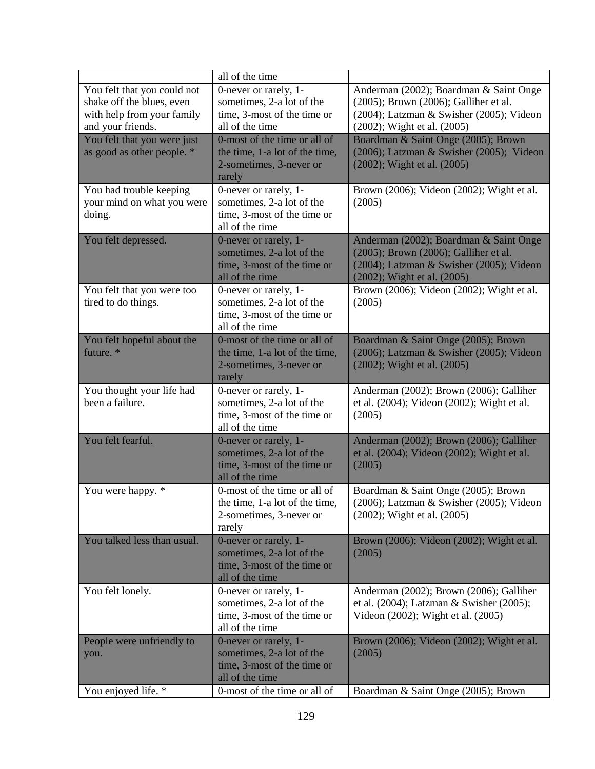|                                                                                        | all of the time                                                                                                                      |                                                                                                                                                            |
|----------------------------------------------------------------------------------------|--------------------------------------------------------------------------------------------------------------------------------------|------------------------------------------------------------------------------------------------------------------------------------------------------------|
| You felt that you could not<br>shake off the blues, even<br>with help from your family | 0-never or rarely, 1-<br>sometimes, 2-a lot of the<br>time, 3-most of the time or                                                    | Anderman (2002); Boardman & Saint Onge<br>(2005); Brown (2006); Galliher et al.<br>(2004); Latzman & Swisher (2005); Videon                                |
| and your friends.                                                                      | all of the time                                                                                                                      | (2002); Wight et al. (2005)                                                                                                                                |
| You felt that you were just<br>as good as other people. *                              | 0-most of the time or all of<br>the time, 1-a lot of the time,<br>2-sometimes, 3-never or<br>rarely                                  | Boardman & Saint Onge (2005); Brown<br>(2006); Latzman & Swisher (2005); Videon<br>(2002); Wight et al. (2005)                                             |
| You had trouble keeping<br>your mind on what you were<br>doing.                        | 0-never or rarely, 1-<br>sometimes, 2-a lot of the<br>time, 3-most of the time or<br>all of the time                                 | Brown (2006); Videon (2002); Wight et al.<br>(2005)                                                                                                        |
| You felt depressed.                                                                    | 0-never or rarely, 1-<br>sometimes, 2-a lot of the<br>time, 3-most of the time or<br>all of the time                                 | Anderman (2002); Boardman & Saint Onge<br>(2005); Brown (2006); Galliher et al.<br>(2004); Latzman & Swisher (2005); Videon<br>(2002); Wight et al. (2005) |
| You felt that you were too<br>tired to do things.                                      | 0-never or rarely, 1-<br>sometimes, 2-a lot of the<br>time, 3-most of the time or<br>all of the time                                 | Brown (2006); Videon (2002); Wight et al.<br>(2005)                                                                                                        |
| You felt hopeful about the<br>future. *                                                | 0-most of the time or all of<br>the time, 1-a lot of the time,<br>2-sometimes, 3-never or<br>rarely                                  | Boardman & Saint Onge (2005); Brown<br>(2006); Latzman & Swisher (2005); Videon<br>(2002); Wight et al. (2005)                                             |
|                                                                                        |                                                                                                                                      |                                                                                                                                                            |
| You thought your life had<br>been a failure.                                           | 0-never or rarely, 1-<br>sometimes, 2-a lot of the<br>time, 3-most of the time or<br>all of the time                                 | Anderman (2002); Brown (2006); Galliher<br>et al. (2004); Videon (2002); Wight et al.<br>(2005)                                                            |
| You felt fearful.                                                                      | 0-never or rarely, 1-<br>sometimes, 2-a lot of the<br>time, 3-most of the time or<br>all of the time                                 | Anderman (2002); Brown (2006); Galliher<br>et al. (2004); Videon (2002); Wight et al.<br>(2005)                                                            |
| You were happy. *                                                                      | 0-most of the time or all of<br>the time, 1-a lot of the time<br>2-sometimes, 3-never or<br>rarely                                   | Boardman & Saint Onge (2005); Brown<br>(2006); Latzman & Swisher (2005); Videon<br>(2002); Wight et al. (2005)                                             |
| You talked less than usual.                                                            | 0-never or rarely, 1-<br>sometimes, 2-a lot of the<br>time, 3-most of the time or<br>all of the time                                 | Brown (2006); Videon (2002); Wight et al.<br>(2005)                                                                                                        |
| You felt lonely.                                                                       | 0-never or rarely, 1-<br>sometimes, 2-a lot of the<br>time, 3-most of the time or<br>all of the time                                 | Anderman (2002); Brown (2006); Galliher<br>et al. (2004); Latzman & Swisher (2005);<br>Videon (2002); Wight et al. (2005)                                  |
| People were unfriendly to<br>you.<br>You enjoyed life. *                               | 0-never or rarely, 1-<br>sometimes, 2-a lot of the<br>time, 3-most of the time or<br>all of the time<br>0-most of the time or all of | Brown (2006); Videon (2002); Wight et al.<br>(2005)<br>Boardman & Saint Onge (2005); Brown                                                                 |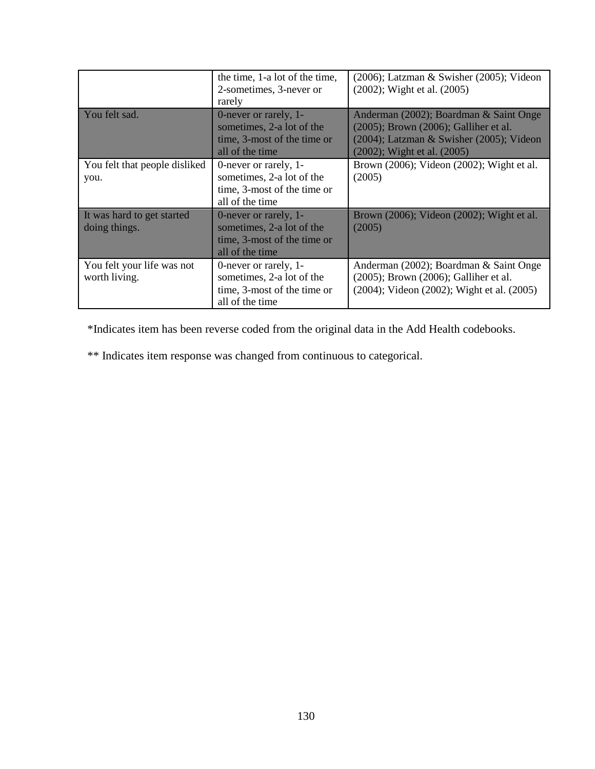|                                             | the time, 1-a lot of the time,<br>2-sometimes, 3-never or<br>rarely                                  | $(2006)$ ; Latzman & Swisher $(2005)$ ; Videon<br>(2002); Wight et al. (2005)                                                                                    |  |  |  |
|---------------------------------------------|------------------------------------------------------------------------------------------------------|------------------------------------------------------------------------------------------------------------------------------------------------------------------|--|--|--|
| You felt sad.                               | 0-never or rarely, 1-<br>sometimes, 2-a lot of the<br>time, 3-most of the time or<br>all of the time | Anderman (2002); Boardman & Saint Onge<br>(2005); Brown (2006); Galliher et al.<br>$(2004)$ ; Latzman & Swisher $(2005)$ ; Videon<br>(2002); Wight et al. (2005) |  |  |  |
| You felt that people disliked<br>you.       | 0-never or rarely, 1-<br>sometimes, 2-a lot of the<br>time, 3-most of the time or<br>all of the time | Brown (2006); Videon (2002); Wight et al.<br>(2005)                                                                                                              |  |  |  |
| It was hard to get started<br>doing things. | 0-never or rarely, 1-<br>sometimes, 2-a lot of the<br>time, 3-most of the time or<br>all of the time | Brown (2006); Videon (2002); Wight et al.<br>(2005)                                                                                                              |  |  |  |
| You felt your life was not<br>worth living. | 0-never or rarely, 1-<br>sometimes, 2-a lot of the<br>time, 3-most of the time or<br>all of the time | Anderman (2002); Boardman & Saint Onge<br>(2005); Brown (2006); Galliher et al.<br>(2004); Videon (2002); Wight et al. (2005)                                    |  |  |  |

\*Indicates item has been reverse coded from the original data in the Add Health codebooks.

\*\* Indicates item response was changed from continuous to categorical.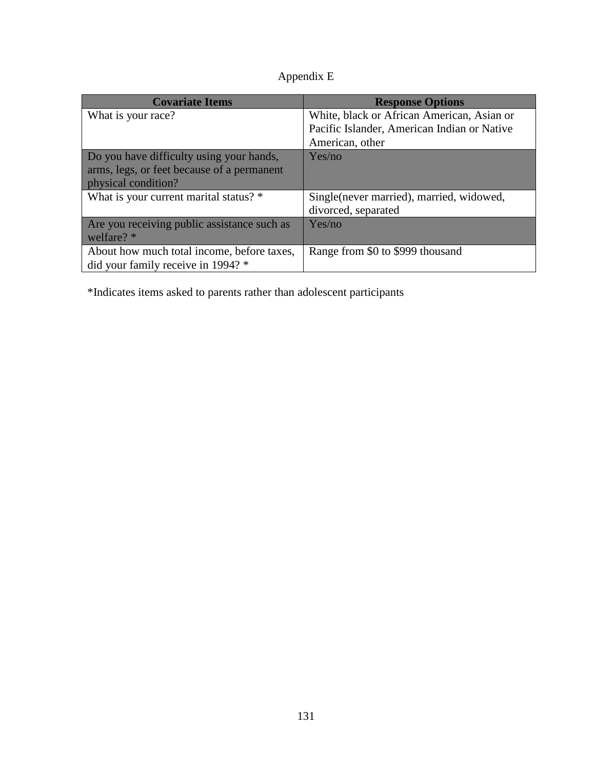| Appendix E |
|------------|
|------------|

| <b>Covariate Items</b>                      | <b>Response Options</b>                     |
|---------------------------------------------|---------------------------------------------|
| What is your race?                          | White, black or African American, Asian or  |
|                                             | Pacific Islander, American Indian or Native |
|                                             | American, other                             |
| Do you have difficulty using your hands,    | Yes/no                                      |
| arms, legs, or feet because of a permanent  |                                             |
| physical condition?                         |                                             |
| What is your current marital status? *      | Single (never married), married, widowed,   |
|                                             | divorced, separated                         |
| Are you receiving public assistance such as | Yes/no                                      |
| welfare? *                                  |                                             |
| About how much total income, before taxes,  | Range from \$0 to \$999 thousand            |
| did your family receive in 1994? *          |                                             |

\*Indicates items asked to parents rather than adolescent participants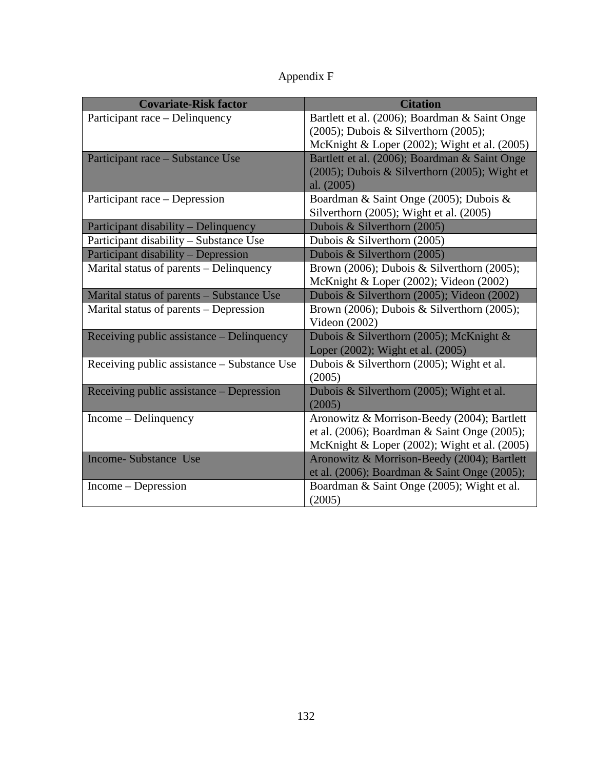|  | Appendix F |  |  |
|--|------------|--|--|
|--|------------|--|--|

| <b>Covariate-Risk factor</b>                | <b>Citation</b>                                             |
|---------------------------------------------|-------------------------------------------------------------|
| Participant race – Delinquency              | Bartlett et al. (2006); Boardman & Saint Onge               |
|                                             | $(2005)$ ; Dubois & Silverthorn $(2005)$ ;                  |
|                                             | McKnight & Loper (2002); Wight et al. (2005)                |
| Participant race – Substance Use            | Bartlett et al. (2006); Boardman & Saint Onge               |
|                                             | (2005); Dubois & Silverthorn (2005); Wight et<br>al. (2005) |
| Participant race - Depression               | Boardman & Saint Onge (2005); Dubois &                      |
|                                             | Silverthorn (2005); Wight et al. (2005)                     |
| Participant disability - Delinquency        | Dubois & Silverthorn (2005)                                 |
| Participant disability - Substance Use      | Dubois & Silverthorn (2005)                                 |
| <b>Participant disability - Depression</b>  | Dubois & Silverthorn (2005)                                 |
| Marital status of parents – Delinquency     | Brown (2006); Dubois & Silverthorn (2005);                  |
|                                             | McKnight & Loper (2002); Videon (2002)                      |
| Marital status of parents - Substance Use   | Dubois & Silverthorn (2005); Videon (2002)                  |
| Marital status of parents – Depression      | Brown (2006); Dubois & Silverthorn (2005);                  |
|                                             | Videon $(2002)$                                             |
| Receiving public assistance – Delinquency   | Dubois & Silverthorn (2005); McKnight &                     |
|                                             | Loper (2002); Wight et al. (2005)                           |
| Receiving public assistance - Substance Use | Dubois & Silverthorn (2005); Wight et al.                   |
|                                             | (2005)                                                      |
| Receiving public assistance – Depression    | Dubois & Silverthorn (2005); Wight et al.                   |
|                                             | (2005)                                                      |
| Income – Delinquency                        | Aronowitz & Morrison-Beedy (2004); Bartlett                 |
|                                             | et al. (2006); Boardman & Saint Onge (2005);                |
|                                             | McKnight & Loper (2002); Wight et al. (2005)                |
| <b>Income-Substance Use</b>                 | Aronowitz & Morrison-Beedy (2004); Bartlett                 |
|                                             | et al. (2006); Boardman & Saint Onge (2005);                |
| Income – Depression                         | Boardman & Saint Onge (2005); Wight et al.                  |
|                                             | (2005)                                                      |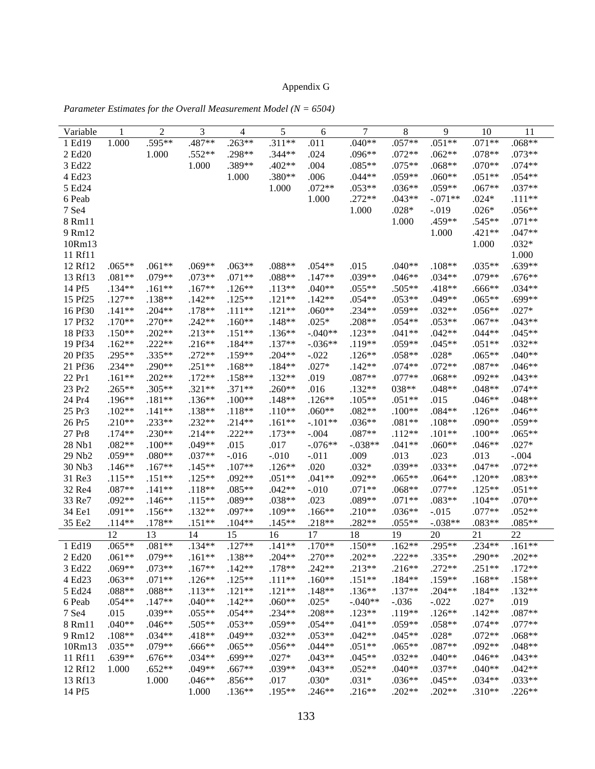# Appendix G

| Variable           | 1        | $\overline{c}$ | 3        | 4        | 5        | 6         | 7         | 8        | 9         | 10       | 11       |
|--------------------|----------|----------------|----------|----------|----------|-----------|-----------|----------|-----------|----------|----------|
| 1 Ed19             | 1.000    | .595**         | .487**   | $.263**$ | $.311**$ | .011      | $.040**$  | $.057**$ | $.051**$  | $.071**$ | $.068**$ |
| 2 Ed20             |          | 1.000          | $.552**$ | .298**   | $.344**$ | .024      | .096**    | $.072**$ | $.062**$  | .078**   | $.073**$ |
| 3 Ed22             |          |                | 1.000    | .389**   | $.402**$ | .004      | $.085**$  | $.075**$ | $.068**$  | $.070**$ | $.074**$ |
| 4 Ed23             |          |                |          | 1.000    | $.380**$ | .006      | $.044**$  | $.059**$ | $.060**$  | $.051**$ | $.054**$ |
| 5 Ed24             |          |                |          |          | 1.000    | $.072**$  | $.053**$  | $.036**$ | $.059**$  | $.067**$ | .037**   |
| 6 Peab             |          |                |          |          |          | 1.000     | $.272**$  | $.043**$ | $-.071**$ | $.024*$  | $.111**$ |
| 7 Se4              |          |                |          |          |          |           | 1.000     | $.028*$  | $-.019$   | $.026*$  | $.056**$ |
| 8 Rm11             |          |                |          |          |          |           |           | 1.000    | .459**    | .545**   | $.071**$ |
| 9 Rm12             |          |                |          |          |          |           |           |          | 1.000     | $.421**$ | $.047**$ |
| 10Rm13             |          |                |          |          |          |           |           |          |           | 1.000    | $.032*$  |
| 11 Rf11            |          |                |          |          |          |           |           |          |           |          | 1.000    |
| 12 Rf12            | $.065**$ | $.061**$       | $.069**$ | $.063**$ | $.088**$ | $.054**$  | .015      | $.040**$ | $.108**$  | $.035**$ | $.639**$ |
| 13 Rf13            | $.081**$ | .079**         | $.073**$ | $.071**$ | $.088**$ | $.147**$  | .039**    | $.046**$ | $.034**$  | .079**   | $.676**$ |
| 14 Pf5             | $.134**$ | $.161**$       | $.167**$ | $.126**$ | $.113**$ | $.040**$  | $.055**$  | $.505**$ | .418**    | $.666**$ | $.034**$ |
| 15 Pf25            | $.127**$ | .138**         | $.142**$ | $.125**$ | $.121**$ | $.142**$  | $.054**$  | $.053**$ | .049**    | $.065**$ | $.699**$ |
| 16 Pf30            | $.141**$ | $.204**$       | .178**   | $.111**$ | $.121**$ | $.060**$  | $.234**$  | $.059**$ | $.032**$  | $.056**$ | $.027*$  |
| 17 Pf32            | $.170**$ | $.270**$       | $.242**$ | $.160**$ | $.148**$ | $.025*$   | .208**    | $.054**$ | $.053**$  | $.067**$ | $.043**$ |
| 18 Pf33            | $.150**$ | $.202**$       | $.213**$ | $.151**$ | $.136**$ | $-.040**$ | $.123**$  | $.041**$ | $.042**$  | $.044**$ | $.045**$ |
| 19 Pf34            | $.162**$ | $.222**$       | $.216**$ | $.184**$ | $.137**$ | $-.036**$ | .119**    | $.059**$ | $.045**$  | $.051**$ | $.032**$ |
| 20 Pf35            | $.295**$ | .335**         | $.272**$ | .159**   | $.204**$ | $-.022$   | $.126**$  | $.058**$ | $.028*$   | $.065**$ | $.040**$ |
| 21 Pf36            | $.234**$ | $.290**$       | $.251**$ | $.168**$ | $.184**$ | $.027*$   | $.142**$  | $.074**$ | $.072**$  | $.087**$ | $.046**$ |
| 22 Pr1             | $.161**$ | $.202**$       | $.172**$ | $.158**$ | $.132**$ | .019      | $.087**$  | $.077**$ | $.068**$  | $.092**$ | $.043**$ |
| 23 Pr <sub>2</sub> | $.265**$ | $.305**$       | $.321**$ | $.371**$ | $.260**$ | .016      | $.132**$  | 038**    | $.048**$  | $.048**$ | $.074**$ |
| 24 Pr4             | $.196**$ | $.181**$       | $.136**$ | $.100**$ | $.148**$ | $.126**$  | $.105**$  | $.051**$ | .015      | $.046**$ | $.048**$ |
| 25 Pr3             | $.102**$ | $.141**$       | .138**   | $.118**$ | $.110**$ | $.060**$  | $.082**$  | $.100**$ | $.084**$  | $.126**$ | $.046**$ |
| 26 Pr5             | $.210**$ | $.233**$       | $.232**$ | $.214**$ | $.161**$ | $-.101**$ | $.036**$  | $.081**$ | $.108**$  | .090**   | .059**   |
| 27 Pr8             | $.174**$ | $.230**$       | $.214**$ | $.222**$ | $.173**$ | $-.004$   | .087**    | $.112**$ | $.101**$  | $.100**$ | $.065**$ |
| 28 Nb1             | $.082**$ | $.100**$       | .049**   | .015     | .017     | $-.076**$ | $-.038**$ | $.041**$ | $.060**$  | $.046**$ | $.027*$  |
| 29 Nb2             | $.059**$ | $.080**$       | $.037**$ | $-0.016$ | $-.010$  | $-.011$   | .009      | .013     | .023      | .013     | $-.004$  |
| 30 Nb3             | $.146**$ | $.167**$       | $.145**$ | $.107**$ | $.126**$ | .020      | $.032*$   | .039**   | $.033**$  | $.047**$ | $.072**$ |
| 31 Re3             | $.115**$ | $.151**$       | $.125**$ | $.092**$ | $.051**$ | $.041**$  | .092**    | $.065**$ | $.064**$  | $.120**$ | .083**   |
| 32 Re4             | .087**   | $.141**$       | $.118**$ | .085**   | $.042**$ | $-.010$   | $.071**$  | $.068**$ | .077**    | $.125**$ | $.051**$ |
| 33 Re7             | $.092**$ | $.146**$       | $.115**$ | .089**   | $.038**$ | .023      | .089**    | $.071**$ | $.083**$  | $.104**$ | $.070**$ |
| 34 Ee1             | .091**   | $.156**$       | $.132**$ | .097**   | $.109**$ | $.166**$  | $.210**$  | $.036**$ | $-0.015$  | $.077**$ | $.052**$ |
| 35 Ee2             | $.114**$ | $.178**$       | $.151**$ | $.104**$ | $.145**$ | .218**    | $.282**$  | $.055**$ | $-.038**$ | $.083**$ | .085**   |
|                    | 12       | 13             | 14       | 15       | 16       | 17        | 18        | 19       | 20        | 21       | 22       |
| 1 Ed19             | $.065**$ | $.081**$       | $.134**$ | $.127**$ | $.141**$ | $.170**$  | $.150**$  | $.162**$ | .295**    | $.234**$ | $.161**$ |
| 2 Ed20             | $.061**$ | .079**         | $.161**$ | $.138**$ | $.204**$ | $.270**$  | $.202**$  | $.222**$ | .335**    | .290**   | $.202**$ |
| 3 Ed22             | $.069**$ | .073**         | $.167**$ | $.142**$ | $.178**$ | $.242**$  | $.213**$  | $.216**$ | $.272**$  | $.251**$ | $.172**$ |
| 4 Ed23             | $.063**$ | $.071**$       | $.126**$ | $.125**$ | $.111**$ | $.160**$  | $.151**$  | $.184**$ | $.159**$  | $.168**$ | $.158**$ |
| 5 Ed24             | .088**   | $.088**$       | $.113**$ | $.121**$ | $.121**$ | $.148**$  | $.136**$  | $.137**$ | $.204**$  | $.184**$ | $.132**$ |
| 6 Peab             | $.054**$ | $.147**$       | $.040**$ | $.142**$ | $.060**$ | $.025*$   | $-.040**$ | $-.036$  | $-.022$   | $.027*$  | .019     |
| 7 Se4              | .015     | .039**         | $.055**$ | $.054**$ | $.234**$ | $.208**$  | $.123**$  | $.119**$ | $.126**$  | $.142**$ | $.087**$ |
| 8 Rm11             | $.040**$ | $.046**$       | .505**   | $.053**$ | .059**   | $.054**$  | $.041**$  | $.059**$ | $.058**$  | $.074**$ | $.077**$ |
| 9 Rm12             | $.108**$ | $.034**$       | .418**   | .049**   | $.032**$ | $.053**$  | $.042**$  | $.045**$ | $.028*$   | $.072**$ | $.068**$ |
| 10Rm13             | $.035**$ | .079**         | $.666**$ | $.065**$ | $.056**$ | $.044**$  | $.051**$  | $.065**$ | .087**    | $.092**$ | $.048**$ |
| 11 Rf11            | $.639**$ | $.676**$       | $.034**$ | .699**   | $.027*$  | $.043**$  | $.045**$  | $.032**$ | $.040**$  | $.046**$ | $.043**$ |
| 12 Rf12            | 1.000    | $.652**$       | $.049**$ | .667**   | $.039**$ | $.043**$  | $.052**$  | $.040**$ | .037**    | $.040**$ | $.042**$ |
| 13 Rf13            |          | 1.000          | $.046**$ | $.856**$ | .017     | $.030*$   | $.031*$   | $.036**$ | $.045**$  | $.034**$ | .033**   |
| 14 Pf5             |          |                | 1.000    | $.136**$ | $.195**$ | $.246**$  | $.216**$  | $.202**$ | $.202**$  | $.310**$ | $.226**$ |

*Parameter Estimates for the Overall Measurement Model (N = 6504)*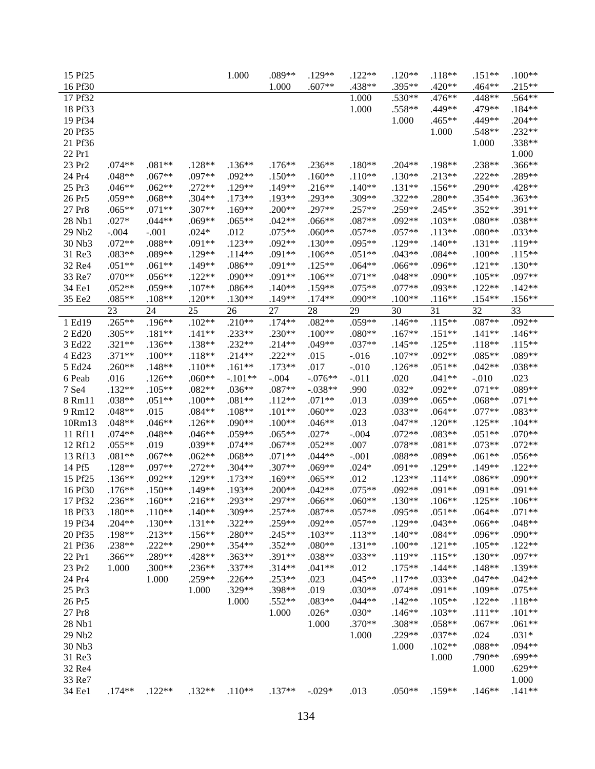| 15 Pf25          |          |          |          | 1.000     | .089**   | .129**    | $.122**$ | $.120**$ | $.118**$ | $.151**$ | $.100**$ |
|------------------|----------|----------|----------|-----------|----------|-----------|----------|----------|----------|----------|----------|
| 16 Pf30          |          |          |          |           | 1.000    | $.607**$  | .438**   | .395**   | .420**   | $.464**$ | $.215**$ |
| 17 Pf32          |          |          |          |           |          |           | 1.000    | .530**   | .476**   | .448**   | .564**   |
| 18 Pf33          |          |          |          |           |          |           | 1.000    | .558**   | .449**   | .479**   | $.184**$ |
| 19 Pf34          |          |          |          |           |          |           |          | 1.000    | .465**   | .449**   | $.204**$ |
| 20 Pf35          |          |          |          |           |          |           |          |          | 1.000    | .548**   | $.232**$ |
| 21 Pf36          |          |          |          |           |          |           |          |          |          | 1.000    | .338**   |
| 22 Pr1           |          |          |          |           |          |           |          |          |          |          | 1.000    |
| 23 Pr2           | $.074**$ | $.081**$ | $.128**$ | $.136**$  | $.176**$ | $.236**$  | $.180**$ | $.204**$ | .198**   | .238**   | $.366**$ |
| 24 Pr4           | $.048**$ | $.067**$ | .097**   | $.092**$  | $.150**$ | $.160**$  | $.110**$ | $.130**$ | $.213**$ | $.222**$ | .289**   |
| 25 Pr3           | $.046**$ | $.062**$ | $.272**$ | $.129**$  | .149**   | $.216**$  | $.140**$ | $.131**$ | $.156**$ | $.290**$ | .428**   |
| 26 Pr5           | $.059**$ | $.068**$ | $.304**$ | $.173**$  | .193**   | .293**    | .309**   | $.322**$ | .280**   | .354**   | $.363**$ |
| 27 Pr8           | $.065**$ | $.071**$ | .307**   | $.169**$  | $.200**$ | .297**    | $.257**$ | $.259**$ | .245**   | $.352**$ | .391**   |
| 28 Nb1           | $.027*$  | $.044**$ | .069**   | $.065**$  | $.042**$ | $.066**$  | .087**   | $.092**$ | $.103**$ | $.080**$ | .038**   |
| 29 Nb2           | $-.004$  | $-.001$  | $.024*$  | .012      | $.075**$ | $.060**$  | $.057**$ | $.057**$ | $.113**$ | $.080**$ | $.033**$ |
| 30 Nb3           | $.072**$ | $.088**$ | $.091**$ | $.123**$  | $.092**$ | $.130**$  | .095**   | .129**   | $.140**$ | $.131**$ | .119**   |
| 31 Re3           | .083**   | .089**   | $.129**$ | $.114**$  | .091**   | $.106**$  | $.051**$ | $.043**$ | $.084**$ | $.100**$ | $.115**$ |
| 32 Re4           | $.051**$ | $.061**$ | .149**   | $.086**$  | .091**   | $.125**$  | $.064**$ | .066**   | $.096**$ | $.121**$ | $.130**$ |
| 33 Re7           | $.070**$ | $.056**$ | $.122**$ | .090**    | .091**   | $.106**$  | $.071**$ | $.048**$ | .090**   | $.105**$ | .097**   |
| 34 Ee1           | $.052**$ | .059**   | $.107**$ | .086**    | $.140**$ | .159**    | $.075**$ | $.077**$ | .093**   | $.122**$ | $.142**$ |
| 35 Ee2           | .085**   | $.108**$ | $.120**$ | $.130**$  | .149**   | $.174**$  | .090**   | $.100**$ | $.116**$ | $.154**$ | $.156**$ |
|                  | 23       | 24       | 25       | 26        | 27       | 28        | 29       | 30       | 31       | 32       | 33       |
| 1 Ed19           | $.265**$ | $.196**$ | $.102**$ | $.210**$  | $.174**$ | $.082**$  | $.059**$ | $.146**$ | $.115**$ | .087**   | $.092**$ |
| 2 Ed20           | .305**   | $.181**$ | $.141**$ | $.233**$  | $.230**$ | $.100**$  | $.080**$ | $.167**$ | $.151**$ | $.141**$ | $.146**$ |
| 3 Ed22           | $.321**$ | $.136**$ | .138**   | $.232**$  | $.214**$ | $.049**$  | .037**   | $.145**$ | $.125**$ | $.118**$ | $.115**$ |
| 4 Ed23           | $.371**$ | $.100**$ | $.118**$ | $.214**$  | $.222**$ | .015      | $-.016$  | $.107**$ | $.092**$ | $.085**$ | .089**   |
| 5 Ed24           | $.260**$ | $.148**$ | $.110**$ | $.161**$  | $.173**$ | .017      | $-.010$  | $.126**$ | $.051**$ | $.042**$ | .038**   |
| 6 Peab           | .016     | $.126**$ | $.060**$ | $-.101**$ | $-.004$  | $-.076**$ | $-.011$  | .020     | $.041**$ | $-.010$  | .023     |
| 7 Se4            | $.132**$ | $.105**$ | $.082**$ | $.036**$  | .087**   | $-.038**$ | .990     | $.032*$  | $.092**$ | $.071**$ | .089**   |
| 8 Rm11           | .038**   | $.051**$ | $.100**$ | $.081**$  | $.112**$ | $.071**$  | .013     | .039**   | $.065**$ | $.068**$ | $.071**$ |
| 9 Rm12           | $.048**$ | .015     | $.084**$ | $.108**$  | $.101**$ | $.060**$  | .023     | .033**   | $.064**$ | $.077**$ | .083**   |
| 10Rm13           | $.048**$ | $.046**$ | $.126**$ | .090**    | $.100**$ | $.046**$  | .013     | $.047**$ | $.120**$ | $.125**$ | $.104**$ |
| 11 Rf11          | $.074**$ | $.048**$ | $.046**$ | .059**    | $.065**$ | $.027*$   | $-.004$  | $.072**$ | .083**   | $.051**$ | $.070**$ |
| 12 Rf12          | $.055**$ | .019     | .039**   | $.074**$  | .067**   | $.052**$  | .007     | .078**   | $.081**$ | $.073**$ | $.072**$ |
| 13 Rf13          | $.081**$ | $.067**$ | $.062**$ | $.068**$  | $.071**$ | $.044**$  | $-.001$  | .088**   | .089**   | $.061**$ | $.056**$ |
| 14 Pf5           | $.128**$ | .097**   | $.272**$ | $.304**$  | $.307**$ | $.069**$  | $.024*$  | .091**   | $.129**$ | $.149**$ | $.122**$ |
| 15 Pf25          | $.136**$ | $.092**$ | $.129**$ | $.173**$  | $.169**$ | $.065**$  | .012     | $.123**$ | $.114**$ | .086**   | .090**   |
| 16 Pf30          | $.176**$ | $.150**$ | .149**   | .193**    | $.200**$ | $.042**$  | $.075**$ | $.092**$ | .091**   | $.091**$ | $.091**$ |
| 17 Pf32          | $.236**$ | $.160**$ | $.216**$ | .293**    | .297**   | $.066**$  | $.060**$ | $.130**$ | $.106**$ | $.125**$ | $.106**$ |
| 18 Pf33          | $.180**$ | $.110**$ | $.140**$ | .309**    | .257**   | .087**    | $.057**$ | .095**   | $.051**$ | $.064**$ | $.071**$ |
| 19 Pf34          | $.204**$ | $.130**$ | $.131**$ | $.322**$  | .259**   | $.092**$  | $.057**$ | $.129**$ | $.043**$ | $.066**$ | $.048**$ |
| 20 Pf35          | .198**   | $.213**$ | $.156**$ | .280**    | $.245**$ | $.103**$  | $.113**$ | $.140**$ | $.084**$ | $.096**$ | .090**   |
| 21 Pf36          | .238**   | $.222**$ | $.290**$ | $.354**$  | $.352**$ | $.080**$  | $.131**$ | $.100**$ | $.121**$ | $.105**$ | $.122**$ |
| 22 Pr1           | .366**   | .289**   | .428**   | $.363**$  | $.391**$ | .038**    | $.033**$ | $.119**$ | $.115**$ | $.130**$ | .097**   |
| 23 Pr2           | 1.000    | .300**   | $.236**$ | $.337**$  | $.314**$ | $.041**$  | .012     | $.175**$ | $.144**$ | $.148**$ | $.139**$ |
| 24 Pr4           |          | 1.000    | $.259**$ | $.226**$  | $.253**$ | .023      | $.045**$ | $.117**$ | $.033**$ | $.047**$ | $.042**$ |
| 25 Pr3           |          |          | 1.000    | .329**    | .398**   | .019      | $.030**$ | $.074**$ | $.091**$ | $.109**$ | $.075**$ |
| 26 Pr5           |          |          |          | 1.000     | .552**   | $.083**$  | $.044**$ | $.142**$ | $.105**$ | $.122**$ | $.118**$ |
| 27 Pr8           |          |          |          |           | 1.000    | $.026*$   | $.030*$  | $.146**$ | $.103**$ | $.111**$ | $.101**$ |
| 28 Nb1           |          |          |          |           |          | 1.000     | $.370**$ | $.308**$ | .058**   | $.067**$ | $.061**$ |
| 29 Nb2           |          |          |          |           |          |           | 1.000    | $.229**$ | $.037**$ | .024     | $.031*$  |
| 30 Nb3           |          |          |          |           |          |           |          | 1.000    | $.102**$ | $.088**$ | .094**   |
| 31 Re3           |          |          |          |           |          |           |          |          |          | .790**   | $.699**$ |
| 32 Re4           |          |          |          |           |          |           |          |          | 1.000    | 1.000    | $.629**$ |
|                  |          |          |          |           |          |           |          |          |          |          |          |
| 33 Re7<br>34 Ee1 | $.174**$ |          | $.132**$ |           |          |           |          |          |          |          | 1.000    |
|                  |          | $.122**$ |          | $.110**$  | $.137**$ | $-.029*$  | .013     | $.050**$ | $.159**$ | $.146**$ | $.141**$ |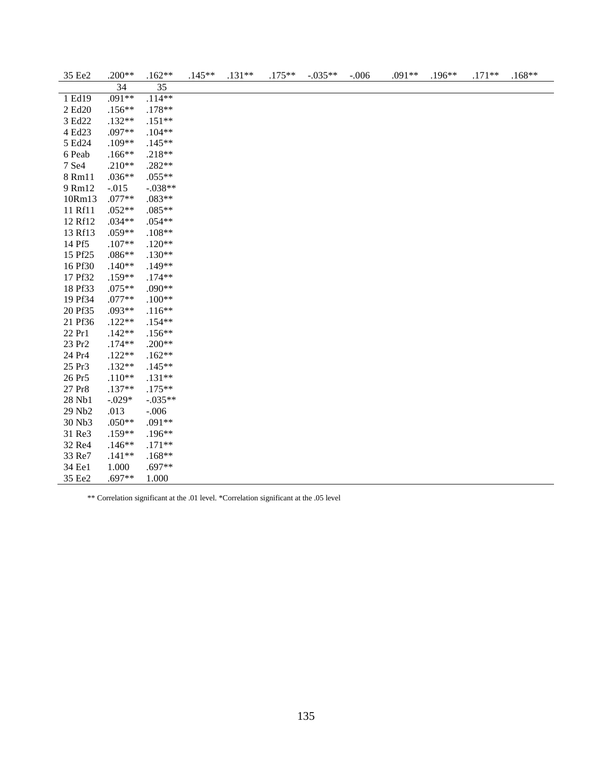| 35 Ee2  | $.200**$ | $.162**$  | $.145**$ | $.131**$ | $.175**$ | $-.035**$ | $-.006$ | .091** | .196** | $.171**$ | $.168**$ |
|---------|----------|-----------|----------|----------|----------|-----------|---------|--------|--------|----------|----------|
|         | 34       | 35        |          |          |          |           |         |        |        |          |          |
| 1 Ed19  | $.091**$ | $.114**$  |          |          |          |           |         |        |        |          |          |
| 2 Ed20  | $.156**$ | .178**    |          |          |          |           |         |        |        |          |          |
| 3 Ed22  | $.132**$ | $.151**$  |          |          |          |           |         |        |        |          |          |
| 4 Ed23  | .097**   | $.104**$  |          |          |          |           |         |        |        |          |          |
| 5 Ed24  | .109**   | $.145**$  |          |          |          |           |         |        |        |          |          |
| 6 Peab  | $.166**$ | $.218**$  |          |          |          |           |         |        |        |          |          |
| 7 Se4   | $.210**$ | $.282**$  |          |          |          |           |         |        |        |          |          |
| 8 Rm11  | $.036**$ | $.055**$  |          |          |          |           |         |        |        |          |          |
| 9 Rm12  | $-.015$  | $-.038**$ |          |          |          |           |         |        |        |          |          |
| 10Rm13  | $.077**$ | $.083**$  |          |          |          |           |         |        |        |          |          |
| 11 Rf11 | $.052**$ | $.085**$  |          |          |          |           |         |        |        |          |          |
| 12 Rf12 | $.034**$ | $.054**$  |          |          |          |           |         |        |        |          |          |
| 13 Rf13 | .059**   | $.108**$  |          |          |          |           |         |        |        |          |          |
| 14 Pf5  | $.107**$ | $.120**$  |          |          |          |           |         |        |        |          |          |
| 15 Pf25 | $.086**$ | $.130**$  |          |          |          |           |         |        |        |          |          |
| 16 Pf30 | $.140**$ | .149**    |          |          |          |           |         |        |        |          |          |
| 17 Pf32 | .159**   | $.174**$  |          |          |          |           |         |        |        |          |          |
| 18 Pf33 | $.075**$ | .090**    |          |          |          |           |         |        |        |          |          |
| 19 Pf34 | $.077**$ | $.100**$  |          |          |          |           |         |        |        |          |          |
| 20 Pf35 | .093**   | $.116**$  |          |          |          |           |         |        |        |          |          |
| 21 Pf36 | $.122**$ | $.154**$  |          |          |          |           |         |        |        |          |          |
| 22 Pr1  | $.142**$ | $.156**$  |          |          |          |           |         |        |        |          |          |
| 23 Pr2  | $.174**$ | $.200**$  |          |          |          |           |         |        |        |          |          |
| 24 Pr4  | $.122**$ | $.162**$  |          |          |          |           |         |        |        |          |          |
| 25 Pr3  | $.132**$ | $.145**$  |          |          |          |           |         |        |        |          |          |
| 26 Pr5  | $.110**$ | $.131**$  |          |          |          |           |         |        |        |          |          |
| 27 Pr8  | $.137**$ | $.175**$  |          |          |          |           |         |        |        |          |          |
| 28 Nb1  | $-.029*$ | $-.035**$ |          |          |          |           |         |        |        |          |          |
| 29 Nb2  | .013     | $-.006$   |          |          |          |           |         |        |        |          |          |
| 30 Nb3  | $.050**$ | .091**    |          |          |          |           |         |        |        |          |          |
| 31 Re3  | .159**   | $.196**$  |          |          |          |           |         |        |        |          |          |
| 32 Re4  | $.146**$ | $.171**$  |          |          |          |           |         |        |        |          |          |
| 33 Re7  | $.141**$ | $.168**$  |          |          |          |           |         |        |        |          |          |
| 34 Ee1  | 1.000    | $.697**$  |          |          |          |           |         |        |        |          |          |
| 35 Ee2  | $.697**$ | 1.000     |          |          |          |           |         |        |        |          |          |

\*\* Correlation significant at the .01 level. \*Correlation significant at the .05 level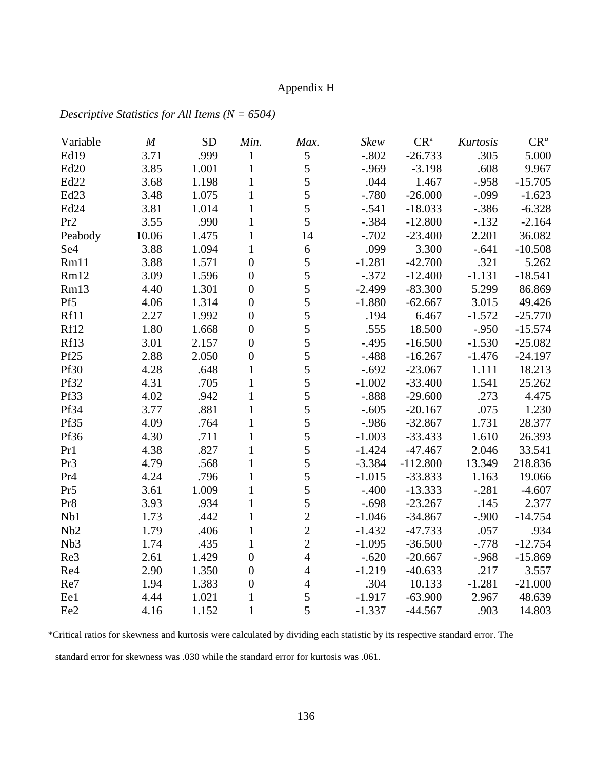## Appendix H

| Variable         | $\boldsymbol{M}$ | <b>SD</b> | Min.             | Max.           | <b>Skew</b> | CR <sup>a</sup> | Kurtosis | $CR^a$    |
|------------------|------------------|-----------|------------------|----------------|-------------|-----------------|----------|-----------|
| Ed19             | 3.71             | .999      | 1                | $\sqrt{5}$     | $-.802$     | $-26.733$       | .305     | 5.000     |
| Ed20             | 3.85             | 1.001     | $\mathbf{1}$     | 5              | $-0.969$    | $-3.198$        | .608     | 9.967     |
| Ed22             | 3.68             | 1.198     | $\mathbf{1}$     | 5              | .044        | 1.467           | $-.958$  | $-15.705$ |
| Ed <sub>23</sub> | 3.48             | 1.075     | $\mathbf{1}$     | 5              | $-0.780$    | $-26.000$       | $-.099$  | $-1.623$  |
| Ed <sub>24</sub> | 3.81             | 1.014     | $\mathbf{1}$     | 5              | $-.541$     | $-18.033$       | $-.386$  | $-6.328$  |
| Pr <sub>2</sub>  | 3.55             | .990      | $\mathbf{1}$     | 5              | $-.384$     | $-12.800$       | $-.132$  | $-2.164$  |
| Peabody          | 10.06            | 1.475     | $\mathbf{1}$     | 14             | $-.702$     | $-23.400$       | 2.201    | 36.082    |
| Se <sub>4</sub>  | 3.88             | 1.094     | $\mathbf{1}$     | 6              | .099        | 3.300           | $-.641$  | $-10.508$ |
| Rm11             | 3.88             | 1.571     | $\boldsymbol{0}$ | 5              | $-1.281$    | $-42.700$       | .321     | 5.262     |
| Rm12             | 3.09             | 1.596     | $\boldsymbol{0}$ | 5              | $-.372$     | $-12.400$       | $-1.131$ | $-18.541$ |
| Rm13             | 4.40             | 1.301     | $\boldsymbol{0}$ | 5              | $-2.499$    | $-83.300$       | 5.299    | 86.869    |
| Pf5              | 4.06             | 1.314     | $\overline{0}$   | 5              | $-1.880$    | $-62.667$       | 3.015    | 49.426    |
| Rf11             | 2.27             | 1.992     | $\boldsymbol{0}$ | 5              | .194        | 6.467           | $-1.572$ | $-25.770$ |
| Rf12             | 1.80             | 1.668     | $\boldsymbol{0}$ | 5              | .555        | 18.500          | $-.950$  | $-15.574$ |
| Rf13             | 3.01             | 2.157     | $\overline{0}$   | 5              | $-.495$     | $-16.500$       | $-1.530$ | $-25.082$ |
| Pf25             | 2.88             | 2.050     | $\boldsymbol{0}$ | 5              | $-.488$     | $-16.267$       | $-1.476$ | $-24.197$ |
| <b>Pf30</b>      | 4.28             | .648      | 1                | 5              | $-.692$     | $-23.067$       | 1.111    | 18.213    |
| Pf32             | 4.31             | .705      | $\mathbf{1}$     | 5              | $-1.002$    | $-33.400$       | 1.541    | 25.262    |
| Pf33             | 4.02             | .942      | $\mathbf{1}$     | 5              | $-.888$     | $-29.600$       | .273     | 4.475     |
| Pf34             | 3.77             | .881      | $\mathbf{1}$     | 5              | $-.605$     | $-20.167$       | .075     | 1.230     |
| Pf35             | 4.09             | .764      | $\mathbf{1}$     | 5              | $-.986$     | $-32.867$       | 1.731    | 28.377    |
| Pf36             | 4.30             | .711      | $\mathbf{1}$     | 5              | $-1.003$    | $-33.433$       | 1.610    | 26.393    |
| Pr1              | 4.38             | .827      | $\mathbf{1}$     | 5              | $-1.424$    | $-47.467$       | 2.046    | 33.541    |
| Pr <sub>3</sub>  | 4.79             | .568      | $\mathbf{1}$     | 5              | $-3.384$    | $-112.800$      | 13.349   | 218.836   |
| Pr <sub>4</sub>  | 4.24             | .796      | $\mathbf{1}$     | 5              | $-1.015$    | $-33.833$       | 1.163    | 19.066    |
| Pr <sub>5</sub>  | 3.61             | 1.009     | $\mathbf{1}$     | 5              | $-.400$     | $-13.333$       | $-.281$  | $-4.607$  |
| Pr8              | 3.93             | .934      | $\mathbf{1}$     | 5              | $-.698$     | $-23.267$       | .145     | 2.377     |
| Nb1              | 1.73             | .442      | $\mathbf{1}$     | $\overline{c}$ | $-1.046$    | $-34.867$       | $-.900$  | $-14.754$ |
| N <sub>b</sub> 2 | 1.79             | .406      | $\mathbf{1}$     | $\overline{2}$ | $-1.432$    | $-47.733$       | .057     | .934      |
| Nb <sub>3</sub>  | 1.74             | .435      | $\mathbf{1}$     | $\overline{2}$ | $-1.095$    | $-36.500$       | $-.778$  | $-12.754$ |
| Re3              | 2.61             | 1.429     | $\overline{0}$   | 4              | $-.620$     | $-20.667$       | $-.968$  | $-15.869$ |
| Re4              | 2.90             | 1.350     | $\boldsymbol{0}$ | 4              | $-1.219$    | $-40.633$       | .217     | 3.557     |
| Re7              | 1.94             | 1.383     | $\overline{0}$   | 4              | .304        | 10.133          | $-1.281$ | $-21.000$ |
| Ee1              | 4.44             | 1.021     | $\mathbf{1}$     | 5              | $-1.917$    | $-63.900$       | 2.967    | 48.639    |
| Ee2              | 4.16             | 1.152     | $\mathbf{1}$     | 5              | $-1.337$    | $-44.567$       | .903     | 14.803    |

*Descriptive Statistics for All Items (N = 6504)* 

\*Critical ratios for skewness and kurtosis were calculated by dividing each statistic by its respective standard error. The

standard error for skewness was .030 while the standard error for kurtosis was .061.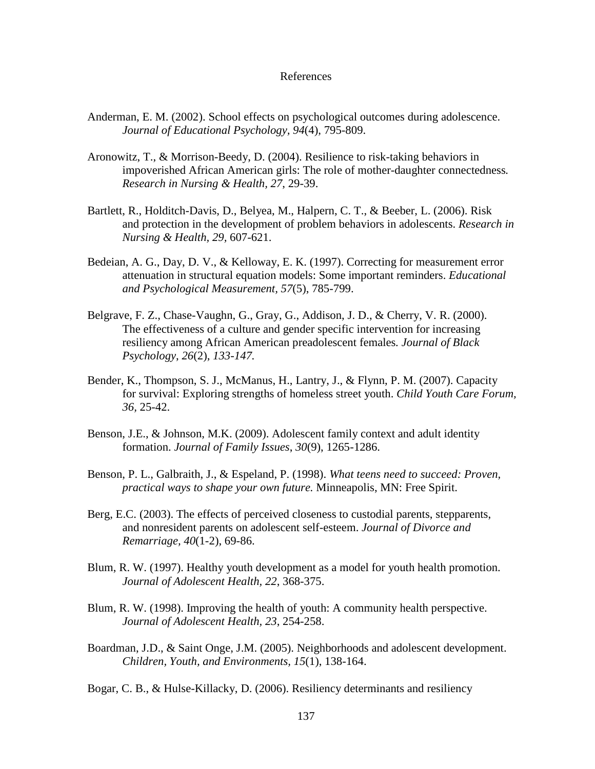## References

- Anderman, E. M. (2002). School effects on psychological outcomes during adolescence. *Journal of Educational Psychology, 94*(4), 795-809.
- Aronowitz, T., & Morrison-Beedy, D. (2004). Resilience to risk-taking behaviors in impoverished African American girls: The role of mother-daughter connectedness*. Research in Nursing & Health, 27*, 29-39.
- Bartlett, R., Holditch-Davis, D., Belyea, M., Halpern, C. T., & Beeber, L. (2006). Risk and protection in the development of problem behaviors in adolescents. *Research in Nursing & Health, 29,* 607-621.
- Bedeian, A. G., Day, D. V., & Kelloway, E. K. (1997). Correcting for measurement error attenuation in structural equation models: Some important reminders. *Educational and Psychological Measurement, 57*(5), 785-799.
- Belgrave, F. Z., Chase-Vaughn, G., Gray, G., Addison, J. D., & Cherry, V. R. (2000). The effectiveness of a culture and gender specific intervention for increasing resiliency among African American preadolescent females*. Journal of Black Psychology*, *26*(2), *133-147.*
- Bender, K., Thompson, S. J., McManus, H., Lantry, J., & Flynn, P. M. (2007). Capacity for survival: Exploring strengths of homeless street youth. *Child Youth Care Forum, 36,* 25-42.
- Benson, J.E., & Johnson, M.K. (2009). Adolescent family context and adult identity formation. *Journal of Family Issues*, *30*(9), 1265-1286.
- Benson, P. L., Galbraith, J., & Espeland, P. (1998). *What teens need to succeed: Proven, practical ways to shape your own future.* Minneapolis, MN: Free Spirit.
- Berg, E.C. (2003). The effects of perceived closeness to custodial parents, stepparents, and nonresident parents on adolescent self-esteem. *Journal of Divorce and Remarriage, 40*(1-2), 69-86.
- Blum, R. W. (1997). Healthy youth development as a model for youth health promotion. *Journal of Adolescent Health, 22*, 368-375.
- Blum, R. W. (1998). Improving the health of youth: A community health perspective. *Journal of Adolescent Health, 23*, 254-258.
- Boardman, J.D., & Saint Onge, J.M. (2005). Neighborhoods and adolescent development. *Children, Youth, and Environments, 15*(1), 138-164.
- Bogar, C. B., & Hulse-Killacky, D. (2006). Resiliency determinants and resiliency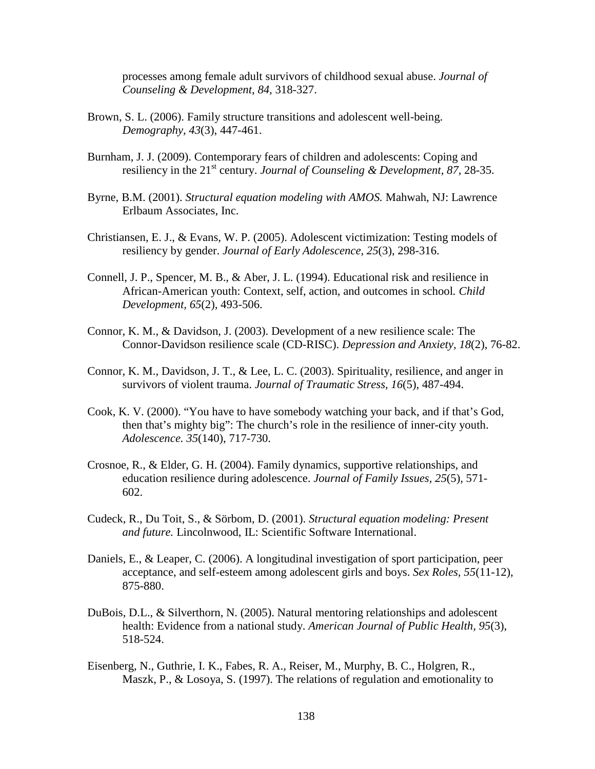processes among female adult survivors of childhood sexual abuse. *Journal of Counseling & Development*, *84,* 318-327.

- Brown, S. L. (2006). Family structure transitions and adolescent well-being. *Demography, 43*(3), 447-461.
- Burnham, J. J. (2009). Contemporary fears of children and adolescents: Coping and resiliency in the 21<sup>st</sup> century. *Journal of Counseling & Development*, 87, 28-35.
- Byrne, B.M. (2001). *Structural equation modeling with AMOS.* Mahwah, NJ: Lawrence Erlbaum Associates, Inc.
- Christiansen, E. J., & Evans, W. P. (2005). Adolescent victimization: Testing models of resiliency by gender. *Journal of Early Adolescence, 25*(3), 298-316.
- Connell, J. P., Spencer, M. B., & Aber, J. L. (1994). Educational risk and resilience in African-American youth: Context, self, action, and outcomes in school*. Child Development, 65*(2)*,* 493-506.
- Connor, K. M., & Davidson, J. (2003). Development of a new resilience scale: The Connor-Davidson resilience scale (CD-RISC). *Depression and Anxiety, 18*(2), 76-82.
- Connor, K. M., Davidson, J. T., & Lee, L. C. (2003). Spirituality, resilience, and anger in survivors of violent trauma. *Journal of Traumatic Stress, 16*(5), 487-494.
- Cook, K. V. (2000). "You have to have somebody watching your back, and if that's God, then that's mighty big": The church's role in the resilience of inner-city youth. *Adolescence. 35*(140), 717-730.
- Crosnoe, R., & Elder, G. H. (2004). Family dynamics, supportive relationships, and education resilience during adolescence. *Journal of Family Issues, 25*(5)*,* 571- 602.
- Cudeck, R., Du Toit, S., & Sörbom, D. (2001). *Structural equation modeling: Present and future.* Lincolnwood, IL: Scientific Software International.
- Daniels, E., & Leaper, C. (2006). A longitudinal investigation of sport participation, peer acceptance, and self-esteem among adolescent girls and boys. *Sex Roles, 55*(11-12), 875-880.
- DuBois, D.L., & Silverthorn, N. (2005). Natural mentoring relationships and adolescent health: Evidence from a national study. *American Journal of Public Health, 95*(3), 518-524.
- Eisenberg, N., Guthrie, I. K., Fabes, R. A., Reiser, M., Murphy, B. C., Holgren, R., Maszk, P., & Losoya, S. (1997). The relations of regulation and emotionality to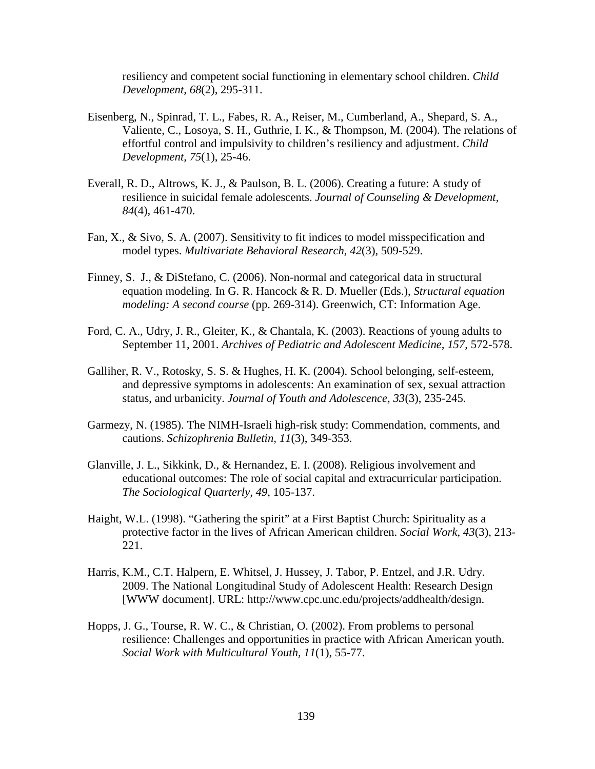resiliency and competent social functioning in elementary school children. *Child Development, 68*(2), 295-311.

- Eisenberg, N., Spinrad, T. L., Fabes, R. A., Reiser, M., Cumberland, A., Shepard, S. A., Valiente, C., Losoya, S. H., Guthrie, I. K., & Thompson, M. (2004). The relations of effortful control and impulsivity to children's resiliency and adjustment. *Child Development, 75*(1), 25-46.
- Everall, R. D., Altrows, K. J., & Paulson, B. L. (2006). Creating a future: A study of resilience in suicidal female adolescents. *Journal of Counseling & Development, 84*(4)*,* 461-470.
- Fan, X., & Sivo, S. A. (2007). Sensitivity to fit indices to model misspecification and model types. *Multivariate Behavioral Research, 42*(3), 509-529.
- Finney, S. J., & DiStefano, C. (2006). Non-normal and categorical data in structural equation modeling. In G. R. Hancock & R. D. Mueller (Eds.), *Structural equation modeling: A second course* (pp. 269-314). Greenwich, CT: Information Age.
- Ford, C. A., Udry, J. R., Gleiter, K., & Chantala, K. (2003). Reactions of young adults to September 11, 2001. *Archives of Pediatric and Adolescent Medicine, 157,* 572-578.
- Galliher, R. V., Rotosky, S. S. & Hughes, H. K. (2004). School belonging, self-esteem, and depressive symptoms in adolescents: An examination of sex, sexual attraction status, and urbanicity. *Journal of Youth and Adolescence, 33*(3), 235-245.
- Garmezy, N. (1985). The NIMH-Israeli high-risk study: Commendation, comments, and cautions. *Schizophrenia Bulletin, 11*(3), 349-353.
- Glanville, J. L., Sikkink, D., & Hernandez, E. I. (2008). Religious involvement and educational outcomes: The role of social capital and extracurricular participation. *The Sociological Quarterly, 49*, 105-137.
- Haight, W.L. (1998). "Gathering the spirit" at a First Baptist Church: Spirituality as a protective factor in the lives of African American children. *Social Work*, *43*(3), 213- 221.
- Harris, K.M., C.T. Halpern, E. Whitsel, J. Hussey, J. Tabor, P. Entzel, and J.R. Udry. 2009. The National Longitudinal Study of Adolescent Health: Research Design [WWW document]. URL: http://www.cpc.unc.edu/projects/addhealth/design.
- Hopps, J. G., Tourse, R. W. C., & Christian, O. (2002). From problems to personal resilience: Challenges and opportunities in practice with African American youth. *Social Work with Multicultural Youth, 11*(1), 55-77.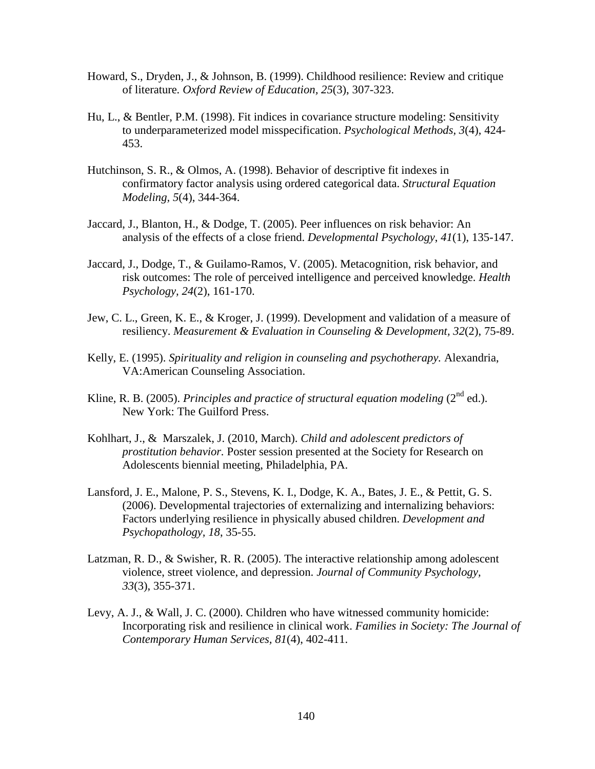- Howard, S., Dryden, J., & Johnson, B. (1999). Childhood resilience: Review and critique of literature*. Oxford Review of Education, 25*(3), 307-323.
- Hu, L., & Bentler, P.M. (1998). Fit indices in covariance structure modeling: Sensitivity to underparameterized model misspecification. *Psychological Methods, 3*(4), 424- 453.
- Hutchinson, S. R., & Olmos, A. (1998). Behavior of descriptive fit indexes in confirmatory factor analysis using ordered categorical data. *Structural Equation Modeling, 5*(4), 344-364.
- Jaccard, J., Blanton, H., & Dodge, T. (2005). Peer influences on risk behavior: An analysis of the effects of a close friend. *Developmental Psychology*, *41*(1), 135-147.
- Jaccard, J., Dodge, T., & Guilamo-Ramos, V. (2005). Metacognition, risk behavior, and risk outcomes: The role of perceived intelligence and perceived knowledge. *Health Psychology, 24*(2), 161-170.
- Jew, C. L., Green, K. E., & Kroger, J. (1999). Development and validation of a measure of resiliency. *Measurement & Evaluation in Counseling & Development, 32*(2), 75-89.
- Kelly, E. (1995). *Spirituality and religion in counseling and psychotherapy.* Alexandria, VA:American Counseling Association.
- Kline, R. B. (2005). *Principles and practice of structural equation modeling* ( $2^{nd}$  ed.). New York: The Guilford Press.
- Kohlhart, J., & Marszalek, J. (2010, March). *Child and adolescent predictors of prostitution behavior.* Poster session presented at the Society for Research on Adolescents biennial meeting, Philadelphia, PA.
- Lansford, J. E., Malone, P. S., Stevens, K. I., Dodge, K. A., Bates, J. E., & Pettit, G. S. (2006). Developmental trajectories of externalizing and internalizing behaviors: Factors underlying resilience in physically abused children. *Development and Psychopathology, 18*, 35-55.
- Latzman, R. D., & Swisher, R. R. (2005). The interactive relationship among adolescent violence, street violence, and depression. *Journal of Community Psychology, 33*(3), 355-371.
- Levy, A. J., & Wall, J. C. (2000). Children who have witnessed community homicide: Incorporating risk and resilience in clinical work. *Families in Society: The Journal of Contemporary Human Services, 81*(4), 402-411.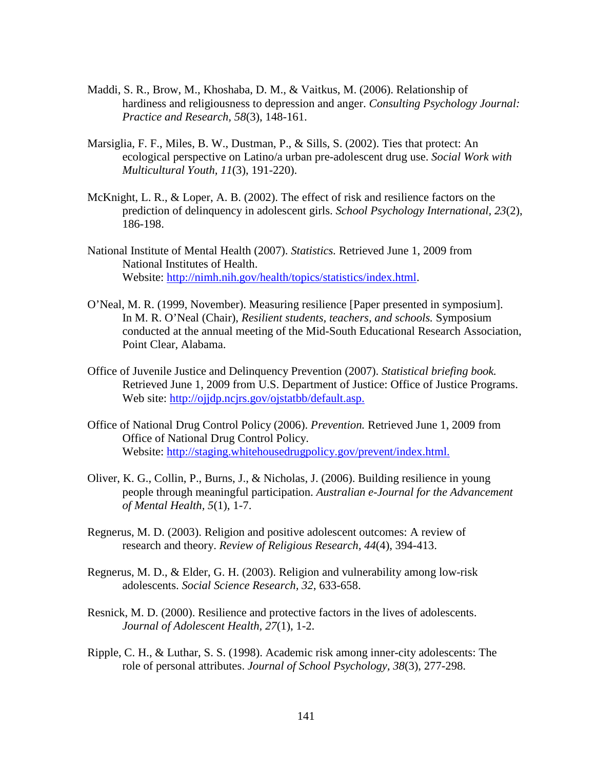- Maddi, S. R., Brow, M., Khoshaba, D. M., & Vaitkus, M. (2006). Relationship of hardiness and religiousness to depression and anger. *Consulting Psychology Journal: Practice and Research, 58*(3), 148-161.
- Marsiglia, F. F., Miles, B. W., Dustman, P., & Sills, S. (2002). Ties that protect: An ecological perspective on Latino/a urban pre-adolescent drug use. *Social Work with Multicultural Youth, 11*(3), 191-220).
- McKnight, L. R., & Loper, A. B. (2002). The effect of risk and resilience factors on the prediction of delinquency in adolescent girls. *School Psychology International, 23*(2), 186-198.
- National Institute of Mental Health (2007). *Statistics.* Retrieved June 1, 2009 from National Institutes of Health. Website: http://nimh.nih.gov/health/topics/statistics/index.html.
- O'Neal, M. R. (1999, November). Measuring resilience [Paper presented in symposium]. In M. R. O'Neal (Chair), *Resilient students, teachers, and schools.* Symposium conducted at the annual meeting of the Mid-South Educational Research Association, Point Clear, Alabama.
- Office of Juvenile Justice and Delinquency Prevention (2007). *Statistical briefing book.*  Retrieved June 1, 2009 from U.S. Department of Justice: Office of Justice Programs. Web site: http://ojjdp.ncjrs.gov/ojstatbb/default.asp.
- Office of National Drug Control Policy (2006). *Prevention.* Retrieved June 1, 2009 from Office of National Drug Control Policy. Website: http://staging.whitehousedrugpolicy.gov/prevent/index.html.
- Oliver, K. G., Collin, P., Burns, J., & Nicholas, J. (2006). Building resilience in young people through meaningful participation. *Australian e-Journal for the Advancement of Mental Health, 5*(1), 1-7.
- Regnerus, M. D. (2003). Religion and positive adolescent outcomes: A review of research and theory. *Review of Religious Research, 44*(4), 394-413.
- Regnerus, M. D., & Elder, G. H. (2003). Religion and vulnerability among low-risk adolescents. *Social Science Research, 32*, 633-658.
- Resnick, M. D. (2000). Resilience and protective factors in the lives of adolescents. *Journal of Adolescent Health, 27*(1), 1-2.
- Ripple, C. H., & Luthar, S. S. (1998). Academic risk among inner-city adolescents: The role of personal attributes. *Journal of School Psychology, 38*(3), 277-298.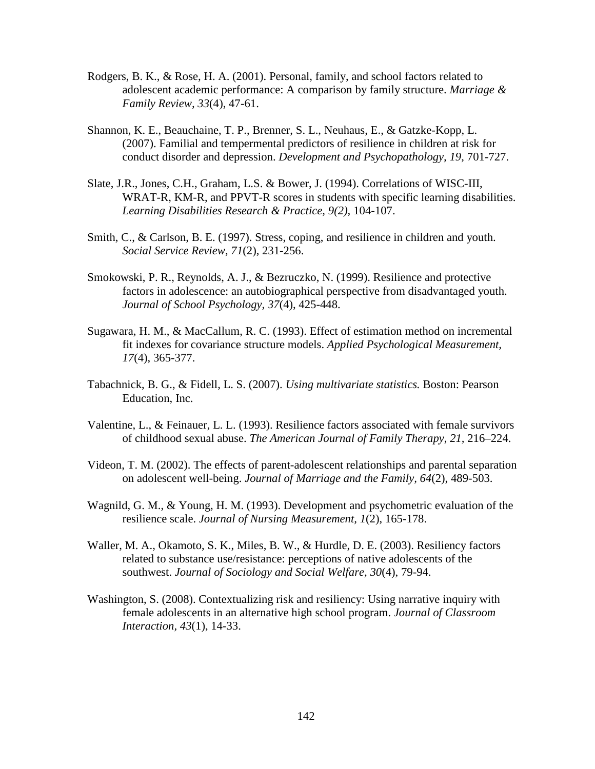- Rodgers, B. K., & Rose, H. A. (2001). Personal, family, and school factors related to adolescent academic performance: A comparison by family structure. *Marriage & Family Review, 33*(4), 47-61.
- Shannon, K. E., Beauchaine, T. P., Brenner, S. L., Neuhaus, E., & Gatzke-Kopp, L. (2007). Familial and tempermental predictors of resilience in children at risk for conduct disorder and depression. *Development and Psychopathology, 19*, 701-727.
- Slate, J.R., Jones, C.H., Graham, L.S. & Bower, J. (1994). Correlations of WISC-III, WRAT-R, KM-R, and PPVT-R scores in students with specific learning disabilities. *Learning Disabilities Research & Practice, 9(2),* 104-107.
- Smith, C., & Carlson, B. E. (1997). Stress, coping, and resilience in children and youth. *Social Service Review*, *71*(2), 231-256.
- Smokowski, P. R., Reynolds, A. J., & Bezruczko, N. (1999). Resilience and protective factors in adolescence: an autobiographical perspective from disadvantaged youth. *Journal of School Psychology, 37*(4), 425-448.
- Sugawara, H. M., & MacCallum, R. C. (1993). Effect of estimation method on incremental fit indexes for covariance structure models. *Applied Psychological Measurement, 17*(4), 365-377.
- Tabachnick, B. G., & Fidell, L. S. (2007). *Using multivariate statistics.* Boston: Pearson Education, Inc.
- Valentine, L., & Feinauer, L. L. (1993). Resilience factors associated with female survivors of childhood sexual abuse. *The American Journal of Family Therapy*, *21,* 216–224.
- Videon, T. M. (2002). The effects of parent-adolescent relationships and parental separation on adolescent well-being. *Journal of Marriage and the Family, 64*(2), 489-503.
- Wagnild, G. M., & Young, H. M. (1993). Development and psychometric evaluation of the resilience scale. *Journal of Nursing Measurement, 1*(2), 165-178.
- Waller, M. A., Okamoto, S. K., Miles, B. W., & Hurdle, D. E. (2003). Resiliency factors related to substance use/resistance: perceptions of native adolescents of the southwest. *Journal of Sociology and Social Welfare, 30*(4), 79-94.
- Washington, S. (2008). Contextualizing risk and resiliency: Using narrative inquiry with female adolescents in an alternative high school program. *Journal of Classroom Interaction, 43*(1), 14-33.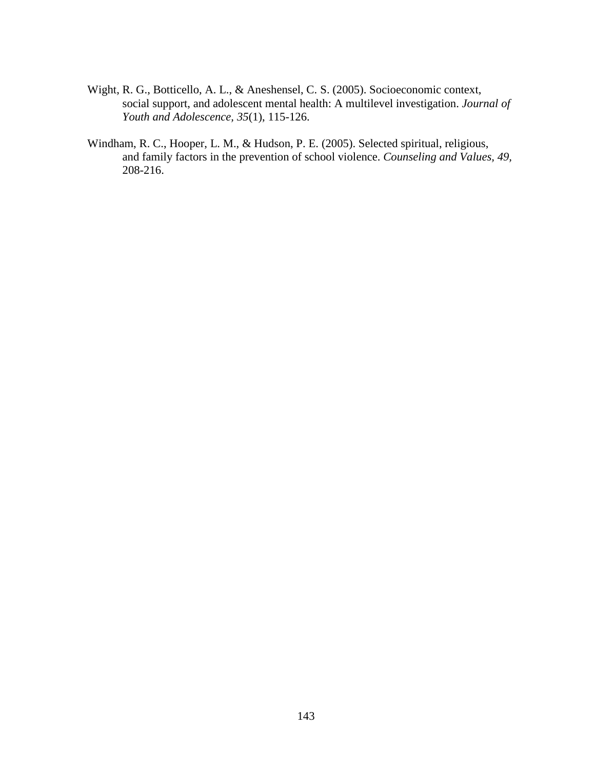- Wight, R. G., Botticello, A. L., & Aneshensel, C. S. (2005). Socioeconomic context, social support, and adolescent mental health: A multilevel investigation. *Journal of Youth and Adolescence, 35*(1), 115-126.
- Windham, R. C., Hooper, L. M., & Hudson, P. E. (2005). Selected spiritual, religious, and family factors in the prevention of school violence. *Counseling and Values, 49,* 208-216.